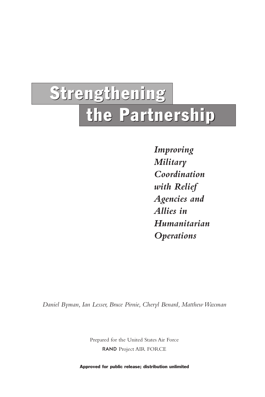# Strengthening the Partnership

*Improving Military Coordination with Relief Agencies and Allies in Humanitarian Operations*

*Daniel Byman, Ian Lesser, Bruce Pirnie, Cheryl Benard, Matthew Waxman*

Prepared for the United States Air Force RAND Project AIR FORCE

Approved for public release; distribution unlimited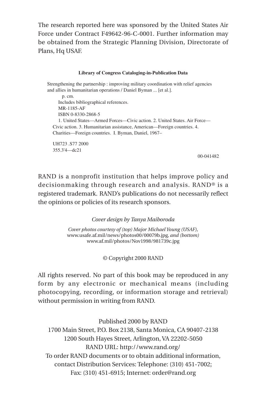The research reported here was sponsored by the United States Air Force under Contract F49642-96-C-0001. Further information may be obtained from the Strategic Planning Division, Directorate of Plans, Hq USAF.

#### **Library of Congress Cataloging-in-Publication Data**

Strengthening the partnership : improving military coordination with relief agencies and allies in humanitarian operations / Daniel Byman ... [et al.]. p. cm. Includes bibliographical references. MR-1185-AF ISBN 0-8330-2868-5 1. United States—Armed Forces—Civic action. 2. United States. Air Force— Civic action. 3. Humanitarian assistance, American—Foreign countries. 4. Charities—Foreign countries. I. Byman, Daniel, 1967–

UH723 .S77 2000 355.3'4—dc21

00-041482

RAND is a nonprofit institution that helps improve policy and decisionmaking through research and analysis. RAND® is a registered trademark. RAND's publications do not necessarily reflect the opinions or policies of its research sponsors.

*Cover design by Tanya Maiboroda*

*Cover photos courtesy of (top) Major Michael Young (USAF),* www.usafe.af.mil/news/photos00/00079b.jpg*, and (bottom)* www.af.mil/photos/Nov1998/981739c.jpg

© Copyright 2000 RAND

All rights reserved. No part of this book may be reproduced in any form by any electronic or mechanical means (including photocopying, recording, or information storage and retrieval) without permission in writing from RAND.

Published 2000 by RAND

1700 Main Street, P.O. Box 2138, Santa Monica, CA 90407-2138 1200 South Hayes Street, Arlington, VA 22202-5050 RAND URL: http://www.rand.org/ To order RAND documents or to obtain additional information, contact Distribution Services: Telephone: (310) 451-7002; Fax: (310) 451-6915; Internet: order@rand.org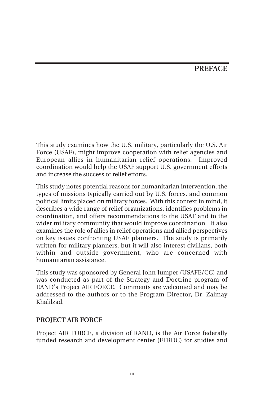## **PREFACE**

This study examines how the U.S. military, particularly the U.S. Air Force (USAF), might improve cooperation with relief agencies and European allies in humanitarian relief operations. Improved coordination would help the USAF support U.S. government efforts and increase the success of relief efforts.

This study notes potential reasons for humanitarian intervention, the types of missions typically carried out by U.S. forces, and common political limits placed on military forces. With this context in mind, it describes a wide range of relief organizations, identifies problems in coordination, and offers recommendations to the USAF and to the wider military community that would improve coordination. It also examines the role of allies in relief operations and allied perspectives on key issues confronting USAF planners. The study is primarily written for military planners, but it will also interest civilians, both within and outside government, who are concerned with humanitarian assistance.

This study was sponsored by General John Jumper (USAFE/CC) and was conducted as part of the Strategy and Doctrine program of RAND's Project AIR FORCE. Comments are welcomed and may be addressed to the authors or to the Program Director, Dr. Zalmay Khalilzad.

#### **PROJECT AIR FORCE**

Project AIR FORCE, a division of RAND, is the Air Force federally funded research and development center (FFRDC) for studies and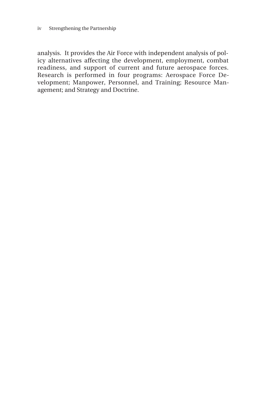analysis. It provides the Air Force with independent analysis of policy alternatives affecting the development, employment, combat readiness, and support of current and future aerospace forces. Research is performed in four programs: Aerospace Force Development; Manpower, Personnel, and Training; Resource Management; and Strategy and Doctrine.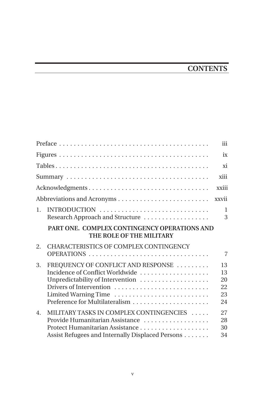# **CONTENTS**

|                  |                                                                                                                                                              | iii                              |
|------------------|--------------------------------------------------------------------------------------------------------------------------------------------------------------|----------------------------------|
|                  |                                                                                                                                                              | ix                               |
|                  |                                                                                                                                                              | xi                               |
|                  |                                                                                                                                                              | xiii                             |
|                  | Acknowledgments                                                                                                                                              | xxiii                            |
|                  |                                                                                                                                                              | xxvii                            |
| 1.               | INTRODUCTION<br>Research Approach and Structure                                                                                                              | 1<br>3                           |
|                  | PART ONE. COMPLEX CONTINGENCY OPERATIONS AND<br>THE ROLE OF THE MILITARY                                                                                     |                                  |
| 2.               | CHARACTERISTICS OF COMPLEX CONTINGENCY<br>OPERATIONS                                                                                                         | 7                                |
| 3.               | FREQUENCY OF CONFLICT AND RESPONSE<br>Incidence of Conflict Worldwide<br>Unpredictability of Intervention<br>Drivers of Intervention<br>Limited Warning Time | 13<br>13<br>20<br>22<br>23<br>24 |
| $\overline{4}$ . | MILITARY TASKS IN COMPLEX CONTINGENCIES<br>Provide Humanitarian Assistance<br>Assist Refugees and Internally Displaced Persons                               | 27<br>28<br>30<br>34             |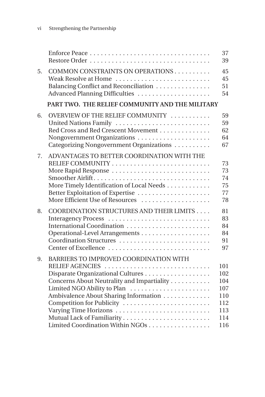|    |                                                                                                                                                                                                                                                                                                                | 37<br>39                                                    |
|----|----------------------------------------------------------------------------------------------------------------------------------------------------------------------------------------------------------------------------------------------------------------------------------------------------------------|-------------------------------------------------------------|
| 5. | COMMON CONSTRAINTS ON OPERATIONS<br>Weak Resolve at Home<br>Balancing Conflict and Reconciliation<br>Advanced Planning Difficulties                                                                                                                                                                            | 45<br>45<br>51<br>54                                        |
|    | PART TWO. THE RELIEF COMMUNITY AND THE MILITARY                                                                                                                                                                                                                                                                |                                                             |
| 6. | OVERVIEW OF THE RELIEF COMMUNITY<br>United Nations Family<br>Red Cross and Red Crescent Movement<br>Nongovernment Organizations<br>Categorizing Nongovernment Organizations                                                                                                                                    | 59<br>59<br>62<br>64<br>67                                  |
| 7. | ADVANTAGES TO BETTER COORDINATION WITH THE<br>More Rapid Response<br>More Timely Identification of Local Needs<br>More Efficient Use of Resources                                                                                                                                                              | 73<br>73<br>74<br>75<br>77<br>78                            |
| 8. | COORDINATION STRUCTURES AND THEIR LIMITS<br>Interagency Process<br>International Coordination<br>Coordination Structures<br>Center of Excellence                                                                                                                                                               | 81<br>83<br>84<br>84<br>91<br>97                            |
| 9. | BARRIERS TO IMPROVED COORDINATION WITH<br>RELIEF AGENCIES<br>Disparate Organizational Cultures<br>Concerns About Neutrality and Impartiality<br>Limited NGO Ability to Plan<br>Ambivalence About Sharing Information<br>Competition for Publicity<br>Varying Time Horizons<br>Limited Coordination Within NGOs | 101<br>102<br>104<br>107<br>110<br>112<br>113<br>114<br>116 |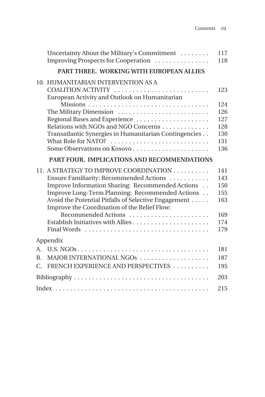|                                         | Uncertainty About the Military's Commitment<br>Improving Prospects for Cooperation                                                                                                                                                                                                                                                     | 117<br>118                                           |
|-----------------------------------------|----------------------------------------------------------------------------------------------------------------------------------------------------------------------------------------------------------------------------------------------------------------------------------------------------------------------------------------|------------------------------------------------------|
|                                         | PART THREE. WORKING WITH EUROPEAN ALLIES                                                                                                                                                                                                                                                                                               |                                                      |
|                                         | 10. HUMANITARIAN INTERVENTION AS A<br>COALITION ACTIVITY<br>European Activity and Outlook on Humanitarian                                                                                                                                                                                                                              | 123                                                  |
|                                         | Missions<br>The Military Dimension<br>Regional Bases and Experience                                                                                                                                                                                                                                                                    | 124<br>126<br>127                                    |
|                                         | Relations with NGOs and NGO Concerns<br>Transatlantic Synergies in Humanitarian Contingencies<br>What Role for NATO?                                                                                                                                                                                                                   | 128<br>130<br>131<br>136                             |
|                                         | PART FOUR. IMPLICATIONS AND RECOMMENDATIONS                                                                                                                                                                                                                                                                                            |                                                      |
|                                         | 11. A STRATEGY TO IMPROVE COORDINATION<br>Ensure Familiarity: Recommended Actions<br>Improve Information Sharing: Recommended Actions<br>Improve Long-Term Planning: Recommended Actions<br>Avoid the Potential Pitfalls of Selective Engagement<br>Improve the Coordination of the Relief Flow:<br>Recommended Actions<br>Final Words | 141<br>143<br>150<br>155<br>163<br>169<br>174<br>179 |
|                                         | Appendix                                                                                                                                                                                                                                                                                                                               |                                                      |
| A.<br>B <sub>r</sub><br>$\mathcal{C}$ . | MAJOR INTERNATIONAL NGOS<br>FRENCH EXPERIENCE AND PERSPECTIVES                                                                                                                                                                                                                                                                         | 181<br>187<br>195                                    |
|                                         |                                                                                                                                                                                                                                                                                                                                        | 203                                                  |
|                                         |                                                                                                                                                                                                                                                                                                                                        | 215                                                  |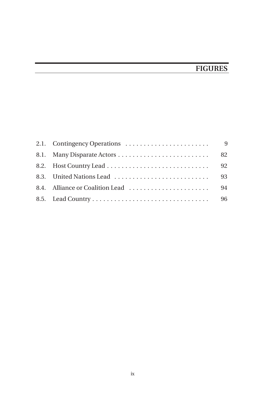# **FIGURES**

|  | 92 |
|--|----|
|  | 93 |
|  |    |
|  |    |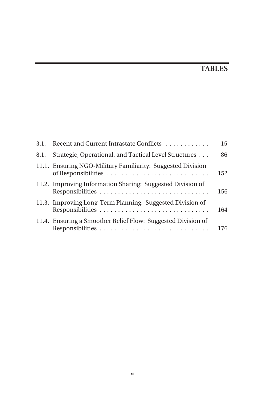# **TABLES**

| 3.1. | Recent and Current Intrastate Conflicts                                            | 15  |
|------|------------------------------------------------------------------------------------|-----|
| 8.1. | Strategic, Operational, and Tactical Level Structures                              | 86  |
|      | 11.1. Ensuring NGO-Military Familiarity: Suggested Division<br>of Responsibilities | 152 |
|      | 11.2. Improving Information Sharing: Suggested Division of                         | 156 |
|      | 11.3. Improving Long-Term Planning: Suggested Division of                          | 164 |
|      | 11.4. Ensuring a Smoother Relief Flow: Suggested Division of<br>Responsibilities   | 176 |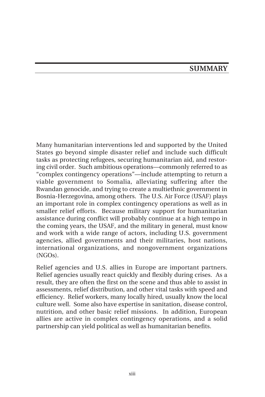### **SUMMARY**

Many humanitarian interventions led and supported by the United States go beyond simple disaster relief and include such difficult tasks as protecting refugees, securing humanitarian aid, and restoring civil order. Such ambitious operations—commonly referred to as "complex contingency operations"—include attempting to return a viable government to Somalia, alleviating suffering after the Rwandan genocide, and trying to create a multiethnic government in Bosnia-Herzegovina, among others. The U.S. Air Force (USAF) plays an important role in complex contingency operations as well as in smaller relief efforts. Because military support for humanitarian assistance during conflict will probably continue at a high tempo in the coming years, the USAF, and the military in general, must know and work with a wide range of actors, including U.S. government agencies, allied governments and their militaries, host nations, international organizations, and nongovernment organizations (NGOs).

Relief agencies and U.S. allies in Europe are important partners. Relief agencies usually react quickly and flexibly during crises. As a result, they are often the first on the scene and thus able to assist in assessments, relief distribution, and other vital tasks with speed and efficiency. Relief workers, many locally hired, usually know the local culture well. Some also have expertise in sanitation, disease control, nutrition, and other basic relief missions. In addition, European allies are active in complex contingency operations, and a solid partnership can yield political as well as humanitarian benefits.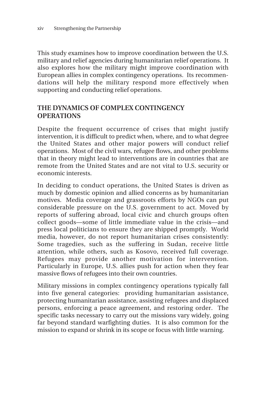This study examines how to improve coordination between the U.S. military and relief agencies during humanitarian relief operations. It also explores how the military might improve coordination with European allies in complex contingency operations. Its recommendations will help the military respond more effectively when supporting and conducting relief operations.

#### **THE DYNAMICS OF COMPLEX CONTINGENCY OPERATIONS**

Despite the frequent occurrence of crises that might justify intervention, it is difficult to predict when, where, and to what degree the United States and other major powers will conduct relief operations. Most of the civil wars, refugee flows, and other problems that in theory might lead to interventions are in countries that are remote from the United States and are not vital to U.S. security or economic interests.

In deciding to conduct operations, the United States is driven as much by domestic opinion and allied concerns as by humanitarian motives. Media coverage and grassroots efforts by NGOs can put considerable pressure on the U.S. government to act. Moved by reports of suffering abroad, local civic and church groups often collect goods—some of little immediate value in the crisis—and press local politicians to ensure they are shipped promptly. World media, however, do not report humanitarian crises consistently: Some tragedies, such as the suffering in Sudan, receive little attention, while others, such as Kosovo, received full coverage. Refugees may provide another motivation for intervention. Particularly in Europe, U.S. allies push for action when they fear massive flows of refugees into their own countries.

Military missions in complex contingency operations typically fall into five general categories: providing humanitarian assistance, protecting humanitarian assistance, assisting refugees and displaced persons, enforcing a peace agreement, and restoring order. The specific tasks necessary to carry out the missions vary widely, going far beyond standard warfighting duties. It is also common for the mission to expand or shrink in its scope or focus with little warning.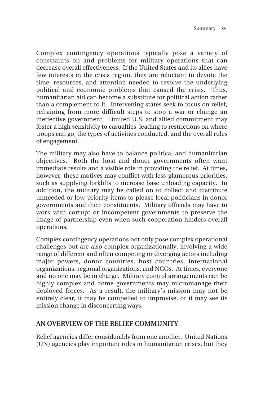Complex contingency operations typically pose a variety of constraints on and problems for military operations that can decrease overall effectiveness. If the United States and its allies have few interests in the crisis region, they are reluctant to devote the time, resources, and attention needed to resolve the underlying political and economic problems that caused the crisis. Thus, humanitarian aid can become a substitute for political action rather than a complement to it. Intervening states seek to focus on relief, refraining from more difficult steps to stop a war or change an ineffective government. Limited U.S. and allied commitment may foster a high sensitivity to casualties, leading to restrictions on where troops can go, the types of activities conducted, and the overall rules of engagement.

The military may also have to balance political and humanitarian objectives. Both the host and donor governments often want immediate results and a visible role in providing the relief. At times, however, these motives may conflict with less-glamorous priorities, such as supplying forklifts to increase base unloading capacity. In addition, the military may be called on to collect and distribute unneeded or low-priority items to please local politicians in donor governments and their constituents. Military officials may have to work with corrupt or incompetent governments to preserve the image of partnership even when such cooperation hinders overall operations.

Complex contingency operations not only pose complex operational challenges but are also complex organizationally, involving a wide range of different and often competing or diverging actors including major powers, donor countries, host countries, international organizations, regional organizations, and NGOs. At times, everyone and no one may be in charge. Military control arrangements can be highly complex and home governments may micromanage their deployed forces. As a result, the military's mission may not be entirely clear, it may be compelled to improvise, or it may see its mission change in disconcerting ways.

#### **AN OVERVIEW OF THE RELIEF COMMUNITY**

Relief agencies differ considerably from one another. United Nations (UN) agencies play important roles in humanitarian crises, but they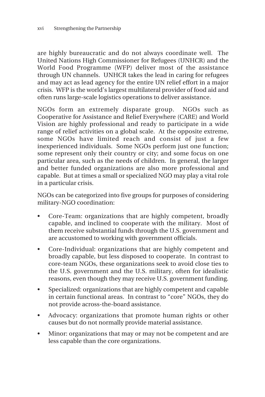are highly bureaucratic and do not always coordinate well. The United Nations High Commissioner for Refugees (UNHCR) and the World Food Programme (WFP) deliver most of the assistance through UN channels. UNHCR takes the lead in caring for refugees and may act as lead agency for the entire UN relief effort in a major crisis. WFP is the world's largest multilateral provider of food aid and often runs large-scale logistics operations to deliver assistance.

NGOs form an extremely disparate group. NGOs such as Cooperative for Assistance and Relief Everywhere (CARE) and World Vision are highly professional and ready to participate in a wide range of relief activities on a global scale. At the opposite extreme, some NGOs have limited reach and consist of just a few inexperienced individuals. Some NGOs perform just one function; some represent only their country or city; and some focus on one particular area, such as the needs of children. In general, the larger and better funded organizations are also more professional and capable. But at times a small or specialized NGO may play a vital role in a particular crisis.

NGOs can be categorized into five groups for purposes of considering military-NGO coordination:

- Core-Team: organizations that are highly competent, broadly capable, and inclined to cooperate with the military. Most of them receive substantial funds through the U.S. government and are accustomed to working with government officials.
- Core-Individual: organizations that are highly competent and broadly capable, but less disposed to cooperate. In contrast to core-team NGOs, these organizations seek to avoid close ties to the U.S. government and the U.S. military, often for idealistic reasons, even though they may receive U.S. government funding.
- Specialized: organizations that are highly competent and capable in certain functional areas. In contrast to "core" NGOs, they do not provide across-the-board assistance.
- Advocacy: organizations that promote human rights or other causes but do not normally provide material assistance.
- Minor: organizations that may or may not be competent and are less capable than the core organizations.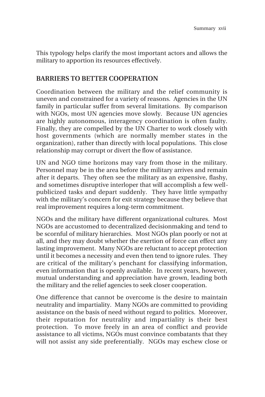This typology helps clarify the most important actors and allows the military to apportion its resources effectively.

#### **BARRIERS TO BETTER COOPERATION**

Coordination between the military and the relief community is uneven and constrained for a variety of reasons. Agencies in the UN family in particular suffer from several limitations. By comparison with NGOs, most UN agencies move slowly. Because UN agencies are highly autonomous, interagency coordination is often faulty. Finally, they are compelled by the UN Charter to work closely with host governments (which are normally member states in the organization), rather than directly with local populations. This close relationship may corrupt or divert the flow of assistance.

UN and NGO time horizons may vary from those in the military. Personnel may be in the area before the military arrives and remain after it departs. They often see the military as an expensive, flashy, and sometimes disruptive interloper that will accomplish a few wellpublicized tasks and depart suddenly. They have little sympathy with the military's concern for exit strategy because they believe that real improvement requires a long-term commitment.

NGOs and the military have different organizational cultures. Most NGOs are accustomed to decentralized decisionmaking and tend to be scornful of military hierarchies. Most NGOs plan poorly or not at all, and they may doubt whether the exertion of force can effect any lasting improvement. Many NGOs are reluctant to accept protection until it becomes a necessity and even then tend to ignore rules. They are critical of the military's penchant for classifying information, even information that is openly available. In recent years, however, mutual understanding and appreciation have grown, leading both the military and the relief agencies to seek closer cooperation.

One difference that cannot be overcome is the desire to maintain neutrality and impartiality. Many NGOs are committed to providing assistance on the basis of need without regard to politics. Moreover, their reputation for neutrality and impartiality is their best protection. To move freely in an area of conflict and provide assistance to all victims, NGOs must convince combatants that they will not assist any side preferentially. NGOs may eschew close or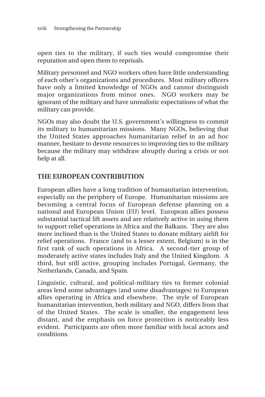open ties to the military, if such ties would compromise their reputation and open them to reprisals.

Military personnel and NGO workers often have little understanding of each other's organizations and procedures. Most military officers have only a limited knowledge of NGOs and cannot distinguish major organizations from minor ones. NGO workers may be ignorant of the military and have unrealistic expectations of what the military can provide.

NGOs may also doubt the U.S. government's willingness to commit its military to humanitarian missions. Many NGOs, believing that the United States approaches humanitarian relief in an ad hoc manner, hesitate to devote resources to improving ties to the military because the military may withdraw abruptly during a crisis or not help at all.

#### **THE EUROPEAN CONTRIBUTION**

European allies have a long tradition of humanitarian intervention, especially on the periphery of Europe. Humanitarian missions are becoming a central focus of European defense planning on a national and European Union (EU) level. European allies possess substantial tactical lift assets and are relatively active in using them to support relief operations in Africa and the Balkans. They are also more inclined than is the United States to donate military airlift for relief operations. France (and to a lesser extent, Belgium) is in the first rank of such operations in Africa. A second-tier group of moderately active states includes Italy and the United Kingdom. A third, but still active, grouping includes Portugal, Germany, the Netherlands, Canada, and Spain.

Linguistic, cultural, and political-military ties to former colonial areas lend some advantages (and some disadvantages) to European allies operating in Africa and elsewhere. The style of European humanitarian intervention, both military and NGO, differs from that of the United States. The scale is smaller, the engagement less distant, and the emphasis on force protection is noticeably less evident. Participants are often more familiar with local actors and conditions.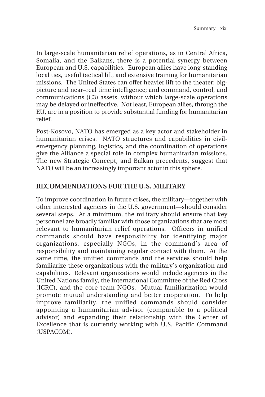In large-scale humanitarian relief operations, as in Central Africa, Somalia, and the Balkans, there is a potential synergy between European and U.S. capabilities. European allies have long-standing local ties, useful tactical lift, and extensive training for humanitarian missions. The United States can offer heavier lift to the theater; bigpicture and near–real time intelligence; and command, control, and communications (C3) assets, without which large-scale operations may be delayed or ineffective. Not least, European allies, through the EU, are in a position to provide substantial funding for humanitarian relief.

Post-Kosovo, NATO has emerged as a key actor and stakeholder in humanitarian crises. NATO structures and capabilities in civilemergency planning, logistics, and the coordination of operations give the Alliance a special role in complex humanitarian missions. The new Strategic Concept, and Balkan precedents, suggest that NATO will be an increasingly important actor in this sphere.

#### **RECOMMENDATIONS FOR THE U.S. MILITARY**

To improve coordination in future crises, the military—together with other interested agencies in the U.S. government—should consider several steps. At a minimum, the military should ensure that key personnel are broadly familiar with those organizations that are most relevant to humanitarian relief operations. Officers in unified commands should have responsibility for identifying major organizations, especially NGOs, in the command's area of responsibility and maintaining regular contact with them. At the same time, the unified commands and the services should help familiarize these organizations with the military's organization and capabilities. Relevant organizations would include agencies in the United Nations family, the International Committee of the Red Cross (ICRC), and the core-team NGOs. Mutual familiarization would promote mutual understanding and better cooperation. To help improve familiarity, the unified commands should consider appointing a humanitarian advisor (comparable to a political advisor) and expanding their relationship with the Center of Excellence that is currently working with U.S. Pacific Command (USPACOM).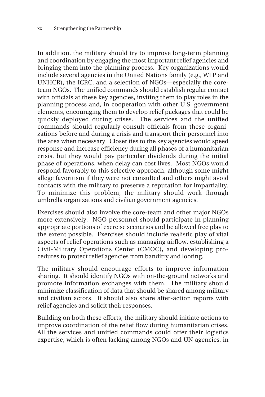In addition, the military should try to improve long-term planning and coordination by engaging the most important relief agencies and bringing them into the planning process. Key organizations would include several agencies in the United Nations family (e.g., WFP and UNHCR), the ICRC, and a selection of NGOs—especially the coreteam NGOs. The unified commands should establish regular contact with officials at these key agencies, inviting them to play roles in the planning process and, in cooperation with other U.S. government elements, encouraging them to develop relief packages that could be quickly deployed during crises. The services and the unified commands should regularly consult officials from these organizations before and during a crisis and transport their personnel into the area when necessary. Closer ties to the key agencies would speed response and increase efficiency during all phases of a humanitarian crisis, but they would pay particular dividends during the initial phase of operations, when delay can cost lives. Most NGOs would respond favorably to this selective approach, although some might allege favoritism if they were not consulted and others might avoid contacts with the military to preserve a reputation for impartiality. To minimize this problem, the military should work through umbrella organizations and civilian government agencies.

Exercises should also involve the core-team and other major NGOs more extensively. NGO personnel should participate in planning appropriate portions of exercise scenarios and be allowed free play to the extent possible. Exercises should include realistic play of vital aspects of relief operations such as managing airflow, establishing a Civil-Military Operations Center (CMOC), and developing procedures to protect relief agencies from banditry and looting.

The military should encourage efforts to improve information sharing. It should identify NGOs with on-the-ground networks and promote information exchanges with them. The military should minimize classification of data that should be shared among military and civilian actors. It should also share after-action reports with relief agencies and solicit their responses.

Building on both these efforts, the military should initiate actions to improve coordination of the relief flow during humanitarian crises. All the services and unified commands could offer their logistics expertise, which is often lacking among NGOs and UN agencies, in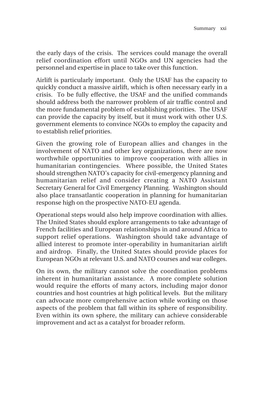the early days of the crisis. The services could manage the overall relief coordination effort until NGOs and UN agencies had the personnel and expertise in place to take over this function.

Airlift is particularly important. Only the USAF has the capacity to quickly conduct a massive airlift, which is often necessary early in a crisis. To be fully effective, the USAF and the unified commands should address both the narrower problem of air traffic control and the more fundamental problem of establishing priorities. The USAF can provide the capacity by itself, but it must work with other U.S. government elements to convince NGOs to employ the capacity and to establish relief priorities.

Given the growing role of European allies and changes in the involvement of NATO and other key organizations, there are now worthwhile opportunities to improve cooperation with allies in humanitarian contingencies. Where possible, the United States should strengthen NATO's capacity for civil-emergency planning and humanitarian relief and consider creating a NATO Assistant Secretary General for Civil Emergency Planning. Washington should also place transatlantic cooperation in planning for humanitarian response high on the prospective NATO-EU agenda.

Operational steps would also help improve coordination with allies. The United States should explore arrangements to take advantage of French facilities and European relationships in and around Africa to support relief operations. Washington should take advantage of allied interest to promote inter-operability in humanitarian airlift and airdrop. Finally, the United States should provide places for European NGOs at relevant U.S. and NATO courses and war colleges.

On its own, the military cannot solve the coordination problems inherent in humanitarian assistance. A more complete solution would require the efforts of many actors, including major donor countries and host countries at high political levels. But the military can advocate more comprehensive action while working on those aspects of the problem that fall within its sphere of responsibility. Even within its own sphere, the military can achieve considerable improvement and act as a catalyst for broader reform.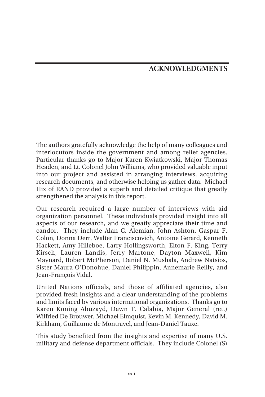The authors gratefully acknowledge the help of many colleagues and interlocutors inside the government and among relief agencies. Particular thanks go to Major Karen Kwiatkowski, Major Thomas Headen, and Lt. Colonel John Williams, who provided valuable input into our project and assisted in arranging interviews, acquiring research documents, and otherwise helping us gather data. Michael Hix of RAND provided a superb and detailed critique that greatly strengthened the analysis in this report.

Our research required a large number of interviews with aid organization personnel. These individuals provided insight into all aspects of our research, and we greatly appreciate their time and candor. They include Alan C. Alemian, John Ashton, Gaspar F. Colon, Donna Derr, Walter Franciscovich, Antoine Gerard, Kenneth Hackett, Amy Hilleboe, Larry Hollingsworth, Elton F. King, Terry Kirsch, Lauren Landis, Jerry Martone, Dayton Maxwell, Kim Maynard, Robert McPherson, Daniel N. Mushala, Andrew Natsios, Sister Maura O'Donohue, Daniel Philippin, Annemarie Reilly, and Jean-François Vidal.

United Nations officials, and those of affiliated agencies, also provided fresh insights and a clear understanding of the problems and limits faced by various international organizations. Thanks go to Karen Koning Abuzayd, Dawn T. Calabia, Major General (ret.) Wilfried De Brouwer, Michael Elmquist, Kevin M. Kennedy, David M. Kirkham, Guillaume de Montravel, and Jean-Daniel Tauxe.

This study benefited from the insights and expertise of many U.S. military and defense department officials. They include Colonel (S)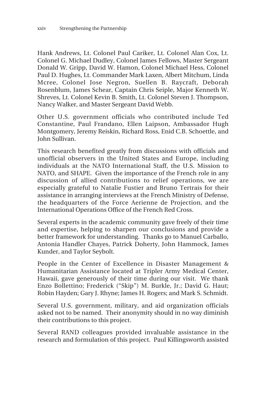Hank Andrews, Lt. Colonel Paul Cariker, Lt. Colonel Alan Cox, Lt. Colonel G. Michael Dudley, Colonel James Fellows, Master Sergeant Donald W. Gripp, David W. Hamon, Colonel Michael Hess, Colonel Paul D. Hughes, Lt. Commander Mark Laxen, Albert Mitchum, Linda Mcree, Colonel Jose Negron, Suellen B. Raycraft, Deborah Rosenblum, James Schear, Captain Chris Seiple, Major Kenneth W. Shreves, Lt. Colonel Kevin B. Smith, Lt. Colonel Steven J. Thompson, Nancy Walker, and Master Sergeant David Webb.

Other U.S. government officials who contributed include Ted Constantine, Paul Frandano, Ellen Laipson, Ambassador Hugh Montgomery, Jeremy Reiskin, Richard Ross, Enid C.B. Schoettle, and John Sullivan.

This research benefited greatly from discussions with officials and unofficial observers in the United States and Europe, including individuals at the NATO International Staff, the U.S. Mission to NATO, and SHAPE. Given the importance of the French role in any discussion of allied contributions to relief operations, we are especially grateful to Natalie Fustier and Bruno Tertrais for their assistance in arranging interviews at the French Ministry of Defense, the headquarters of the Force Aerienne de Projection, and the International Operations Office of the French Red Cross.

Several experts in the academic community gave freely of their time and expertise, helping to sharpen our conclusions and provide a better framework for understanding. Thanks go to Manuel Carballo, Antonia Handler Chayes, Patrick Doherty, John Hammock, James Kunder, and Taylor Seybolt.

People in the Center of Excellence in Disaster Management & Humanitarian Assistance located at Tripler Army Medical Center, Hawaii, gave generously of their time during our visit. We thank Enzo Bollettino; Frederick ("Skip") M. Burkle, Jr.; David G. Haut; Robin Hayden; Gary J. Rhyne; James H. Rogers; and Mark S. Schmidt.

Several U.S. government, military, and aid organization officials asked not to be named. Their anonymity should in no way diminish their contributions to this project.

Several RAND colleagues provided invaluable assistance in the research and formulation of this project. Paul Killingsworth assisted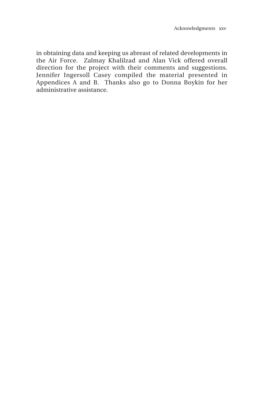in obtaining data and keeping us abreast of related developments in the Air Force. Zalmay Khalilzad and Alan Vick offered overall direction for the project with their comments and suggestions. Jennifer Ingersoll Casey compiled the material presented in Appendices A and B. Thanks also go to Donna Boykin for her administrative assistance.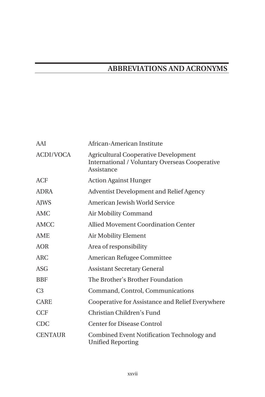## **ABBREVIATIONS AND ACRONYMS**

| AAI            | African-American Institute                                                                                         |
|----------------|--------------------------------------------------------------------------------------------------------------------|
| ACDI/VOCA      | <b>Agricultural Cooperative Development</b><br><b>International / Voluntary Overseas Cooperative</b><br>Assistance |
| ACF            | <b>Action Against Hunger</b>                                                                                       |
| <b>ADRA</b>    | Adventist Development and Relief Agency                                                                            |
| <b>AJWS</b>    | American Jewish World Service                                                                                      |
| AMC            | Air Mobility Command                                                                                               |
| AMCC           | Allied Movement Coordination Center                                                                                |
| <b>AME</b>     | Air Mobility Element                                                                                               |
| AOR            | Area of responsibility                                                                                             |
| ARC            | American Refugee Committee                                                                                         |
| ASG            | <b>Assistant Secretary General</b>                                                                                 |
| <b>BBF</b>     | The Brother's Brother Foundation                                                                                   |
| C <sub>3</sub> | Command, Control, Communications                                                                                   |
| <b>CARE</b>    | Cooperative for Assistance and Relief Everywhere                                                                   |
| <b>CCF</b>     | Christian Children's Fund                                                                                          |
| <b>CDC</b>     | <b>Center for Disease Control</b>                                                                                  |
| <b>CENTAUR</b> | Combined Event Notification Technology and<br>Unified Reporting                                                    |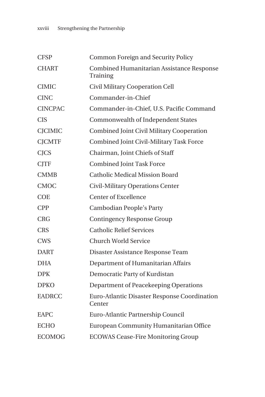| <b>CFSP</b>    | <b>Common Foreign and Security Policy</b>              |
|----------------|--------------------------------------------------------|
| <b>CHART</b>   | Combined Humanitarian Assistance Response<br>Training  |
| <b>CIMIC</b>   | Civil Military Cooperation Cell                        |
| <b>CINC</b>    | Commander-in-Chief                                     |
| <b>CINCPAC</b> | Commander-in-Chief, U.S. Pacific Command               |
| <b>CIS</b>     | Commonwealth of Independent States                     |
| <b>CJCIMIC</b> | <b>Combined Joint Civil Military Cooperation</b>       |
| <b>CJCMTF</b>  | Combined Joint Civil-Military Task Force               |
| <b>CJCS</b>    | Chairman, Joint Chiefs of Staff                        |
| <b>CJTF</b>    | <b>Combined Joint Task Force</b>                       |
| <b>CMMB</b>    | <b>Catholic Medical Mission Board</b>                  |
| <b>CMOC</b>    | Civil-Military Operations Center                       |
| <b>COE</b>     | <b>Center of Excellence</b>                            |
| <b>CPP</b>     | Cambodian People's Party                               |
| <b>CRG</b>     | <b>Contingency Response Group</b>                      |
| <b>CRS</b>     | <b>Catholic Relief Services</b>                        |
| <b>CWS</b>     | Church World Service                                   |
| <b>DART</b>    | Disaster Assistance Response Team                      |
| <b>DHA</b>     | Department of Humanitarian Affairs                     |
| <b>DPK</b>     | Democratic Party of Kurdistan                          |
| <b>DPKO</b>    | Department of Peacekeeping Operations                  |
| <b>EADRCC</b>  | Euro-Atlantic Disaster Response Coordination<br>Center |
| EAPC           | Euro-Atlantic Partnership Council                      |
| <b>ECHO</b>    | European Community Humanitarian Office                 |
| <b>ECOMOG</b>  | <b>ECOWAS Cease-Fire Monitoring Group</b>              |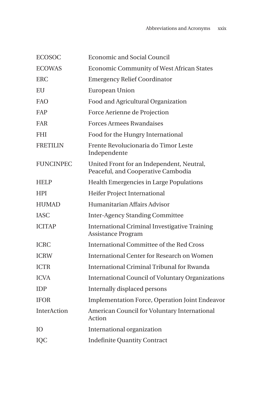| <b>ECOSOC</b>    | <b>Economic and Social Council</b>                                                |
|------------------|-----------------------------------------------------------------------------------|
| <b>ECOWAS</b>    | <b>Economic Community of West African States</b>                                  |
| <b>ERC</b>       | <b>Emergency Relief Coordinator</b>                                               |
| EU               | <b>European Union</b>                                                             |
| FAO              | Food and Agricultural Organization                                                |
| FAP              | Force Aerienne de Projection                                                      |
| FAR              | <b>Forces Armees Rwandaises</b>                                                   |
| <b>FHI</b>       | Food for the Hungry International                                                 |
| <b>FRETILIN</b>  | Frente Revolucionaria do Timor Leste<br>Independente                              |
| <b>FUNCINPEC</b> | United Front for an Independent, Neutral,<br>Peaceful, and Cooperative Cambodia   |
| <b>HELP</b>      | Health Emergencies in Large Populations                                           |
| <b>HPI</b>       | Heifer Project International                                                      |
| <b>HUMAD</b>     | Humanitarian Affairs Advisor                                                      |
| <b>IASC</b>      | <b>Inter-Agency Standing Committee</b>                                            |
| <b>ICITAP</b>    | <b>International Criminal Investigative Training</b><br><b>Assistance Program</b> |
| <b>ICRC</b>      | <b>International Committee of the Red Cross</b>                                   |
| <b>ICRW</b>      | <b>International Center for Research on Women</b>                                 |
| <b>ICTR</b>      | International Criminal Tribunal for Rwanda                                        |
| <b>ICVA</b>      | <b>International Council of Voluntary Organizations</b>                           |
| <b>IDP</b>       | Internally displaced persons                                                      |
| <b>IFOR</b>      | <b>Implementation Force, Operation Joint Endeavor</b>                             |
| InterAction      | American Council for Voluntary International<br>Action                            |
| IO.              | International organization                                                        |
| IQC              | <b>Indefinite Quantity Contract</b>                                               |
|                  |                                                                                   |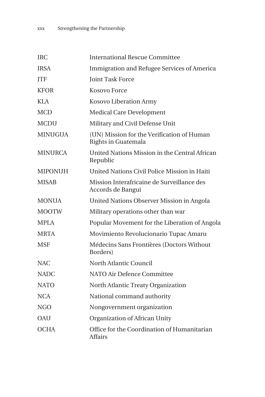| <b>IRC</b>     | <b>International Rescue Committee</b>                             |
|----------------|-------------------------------------------------------------------|
| <b>IRSA</b>    | Immigration and Refugee Services of America                       |
|                |                                                                   |
| <b>ITF</b>     | <b>Joint Task Force</b>                                           |
| <b>KFOR</b>    | <b>Kosovo Force</b>                                               |
| KLA            | Kosovo Liberation Army                                            |
| <b>MCD</b>     | <b>Medical Care Development</b>                                   |
| <b>MCDU</b>    | Military and Civil Defense Unit                                   |
| <b>MINUGUA</b> | (UN) Mission for the Verification of Human<br>Rights in Guatemala |
| <b>MINURCA</b> | United Nations Mission in the Central African<br>Republic         |
| <b>MIPONUH</b> | United Nations Civil Police Mission in Haiti                      |
| <b>MISAB</b>   | Mission Interafricaine de Surveillance des<br>Accords de Bangui   |
| <b>MONUA</b>   | United Nations Observer Mission in Angola                         |
| <b>MOOTW</b>   | Military operations other than war                                |
| <b>MPLA</b>    | Popular Movement for the Liberation of Angola                     |
| <b>MRTA</b>    | Movimiento Revolucionario Tupac Amaru                             |
| <b>MSF</b>     | Médecins Sans Frontières (Doctors Without<br>Borders)             |
| <b>NAC</b>     | North Atlantic Council                                            |
| <b>NADC</b>    | NATO Air Defence Committee                                        |
| <b>NATO</b>    | North Atlantic Treaty Organization                                |
| <b>NCA</b>     | National command authority                                        |
| NGO            | Nongovernment organization                                        |
| OAU            | Organization of African Unity                                     |
| <b>OCHA</b>    | Office for the Coordination of Humanitarian<br><b>Affairs</b>     |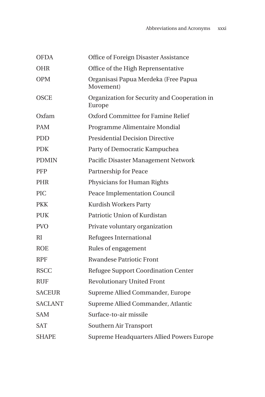| <b>OFDA</b>    | Office of Foreign Disaster Assistance                  |
|----------------|--------------------------------------------------------|
| <b>OHR</b>     | Office of the High Reprensentative                     |
| <b>OPM</b>     | Organisasi Papua Merdeka (Free Papua<br>Movement)      |
| <b>OSCE</b>    | Organization for Security and Cooperation in<br>Europe |
| Oxfam          | Oxford Committee for Famine Relief                     |
| <b>PAM</b>     | Programme Alimentaire Mondial                          |
| <b>PDD</b>     | <b>Presidential Decision Directive</b>                 |
| <b>PDK</b>     | Party of Democratic Kampuchea                          |
| <b>PDMIN</b>   | Pacific Disaster Management Network                    |
| <b>PFP</b>     | Partnership for Peace                                  |
| <b>PHR</b>     | Physicians for Human Rights                            |
| <b>PIC</b>     | Peace Implementation Council                           |
| <b>PKK</b>     | Kurdish Workers Party                                  |
| PUK            | Patriotic Union of Kurdistan                           |
| <b>PVO</b>     | Private voluntary organization                         |
| RI             | Refugees International                                 |
| <b>ROE</b>     | Rules of engagement                                    |
| <b>RPF</b>     | <b>Rwandese Patriotic Front</b>                        |
| <b>RSCC</b>    | Refugee Support Coordination Center                    |
| <b>RUF</b>     | <b>Revolutionary United Front</b>                      |
| <b>SACEUR</b>  | Supreme Allied Commander, Europe                       |
| <b>SACLANT</b> | Supreme Allied Commander, Atlantic                     |
| <b>SAM</b>     | Surface-to-air missile                                 |
| SAT            | Southern Air Transport                                 |
| <b>SHAPE</b>   | Supreme Headquarters Allied Powers Europe              |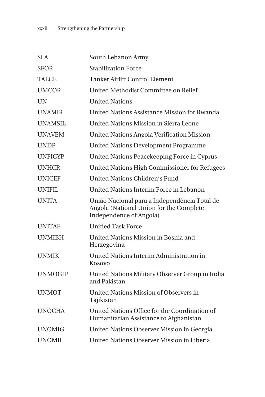| <b>SLA</b>     | South Lebanon Army                                                                                                 |
|----------------|--------------------------------------------------------------------------------------------------------------------|
| <b>SFOR</b>    | <b>Stabilization Force</b>                                                                                         |
| <b>TALCE</b>   | <b>Tanker Airlift Control Element</b>                                                                              |
| <b>UMCOR</b>   | United Methodist Committee on Relief                                                                               |
| <b>IIN</b>     | <b>United Nations</b>                                                                                              |
| <b>UNAMIR</b>  | United Nations Assistance Mission for Rwanda                                                                       |
| <b>UNAMSIL</b> | <b>United Nations Mission in Sierra Leone</b>                                                                      |
| <b>UNAVEM</b>  | <b>United Nations Angola Verification Mission</b>                                                                  |
| <b>UNDP</b>    | <b>United Nations Development Programme</b>                                                                        |
| <b>UNFICYP</b> | United Nations Peacekeeping Force in Cyprus                                                                        |
| <b>UNHCR</b>   | United Nations High Commissioner for Refugees                                                                      |
| <b>UNICEF</b>  | <b>United Nations Children's Fund</b>                                                                              |
| <b>UNIFIL</b>  | United Nations Interim Force in Lebanon                                                                            |
| <b>UNITA</b>   | União Nacional para a Independência Total de<br>Angola (National Union for the Complete<br>Independence of Angola) |
| <b>UNITAF</b>  | <b>Unified Task Force</b>                                                                                          |
| <b>UNMIBH</b>  | United Nations Mission in Bosnia and<br>Herzegovina                                                                |
| <b>UNMIK</b>   | United Nations Interim Administration in<br>Kosovo                                                                 |
| <b>UNMOGIP</b> | United Nations Military Observer Group in India<br>and Pakistan                                                    |
| <b>UNMOT</b>   | United Nations Mission of Observers in<br>Tajikistan                                                               |
| <b>UNOCHA</b>  | United Nations Office for the Coordination of<br>Humanitarian Assistance to Afghanistan                            |
| UNOMIG         | United Nations Observer Mission in Georgia                                                                         |
| UNOMIL         | United Nations Observer Mission in Liberia                                                                         |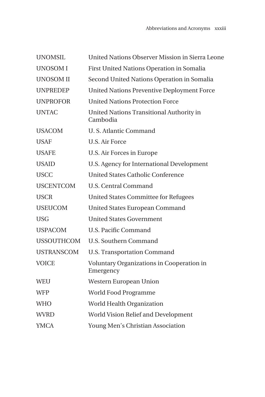| <b>UNOMSIL</b>    | United Nations Observer Mission in Sierra Leone        |
|-------------------|--------------------------------------------------------|
| <b>UNOSOMI</b>    | First United Nations Operation in Somalia              |
| <b>UNOSOM II</b>  | Second United Nations Operation in Somalia             |
| <b>UNPREDEP</b>   | <b>United Nations Preventive Deployment Force</b>      |
| <b>UNPROFOR</b>   | <b>United Nations Protection Force</b>                 |
| <b>UNTAC</b>      | United Nations Transitional Authority in<br>Cambodia   |
| <b>USACOM</b>     | U. S. Atlantic Command                                 |
| <b>USAF</b>       | <b>U.S. Air Force</b>                                  |
| <b>USAFE</b>      | U.S. Air Forces in Europe                              |
| <b>USAID</b>      | U.S. Agency for International Development              |
| <b>USCC</b>       | <b>United States Catholic Conference</b>               |
| <b>USCENTCOM</b>  | <b>U.S. Central Command</b>                            |
| <b>USCR</b>       | <b>United States Committee for Refugees</b>            |
| <b>USEUCOM</b>    | <b>United States European Command</b>                  |
| <b>USG</b>        | <b>United States Government</b>                        |
| <b>USPACOM</b>    | <b>U.S. Pacific Command</b>                            |
| <b>USSOUTHCOM</b> | U.S. Southern Command                                  |
| <b>USTRANSCOM</b> | <b>U.S. Transportation Command</b>                     |
| <b>VOICE</b>      | Voluntary Organizations in Cooperation in<br>Emergency |
| WEU               | Western European Union                                 |
| <b>WFP</b>        | World Food Programme                                   |
| <b>WHO</b>        | World Health Organization                              |
| <b>WVRD</b>       | World Vision Relief and Development                    |
| <b>YMCA</b>       | Young Men's Christian Association                      |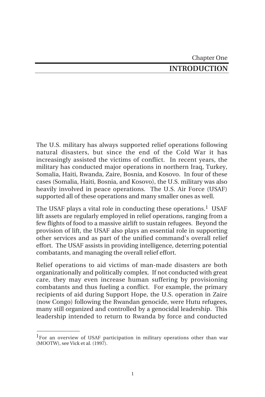Chapter One **INTRODUCTION**

The U.S. military has always supported relief operations following natural disasters, but since the end of the Cold War it has increasingly assisted the victims of conflict. In recent years, the military has conducted major operations in northern Iraq, Turkey, Somalia, Haiti, Rwanda, Zaire, Bosnia, and Kosovo. In four of these cases (Somalia, Haiti, Bosnia, and Kosovo), the U.S. military was also heavily involved in peace operations. The U.S. Air Force (USAF) supported all of these operations and many smaller ones as well.

The USAF plays a vital role in conducting these operations.<sup>1</sup> USAF lift assets are regularly employed in relief operations, ranging from a few flights of food to a massive airlift to sustain refugees. Beyond the provision of lift, the USAF also plays an essential role in supporting other services and as part of the unified command's overall relief effort. The USAF assists in providing intelligence, deterring potential combatants, and managing the overall relief effort.

Relief operations to aid victims of man-made disasters are both organizationally and politically complex. If not conducted with great care, they may even increase human suffering by provisioning combatants and thus fueling a conflict. For example, the primary recipients of aid during Support Hope, the U.S. operation in Zaire (now Congo) following the Rwandan genocide, were Hutu refugees, many still organized and controlled by a genocidal leadership. This leadership intended to return to Rwanda by force and conducted

 $\overline{\phantom{a}}$ 

<sup>&</sup>lt;sup>1</sup>For an overview of USAF participation in military operations other than war (MOOTW), see Vick et al. (1997).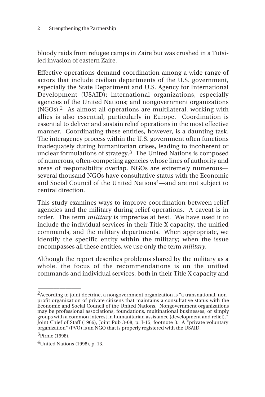bloody raids from refugee camps in Zaire but was crushed in a Tutsiled invasion of eastern Zaire.

Effective operations demand coordination among a wide range of actors that include civilian departments of the U.S. government, especially the State Department and U.S. Agency for International Development (USAID); international organizations, especially agencies of the United Nations; and nongovernment organizations (NGOs).2 As almost all operations are multilateral, working with allies is also essential, particularly in Europe. Coordination is essential to deliver and sustain relief operations in the most effective manner. Coordinating these entities, however, is a daunting task. The interagency process within the U.S. government often functions inadequately during humanitarian crises, leading to incoherent or unclear formulations of strategy.3 The United Nations is composed of numerous, often-competing agencies whose lines of authority and areas of responsibility overlap. NGOs are extremely numerous several thousand NGOs have consultative status with the Economic and Social Council of the United Nations4—and are not subject to central direction.

This study examines ways to improve coordination between relief agencies and the military during relief operations. A caveat is in order. The term *military* is imprecise at best. We have used it to include the individual services in their Title X capacity, the unified commands, and the military departments. When appropriate, we identify the specific entity within the military; when the issue encompasses all these entities, we use only the term *military*.

Although the report describes problems shared by the military as a whole, the focus of the recommendations is on the unified commands and individual services, both in their Title X capacity and

\_\_\_\_\_\_\_\_\_\_\_\_\_\_

<sup>2</sup>According to joint doctrine, a nongovernment organization is "a transnational, nonprofit organization of private citizens that maintains a consultative status with the Economic and Social Council of the United Nations. Nongovernment organizations may be professional associations, foundations, multinational businesses, or simply groups with a common interest in humanitarian assistance (development and relief).<sup>"</sup> Joint Chief of Staff (1966), Joint Pub 3-08, p. I-15, footnote 3. A "private voluntary organization" (PVO) is an NGO that is properly registered with the USAID.

<sup>3</sup>Pirnie (1998).

 $4$ United Nations (1998), p. 13.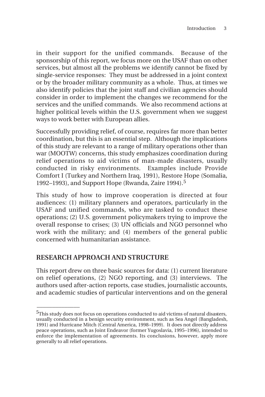in their support for the unified commands. Because of the sponsorship of this report, we focus more on the USAF than on other services, but almost all the problems we identify cannot be fixed by single-service responses: They must be addressed in a joint context or by the broader military community as a whole. Thus, at times we also identify policies that the joint staff and civilian agencies should consider in order to implement the changes we recommend for the services and the unified commands. We also recommend actions at higher political levels within the U.S. government when we suggest ways to work better with European allies.

Successfully providing relief, of course, requires far more than better coordination, but this is an essential step. Although the implications of this study are relevant to a range of military operations other than war (MOOTW) concerns, this study emphasizes coordination during relief operations to aid victims of man-made disasters, usually conducted in risky environments. Examples include Provide Comfort I (Turkey and Northern Iraq, 1991), Restore Hope (Somalia, 1992–1993), and Support Hope (Rwanda, Zaire 1994).<sup>5</sup>

This study of how to improve cooperation is directed at four audiences: (1) military planners and operators, particularly in the USAF and unified commands, who are tasked to conduct these operations; (2) U.S. government policymakers trying to improve the overall response to crises; (3) UN officials and NGO personnel who work with the military; and (4) members of the general public concerned with humanitarian assistance.

# **RESEARCH APPROACH AND STRUCTURE**

 $\overline{\phantom{a}}$ 

This report drew on three basic sources for data: (1) current literature on relief operations, (2) NGO reporting, and (3) interviews. The authors used after-action reports, case studies, journalistic accounts, and academic studies of particular interventions and on the general

<sup>&</sup>lt;sup>5</sup>This study does not focus on operations conducted to aid victims of natural disasters, usually conducted in a benign security environment, such as Sea Angel (Bangladesh, 1991) and Hurricane Mitch (Central America, 1998–1999). It does not directly address peace operations, such as Joint Endeavor (former Yugoslavia, 1995–1996), intended to enforce the implementation of agreements. Its conclusions, however, apply more generally to all relief operations.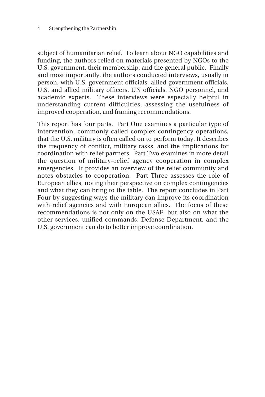#### 4 Strengthening the Partnership

subject of humanitarian relief. To learn about NGO capabilities and funding, the authors relied on materials presented by NGOs to the U.S. government, their membership, and the general public. Finally and most importantly, the authors conducted interviews, usually in person, with U.S. government officials, allied government officials, U.S. and allied military officers, UN officials, NGO personnel, and academic experts. These interviews were especially helpful in understanding current difficulties, assessing the usefulness of improved cooperation, and framing recommendations.

This report has four parts. Part One examines a particular type of intervention, commonly called complex contingency operations, that the U.S. military is often called on to perform today. It describes the frequency of conflict, military tasks, and the implications for coordination with relief partners. Part Two examines in more detail the question of military–relief agency cooperation in complex emergencies. It provides an overview of the relief community and notes obstacles to cooperation. Part Three assesses the role of European allies, noting their perspective on complex contingencies and what they can bring to the table. The report concludes in Part Four by suggesting ways the military can improve its coordination with relief agencies and with European allies. The focus of these recommendations is not only on the USAF, but also on what the other services, unified commands, Defense Department, and the U.S. government can do to better improve coordination.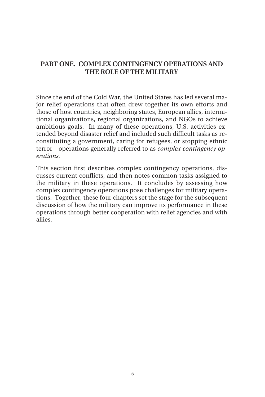# **PART ONE. COMPLEX CONTINGENCY OPERATIONS AND THE ROLE OF THE MILITARY**

Since the end of the Cold War, the United States has led several major relief operations that often drew together its own efforts and those of host countries, neighboring states, European allies, international organizations, regional organizations, and NGOs to achieve ambitious goals. In many of these operations, U.S. activities extended beyond disaster relief and included such difficult tasks as reconstituting a government, caring for refugees, or stopping ethnic terror—operations generally referred to as *complex contingency operations*.

This section first describes complex contingency operations, discusses current conflicts, and then notes common tasks assigned to the military in these operations. It concludes by assessing how complex contingency operations pose challenges for military operations. Together, these four chapters set the stage for the subsequent discussion of how the military can improve its performance in these operations through better cooperation with relief agencies and with allies.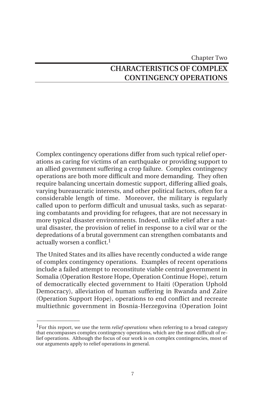# Chapter Two **CHARACTERISTICS OF COMPLEX CONTINGENCY OPERATIONS**

Complex contingency operations differ from such typical relief operations as caring for victims of an earthquake or providing support to an allied government suffering a crop failure. Complex contingency operations are both more difficult and more demanding. They often require balancing uncertain domestic support, differing allied goals, varying bureaucratic interests, and other political factors, often for a considerable length of time. Moreover, the military is regularly called upon to perform difficult and unusual tasks, such as separating combatants and providing for refugees, that are not necessary in more typical disaster environments. Indeed, unlike relief after a natural disaster, the provision of relief in response to a civil war or the depredations of a brutal government can strengthen combatants and actually worsen a conflict.1

The United States and its allies have recently conducted a wide range of complex contingency operations. Examples of recent operations include a failed attempt to reconstitute viable central government in Somalia (Operation Restore Hope, Operation Continue Hope), return of democratically elected government to Haiti (Operation Uphold Democracy), alleviation of human suffering in Rwanda and Zaire (Operation Support Hope), operations to end conflict and recreate multiethnic government in Bosnia-Herzegovina (Operation Joint

<sup>1</sup>For this report, we use the term *relief operations* when referring to a broad category that encompasses complex contingency operations, which are the most difficult of relief operations. Although the focus of our work is on complex contingencies, most of our arguments apply to relief operations in general.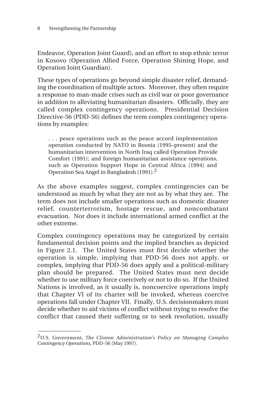Endeavor, Operation Joint Guard), and an effort to stop ethnic terror in Kosovo (Operation Allied Force, Operation Shining Hope, and Operation Joint Guardian).

These types of operations go beyond simple disaster relief, demanding the coordination of multiple actors. Moreover, they often require a response to man-made crises such as civil war or poor governance in addition to alleviating humanitarian disasters. Officially, they are called complex contingency operations. Presidential Decision Directive-56 (PDD-56) defines the term complex contingency operations by examples:

. . . peace operations such as the peace accord implementation operation conducted by NATO in Bosnia (1995–present) and the humanitarian intervention in North Iraq called Operation Provide Comfort (1991); and foreign humanitarian assistance operations, such as Operation Support Hope in Central Africa (1994) and Operation Sea Angel in Bangladesh (1991).2

As the above examples suggest, complex contingencies can be understood as much by what they are not as by what they are. The term does not include smaller operations such as domestic disaster relief, counterterrorism, hostage rescue, and noncombatant evacuation. Nor does it include international armed conflict at the other extreme.

Complex contingency operations may be categorized by certain fundamental decision points and the implied branches as depicted in Figure 2.1. The United States must first decide whether the operation is simple, implying that PDD-56 does not apply, or complex, implying that PDD-56 does apply and a political-military plan should be prepared. The United States must next decide whether to use military force coercively or not to do so. If the United Nations is involved, as it usually is, noncoercive operations imply that Chapter VI of its charter will be invoked, whereas coercive operations fall under Chapter VII. Finally, U.S. decisionmakers must decide whether to aid victims of conflict without trying to resolve the conflict that caused their suffering or to seek resolution, usually

\_\_\_\_\_\_\_\_\_\_\_\_\_\_

<sup>2</sup>U.S. Government, *The Clinton Administration's Policy on Managing Complex Contingency Operations*, PDD-56 (May 1997).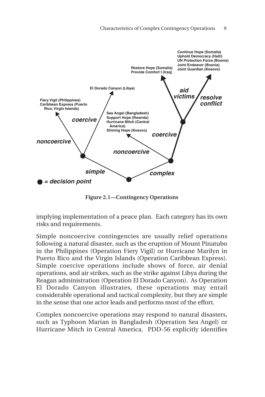

**Figure 2.1—Contingency Operations**

implying implementation of a peace plan. Each category has its own risks and requirements.

Simple noncoercive contingencies are usually relief operations following a natural disaster, such as the eruption of Mount Pinatubo in the Philippines (Operation Fiery Vigil) or Hurricane Marilyn in Puerto Rico and the Virgin Islands (Operation Caribbean Express). Simple coercive operations include shows of force, air denial operations, and air strikes, such as the strike against Libya during the Reagan administration (Operation El Dorado Canyon). As Operation El Dorado Canyon illustrates, these operations may entail considerable operational and tactical complexity, but they are simple in the sense that one actor leads and performs most of the effort.

Complex noncoercive operations may respond to natural disasters, such as Typhoon Marian in Bangladesh (Operation Sea Angel) or Hurricane Mitch in Central America. PDD-56 explicitly identifies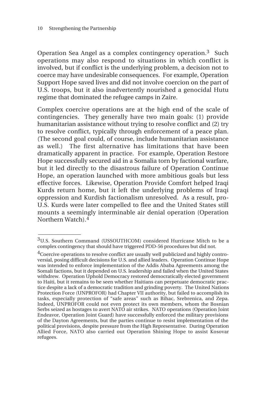\_\_\_\_\_\_\_\_\_\_\_\_\_\_

Operation Sea Angel as a complex contingency operation.3 Such operations may also respond to situations in which conflict is involved, but if conflict is the underlying problem, a decision not to coerce may have undesirable consequences. For example, Operation Support Hope saved lives and did not involve coercion on the part of U.S. troops, but it also inadvertently nourished a genocidal Hutu regime that dominated the refugee camps in Zaire.

Complex coercive operations are at the high end of the scale of contingencies. They generally have two main goals: (1) provide humanitarian assistance without trying to resolve conflict and (2) try to resolve conflict, typically through enforcement of a peace plan. (The second goal could, of course, include humanitarian assistance as well.) The first alternative has limitations that have been dramatically apparent in practice. For example, Operation Restore Hope successfully secured aid in a Somalia torn by factional warfare, but it led directly to the disastrous failure of Operation Continue Hope, an operation launched with more ambitious goals but less effective forces. Likewise, Operation Provide Comfort helped Iraqi Kurds return home, but it left the underlying problems of Iraqi oppression and Kurdish factionalism unresolved. As a result, pro-U.S. Kurds were later compelled to flee and the United States still mounts a seemingly interminable air denial operation (Operation Northern Watch).<sup>4</sup>

<sup>3</sup>U.S. Southern Command (USSOUTHCOM) considered Hurricane Mitch to be a complex contingency that should have triggered PDD-56 procedures but did not.

<sup>&</sup>lt;sup>4</sup>Coercive operations to resolve conflict are usually well publicized and highly controversial, posing difficult decisions for U.S. and allied leaders. Operation Continue Hope was intended to enforce implementation of the Addis Ababa Agreements among the Somali factions, but it depended on U.S. leadership and failed when the United States withdrew. Operation Uphold Democracy restored democratically elected government to Haiti, but it remains to be seen whether Haitians can perpetuate democratic practice despite a lack of a democratic tradition and grinding poverty. The United Nations Protection Force (UNPROFOR) had Chapter VII authority, but failed to accomplish its tasks, especially protection of "safe areas" such as Bihac, Srebrenica, and Zepa. Indeed, UNPROFOR could not even protect its own members, whom the Bosnian Serbs seized as hostages to avert NATO air strikes. NATO operations (Operation Joint Endeavor, Operation Joint Guard) have successfully enforced the military provisions of the Dayton Agreements, but the parties continue to resist implementation of the political provisions, despite pressure from the High Representative. During Operation Allied Force, NATO also carried out Operation Shining Hope to assist Kosovar refugees.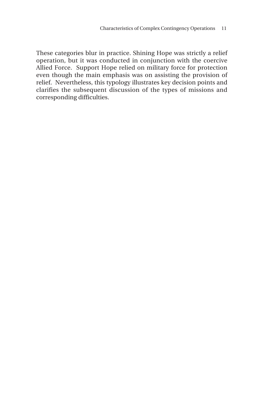These categories blur in practice. Shining Hope was strictly a relief operation, but it was conducted in conjunction with the coercive Allied Force. Support Hope relied on military force for protection even though the main emphasis was on assisting the provision of relief. Nevertheless, this typology illustrates key decision points and clarifies the subsequent discussion of the types of missions and corresponding difficulties.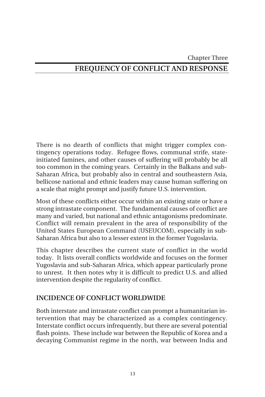Chapter Three

# **FREQUENCY OF CONFLICT AND RESPONSE**

There is no dearth of conflicts that might trigger complex contingency operations today. Refugee flows, communal strife, stateinitiated famines, and other causes of suffering will probably be all too common in the coming years. Certainly in the Balkans and sub-Saharan Africa, but probably also in central and southeastern Asia, bellicose national and ethnic leaders may cause human suffering on a scale that might prompt and justify future U.S. intervention.

Most of these conflicts either occur within an existing state or have a strong intrastate component. The fundamental causes of conflict are many and varied, but national and ethnic antagonisms predominate. Conflict will remain prevalent in the area of responsibility of the United States European Command (USEUCOM), especially in sub-Saharan Africa but also to a lesser extent in the former Yugoslavia.

This chapter describes the current state of conflict in the world today. It lists overall conflicts worldwide and focuses on the former Yugoslavia and sub-Saharan Africa, which appear particularly prone to unrest. It then notes why it is difficult to predict U.S. and allied intervention despite the regularity of conflict.

# **INCIDENCE OF CONFLICT WORLDWIDE**

Both interstate and intrastate conflict can prompt a humanitarian intervention that may be characterized as a complex contingency. Interstate conflict occurs infrequently, but there are several potential flash points. These include war between the Republic of Korea and a decaying Communist regime in the north, war between India and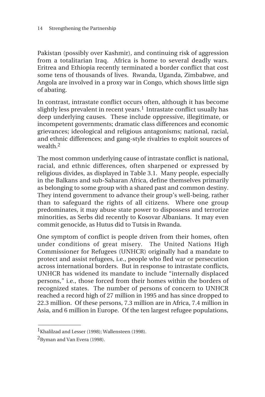Pakistan (possibly over Kashmir), and continuing risk of aggression from a totalitarian Iraq. Africa is home to several deadly wars. Eritrea and Ethiopia recently terminated a border conflict that cost some tens of thousands of lives. Rwanda, Uganda, Zimbabwe, and Angola are involved in a proxy war in Congo, which shows little sign of abating.

In contrast, intrastate conflict occurs often, although it has become slightly less prevalent in recent years.<sup>1</sup> Intrastate conflict usually has deep underlying causes. These include oppressive, illegitimate, or incompetent governments; dramatic class differences and economic grievances; ideological and religious antagonisms; national, racial, and ethnic differences; and gang-style rivalries to exploit sources of wealth.2

The most common underlying cause of intrastate conflict is national, racial, and ethnic differences, often sharpened or expressed by religious divides, as displayed in Table 3.1. Many people, especially in the Balkans and sub-Saharan Africa, define themselves primarily as belonging to some group with a shared past and common destiny. They intend government to advance their group's well-being, rather than to safeguard the rights of all citizens. Where one group predominates, it may abuse state power to dispossess and terrorize minorities, as Serbs did recently to Kosovar Albanians. It may even commit genocide, as Hutus did to Tutsis in Rwanda.

One symptom of conflict is people driven from their homes, often under conditions of great misery. The United Nations High Commissioner for Refugees (UNHCR) originally had a mandate to protect and assist refugees, i.e., people who fled war or persecution across international borders. But in response to intrastate conflicts, UNHCR has widened its mandate to include "internally displaced persons," i.e., those forced from their homes within the borders of recognized states. The number of persons of concern to UNHCR reached a record high of 27 million in 1995 and has since dropped to 22.3 million. Of these persons, 7.3 million are in Africa, 7.4 million in Asia, and 6 million in Europe. Of the ten largest refugee populations,

\_\_\_\_\_\_\_\_\_\_\_\_\_\_

<sup>&</sup>lt;sup>1</sup>Khalilzad and Lesser (1998); Wallensteen (1998).

 ${}^{2}$ Byman and Van Evera (1998).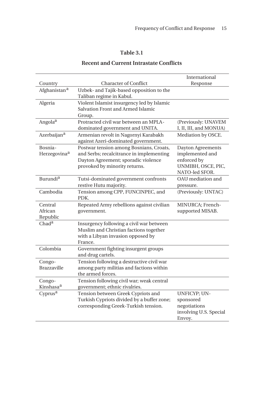# **Table 3.1**

### **Recent and Current Intrastate Conflicts**

|                                     |                                                                                                                                                             | International                                                                               |
|-------------------------------------|-------------------------------------------------------------------------------------------------------------------------------------------------------------|---------------------------------------------------------------------------------------------|
| Country                             | <b>Character of Conflict</b>                                                                                                                                | Response                                                                                    |
| Afghanistan <sup>a</sup>            | Uzbek- and Tajik-based opposition to the<br>Taliban regime in Kabul.                                                                                        |                                                                                             |
| Algeria                             | Violent Islamist insurgency led by Islamic<br>Salvation Front and Armed Islamic<br>Group.                                                                   |                                                                                             |
| Angola <sup>a</sup>                 | Protracted civil war between an MPLA-<br>dominated government and UNITA.                                                                                    | (Previously: UNAVEM<br>I, II, III, and MONUA)                                               |
| Azerbaijan <sup>a</sup>             | Armenian revolt in Nagornyi Karabakh<br>against Azeri-dominated government.                                                                                 | Mediation by OSCE.                                                                          |
| Bosnia-<br>Herzegovina <sup>a</sup> | Postwar tension among Bosnians, Croats,<br>and Serbs; recalcitrance in implementing<br>Dayton Agreement; sporadic violence<br>provoked by minority returns. | Dayton Agreements<br>implemented and<br>enforced by<br>UNMIBH, OSCE, PIC,<br>NATO-led SFOR. |
| Burundi <sup>a</sup>                | Tutsi-dominated government confronts<br>restive Hutu majority.                                                                                              | OAU mediation and<br>pressure.                                                              |
| Cambodia                            | Tension among CPP, FUNCINPEC, and<br>PDK.                                                                                                                   | (Previously: UNTAC)                                                                         |
| Central<br>African<br>Republic      | Repeated Army rebellions against civilian<br>government.                                                                                                    | MINURCA: French-<br>supported MISAB.                                                        |
| Chad <sup>a</sup>                   | Insurgency following a civil war between<br>Muslim and Christian factions together<br>with a Libyan invasion opposed by<br>France.                          |                                                                                             |
| Colombia                            | Government fighting insurgent groups<br>and drug cartels.                                                                                                   |                                                                                             |
| Congo-<br><b>Brazzaville</b>        | Tension following a destructive civil war<br>among party militias and factions within<br>the armed forces.                                                  |                                                                                             |
| Congo-<br>Kinshasa <sup>a</sup>     | Tension following civil war; weak central<br>government; ethnic rivalries.                                                                                  |                                                                                             |
| Cyprus <sup>a</sup>                 | Tension between Greek Cypriots and<br>Turkish Cypriots divided by a buffer zone;<br>corresponding Greek-Turkish tension.                                    | <b>UNFICYP; UN-</b><br>sponsored<br>negotiations<br>involving U.S. Special<br>Envoy.        |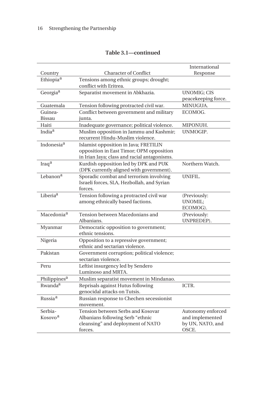|                                |                                                                             | International                        |
|--------------------------------|-----------------------------------------------------------------------------|--------------------------------------|
| Country                        | <b>Character of Conflict</b>                                                | Response                             |
| Ethiopia <sup>a</sup>          | Tensions among ethnic groups; drought;                                      |                                      |
|                                | conflict with Eritrea.                                                      |                                      |
| Georgia <sup>a</sup>           | Separatist movement in Abkhazia.                                            | <b>UNOMIG; CIS</b>                   |
|                                |                                                                             | peacekeeping force.                  |
| Guatemala                      | Tension following protracted civil war.                                     | MINUGUA.                             |
| Guinea-                        | Conflict between government and military                                    | ECOMOG.                              |
| Bissau                         | junta.                                                                      |                                      |
| Haiti                          | Inadequate governance; political violence.                                  | MIPONUH.                             |
| India <sup>a</sup>             | Muslim opposition in Jammu and Kashmir;<br>recurrent Hindu-Muslim violence. | UNMOGIP.                             |
| Indonesia <sup>a</sup>         | Islamist opposition in Java; FRETILIN                                       |                                      |
|                                | opposition in East Timor; OPM opposition                                    |                                      |
|                                | in Irian Jaya; class and racial antagonisms.                                |                                      |
| Iraq <sup>a</sup>              | Kurdish opposition led by DPK and PUK                                       | Northern Watch.                      |
|                                | (DPK currently aligned with government).                                    |                                      |
| Lebanon <sup>a</sup>           | Sporadic combat and terrorism involving                                     | <b>UNIFIL.</b>                       |
|                                | Israeli forces, SLA, Hezbollah, and Syrian                                  |                                      |
|                                | forces.                                                                     |                                      |
| Liberia <sup>a</sup>           | Tension following a protracted civil war                                    | (Previously:<br><b>UNOMIL;</b>       |
|                                | among ethnically based factions.                                            | ECOMOG).                             |
| Macedonia <sup>a</sup>         | Tension between Macedonians and                                             | (Previously:                         |
|                                | Albanians.                                                                  | UNPREDEP).                           |
| Myanmar                        | Democratic opposition to government;                                        |                                      |
|                                | ethnic tensions.                                                            |                                      |
| Nigeria                        | Opposition to a repressive government;                                      |                                      |
|                                | ethnic and sectarian violence.                                              |                                      |
| Pakistan                       | Government corruption; political violence;                                  |                                      |
|                                | sectarian violence.                                                         |                                      |
| Peru                           | Leftist insurgency led by Sendero                                           |                                      |
|                                | Luminoso and MRTA.                                                          |                                      |
| Philippines <sup>a</sup>       | Muslim separatist movement in Mindanao.                                     |                                      |
| Rwanda <sup>a</sup>            | Reprisals against Hutus following                                           | ICTR.                                |
|                                | genocidal attacks on Tutsis.                                                |                                      |
| Russia <sup>a</sup>            | Russian response to Chechen secessionist                                    |                                      |
|                                | movement.                                                                   |                                      |
| Serbia-<br>Kosovo <sup>a</sup> | Tension between Serbs and Kosovar<br>Albanians following Serb "ethnic       | Autonomy enforced<br>and implemented |
|                                | cleansing" and deployment of NATO                                           | by UN, NATO, and                     |
|                                | forces.                                                                     | OSCE.                                |
|                                |                                                                             |                                      |

## **Table 3.1—continued**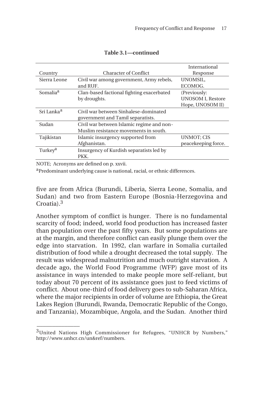|                        |                                           | International            |  |
|------------------------|-------------------------------------------|--------------------------|--|
| Country                | <b>Character of Conflict</b>              | Response                 |  |
| Sierra Leone           | Civil war among government, Army rebels,  | <b>UNOMSIL.</b>          |  |
|                        | and RUF.                                  | ECOMOG.                  |  |
| Somalia <sup>a</sup>   | Clan-based factional fighting exacerbated | (Previously:             |  |
|                        | by droughts.                              | <b>UNOSOM I, Restore</b> |  |
|                        |                                           | Hope, UNOSOM II)         |  |
| Sri Lanka <sup>a</sup> | Civil war between Sinhalese-dominated     |                          |  |
|                        | government and Tamil separatists.         |                          |  |
| Sudan                  | Civil war between Islamic regime and non- |                          |  |
|                        | Muslim resistance movements in south.     |                          |  |
| Tajikistan             | Islamic insurgency supported from         | <b>UNMOT; CIS</b>        |  |
|                        | Afghanistan.                              | peacekeeping force.      |  |
| Turkey <sup>a</sup>    | Insurgency of Kurdish separatists led by  |                          |  |
|                        | PKK.                                      |                          |  |
| $\frac{1}{2}$          |                                           |                          |  |

#### **Table 3.1—continued**

NOTE; Acronyms are defined on p. xxvii.

 $\overline{\phantom{a}}$ 

aPredominant underlying cause is national, racial, or ethnic differences.

five are from Africa (Burundi, Liberia, Sierra Leone, Somalia, and Sudan) and two from Eastern Europe (Bosnia-Herzegovina and Croatia).3

Another symptom of conflict is hunger. There is no fundamental scarcity of food; indeed, world food production has increased faster than population over the past fifty years. But some populations are at the margin, and therefore conflict can easily plunge them over the edge into starvation. In 1992, clan warfare in Somalia curtailed distribution of food while a drought decreased the total supply. The result was widespread malnutrition and much outright starvation. A decade ago, the World Food Programme (WFP) gave most of its assistance in ways intended to make people more self-reliant, but today about 70 percent of its assistance goes just to feed victims of conflict. About one-third of food delivery goes to sub-Saharan Africa, where the major recipients in order of volume are Ethiopia, the Great Lakes Region (Burundi, Rwanda, Democratic Republic of the Congo, and Tanzania), Mozambique, Angola, and the Sudan. Another third

<sup>&</sup>lt;sup>3</sup>United Nations High Commissioner for Refugees, "UNHCR by Numbers," http://www.unhcr.cn/un&ref/numbers.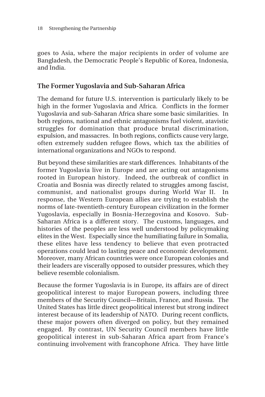goes to Asia, where the major recipients in order of volume are Bangladesh, the Democratic People's Republic of Korea, Indonesia, and India.

### **The Former Yugoslavia and Sub-Saharan Africa**

The demand for future U.S. intervention is particularly likely to be high in the former Yugoslavia and Africa. Conflicts in the former Yugoslavia and sub-Saharan Africa share some basic similarities. In both regions, national and ethnic antagonisms fuel violent, atavistic struggles for domination that produce brutal discrimination, expulsion, and massacres. In both regions, conflicts cause very large, often extremely sudden refugee flows, which tax the abilities of international organizations and NGOs to respond.

But beyond these similarities are stark differences. Inhabitants of the former Yugoslavia live in Europe and are acting out antagonisms rooted in European history. Indeed, the outbreak of conflict in Croatia and Bosnia was directly related to struggles among fascist, communist, and nationalist groups during World War II. In response, the Western European allies are trying to establish the norms of late-twentieth-century European civilization in the former Yugoslavia, especially in Bosnia-Herzegovina and Kosovo. Sub-Saharan Africa is a different story. The customs, languages, and histories of the peoples are less well understood by policymaking elites in the West. Especially since the humiliating failure in Somalia, these elites have less tendency to believe that even protracted operations could lead to lasting peace and economic development. Moreover, many African countries were once European colonies and their leaders are viscerally opposed to outsider pressures, which they believe resemble colonialism.

Because the former Yugoslavia is in Europe, its affairs are of direct geopolitical interest to major European powers, including three members of the Security Council—Britain, France, and Russia. The United States has little direct geopolitical interest but strong indirect interest because of its leadership of NATO. During recent conflicts, these major powers often diverged on policy, but they remained engaged. By contrast, UN Security Council members have little geopolitical interest in sub-Saharan Africa apart from France's continuing involvement with francophone Africa. They have little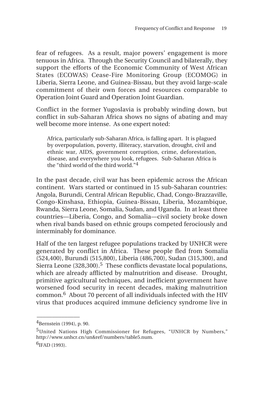fear of refugees. As a result, major powers' engagement is more tenuous in Africa. Through the Security Council and bilaterally, they support the efforts of the Economic Community of West African States (ECOWAS) Cease-Fire Monitoring Group (ECOMOG) in Liberia, Sierra Leone, and Guinea-Bissau, but they avoid large-scale commitment of their own forces and resources comparable to Operation Joint Guard and Operation Joint Guardian.

Conflict in the former Yugoslavia is probably winding down, but conflict in sub-Saharan Africa shows no signs of abating and may well become more intense. As one expert noted:

Africa, particularly sub-Saharan Africa, is falling apart. It is plagued by overpopulation, poverty, illiteracy, starvation, drought, civil and ethnic war, AIDS, government corruption, crime, deforestation, disease, and everywhere you look, refugees. Sub-Saharan Africa is the "third world of the third world."4

In the past decade, civil war has been epidemic across the African continent. Wars started or continued in 15 sub-Saharan countries: Angola, Burundi, Central African Republic, Chad, Congo-Brazzaville, Congo-Kinshasa, Ethiopia, Guinea-Bissau, Liberia, Mozambique, Rwanda, Sierra Leone, Somalia, Sudan, and Uganda. In at least three countries—Liberia, Congo, and Somalia—civil society broke down when rival bands based on ethnic groups competed ferociously and interminably for dominance.

Half of the ten largest refugee populations tracked by UNHCR were generated by conflict in Africa. These people fled from Somalia (524,400), Burundi (515,800), Liberia (486,700), Sudan (315,300), and Sierra Leone (328,300).<sup>5</sup> These conflicts devastate local populations, which are already afflicted by malnutrition and disease. Drought, primitive agricultural techniques, and inefficient government have worsened food security in recent decades, making malnutrition common.6 About 70 percent of all individuals infected with the HIV virus that produces acquired immune deficiency syndrome live in

 $^{4}$ Bernstein (1994), p. 90.

<sup>5</sup>United Nations High Commissioner for Refugees, "UNHCR by Numbers," http://www.unhcr.cn/un&ref/numbers/table5.num.  $6$ IFAD (1993).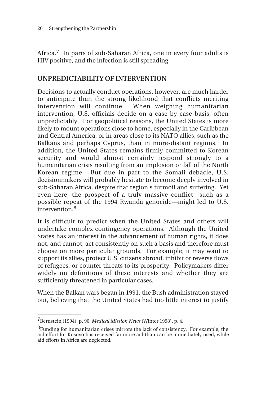Africa.<sup>7</sup> In parts of sub-Saharan Africa, one in every four adults is HIV positive, and the infection is still spreading.

## **UNPREDICTABILITY OF INTERVENTION**

Decisions to actually conduct operations, however, are much harder to anticipate than the strong likelihood that conflicts meriting intervention will continue. When weighing humanitarian intervention, U.S. officials decide on a case-by-case basis, often unpredictably. For geopolitical reasons, the United States is more likely to mount operations close to home, especially in the Caribbean and Central America, or in areas close to its NATO allies, such as the Balkans and perhaps Cyprus, than in more-distant regions. In addition, the United States remains firmly committed to Korean security and would almost certainly respond strongly to a humanitarian crisis resulting from an implosion or fall of the North Korean regime. But due in part to the Somali debacle, U.S. decisionmakers will probably hesitate to become deeply involved in sub-Saharan Africa, despite that region's turmoil and suffering. Yet even here, the prospect of a truly massive conflict—such as a possible repeat of the 1994 Rwanda genocide—might led to U.S. intervention.<sup>8</sup>

It is difficult to predict when the United States and others will undertake complex contingency operations. Although the United States has an interest in the advancement of human rights, it does not, and cannot, act consistently on such a basis and therefore must choose on more particular grounds. For example, it may want to support its allies, protect U.S. citizens abroad, inhibit or reverse flows of refugees, or counter threats to its prosperity. Policymakers differ widely on definitions of these interests and whether they are sufficiently threatened in particular cases.

When the Balkan wars began in 1991, the Bush administration stayed out, believing that the United States had too little interest to justify

\_\_\_\_\_\_\_\_\_\_\_\_\_\_

<sup>7</sup>Bernstein (1994), p. 90; *Medical Mission News* (Winter 1998), p. 4.

<sup>&</sup>lt;sup>8</sup>Funding for humanitarian crises mirrors the lack of consistency. For example, the aid effort for Kosovo has received far more aid than can be immediately used, while aid efforts in Africa are neglected.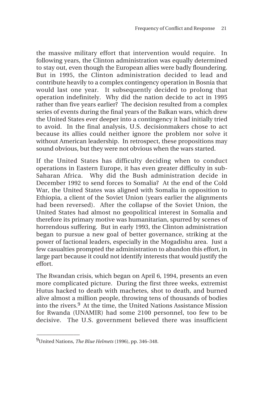the massive military effort that intervention would require. In following years, the Clinton administration was equally determined to stay out, even though the European allies were badly floundering. But in 1995, the Clinton administration decided to lead and contribute heavily to a complex contingency operation in Bosnia that would last one year. It subsequently decided to prolong that operation indefinitely. Why did the nation decide to act in 1995 rather than five years earlier? The decision resulted from a complex series of events during the final years of the Balkan wars, which drew the United States ever deeper into a contingency it had initially tried to avoid. In the final analysis, U.S. decisionmakers chose to act because its allies could neither ignore the problem nor solve it without American leadership. In retrospect, these propositions may sound obvious, but they were not obvious when the wars started.

If the United States has difficulty deciding when to conduct operations in Eastern Europe, it has even greater difficulty in sub-Saharan Africa. Why did the Bush administration decide in December 1992 to send forces to Somalia? At the end of the Cold War, the United States was aligned with Somalia in opposition to Ethiopia, a client of the Soviet Union (years earlier the alignments had been reversed). After the collapse of the Soviet Union, the United States had almost no geopolitical interest in Somalia and therefore its primary motive was humanitarian, spurred by scenes of horrendous suffering. But in early 1993, the Clinton administration began to pursue a new goal of better governance, striking at the power of factional leaders, especially in the Mogadishu area. Just a few casualties prompted the administration to abandon this effort, in large part because it could not identify interests that would justify the effort.

The Rwandan crisis, which began on April 6, 1994, presents an even more complicated picture. During the first three weeks, extremist Hutus hacked to death with machetes, shot to death, and burned alive almost a million people, throwing tens of thousands of bodies into the rivers.9 At the time, the United Nations Assistance Mission for Rwanda (UNAMIR) had some 2100 personnel, too few to be decisive. The U.S. government believed there was insufficient

<sup>9</sup>United Nations, *The Blue Helmets* (1996), pp. 346–348.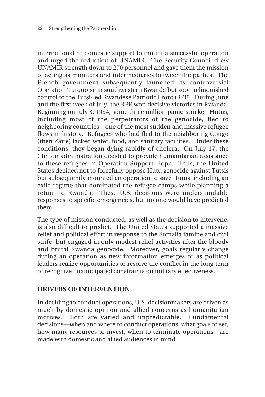international or domestic support to mount a successful operation and urged the reduction of UNAMIR. The Security Council drew UNAMIR strength down to 270 personnel and gave them the mission of acting as monitors and intermediaries between the parties. The French government subsequently launched its controversial Operation Turquoise in southwestern Rwanda but soon relinquished control to the Tutsi-led Rwandese Patriotic Front (RPF). During June and the first week of July, the RPF won decisive victories in Rwanda. Beginning on July 3, 1994, some three million panic-stricken Hutus, including most of the perpetrators of the genocide, fled to neighboring countries—one of the most sudden and massive refugee flows in history. Refugees who had fled to the neighboring Congo (then Zaire) lacked water, food, and sanitary facilities. Under these conditions, they began dying rapidly of cholera. On July 17, the Clinton administration decided to provide humanitarian assistance to these refugees in Operation Support Hope. Thus, the United States decided not to forcefully oppose Hutu genocide against Tutsis but subsequently mounted an operation to save Hutus, including an exile regime that dominated the refugee camps while planning a return to Rwanda. These U.S. decisions were understandable responses to specific emergencies, but no one would have predicted them.

The type of mission conducted, as well as the decision to intervene, is also difficult to predict. The United States supported a massive relief and political effort in response to the Somalia famine and civil strife but engaged in only modest relief activities after the bloody and brutal Rwanda genocide. Moreover, goals regularly change during an operation as new information emerges or as political leaders realize opportunities to resolve the conflict in the long term or recognize unanticipated constraints on military effectiveness.

#### **DRIVERS OF INTERVENTION**

In deciding to conduct operations, U.S. decisionmakers are driven as much by domestic opinion and allied concerns as humanitarian motives. Both are varied and unpredictable. Fundamental decisions—when and where to conduct operations, what goals to set, how many resources to invest, when to terminate operations—are made with domestic and allied audiences in mind.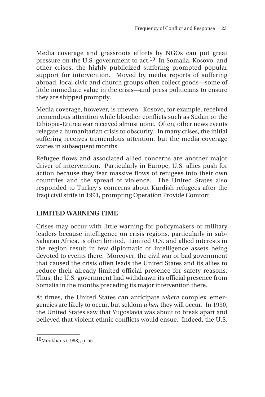Media coverage and grassroots efforts by NGOs can put great pressure on the U.S. government to act.10 In Somalia, Kosovo, and other crises, the highly publicized suffering prompted popular support for intervention. Moved by media reports of suffering abroad, local civic and church groups often collect goods—some of little immediate value in the crisis—and press politicians to ensure they are shipped promptly.

Media coverage, however, is uneven. Kosovo, for example, received tremendous attention while bloodier conflicts such as Sudan or the Ethiopia-Eritrea war received almost none. Often, other news events relegate a humanitarian crisis to obscurity. In many crises, the initial suffering receives tremendous attention, but the media coverage wanes in subsequent months.

Refugee flows and associated allied concerns are another major driver of intervention. Particularly in Europe, U.S. allies push for action because they fear massive flows of refugees into their own countries and the spread of violence. The United States also responded to Turkey's concerns about Kurdish refugees after the Iraqi civil strife in 1991, prompting Operation Provide Comfort.

# **LIMITED WARNING TIME**

Crises may occur with little warning for policymakers or military leaders because intelligence on crisis regions, particularly in sub-Saharan Africa, is often limited. Limited U.S. and allied interests in the region result in few diplomatic or intelligence assets being devoted to events there. Moreover, the civil war or bad government that caused the crisis often leads the United States and its allies to reduce their already-limited official presence for safety reasons. Thus, the U.S. government had withdrawn its official presence from Somalia in the months preceding its major intervention there.

At times, the United States can anticipate *where* complex emergencies are likely to occur, but seldom *when* they will occur. In 1990, the United States saw that Yugoslavia was about to break apart and believed that violent ethnic conflicts would ensue. Indeed, the U.S.

<sup>10</sup>Menkhaus (1998), p. 55.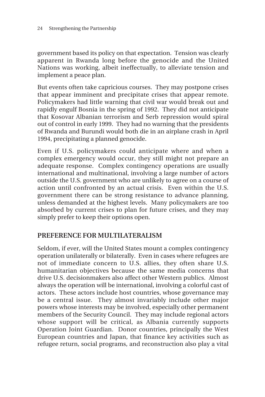government based its policy on that expectation. Tension was clearly apparent in Rwanda long before the genocide and the United Nations was working, albeit ineffectually, to alleviate tension and implement a peace plan.

But events often take capricious courses. They may postpone crises that appear imminent and precipitate crises that appear remote. Policymakers had little warning that civil war would break out and rapidly engulf Bosnia in the spring of 1992. They did not anticipate that Kosovar Albanian terrorism and Serb repression would spiral out of control in early 1999. They had no warning that the presidents of Rwanda and Burundi would both die in an airplane crash in April 1994, precipitating a planned genocide.

Even if U.S. policymakers could anticipate where and when a complex emergency would occur, they still might not prepare an adequate response. Complex contingency operations are usually international and multinational, involving a large number of actors outside the U.S. government who are unlikely to agree on a course of action until confronted by an actual crisis. Even within the U.S. government there can be strong resistance to advance planning, unless demanded at the highest levels. Many policymakers are too absorbed by current crises to plan for future crises, and they may simply prefer to keep their options open.

# **PREFERENCE FOR MULTILATERALISM**

Seldom, if ever, will the United States mount a complex contingency operation unilaterally or bilaterally. Even in cases where refugees are not of immediate concern to U.S. allies, they often share U.S. humanitarian objectives because the same media concerns that drive U.S. decisionmakers also affect other Western publics. Almost always the operation will be international, involving a colorful cast of actors. These actors include host countries, whose governance may be a central issue. They almost invariably include other major powers whose interests may be involved, especially other permanent members of the Security Council. They may include regional actors whose support will be critical, as Albania currently supports Operation Joint Guardian. Donor countries, principally the West European countries and Japan, that finance key activities such as refugee return, social programs, and reconstruction also play a vital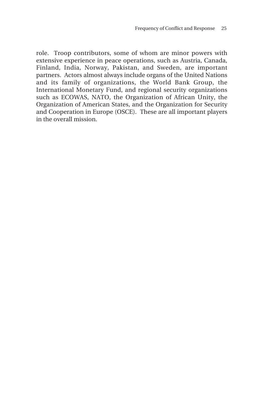role. Troop contributors, some of whom are minor powers with extensive experience in peace operations, such as Austria, Canada, Finland, India, Norway, Pakistan, and Sweden, are important partners. Actors almost always include organs of the United Nations and its family of organizations, the World Bank Group, the International Monetary Fund, and regional security organizations such as ECOWAS, NATO, the Organization of African Unity, the Organization of American States, and the Organization for Security and Cooperation in Europe (OSCE). These are all important players in the overall mission.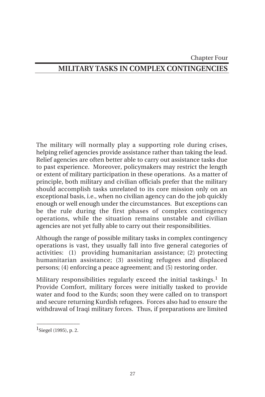#### Chapter Four

# **MILITARY TASKS IN COMPLEX CONTINGENCIES**

The military will normally play a supporting role during crises, helping relief agencies provide assistance rather than taking the lead. Relief agencies are often better able to carry out assistance tasks due to past experience. Moreover, policymakers may restrict the length or extent of military participation in these operations. As a matter of principle, both military and civilian officials prefer that the military should accomplish tasks unrelated to its core mission only on an exceptional basis, i.e., when no civilian agency can do the job quickly enough or well enough under the circumstances. But exceptions can be the rule during the first phases of complex contingency operations, while the situation remains unstable and civilian agencies are not yet fully able to carry out their responsibilities.

Although the range of possible military tasks in complex contingency operations is vast, they usually fall into five general categories of activities: (1) providing humanitarian assistance; (2) protecting humanitarian assistance; (3) assisting refugees and displaced persons; (4) enforcing a peace agreement; and (5) restoring order.

Military responsibilities regularly exceed the initial taskings.<sup>1</sup> In Provide Comfort, military forces were initially tasked to provide water and food to the Kurds; soon they were called on to transport and secure returning Kurdish refugees. Forces also had to ensure the withdrawal of Iraqi military forces. Thus, if preparations are limited

 $\overline{\phantom{a}}$  $1$ Siegel (1995), p. 2.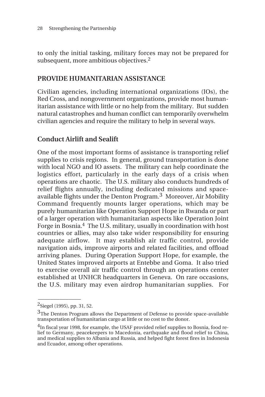to only the initial tasking, military forces may not be prepared for subsequent, more ambitious objectives.2

## **PROVIDE HUMANITARIAN ASSISTANCE**

Civilian agencies, including international organizations (IOs), the Red Cross, and nongovernment organizations, provide most humanitarian assistance with little or no help from the military. But sudden natural catastrophes and human conflict can temporarily overwhelm civilian agencies and require the military to help in several ways.

# **Conduct Airlift and Sealift**

One of the most important forms of assistance is transporting relief supplies to crisis regions. In general, ground transportation is done with local NGO and IO assets. The military can help coordinate the logistics effort, particularly in the early days of a crisis when operations are chaotic. The U.S. military also conducts hundreds of relief flights annually, including dedicated missions and spaceavailable flights under the Denton Program.3 Moreover, Air Mobility Command frequently mounts larger operations, which may be purely humanitarian like Operation Support Hope in Rwanda or part of a larger operation with humanitarian aspects like Operation Joint Forge in Bosnia.4 The U.S. military, usually in coordination with host countries or allies, may also take wider responsibility for ensuring adequate airflow. It may establish air traffic control, provide navigation aids, improve airports and related facilities, and offload arriving planes. During Operation Support Hope, for example, the United States improved airports at Entebbe and Goma. It also tried to exercise overall air traffic control through an operations center established at UNHCR headquarters in Geneva. On rare occasions, the U.S. military may even airdrop humanitarian supplies. For

\_\_\_\_\_\_\_\_\_\_\_\_\_\_

 $^{2}$ Siegel (1995), pp. 31, 52.

<sup>&</sup>lt;sup>3</sup>The Denton Program allows the Department of Defense to provide space-available transportation of humanitarian cargo at little or no cost to the donor.

<sup>4</sup>In fiscal year 1998, for example, the USAF provided relief supplies to Bosnia, food relief to Germany, peacekeepers to Macedonia, earthquake and flood relief to China, and medical supplies to Albania and Russia, and helped fight forest fires in Indonesia and Ecuador, among other operations.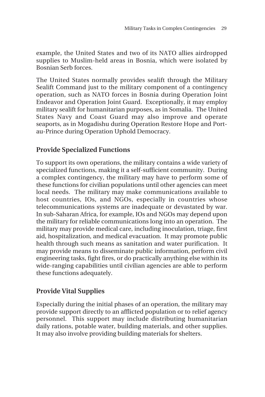example, the United States and two of its NATO allies airdropped supplies to Muslim-held areas in Bosnia, which were isolated by Bosnian Serb forces.

The United States normally provides sealift through the Military Sealift Command just to the military component of a contingency operation, such as NATO forces in Bosnia during Operation Joint Endeavor and Operation Joint Guard. Exceptionally, it may employ military sealift for humanitarian purposes, as in Somalia. The United States Navy and Coast Guard may also improve and operate seaports, as in Mogadishu during Operation Restore Hope and Portau-Prince during Operation Uphold Democracy.

# **Provide Specialized Functions**

To support its own operations, the military contains a wide variety of specialized functions, making it a self-sufficient community. During a complex contingency, the military may have to perform some of these functions for civilian populations until other agencies can meet local needs. The military may make communications available to host countries, IOs, and NGOs, especially in countries whose telecommunications systems are inadequate or devastated by war. In sub-Saharan Africa, for example, IOs and NGOs may depend upon the military for reliable communications long into an operation. The military may provide medical care, including inoculation, triage, first aid, hospitalization, and medical evacuation. It may promote public health through such means as sanitation and water purification. It may provide means to disseminate public information, perform civil engineering tasks, fight fires, or do practically anything else within its wide-ranging capabilities until civilian agencies are able to perform these functions adequately.

# **Provide Vital Supplies**

Especially during the initial phases of an operation, the military may provide support directly to an afflicted population or to relief agency personnel. This support may include distributing humanitarian daily rations, potable water, building materials, and other supplies. It may also involve providing building materials for shelters.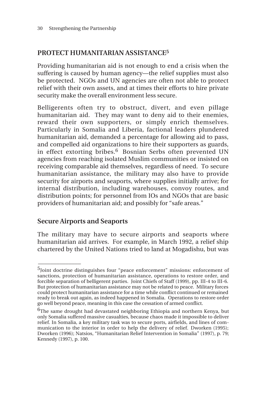# **PROTECT HUMANITARIAN ASSISTANCE5**

Providing humanitarian aid is not enough to end a crisis when the suffering is caused by human agency—the relief supplies must also be protected. NGOs and UN agencies are often not able to protect relief with their own assets, and at times their efforts to hire private security make the overall environment less secure.

Belligerents often try to obstruct, divert, and even pillage humanitarian aid. They may want to deny aid to their enemies, reward their own supporters, or simply enrich themselves. Particularly in Somalia and Liberia, factional leaders plundered humanitarian aid, demanded a percentage for allowing aid to pass, and compelled aid organizations to hire their supporters as guards, in effect extorting bribes.<sup>6</sup> Bosnian Serbs often prevented UN agencies from reaching isolated Muslim communities or insisted on receiving comparable aid themselves, regardless of need. To secure humanitarian assistance, the military may also have to provide security for airports and seaports, where supplies initially arrive; for internal distribution, including warehouses, convoy routes, and distribution points; for personnel from IOs and NGOs that are basic providers of humanitarian aid; and possibly for "safe areas."

# **Secure Airports and Seaports**

\_\_\_\_\_\_\_\_\_\_\_\_\_\_

The military may have to secure airports and seaports where humanitarian aid arrives. For example, in March 1992, a relief ship chartered by the United Nations tried to land at Mogadishu, but was

<sup>5</sup>Joint doctrine distinguishes four "peace enforcement" missions: enforcement of sanctions, protection of humanitarian assistance, operations to restore order, and forcible separation of belligerent parties. Joint Chiefs of Staff (1999), pp. III-4 to III-6. But protection of humanitarian assistance may not be related to peace. Military forces could protect humanitarian assistance for a time while conflict continued or remained ready to break out again, as indeed happened in Somalia. Operations to restore order go well beyond peace, meaning in this case the cessation of armed conflict.

 $6$ The same drought had devastated neighboring Ethiopia and northern Kenya, but only Somalia suffered massive casualties, because chaos made it impossible to deliver relief. In Somalia, a key military task was to secure ports, airfields, and lines of communication to the interior in order to help the delivery of relief. Dworken (1995); Dworken (1996); Natsios, "Humanitarian Relief Intervention in Somalia" (1997), p. 79; Kennedy (1997), p. 100.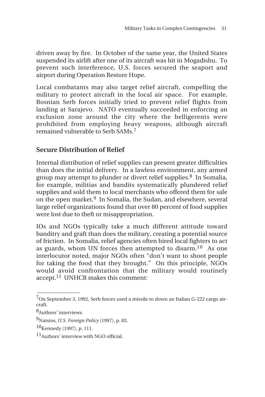driven away by fire. In October of the same year, the United States suspended its airlift after one of its aircraft was hit in Mogadishu. To prevent such interference, U.S. forces secured the seaport and airport during Operation Restore Hope.

Local combatants may also target relief aircraft, compelling the military to protect aircraft in the local air space. For example, Bosnian Serb forces initially tried to prevent relief flights from landing at Sarajevo. NATO eventually succeeded in enforcing an exclusion zone around the city where the belligerents were prohibited from employing heavy weapons, although aircraft remained vulnerable to Serb SAMs.<sup>7</sup>

# **Secure Distribution of Relief**

Internal distribution of relief supplies can present greater difficulties than does the initial delivery. In a lawless environment, any armed group may attempt to plunder or divert relief supplies.<sup>8</sup> In Somalia, for example, militias and bandits systematically plundered relief supplies and sold them to local merchants who offered them for sale on the open market.9 In Somalia, the Sudan, and elsewhere, several large relief organizations found that over 80 percent of food supplies were lost due to theft or misappropriation.

IOs and NGOs typically take a much different attitude toward banditry and graft than does the military, creating a potential source of friction. In Somalia, relief agencies often hired local fighters to act as guards, whom UN forces then attempted to disarm.<sup>10</sup> As one interlocutor noted, major NGOs often "don't want to shoot people for taking the food that they brought." On this principle, NGOs would avoid confrontation that the military would routinely accept.11 UNHCR makes this comment:

<sup>7</sup>On September 3, 1992, Serb forces used a missile to down an Italian G-222 cargo aircraft.

<sup>8</sup>Authors' interviews.

<sup>9</sup>Natsios, *U.S. Foreign Policy* (1997), p. 83.

<sup>10</sup>Kennedy (1997), p. 111.

 $11$ Authors' interview with NGO official.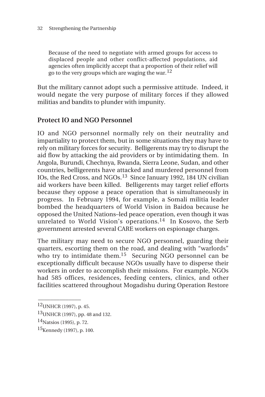Because of the need to negotiate with armed groups for access to displaced people and other conflict-affected populations, aid agencies often implicitly accept that a proportion of their relief will go to the very groups which are waging the war.  $^{12}$ 

But the military cannot adopt such a permissive attitude. Indeed, it would negate the very purpose of military forces if they allowed militias and bandits to plunder with impunity.

# **Protect IO and NGO Personnel**

IO and NGO personnel normally rely on their neutrality and impartiality to protect them, but in some situations they may have to rely on military forces for security. Belligerents may try to disrupt the aid flow by attacking the aid providers or by intimidating them. In Angola, Burundi, Chechnya, Rwanda, Sierra Leone, Sudan, and other countries, belligerents have attacked and murdered personnel from IOs, the Red Cross, and NGOs.13 Since January 1992, 184 UN civilian aid workers have been killed. Belligerents may target relief efforts because they oppose a peace operation that is simultaneously in progress. In February 1994, for example, a Somali militia leader bombed the headquarters of World Vision in Baidoa because he opposed the United Nations–led peace operation, even though it was unrelated to World Vision's operations.<sup>14</sup> In Kosovo, the Serb government arrested several CARE workers on espionage charges.

The military may need to secure NGO personnel, guarding their quarters, escorting them on the road, and dealing with "warlords" who try to intimidate them.<sup>15</sup> Securing NGO personnel can be exceptionally difficult because NGOs usually have to disperse their workers in order to accomplish their missions. For example, NGOs had 585 offices, residences, feeding centers, clinics, and other facilities scattered throughout Mogadishu during Operation Restore

 $12$ UNHCR (1997), p. 45.

<sup>13</sup>UNHCR (1997), pp. 48 and 132.

<sup>14</sup>Natsios (1995), p. 72.

<sup>15</sup>Kennedy (1997), p. 100.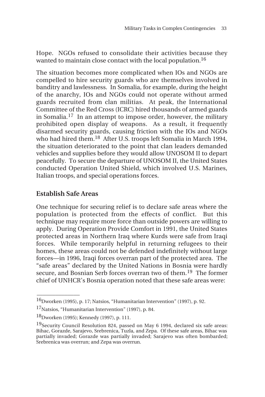Hope. NGOs refused to consolidate their activities because they wanted to maintain close contact with the local population.<sup>16</sup>

The situation becomes more complicated when IOs and NGOs are compelled to hire security guards who are themselves involved in banditry and lawlessness. In Somalia, for example, during the height of the anarchy, IOs and NGOs could not operate without armed guards recruited from clan militias. At peak, the International Committee of the Red Cross (ICRC) hired thousands of armed guards in Somalia.17 In an attempt to impose order, however, the military prohibited open display of weapons. As a result, it frequently disarmed security guards, causing friction with the IOs and NGOs who had hired them.18 After U.S. troops left Somalia in March 1994, the situation deteriorated to the point that clan leaders demanded vehicles and supplies before they would allow UNOSOM II to depart peacefully. To secure the departure of UNOSOM II, the United States conducted Operation United Shield, which involved U.S. Marines, Italian troops, and special operations forces.

# **Establish Safe Areas**

 $\overline{\phantom{a}}$ 

One technique for securing relief is to declare safe areas where the population is protected from the effects of conflict. But this technique may require more force than outside powers are willing to apply. During Operation Provide Comfort in 1991, the United States protected areas in Northern Iraq where Kurds were safe from Iraqi forces. While temporarily helpful in returning refugees to their homes, these areas could not be defended indefinitely without large forces—in 1996, Iraqi forces overran part of the protected area. The "safe areas" declared by the United Nations in Bosnia were hardly secure, and Bosnian Serb forces overran two of them.<sup>19</sup> The former chief of UNHCR's Bosnia operation noted that these safe areas were:

<sup>16</sup>Dworken (1995), p. 17; Natsios, "Humanitarian Intervention" (1997), p. 92.

<sup>17</sup>Natsios, "Humanitarian Intervention" (1997), p. 84.

<sup>18</sup>Dworken (1995); Kennedy (1997), p. 111.

<sup>&</sup>lt;sup>19</sup>Security Council Resolution 824, passed on May 6 1994, declared six safe areas: Bihac, Gorazde, Sarajevo, Srebrenica, Tuzla, and Zepa. Of these safe areas, Bihac was partially invaded; Gorazde was partially invaded; Sarajevo was often bombarded; Srebrenica was overrun; and Zepa was overrun.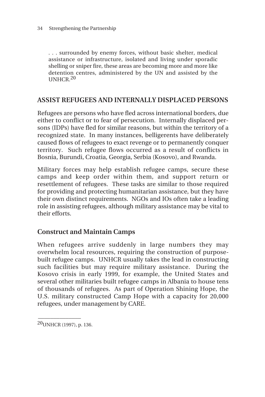. . . surrounded by enemy forces, without basic shelter, medical assistance or infrastructure, isolated and living under sporadic shelling or sniper fire, these areas are becoming more and more like detention centres, administered by the UN and assisted by the UNHCR.20

### **ASSIST REFUGEES AND INTERNALLY DISPLACED PERSONS**

Refugees are persons who have fled across international borders, due either to conflict or to fear of persecution. Internally displaced persons (IDPs) have fled for similar reasons, but within the territory of a recognized state. In many instances, belligerents have deliberately caused flows of refugees to exact revenge or to permanently conquer territory. Such refugee flows occurred as a result of conflicts in Bosnia, Burundi, Croatia, Georgia, Serbia (Kosovo), and Rwanda.

Military forces may help establish refugee camps, secure these camps and keep order within them, and support return or resettlement of refugees. These tasks are similar to those required for providing and protecting humanitarian assistance, but they have their own distinct requirements. NGOs and IOs often take a leading role in assisting refugees, although military assistance may be vital to their efforts.

# **Construct and Maintain Camps**

When refugees arrive suddenly in large numbers they may overwhelm local resources, requiring the construction of purposebuilt refugee camps. UNHCR usually takes the lead in constructing such facilities but may require military assistance. During the Kosovo crisis in early 1999, for example, the United States and several other militaries built refugee camps in Albania to house tens of thousands of refugees. As part of Operation Shining Hope, the U.S. military constructed Camp Hope with a capacity for 20,000 refugees, under management by CARE.

\_\_\_\_\_\_\_\_\_\_\_\_\_\_

<sup>20</sup>UNHCR (1997), p. 136.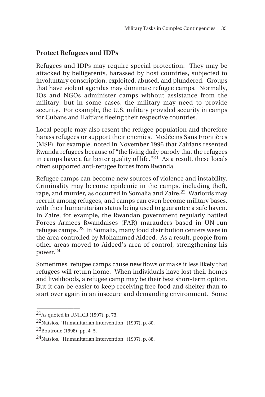# **Protect Refugees and IDPs**

Refugees and IDPs may require special protection. They may be attacked by belligerents, harassed by host countries, subjected to involuntary conscription, exploited, abused, and plundered. Groups that have violent agendas may dominate refugee camps. Normally, IOs and NGOs administer camps without assistance from the military, but in some cases, the military may need to provide security. For example, the U.S. military provided security in camps for Cubans and Haitians fleeing their respective countries.

Local people may also resent the refugee population and therefore harass refugees or support their enemies. Medécins Sans Frontières (MSF), for example, noted in November 1996 that Zairians resented Rwanda refugees because of "the living daily parody that the refugees in camps have a far better quality of life."<sup>21</sup> As a result, these locals often supported anti-refugee forces from Rwanda.

Refugee camps can become new sources of violence and instability. Criminality may become epidemic in the camps, including theft, rape, and murder, as occurred in Somalia and Zaire.<sup>22</sup> Warlords may recruit among refugees, and camps can even become military bases, with their humanitarian status being used to guarantee a safe haven. In Zaire, for example, the Rwandan government regularly battled Forces Armees Rwandaises (FAR) marauders based in UN-run refugee camps.23 In Somalia, many food distribution centers were in the area controlled by Mohammed Aideed. As a result, people from other areas moved to Aideed's area of control, strengthening his power.24

Sometimes, refugee camps cause new flows or make it less likely that refugees will return home. When individuals have lost their homes and livelihoods, a refugee camp may be their best short-term option. But it can be easier to keep receiving free food and shelter than to start over again in an insecure and demanding environment. Some

 $^{21}$ As quoted in UNHCR (1997), p. 73.

<sup>22</sup>Natsios, "Humanitarian Intervention" (1997), p. 80.

<sup>23</sup>Boutroue (1998), pp. 4–5.

<sup>24</sup>Natsios, "Humanitarian Intervention" (1997), p. 88.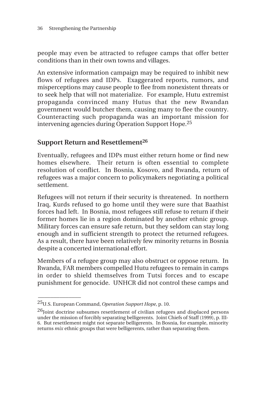people may even be attracted to refugee camps that offer better conditions than in their own towns and villages.

An extensive information campaign may be required to inhibit new flows of refugees and IDPs. Exaggerated reports, rumors, and misperceptions may cause people to flee from nonexistent threats or to seek help that will not materialize. For example, Hutu extremist propaganda convinced many Hutus that the new Rwandan government would butcher them, causing many to flee the country. Counteracting such propaganda was an important mission for intervening agencies during Operation Support Hope.25

# **Support Return and Resettlement26**

Eventually, refugees and IDPs must either return home or find new homes elsewhere. Their return is often essential to complete resolution of conflict. In Bosnia, Kosovo, and Rwanda, return of refugees was a major concern to policymakers negotiating a political settlement.

Refugees will not return if their security is threatened. In northern Iraq, Kurds refused to go home until they were sure that Baathist forces had left. In Bosnia, most refugees still refuse to return if their former homes lie in a region dominated by another ethnic group. Military forces can ensure safe return, but they seldom can stay long enough and in sufficient strength to protect the returned refugees. As a result, there have been relatively few minority returns in Bosnia despite a concerted international effort.

Members of a refugee group may also obstruct or oppose return. In Rwanda, FAR members compelled Hutu refugees to remain in camps in order to shield themselves from Tutsi forces and to escape punishment for genocide. UNHCR did not control these camps and

\_\_\_\_\_\_\_\_\_\_\_\_\_\_

<sup>25</sup>U.S. European Command, *Operation Support Hope*, p. 10.

<sup>&</sup>lt;sup>26</sup>Joint doctrine subsumes resettlement of civilian refugees and displaced persons under the mission of forcibly separating belligerents. Joint Chiefs of Staff (1999), p. III-6. But resettlement might not separate belligerents. In Bosnia, for example, minority returns *mix* ethnic groups that were belligerents, rather than separating them.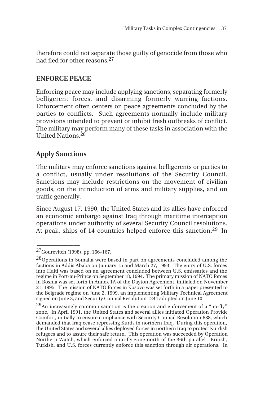therefore could not separate those guilty of genocide from those who had fled for other reasons.27

# **ENFORCE PEACE**

Enforcing peace may include applying sanctions, separating formerly belligerent forces, and disarming formerly warring factions. Enforcement often centers on peace agreements concluded by the parties to conflicts. Such agreements normally include military provisions intended to prevent or inhibit fresh outbreaks of conflict. The military may perform many of these tasks in association with the United Nations.<sup>28</sup>

# **Apply Sanctions**

The military may enforce sanctions against belligerents or parties to a conflict, usually under resolutions of the Security Council. Sanctions may include restrictions on the movement of civilian goods, on the introduction of arms and military supplies, and on traffic generally.

Since August 17, 1990, the United States and its allies have enforced an economic embargo against Iraq through maritime interception operations under authority of several Security Council resolutions. At peak, ships of 14 countries helped enforce this sanction.<sup>29</sup> In

<sup>27</sup>Gourevitch (1998), pp. 166–167.

<sup>28</sup>Operations in Somalia were based in part on agreements concluded among the factions in Addis Ababa on January 15 and March 27, 1993. The entry of U.S. forces into Haiti was based on an agreement concluded between U.S. emissaries and the regime in Port-au-Prince on September 18, 1994. The primary mission of NATO forces in Bosnia was set forth in Annex 1A of the Dayton Agreement, initialed on November 21, 1995. The mission of NATO forces in Kosovo was set forth in a paper presented to the Belgrade regime on June 2, 1999, an implementing Military Technical Agreement signed on June 3, and Security Council Resolution 1244 adopted on June 10.

 $^{29}$ An increasingly common sanction is the creation and enforcement of a "no-fly" zone. In April 1991, the United States and several allies initiated Operation Provide Comfort, initially to ensure compliance with Security Council Resolution 688, which demanded that Iraq cease repressing Kurds in northern Iraq. During this operation, the United States and several allies deployed forces in northern Iraq to protect Kurdish refugees and to assure their safe return. This operation was succeeded by Operation Northern Watch, which enforced a no-fly zone north of the 36th parallel. British, Turkish, and U.S. forces currently enforce this sanction through air operations. In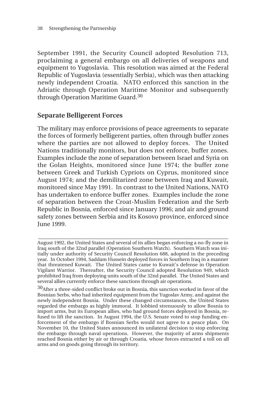September 1991, the Security Council adopted Resolution 713, proclaiming a general embargo on all deliveries of weapons and equipment to Yugoslavia. This resolution was aimed at the Federal Republic of Yugoslavia (essentially Serbia), which was then attacking newly independent Croatia. NATO enforced this sanction in the Adriatic through Operation Maritime Monitor and subsequently through Operation Maritime Guard.<sup>30</sup>

### **Separate Belligerent Forces**

The military may enforce provisions of peace agreements to separate the forces of formerly belligerent parties, often through buffer zones where the parties are not allowed to deploy forces. The United Nations traditionally monitors, but does not enforce, buffer zones. Examples include the zone of separation between Israel and Syria on the Golan Heights, monitored since June 1974; the buffer zone between Greek and Turkish Cypriots on Cyprus, monitored since August 1974; and the demilitarized zone between Iraq and Kuwait, monitored since May 1991. In contrast to the United Nations, NATO has undertaken to enforce buffer zones. Examples include the zone of separation between the Croat-Muslim Federation and the Serb Republic in Bosnia, enforced since January 1996; and air and ground safety zones between Serbia and its Kosovo province, enforced since June 1999.

**\_\_\_\_\_\_\_\_\_\_\_\_\_\_\_\_\_\_\_\_\_\_\_\_\_\_\_\_\_\_\_\_\_\_\_\_\_\_\_\_\_\_\_\_\_\_\_\_\_\_\_\_\_\_\_\_\_\_\_\_\_\_** August 1992, the United States and several of its allies began enforcing a no-fly zone in Iraq south of the 32nd parallel (Operation Southern Watch). Southern Watch was initially under authority of Security Council Resolution 688, adopted in the preceding year. In October 1994, Saddam Hussein deployed forces in Southern Iraq in a manner that threatened Kuwait. The United States came to Kuwait's defense in Operation Vigilant Warrior. Thereafter, the Security Council adopted Resolution 949, which prohibited Iraq from deploying units south of the 32nd parallel. The United States and several allies currently enforce these sanctions through air operations.

<sup>30</sup>After a three-sided conflict broke out in Bosnia, this sanction worked in favor of the Bosnian Serbs, who had inherited equipment from the Yugoslav Army, and against the newly independent Bosnia. Under these changed circumstances, the United States regarded the embargo as highly immoral. It lobbied strenuously to allow Bosnia to import arms, but its European allies, who had ground forces deployed in Bosnia, refused to lift the sanction. In August 1994, the U.S. Senate voted to stop funding enforcement of the embargo if Bosnian Serbs would not agree to a peace plan. On November 10, the United States announced its unilateral decision to stop enforcing the embargo through naval operations. However, the majority of arms shipments reached Bosnia either by air or through Croatia, whose forces extracted a toll on all arms and on goods going through its territory.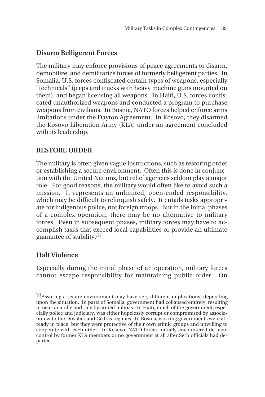## **Disarm Belligerent Forces**

The military may enforce provisions of peace agreements to disarm, demobilize, and demilitarize forces of formerly belligerent parties. In Somalia, U.S. forces confiscated certain types of weapons, especially "technicals" (jeeps and trucks with heavy machine guns mounted on them), and began licensing all weapons. In Haiti, U.S. forces confiscated unauthorized weapons and conducted a program to purchase weapons from civilians. In Bosnia, NATO forces helped enforce arms limitations under the Dayton Agreement. In Kosovo, they disarmed the Kosovo Liberation Army (KLA) under an agreement concluded with its leadership.

#### **RESTORE ORDER**

The military is often given vague instructions, such as restoring order or establishing a secure environment. Often this is done in conjunction with the United Nations, but relief agencies seldom play a major role. For good reasons, the military would often like to avoid such a mission. It represents an unlimited, open-ended responsibility, which may be difficult to relinquish safely. It entails tasks appropriate for indigenous police, not foreign troops. But in the initial phases of a complex operation, there may be no alternative to military forces. Even in subsequent phases, military forces may have to accomplish tasks that exceed local capabilities or provide an ultimate guarantee of stability.<sup>31</sup>

## **Halt Violence**

 $\overline{\phantom{a}}$ 

Especially during the initial phase of an operation, military forces cannot escape responsibility for maintaining public order. On

 $31$ Assuring a secure environment may have very different implications, depending upon the situation. In parts of Somalia, government had collapsed entirely, resulting in near-anarchy and rule by armed militias. In Haiti, much of the government, especially police and judiciary, was either hopelessly corrupt or compromised by association with the Duvalier and Cédras regimes. In Bosnia, working governments were already in place, but they were protective of their own ethnic groups and unwilling to cooperate with each other. In Kosovo, NATO forces initially encountered de facto control by former KLA members or no government at all after Serb officials had departed.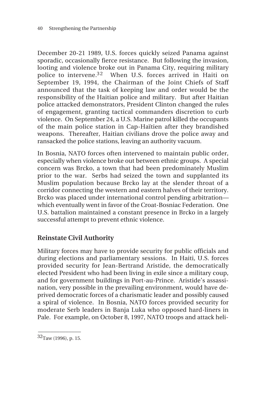December 20-21 1989, U.S. forces quickly seized Panama against sporadic, occasionally fierce resistance. But following the invasion, looting and violence broke out in Panama City, requiring military police to intervene.<sup>32</sup> When U.S. forces arrived in Haiti on September 19, 1994, the Chairman of the Joint Chiefs of Staff announced that the task of keeping law and order would be the responsibility of the Haitian police and military. But after Haitian police attacked demonstrators, President Clinton changed the rules of engagement, granting tactical commanders discretion to curb violence. On September 24, a U.S. Marine patrol killed the occupants of the main police station in Cap-Haïtien after they brandished weapons. Thereafter, Haitian civilians drove the police away and ransacked the police stations, leaving an authority vacuum.

In Bosnia, NATO forces often intervened to maintain public order, especially when violence broke out between ethnic groups. A special concern was Brcko, a town that had been predominately Muslim prior to the war. Serbs had seized the town and supplanted its Muslim population because Brcko lay at the slender throat of a corridor connecting the western and eastern halves of their territory. Brcko was placed under international control pending arbitration which eventually went in favor of the Croat-Bosniac Federation. One U.S. battalion maintained a constant presence in Brcko in a largely successful attempt to prevent ethnic violence.

## **Reinstate Civil Authority**

Military forces may have to provide security for public officials and during elections and parliamentary sessions. In Haiti, U.S. forces provided security for Jean-Bertrand Aristide, the democratically elected President who had been living in exile since a military coup, and for government buildings in Port-au-Prince. Aristide's assassination, very possible in the prevailing environment, would have deprived democratic forces of a charismatic leader and possibly caused a spiral of violence. In Bosnia, NATO forces provided security for moderate Serb leaders in Banja Luka who opposed hard-liners in Pale. For example, on October 8, 1997, NATO troops and attack heli-

\_\_\_\_\_\_\_\_\_\_\_\_\_\_  $32$ Taw (1996), p. 15.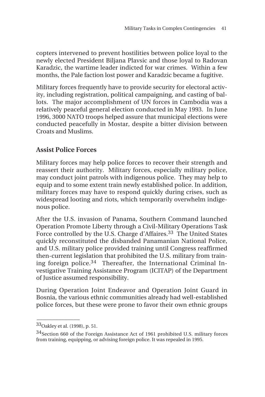copters intervened to prevent hostilities between police loyal to the newly elected President Biljana Plavsic and those loyal to Radovan Karadzic, the wartime leader indicted for war crimes. Within a few months, the Pale faction lost power and Karadzic became a fugitive.

Military forces frequently have to provide security for electoral activity, including registration, political campaigning, and casting of ballots. The major accomplishment of UN forces in Cambodia was a relatively peaceful general election conducted in May 1993. In June 1996, 3000 NATO troops helped assure that municipal elections were conducted peacefully in Mostar, despite a bitter division between Croats and Muslims.

#### **Assist Police Forces**

Military forces may help police forces to recover their strength and reassert their authority. Military forces, especially military police, may conduct joint patrols with indigenous police. They may help to equip and to some extent train newly established police. In addition, military forces may have to respond quickly during crises, such as widespread looting and riots, which temporarily overwhelm indigenous police.

After the U.S. invasion of Panama, Southern Command launched Operation Promote Liberty through a Civil-Military Operations Task Force controlled by the U.S. Charge d'Affaires.<sup>33</sup> The United States quickly reconstituted the disbanded Panamanian National Police, and U.S. military police provided training until Congress reaffirmed then-current legislation that prohibited the U.S. military from training foreign police.<sup>34</sup> Thereafter, the International Criminal Investigative Training Assistance Program (ICITAP) of the Department of Justice assumed responsibility.

During Operation Joint Endeavor and Operation Joint Guard in Bosnia, the various ethnic communities already had well-established police forces, but these were prone to favor their own ethnic groups

\_\_\_\_\_\_\_\_\_\_\_\_\_\_

<sup>33</sup>Oakley et al. (1998), p. 51.

<sup>34</sup>Section 660 of the Foreign Assistance Act of 1961 prohibited U.S. military forces from training, equipping, or advising foreign police. It was repealed in 1995.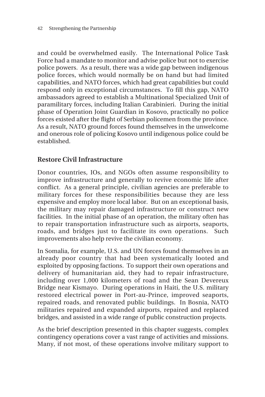and could be overwhelmed easily. The International Police Task Force had a mandate to monitor and advise police but not to exercise police powers. As a result, there was a wide gap between indigenous police forces, which would normally be on hand but had limited capabilities, and NATO forces, which had great capabilities but could respond only in exceptional circumstances. To fill this gap, NATO ambassadors agreed to establish a Multinational Specialized Unit of paramilitary forces, including Italian Carabinieri. During the initial phase of Operation Joint Guardian in Kosovo, practically no police forces existed after the flight of Serbian policemen from the province. As a result, NATO ground forces found themselves in the unwelcome and onerous role of policing Kosovo until indigenous police could be established.

#### **Restore Civil Infrastructure**

Donor countries, IOs, and NGOs often assume responsibility to improve infrastructure and generally to revive economic life after conflict. As a general principle, civilian agencies are preferable to military forces for these responsibilities because they are less expensive and employ more local labor. But on an exceptional basis, the military may repair damaged infrastructure or construct new facilities. In the initial phase of an operation, the military often has to repair transportation infrastructure such as airports, seaports, roads, and bridges just to facilitate its own operations. Such improvements also help revive the civilian economy.

In Somalia, for example, U.S. and UN forces found themselves in an already poor country that had been systematically looted and exploited by opposing factions. To support their own operations and delivery of humanitarian aid, they had to repair infrastructure, including over 1,000 kilometers of road and the Sean Devereux Bridge near Kismayo. During operations in Haiti, the U.S. military restored electrical power in Port-au-Prince, improved seaports, repaired roads, and renovated public buildings. In Bosnia, NATO militaries repaired and expanded airports, repaired and replaced bridges, and assisted in a wide range of public construction projects.

As the brief description presented in this chapter suggests, complex contingency operations cover a vast range of activities and missions. Many, if not most, of these operations involve military support to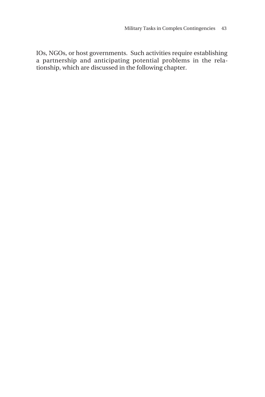IOs, NGOs, or host governments. Such activities require establishing a partnership and anticipating potential problems in the relationship, which are discussed in the following chapter.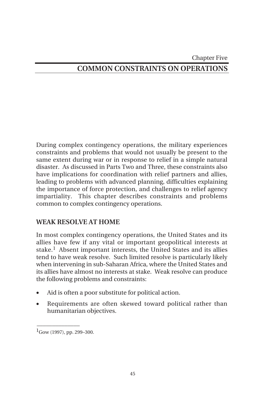#### Chapter Five

## **COMMON CONSTRAINTS ON OPERATIONS**

During complex contingency operations, the military experiences constraints and problems that would not usually be present to the same extent during war or in response to relief in a simple natural disaster. As discussed in Parts Two and Three, these constraints also have implications for coordination with relief partners and allies, leading to problems with advanced planning, difficulties explaining the importance of force protection, and challenges to relief agency impartiality. This chapter describes constraints and problems common to complex contingency operations.

#### **WEAK RESOLVE AT HOME**

In most complex contingency operations, the United States and its allies have few if any vital or important geopolitical interests at stake.<sup>1</sup> Absent important interests, the United States and its allies tend to have weak resolve. Such limited resolve is particularly likely when intervening in sub-Saharan Africa, where the United States and its allies have almost no interests at stake. Weak resolve can produce the following problems and constraints:

- Aid is often a poor substitute for political action.
- Requirements are often skewed toward political rather than humanitarian objectives.

 ${}^{1}$ Gow (1997), pp. 299–300.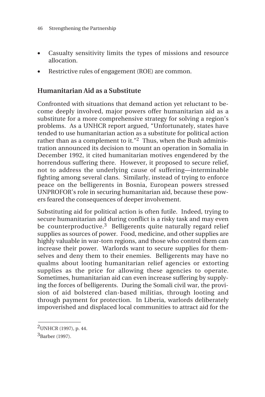- Casualty sensitivity limits the types of missions and resource allocation.
- Restrictive rules of engagement (ROE) are common.

## **Humanitarian Aid as a Substitute**

Confronted with situations that demand action yet reluctant to become deeply involved, major powers offer humanitarian aid as a substitute for a more comprehensive strategy for solving a region's problems. As a UNHCR report argued, "Unfortunately, states have tended to use humanitarian action as a substitute for political action rather than as a complement to it."<sup>2</sup> Thus, when the Bush administration announced its decision to mount an operation in Somalia in December 1992, it cited humanitarian motives engendered by the horrendous suffering there. However, it proposed to secure relief, not to address the underlying cause of suffering—interminable fighting among several clans. Similarly, instead of trying to enforce peace on the belligerents in Bosnia, European powers stressed UNPROFOR's role in securing humanitarian aid, because these powers feared the consequences of deeper involvement.

Substituting aid for political action is often futile. Indeed, trying to secure humanitarian aid during conflict is a risky task and may even be counterproductive.<sup>3</sup> Belligerents quite naturally regard relief supplies as sources of power. Food, medicine, and other supplies are highly valuable in war-torn regions, and those who control them can increase their power. Warlords want to secure supplies for themselves and deny them to their enemies. Belligerents may have no qualms about looting humanitarian relief agencies or extorting supplies as the price for allowing these agencies to operate. Sometimes, humanitarian aid can even increase suffering by supplying the forces of belligerents. During the Somali civil war, the provision of aid bolstered clan-based militias, through looting and through payment for protection. In Liberia, warlords deliberately impoverished and displaced local communities to attract aid for the

 $\overline{\phantom{a}}$ 2UNHCR (1997), p. 44.

<sup>3</sup>Barber (1997).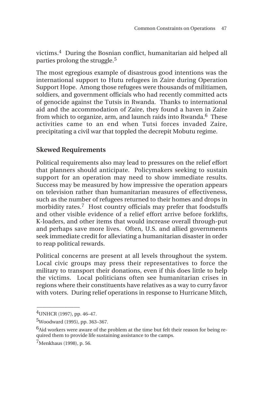victims.4 During the Bosnian conflict, humanitarian aid helped all parties prolong the struggle.<sup>5</sup>

The most egregious example of disastrous good intentions was the international support to Hutu refugees in Zaire during Operation Support Hope. Among those refugees were thousands of militiamen, soldiers, and government officials who had recently committed acts of genocide against the Tutsis in Rwanda. Thanks to international aid and the accommodation of Zaire, they found a haven in Zaire from which to organize, arm, and launch raids into Rwanda.<sup>6</sup> These activities came to an end when Tutsi forces invaded Zaire, precipitating a civil war that toppled the decrepit Mobutu regime.

## **Skewed Requirements**

Political requirements also may lead to pressures on the relief effort that planners should anticipate. Policymakers seeking to sustain support for an operation may need to show immediate results. Success may be measured by how impressive the operation appears on television rather than humanitarian measures of effectiveness, such as the number of refugees returned to their homes and drops in morbidity rates.<sup>7</sup> Host country officials may prefer that foodstuffs and other visible evidence of a relief effort arrive before forklifts, K-loaders, and other items that would increase overall through-put and perhaps save more lives. Often, U.S. and allied governments seek immediate credit for alleviating a humanitarian disaster in order to reap political rewards.

Political concerns are present at all levels throughout the system. Local civic groups may press their representatives to force the military to transport their donations, even if this does little to help the victims. Local politicians often see humanitarian crises in regions where their constituents have relatives as a way to curry favor with voters. During relief operations in response to Hurricane Mitch,

<sup>4</sup>UNHCR (1997), pp. 46–47.

<sup>5</sup>Woodward (1995), pp. 363–367.

 $<sup>6</sup>$ Aid workers were aware of the problem at the time but felt their reason for being re-</sup> quired them to provide life sustaining assistance to the camps.

<sup>7</sup>Menkhaus (1998), p. 56.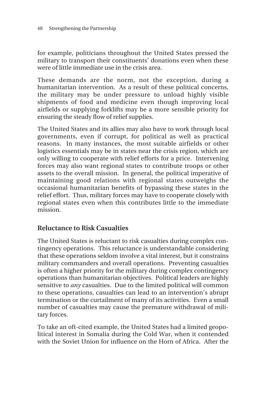for example, politicians throughout the United States pressed the military to transport their constituents' donations even when these were of little immediate use in the crisis area.

These demands are the norm, not the exception, during a humanitarian intervention. As a result of these political concerns, the military may be under pressure to unload highly visible shipments of food and medicine even though improving local airfields or supplying forklifts may be a more sensible priority for ensuring the steady flow of relief supplies.

The United States and its allies may also have to work through local governments, even if corrupt, for political as well as practical reasons. In many instances, the most suitable airfields or other logistics essentials may be in states near the crisis region, which are only willing to cooperate with relief efforts for a price. Intervening forces may also want regional states to contribute troops or other assets to the overall mission. In general, the political imperative of maintaining good relations with regional states outweighs the occasional humanitarian benefits of bypassing these states in the relief effort. Thus, military forces may have to cooperate closely with regional states even when this contributes little to the immediate mission.

#### **Reluctance to Risk Casualties**

The United States is reluctant to risk casualties during complex contingency operations. This reluctance is understandable considering that these operations seldom involve a vital interest, but it constrains military commanders and overall operations. Preventing casualties is often a higher priority for the military during complex contingency operations than humanitarian objectives. Political leaders are highly sensitive to *any* casualties. Due to the limited political will common to these operations, casualties can lead to an intervention's abrupt termination or the curtailment of many of its activities. Even a small number of casualties may cause the premature withdrawal of military forces.

To take an oft-cited example, the United States had a limited geopolitical interest in Somalia during the Cold War, when it contended with the Soviet Union for influence on the Horn of Africa. After the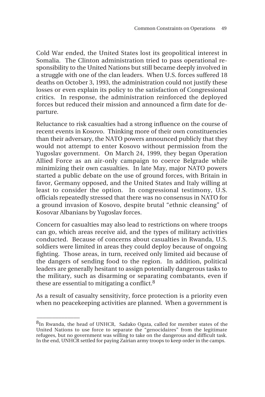Cold War ended, the United States lost its geopolitical interest in Somalia. The Clinton administration tried to pass operational responsibility to the United Nations but still became deeply involved in a struggle with one of the clan leaders. When U.S. forces suffered 18 deaths on October 3, 1993, the administration could not justify these losses or even explain its policy to the satisfaction of Congressional critics. In response, the administration reinforced the deployed forces but reduced their mission and announced a firm date for departure.

Reluctance to risk casualties had a strong influence on the course of recent events in Kosovo. Thinking more of their own constituencies than their adversary, the NATO powers announced publicly that they would not attempt to enter Kosovo without permission from the Yugoslav government. On March 24, 1999, they began Operation Allied Force as an air-only campaign to coerce Belgrade while minimizing their own casualties. In late May, major NATO powers started a public debate on the use of ground forces, with Britain in favor, Germany opposed, and the United States and Italy willing at least to consider the option. In congressional testimony, U.S. officials repeatedly stressed that there was no consensus in NATO for a ground invasion of Kosovo, despite brutal "ethnic cleansing" of Kosovar Albanians by Yugoslav forces.

Concern for casualties may also lead to restrictions on where troops can go, which areas receive aid, and the types of military activities conducted. Because of concerns about casualties in Rwanda, U.S. soldiers were limited in areas they could deploy because of ongoing fighting. Those areas, in turn, received only limited aid because of the dangers of sending food to the region. In addition, political leaders are generally hesitant to assign potentially dangerous tasks to the military, such as disarming or separating combatants, even if these are essential to mitigating a conflict.8

As a result of casualty sensitivity, force protection is a priority even when no peacekeeping activities are planned. When a government is

<sup>&</sup>lt;sup>8</sup>In Rwanda, the head of UNHCR, Sadako Ogata, called for member states of the United Nations to use force to separate the "genocidaires" from the legitimate refugees, but no government was willing to take on the dangerous and difficult task. In the end, UNHCR settled for paying Zairian army troops to keep order in the camps.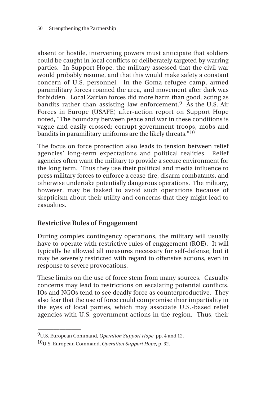absent or hostile, intervening powers must anticipate that soldiers could be caught in local conflicts or deliberately targeted by warring parties. In Support Hope, the military assessed that the civil war would probably resume, and that this would make safety a constant concern of U.S. personnel. In the Goma refugee camp, armed paramilitary forces roamed the area, and movement after dark was forbidden. Local Zairian forces did more harm than good, acting as bandits rather than assisting law enforcement.<sup>9</sup> As the U.S. Air Forces in Europe (USAFE) after-action report on Support Hope noted, "The boundary between peace and war in these conditions is vague and easily crossed; corrupt government troops, mobs and bandits in paramilitary uniforms are the likely threats."10

The focus on force protection also leads to tension between relief agencies' long-term expectations and political realities. Relief agencies often want the military to provide a secure environment for the long term. Thus they use their political and media influence to press military forces to enforce a cease-fire, disarm combatants, and otherwise undertake potentially dangerous operations. The military, however, may be tasked to avoid such operations because of skepticism about their utility and concerns that they might lead to casualties.

#### **Restrictive Rules of Engagement**

During complex contingency operations, the military will usually have to operate with restrictive rules of engagement (ROE). It will typically be allowed all measures necessary for self-defense, but it may be severely restricted with regard to offensive actions, even in response to severe provocations.

These limits on the use of force stem from many sources. Casualty concerns may lead to restrictions on escalating potential conflicts. IOs and NGOs tend to see deadly force as counterproductive. They also fear that the use of force could compromise their impartiality in the eyes of local parties, which may associate U.S.-based relief agencies with U.S. government actions in the region. Thus, their

\_\_\_\_\_\_\_\_\_\_\_\_\_\_

<sup>9</sup>U.S. European Command, *Operation Support Hope*, pp. 4 and 12.

<sup>10</sup>U.S. European Command, *Operation Support Hope*, p. 32.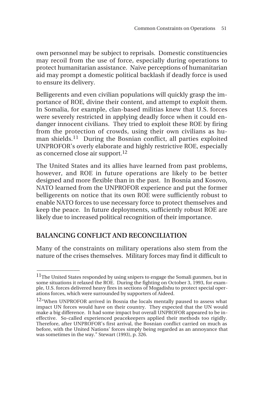own personnel may be subject to reprisals. Domestic constituencies may recoil from the use of force, especially during operations to protect humanitarian assistance. Naive perceptions of humanitarian aid may prompt a domestic political backlash if deadly force is used to ensure its delivery.

Belligerents and even civilian populations will quickly grasp the importance of ROE, divine their content, and attempt to exploit them. In Somalia, for example, clan-based militias knew that U.S. forces were severely restricted in applying deadly force when it could endanger innocent civilians. They tried to exploit these ROE by firing from the protection of crowds, using their own civilians as human shields.11 During the Bosnian conflict, all parties exploited UNPROFOR's overly elaborate and highly restrictive ROE, especially as concerned close air support.12

The United States and its allies have learned from past problems, however, and ROE in future operations are likely to be better designed and more flexible than in the past. In Bosnia and Kosovo, NATO learned from the UNPROFOR experience and put the former belligerents on notice that its own ROE were sufficiently robust to enable NATO forces to use necessary force to protect themselves and keep the peace. In future deployments, sufficiently robust ROE are likely due to increased political recognition of their importance.

## **BALANCING CONFLICT AND RECONCILIATION**

 $\overline{\phantom{a}}$ 

Many of the constraints on military operations also stem from the nature of the crises themselves. Military forces may find it difficult to

 $\rm ^{11}$  The United States responded by using snipers to engage the Somali gunmen, but in some situations it relaxed the ROE. During the fighting on October 3, 1993, for example, U.S. forces delivered heavy fires in sections of Mogadishu to protect special operations forces, which were surrounded by supporters of Aideed.

<sup>&</sup>lt;sup>12</sup>"When UNPROFOR arrived in Bosnia the locals mentally paused to assess what impact UN forces would have on their country. They expected that the UN would make a big difference. It had some impact but overall UNPROFOR appeared to be ineffective. So-called experienced peacekeepers applied their methods too rigidly. Therefore, after UNPROFOR's first arrival, the Bosnian conflict carried on much as before, with the United Nations' forces simply being regarded as an annoyance that was sometimes in the way." Stewart (1993), p. 326.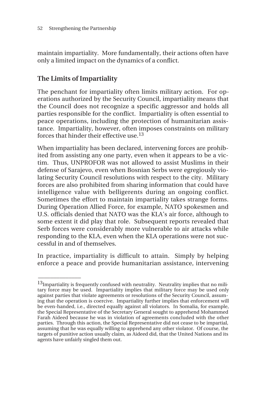maintain impartiality. More fundamentally, their actions often have only a limited impact on the dynamics of a conflict.

## **The Limits of Impartiality**

\_\_\_\_\_\_\_\_\_\_\_\_\_\_

The penchant for impartiality often limits military action. For operations authorized by the Security Council, impartiality means that the Council does not recognize a specific aggressor and holds all parties responsible for the conflict. Impartiality is often essential to peace operations, including the protection of humanitarian assistance. Impartiality, however, often imposes constraints on military forces that hinder their effective use.<sup>13</sup>

When impartiality has been declared, intervening forces are prohibited from assisting any one party, even when it appears to be a victim. Thus, UNPROFOR was not allowed to assist Muslims in their defense of Sarajevo, even when Bosnian Serbs were egregiously violating Security Council resolutions with respect to the city. Military forces are also prohibited from sharing information that could have intelligence value with belligerents during an ongoing conflict. Sometimes the effort to maintain impartiality takes strange forms. During Operation Allied Force, for example, NATO spokesmen and U.S. officials denied that NATO was the KLA's air force, although to some extent it did play that role. Subsequent reports revealed that Serb forces were considerably more vulnerable to air attacks while responding to the KLA, even when the KLA operations were not successful in and of themselves.

In practice, impartiality is difficult to attain. Simply by helping enforce a peace and provide humanitarian assistance, intervening

 $13$ Impartiality is frequently confused with neutrality. Neutrality implies that no military force may be used. Impartiality implies that military force may be used only against parties that violate agreements or resolutions of the Security Council, assuming that the operation is coercive. Impartiality further implies that enforcement will be even-handed, i.e., directed equally against all violators. In Somalia, for example, the Special Representative of the Secretary General sought to apprehend Mohammed Farah Aideed because he was in violation of agreements concluded with the other parties. Through this action, the Special Representative did not cease to be impartial, assuming that he was equally willing to apprehend any other violator. Of course, the targets of punitive action usually claim, as Aideed did, that the United Nations and its agents have unfairly singled them out.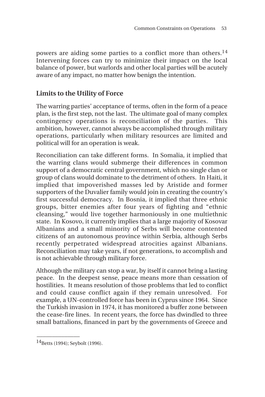powers are aiding some parties to a conflict more than others.<sup>14</sup> Intervening forces can try to minimize their impact on the local balance of power, but warlords and other local parties will be acutely aware of any impact, no matter how benign the intention.

### **Limits to the Utility of Force**

The warring parties' acceptance of terms, often in the form of a peace plan, is the first step, not the last. The ultimate goal of many complex contingency operations is reconciliation of the parties. This ambition, however, cannot always be accomplished through military operations, particularly when military resources are limited and political will for an operation is weak.

Reconciliation can take different forms. In Somalia, it implied that the warring clans would submerge their differences in common support of a democratic central government, which no single clan or group of clans would dominate to the detriment of others. In Haiti, it implied that impoverished masses led by Aristide and former supporters of the Duvalier family would join in creating the country's first successful democracy. In Bosnia, it implied that three ethnic groups, bitter enemies after four years of fighting and "ethnic cleansing," would live together harmoniously in one multiethnic state. In Kosovo, it currently implies that a large majority of Kosovar Albanians and a small minority of Serbs will become contented citizens of an autonomous province within Serbia, although Serbs recently perpetrated widespread atrocities against Albanians. Reconciliation may take years, if not generations, to accomplish and is not achievable through military force.

Although the military can stop a war, by itself it cannot bring a lasting peace. In the deepest sense, peace means more than cessation of hostilities. It means resolution of those problems that led to conflict and could cause conflict again if they remain unresolved. For example, a UN-controlled force has been in Cyprus since 1964. Since the Turkish invasion in 1974, it has monitored a buffer zone between the cease-fire lines. In recent years, the force has dwindled to three small battalions, financed in part by the governments of Greece and

 $14$ Betts (1994); Seybolt (1996).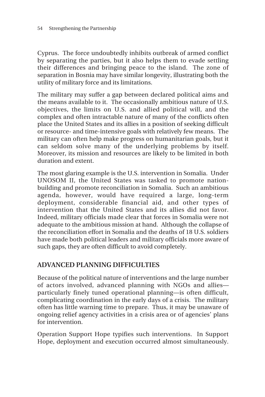Cyprus. The force undoubtedly inhibits outbreak of armed conflict by separating the parties, but it also helps them to evade settling their differences and bringing peace to the island. The zone of separation in Bosnia may have similar longevity, illustrating both the utility of military force and its limitations.

The military may suffer a gap between declared political aims and the means available to it. The occasionally ambitious nature of U.S. objectives, the limits on U.S. and allied political will, and the complex and often intractable nature of many of the conflicts often place the United States and its allies in a position of seeking difficult or resource- and time-intensive goals with relatively few means. The military can often help make progress on humanitarian goals, but it can seldom solve many of the underlying problems by itself. Moreover, its mission and resources are likely to be limited in both duration and extent.

The most glaring example is the U.S. intervention in Somalia. Under UNOSOM II, the United States was tasked to promote nationbuilding and promote reconciliation in Somalia. Such an ambitious agenda, however, would have required a large, long-term deployment, considerable financial aid, and other types of intervention that the United States and its allies did not favor. Indeed, military officials made clear that forces in Somalia were not adequate to the ambitious mission at hand. Although the collapse of the reconciliation effort in Somalia and the deaths of 18 U.S. soldiers have made both political leaders and military officials more aware of such gaps, they are often difficult to avoid completely.

## **ADVANCED PLANNING DIFFICULTIES**

Because of the political nature of interventions and the large number of actors involved, advanced planning with NGOs and allies particularly finely tuned operational planning—is often difficult, complicating coordination in the early days of a crisis. The military often has little warning time to prepare. Thus, it may be unaware of ongoing relief agency activities in a crisis area or of agencies' plans for intervention.

Operation Support Hope typifies such interventions. In Support Hope, deployment and execution occurred almost simultaneously.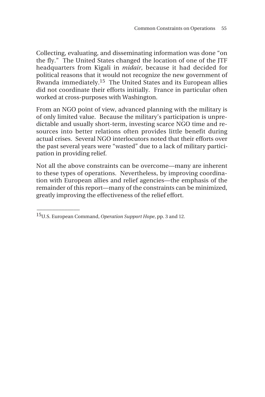Collecting, evaluating, and disseminating information was done "on the fly." The United States changed the location of one of the JTF headquarters from Kigali in *midair*, because it had decided for political reasons that it would not recognize the new government of Rwanda immediately.15 The United States and its European allies did not coordinate their efforts initially. France in particular often worked at cross-purposes with Washington.

From an NGO point of view, advanced planning with the military is of only limited value. Because the military's participation is unpredictable and usually short-term, investing scarce NGO time and resources into better relations often provides little benefit during actual crises. Several NGO interlocutors noted that their efforts over the past several years were "wasted" due to a lack of military participation in providing relief.

Not all the above constraints can be overcome—many are inherent to these types of operations. Nevertheless, by improving coordination with European allies and relief agencies—the emphasis of the remainder of this report—many of the constraints can be minimized, greatly improving the effectiveness of the relief effort.

<sup>15</sup>U.S. European Command, *Operation Support Hope*, pp. 3 and 12.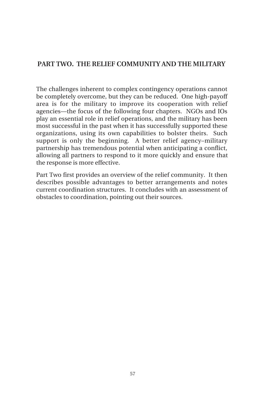### **PART TWO. THE RELIEF COMMUNITY AND THE MILITARY**

The challenges inherent to complex contingency operations cannot be completely overcome, but they can be reduced. One high-payoff area is for the military to improve its cooperation with relief agencies—the focus of the following four chapters. NGOs and IOs play an essential role in relief operations, and the military has been most successful in the past when it has successfully supported these organizations, using its own capabilities to bolster theirs. Such support is only the beginning. A better relief agency–military partnership has tremendous potential when anticipating a conflict, allowing all partners to respond to it more quickly and ensure that the response is more effective.

Part Two first provides an overview of the relief community. It then describes possible advantages to better arrangements and notes current coordination structures. It concludes with an assessment of obstacles to coordination, pointing out their sources.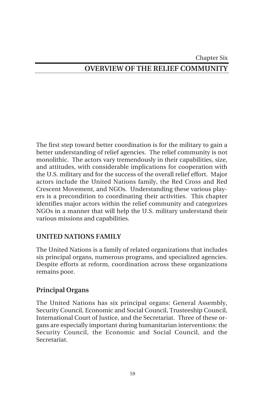#### Chapter Six

## **OVERVIEW OF THE RELIEF COMMUNITY**

The first step toward better coordination is for the military to gain a better understanding of relief agencies. The relief community is not monolithic. The actors vary tremendously in their capabilities, size, and attitudes, with considerable implications for cooperation with the U.S. military and for the success of the overall relief effort. Major actors include the United Nations family, the Red Cross and Red Crescent Movement, and NGOs. Understanding these various players is a precondition to coordinating their activities. This chapter identifies major actors within the relief community and categorizes NGOs in a manner that will help the U.S. military understand their various missions and capabilities.

#### **UNITED NATIONS FAMILY**

The United Nations is a family of related organizations that includes six principal organs, numerous programs, and specialized agencies. Despite efforts at reform, coordination across these organizations remains poor.

#### **Principal Organs**

The United Nations has six principal organs: General Assembly, Security Council, Economic and Social Council, Trusteeship Council, International Court of Justice, and the Secretariat. Three of these organs are especially important during humanitarian interventions: the Security Council, the Economic and Social Council, and the Secretariat.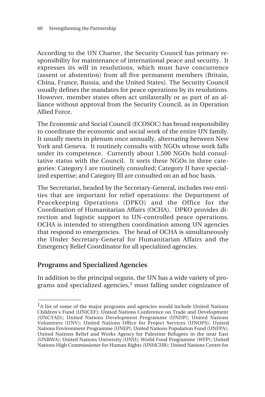According to the UN Charter, the Security Council has primary responsibility for maintenance of international peace and security. It expresses its will in resolutions, which must have concurrence (assent or abstention) from all five permanent members (Britain, China, France, Russia, and the United States). The Security Council usually defines the mandates for peace operations by its resolutions. However, member states often act unilaterally or as part of an alliance without approval from the Security Council, as in Operation Allied Force.

The Economic and Social Council (ECOSOC) has broad responsibility to coordinate the economic and social work of the entire UN family. It usually meets in plenum once annually, alternating between New York and Geneva. It routinely consults with NGOs whose work falls under its competence. Currently about 1,500 NGOs hold consultative status with the Council. It sorts these NGOs in three categories: Category I are routinely consulted; Category II have specialized expertise; and Category III are consulted on an ad hoc basis.

The Secretariat, headed by the Secretary-General, includes two entities that are important for relief operations: the Department of Peacekeeping Operations (DPKO) and the Office for the Coordination of Humanitarian Affairs (OCHA). DPKO provides direction and logistic support to UN-controlled peace operations. OCHA is intended to strengthen coordination among UN agencies that respond to emergencies. The head of OCHA is simultaneously the Under Secretary-General for Humanitarian Affairs and the Emergency Relief Coordinator for all specialized agencies.

#### **Programs and Specialized Agencies**

\_\_\_\_\_\_\_\_\_\_\_\_\_\_

In addition to the principal organs, the UN has a wide variety of programs and specialized agencies,<sup>1</sup> most falling under cognizance of

<sup>&</sup>lt;sup>1</sup>A list of some of the major programs and agencies would include United Nations Children's Fund (UNICEF); United Nations Conference on Trade and Development (UNCTAD); United Nations Development Programme (UNDP); United Nations Volunteers (UNV); United Nations Office for Project Services (UNOPS); United Nations Environment Programme (UNEP); United Nations Population Fund (UNFPA); United Nations Relief and Works Agency for Palestine Refugees in the near East (UNRWA); United Nations University (UNU); World Food Programme (WFP); United Nations High Commissioner for Human Rights (UNHCHR); United Nations Centre for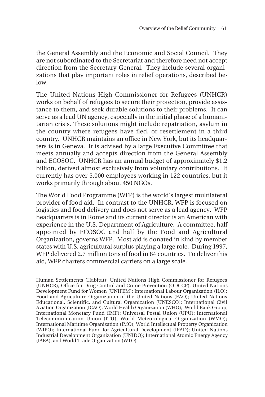the General Assembly and the Economic and Social Council. They are not subordinated to the Secretariat and therefore need not accept direction from the Secretary-General. They include several organizations that play important roles in relief operations, described be- $\log$ 

The United Nations High Commissioner for Refugees (UNHCR) works on behalf of refugees to secure their protection, provide assistance to them, and seek durable solutions to their problems. It can serve as a lead UN agency, especially in the initial phase of a humanitarian crisis. These solutions might include repatriation, asylum in the country where refugees have fled, or resettlement in a third country. UNHCR maintains an office in New York, but its headquarters is in Geneva. It is advised by a large Executive Committee that meets annually and accepts direction from the General Assembly and ECOSOC. UNHCR has an annual budget of approximately \$1.2 billion, derived almost exclusively from voluntary contributions. It currently has over 5,000 employees working in 122 countries, but it works primarily through about 450 NGOs.

The World Food Programme (WFP) is the world's largest multilateral provider of food aid. In contrast to the UNHCR, WFP is focused on logistics and food delivery and does not serve as a lead agency. WFP headquarters is in Rome and its current director is an American with experience in the U.S. Department of Agriculture. A committee, half appointed by ECOSOC and half by the Food and Agricultural Organization, governs WFP. Most aid is donated in kind by member states with U.S. agricultural surplus playing a large role. During 1997, WFP delivered 2.7 million tons of food in 84 countries. To deliver this aid, WFP charters commercial carriers on a large scale.

**\_\_\_\_\_\_\_\_\_\_\_\_\_\_\_\_\_\_\_\_\_\_\_\_\_\_\_\_\_\_\_\_\_\_\_\_\_\_\_\_\_\_\_\_\_\_\_\_\_\_\_\_\_\_\_\_\_\_\_\_\_\_**

Human Settlements (Habitat); United Nations High Commissioner for Refugees (UNHCR); Office for Drug Control and Crime Prevention (ODCCP); United Nations Development Fund for Women (UNIFEM); International Labour Organization (ILO); Food and Agriculture Organization of the United Nations (FAO); United Nations Educational, Scientific, and Cultural Organization (UNESCO); International Civil Aviation Organization (ICAO); World Health Organization (WHO); World Bank Group; International Monetary Fund (IMF); Universal Postal Union (UPU); International Telecommunication Union (ITU); World Meteorological Organization (WMO); International Maritime Organization (IMO); World Intellectual Property Organization (WIPO); International Fund for Agricultural Development (IFAD); United Nations Industrial Development Organization (UNIDO); International Atomic Energy Agency (IAEA); and World Trade Organization (WTO).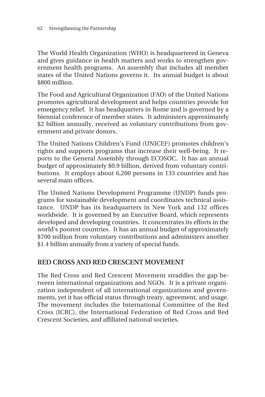The World Health Organization (WHO) is headquartered in Geneva and gives guidance in health matters and works to strengthen government health programs. An assembly that includes all member states of the United Nations governs it. Its annual budget is about \$800 million.

The Food and Agricultural Organization (FAO) of the United Nations promotes agricultural development and helps countries provide for emergency relief. It has headquarters in Rome and is governed by a biennial conference of member states. It administers approximately \$2 billion annually, received as voluntary contributions from government and private donors.

The United Nations Children's Fund (UNICEF) promotes children's rights and supports programs that increase their well-being. It reports to the General Assembly through ECOSOC. It has an annual budget of approximately \$0.9 billion, derived from voluntary contributions. It employs about 6,200 persons in 133 countries and has several main offices.

The United Nations Development Programme (UNDP) funds programs for sustainable development and coordinates technical assistance. UNDP has its headquarters in New York and 132 offices worldwide. It is governed by an Executive Board, which represents developed and developing countries. It concentrates its efforts in the world's poorest countries. It has an annual budget of approximately \$700 million from voluntary contributions and administers another \$1.4 billion annually from a variety of special funds.

#### **RED CROSS AND RED CRESCENT MOVEMENT**

The Red Cross and Red Crescent Movement straddles the gap between international organizations and NGOs. It is a private organization independent of all international organizations and governments, yet it has official status through treaty, agreement, and usage. The movement includes the International Committee of the Red Cross (ICRC), the International Federation of Red Cross and Red Crescent Societies, and affiliated national societies.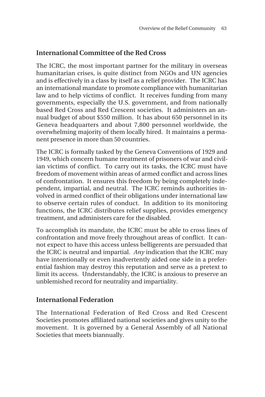## **International Committee of the Red Cross**

The ICRC, the most important partner for the military in overseas humanitarian crises, is quite distinct from NGOs and UN agencies and is effectively in a class by itself as a relief provider. The ICRC has an international mandate to promote compliance with humanitarian law and to help victims of conflict. It receives funding from many governments, especially the U.S. government, and from nationally based Red Cross and Red Crescent societies. It administers an annual budget of about \$550 million. It has about 650 personnel in its Geneva headquarters and about 7,800 personnel worldwide, the overwhelming majority of them locally hired. It maintains a permanent presence in more than 50 countries.

The ICRC is formally tasked by the Geneva Conventions of 1929 and 1949, which concern humane treatment of prisoners of war and civilian victims of conflict. To carry out its tasks, the ICRC must have freedom of movement within areas of armed conflict and across lines of confrontation. It ensures this freedom by being completely independent, impartial, and neutral. The ICRC reminds authorities involved in armed conflict of their obligations under international law to observe certain rules of conduct. In addition to its monitoring functions, the ICRC distributes relief supplies, provides emergency treatment, and administers care for the disabled.

To accomplish its mandate, the ICRC must be able to cross lines of confrontation and move freely throughout areas of conflict. It cannot expect to have this access unless belligerents are persuaded that the ICRC is neutral and impartial. *Any* indication that the ICRC may have intentionally or even inadvertently aided one side in a preferential fashion may destroy this reputation and serve as a pretext to limit its access. Understandably, the ICRC is anxious to preserve an unblemished record for neutrality and impartiality.

#### **International Federation**

The International Federation of Red Cross and Red Crescent Societies promotes affiliated national societies and gives unity to the movement. It is governed by a General Assembly of all National Societies that meets biannually.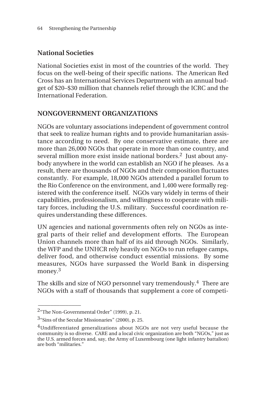## **National Societies**

National Societies exist in most of the countries of the world. They focus on the well-being of their specific nations. The American Red Cross has an International Services Department with an annual budget of \$20–\$30 million that channels relief through the ICRC and the International Federation.

#### **NONGOVERNMENT ORGANIZATIONS**

NGOs are voluntary associations independent of government control that seek to realize human rights and to provide humanitarian assistance according to need. By one conservative estimate, there are more than 26,000 NGOs that operate in more than one country, and several million more exist inside national borders.<sup>2</sup> Just about anybody anywhere in the world can establish an NGO if he pleases. As a result, there are thousands of NGOs and their composition fluctuates constantly. For example, 18,000 NGOs attended a parallel forum to the Rio Conference on the environment, and 1,400 were formally registered with the conference itself. NGOs vary widely in terms of their capabilities, professionalism, and willingness to cooperate with military forces, including the U.S. military. Successful coordination requires understanding these differences.

UN agencies and national governments often rely on NGOs as integral parts of their relief and development efforts. The European Union channels more than half of its aid through NGOs. Similarly, the WFP and the UNHCR rely heavily on NGOs to run refugee camps, deliver food, and otherwise conduct essential missions. By some measures, NGOs have surpassed the World Bank in dispersing money.<sup>3</sup>

The skills and size of NGO personnel vary tremendously.<sup>4</sup> There are NGOs with a staff of thousands that supplement a core of competi-

\_\_\_\_\_\_\_\_\_\_\_\_\_\_

<sup>2&</sup>quot;The Non-Governmental Order" (1999), p. 21.

 $3<sup>a</sup>$ Sins of the Secular Missionaries" (2000), p. 25.

<sup>&</sup>lt;sup>4</sup>Undifferentiated generalizations about NGOs are not very useful because the community is so diverse. CARE and a local civic organization are both "NGOs," just as the U.S. armed forces and, say, the Army of Luxembourg (one light infantry battalion) are both "militaries."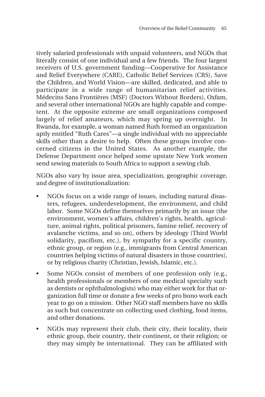tively salaried professionals with unpaid volunteers, and NGOs that literally consist of one individual and a few friends. The four largest receivers of U.S. government funding—Cooperative for Assistance and Relief Everywhere (CARE), Catholic Relief Services (CRS), Save the Children, and World Vision—are skilled, dedicated, and able to participate in a wide range of humanitarian relief activities. Médecins Sans Frontières (MSF) (Doctors Without Borders), Oxfam, and several other international NGOs are highly capable and competent. At the opposite extreme are small organizations composed largely of relief amateurs, which may spring up overnight. In Rwanda, for example, a woman named Ruth formed an organization aptly entitled "Ruth Cares"—a single individual with no appreciable skills other than a desire to help. Often these groups involve concerned citizens in the United States. As another example, the Defense Department once helped some upstate New York women send sewing materials to South Africa to support a sewing club.

NGOs also vary by issue area, specialization, geographic coverage, and degree of institutionalization:

- NGOs focus on a wide range of issues, including natural disasters, refugees, underdevelopment, the environment, and child labor. Some NGOs define themselves primarily by an issue (the environment, women's affairs, children's rights, health, agriculture, animal rights, political prisoners, famine relief, recovery of avalanche victims, and so on), others by ideology (Third World solidarity, pacifism, etc.), by sympathy for a specific country, ethnic group, or region (e.g., immigrants from Central American countries helping victims of natural disasters in those countries), or by religious charity (Christian, Jewish, Islamic, etc.).
- Some NGOs consist of members of one profession only (e.g., health professionals or members of one medical specialty such as dentists or ophthalmologists) who may either work for that organization full time or donate a few weeks of pro bono work each year to go on a mission. Other NGO staff members have no skills as such but concentrate on collecting used clothing, food items, and other donations.
- NGOs may represent their club, their city, their locality, their ethnic group, their country, their continent, or their religion; or they may simply be international. They can be affiliated with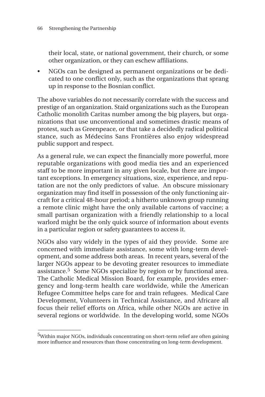their local, state, or national government, their church, or some other organization, or they can eschew affiliations.

• NGOs can be designed as permanent organizations or be dedicated to one conflict only, such as the organizations that sprang up in response to the Bosnian conflict.

The above variables do not necessarily correlate with the success and prestige of an organization. Staid organizations such as the European Catholic monolith Caritas number among the big players, but organizations that use unconventional and sometimes drastic means of protest, such as Greenpeace, or that take a decidedly radical political stance, such as Médecins Sans Frontières also enjoy widespread public support and respect.

As a general rule, we can expect the financially more powerful, more reputable organizations with good media ties and an experienced staff to be more important in any given locale, but there are important exceptions. In emergency situations, size, experience, and reputation are not the only predictors of value. An obscure missionary organization may find itself in possession of the only functioning aircraft for a critical 48-hour period; a hitherto unknown group running a remote clinic might have the only available cartons of vaccine; a small partisan organization with a friendly relationship to a local warlord might be the only quick source of information about events in a particular region or safety guarantees to access it.

NGOs also vary widely in the types of aid they provide. Some are concerned with immediate assistance, some with long-term development, and some address both areas. In recent years, several of the larger NGOs appear to be devoting greater resources to immediate assistance.5 Some NGOs specialize by region or by functional area. The Catholic Medical Mission Board, for example, provides emergency and long-term health care worldwide, while the American Refugee Committee helps care for and train refugees. Medical Care Development, Volunteers in Technical Assistance, and Africare all focus their relief efforts on Africa, while other NGOs are active in several regions or worldwide. In the developing world, some NGOs

<sup>&</sup>lt;sup>5</sup>Within major NGOs, individuals concentrating on short-term relief are often gaining more influence and resources than those concentrating on long-term development.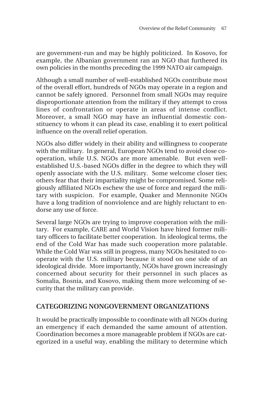are government-run and may be highly politicized. In Kosovo, for example, the Albanian government ran an NGO that furthered its own policies in the months preceding the 1999 NATO air campaign.

Although a small number of well-established NGOs contribute most of the overall effort, hundreds of NGOs may operate in a region and cannot be safely ignored. Personnel from small NGOs may require disproportionate attention from the military if they attempt to cross lines of confrontation or operate in areas of intense conflict. Moreover, a small NGO may have an influential domestic constituency to whom it can plead its case, enabling it to exert political influence on the overall relief operation.

NGOs also differ widely in their ability and willingness to cooperate with the military. In general, European NGOs tend to avoid close cooperation, while U.S. NGOs are more amenable. But even wellestablished U.S.-based NGOs differ in the degree to which they will openly associate with the U.S. military. Some welcome closer ties; others fear that their impartiality might be compromised. Some religiously affiliated NGOs eschew the use of force and regard the military with suspicion. For example, Quaker and Mennonite NGOs have a long tradition of nonviolence and are highly reluctant to endorse any use of force.

Several large NGOs are trying to improve cooperation with the military. For example, CARE and World Vision have hired former military officers to facilitate better cooperation. In ideological terms, the end of the Cold War has made such cooperation more palatable. While the Cold War was still in progress, many NGOs hesitated to cooperate with the U.S. military because it stood on one side of an ideological divide. More importantly, NGOs have grown increasingly concerned about security for their personnel in such places as Somalia, Bosnia, and Kosovo, making them more welcoming of security that the military can provide.

#### **CATEGORIZING NONGOVERNMENT ORGANIZATIONS**

It would be practically impossible to coordinate with all NGOs during an emergency if each demanded the same amount of attention. Coordination becomes a more manageable problem if NGOs are categorized in a useful way, enabling the military to determine which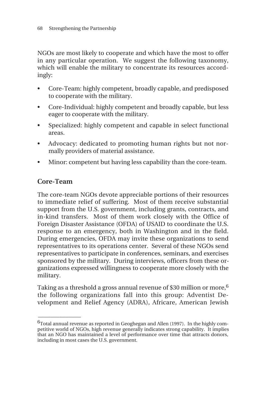NGOs are most likely to cooperate and which have the most to offer in any particular operation. We suggest the following taxonomy, which will enable the military to concentrate its resources accordingly:

- Core-Team: highly competent, broadly capable, and predisposed to cooperate with the military.
- Core-Individual: highly competent and broadly capable, but less eager to cooperate with the military.
- Specialized: highly competent and capable in select functional areas.
- Advocacy: dedicated to promoting human rights but not normally providers of material assistance.
- Minor: competent but having less capability than the core-team.

## **Core-Team**

\_\_\_\_\_\_\_\_\_\_\_\_\_\_

The core-team NGOs devote appreciable portions of their resources to immediate relief of suffering. Most of them receive substantial support from the U.S. government, including grants, contracts, and in-kind transfers. Most of them work closely with the Office of Foreign Disaster Assistance (OFDA) of USAID to coordinate the U.S. response to an emergency, both in Washington and in the field. During emergencies, OFDA may invite these organizations to send representatives to its operations center. Several of these NGOs send representatives to participate in conferences, seminars, and exercises sponsored by the military. During interviews, officers from these organizations expressed willingness to cooperate more closely with the military.

Taking as a threshold a gross annual revenue of \$30 million or more,  $6\overline{6}$ the following organizations fall into this group: Adventist Development and Relief Agency (ADRA), Africare, American Jewish

 $6$ Total annual revenue as reported in Geoghegan and Allen (1997). In the highly competitive world of NGOs, high revenue generally indicates strong capability. It implies that an NGO has maintained a level of performance over time that attracts donors, including in most cases the U.S. government.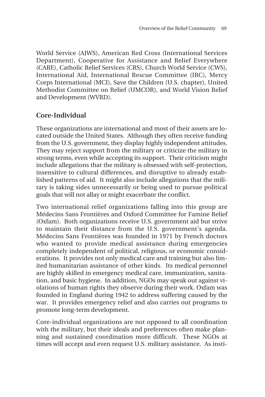World Service (AJWS), American Red Cross (International Services Department), Cooperative for Assistance and Relief Everywhere (CARE), Catholic Relief Services (CRS), Church World Service (CWS), International Aid, International Rescue Committee (IRC), Mercy Corps International (MCI), Save the Children (U.S. chapter), United Methodist Committee on Relief (UMCOR), and World Vision Relief and Development (WVRD).

#### **Core-Individual**

These organizations are international and most of their assets are located outside the United States. Although they often receive funding from the U.S. government, they display highly independent attitudes. They may reject support from the military or criticize the military in strong terms, even while accepting its support. Their criticism might include allegations that the military is obsessed with self-protection, insensitive to cultural differences, and disruptive to already established patterns of aid. It might also include allegations that the military is taking sides unnecessarily or being used to pursue political goals that will not allay or might exacerbate the conflict.

Two international relief organizations falling into this group are Médecins Sans Frontières and Oxford Committee for Famine Relief (Oxfam). Both organizations receive U.S. government aid but strive to maintain their distance from the U.S. government's agenda. Médecins Sans Frontières was founded in 1971 by French doctors who wanted to provide medical assistance during emergencies completely independent of political, religious, or economic considerations. It provides not only medical care and training but also limited humanitarian assistance of other kinds. Its medical personnel are highly skilled in emergency medical care, immunization, sanitation, and basic hygiene. In addition, NGOs may speak out against violations of human rights they observe during their work. Oxfam was founded in England during 1942 to address suffering caused by the war. It provides emergency relief and also carries out programs to promote long-term development.

Core-individual organizations are not opposed to all coordination with the military, but their ideals and preferences often make planning and sustained coordination more difficult. These NGOs at times will accept and even request U.S. military assistance. As insti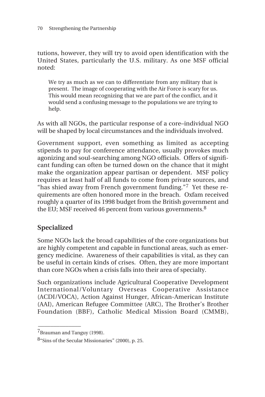tutions, however, they will try to avoid open identification with the United States, particularly the U.S. military. As one MSF official noted:

We try as much as we can to differentiate from any military that is present. The image of cooperating with the Air Force is scary for us. This would mean recognizing that we are part of the conflict, and it would send a confusing message to the populations we are trying to help.

As with all NGOs, the particular response of a core–individual NGO will be shaped by local circumstances and the individuals involved.

Government support, even something as limited as accepting stipends to pay for conference attendance, usually provokes much agonizing and soul-searching among NGO officials. Offers of significant funding can often be turned down on the chance that it might make the organization appear partisan or dependent. MSF policy requires at least half of all funds to come from private sources, and "has shied away from French government funding."<sup>7</sup> Yet these requirements are often honored more in the breach. Oxfam received roughly a quarter of its 1998 budget from the British government and the EU; MSF received 46 percent from various governments.<sup>8</sup>

## **Specialized**

Some NGOs lack the broad capabilities of the core organizations but are highly competent and capable in functional areas, such as emergency medicine. Awareness of their capabilities is vital, as they can be useful in certain kinds of crises. Often, they are more important than core NGOs when a crisis falls into their area of specialty.

Such organizations include Agricultural Cooperative Development International/Voluntary Overseas Cooperative Assistance (ACDI/VOCA), Action Against Hunger, African-American Institute (AAI), American Refugee Committee (ARC), The Brother's Brother Foundation (BBF), Catholic Medical Mission Board (CMMB),

\_\_\_\_\_\_\_\_\_\_\_\_\_\_

<sup>&</sup>lt;sup>7</sup>Brauman and Tanguy (1998).

<sup>8&</sup>quot;Sins of the Secular Missionaries" (2000), p. 25.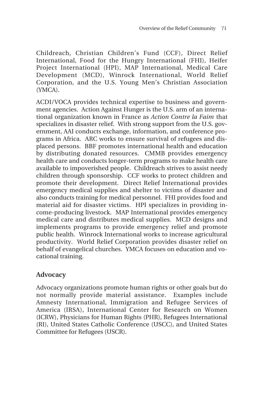Childreach, Christian Children's Fund (CCF), Direct Relief International, Food for the Hungry International (FHI), Heifer Project International (HPI), MAP International, Medical Care Development (MCD), Winrock International, World Relief Corporation, and the U.S. Young Men's Christian Association (YMCA).

ACDI/VOCA provides technical expertise to business and government agencies. Action Against Hunger is the U.S. arm of an international organization known in France as *Action Contre la Faim* that specializes in disaster relief. With strong support from the U.S. government, AAI conducts exchange, information, and conference programs in Africa. ARC works to ensure survival of refugees and displaced persons. BBF promotes international health and education by distributing donated resources. CMMB provides emergency health care and conducts longer-term programs to make health care available to impoverished people. Childreach strives to assist needy children through sponsorship. CCF works to protect children and promote their development. Direct Relief International provides emergency medical supplies and shelter to victims of disaster and also conducts training for medical personnel. FHI provides food and material aid for disaster victims. HPI specializes in providing income-producing livestock. MAP International provides emergency medical care and distributes medical supplies. MCD designs and implements programs to provide emergency relief and promote public health. Winrock International works to increase agricultural productivity. World Relief Corporation provides disaster relief on behalf of evangelical churches. YMCA focuses on education and vocational training.

## **Advocacy**

Advocacy organizations promote human rights or other goals but do not normally provide material assistance. Examples include Amnesty International, Immigration and Refugee Services of America (IRSA), International Center for Research on Women (ICRW), Physicians for Human Rights (PHR), Refugees International (RI), United States Catholic Conference (USCC), and United States Committee for Refugees (USCR).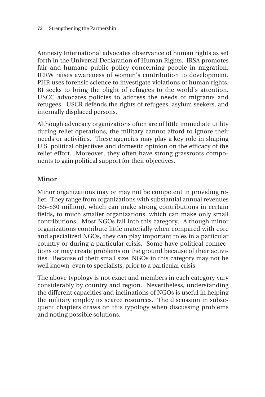Amnesty International advocates observance of human rights as set forth in the Universal Declaration of Human Rights. IRSA promotes fair and humane public policy concerning people in migration. ICRW raises awareness of women's contribution to development. PHR uses forensic science to investigate violations of human rights. RI seeks to bring the plight of refugees to the world's attention. USCC advocates policies to address the needs of migrants and refugees. USCR defends the rights of refugees, asylum seekers, and internally displaced persons.

Although advocacy organizations often are of little immediate utility during relief operations, the military cannot afford to ignore their needs or activities. These agencies may play a key role in shaping U.S. political objectives and domestic opinion on the efficacy of the relief effort. Moreover, they often have strong grassroots components to gain political support for their objectives.

## **Minor**

Minor organizations may or may not be competent in providing relief. They range from organizations with substantial annual revenues (\$5–\$30 million), which can make strong contributions in certain fields, to much smaller organizations, which can make only small contributions. Most NGOs fall into this category. Although minor organizations contribute little materially when compared with core and specialized NGOs, they can play important roles in a particular country or during a particular crisis. Some have political connections or may create problems on the ground because of their activities. Because of their small size, NGOs in this category may not be well known, even to specialists, prior to a particular crisis.

The above typology is not exact and members in each category vary considerably by country and region. Nevertheless, understanding the different capacities and inclinations of NGOs is useful in helping the military employ its scarce resources. The discussion in subsequent chapters draws on this typology when discussing problems and noting possible solutions.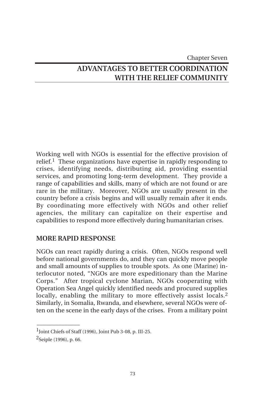Chapter Seven

# **ADVANTAGES TO BETTER COORDINATION WITH THE RELIEF COMMUNITY**

Working well with NGOs is essential for the effective provision of relief.<sup>1</sup> These organizations have expertise in rapidly responding to crises, identifying needs, distributing aid, providing essential services, and promoting long-term development. They provide a range of capabilities and skills, many of which are not found or are rare in the military. Moreover, NGOs are usually present in the country before a crisis begins and will usually remain after it ends. By coordinating more effectively with NGOs and other relief agencies, the military can capitalize on their expertise and capabilities to respond more effectively during humanitarian crises.

#### **MORE RAPID RESPONSE**

NGOs can react rapidly during a crisis. Often, NGOs respond well before national governments do, and they can quickly move people and small amounts of supplies to trouble spots. As one (Marine) interlocutor noted, "NGOs are more expeditionary than the Marine Corps." After tropical cyclone Marian, NGOs cooperating with Operation Sea Angel quickly identified needs and procured supplies locally, enabling the military to more effectively assist locals.<sup>2</sup> Similarly, in Somalia, Rwanda, and elsewhere, several NGOs were often on the scene in the early days of the crises. From a military point

 $1$ Joint Chiefs of Staff (1996), Joint Pub 3-08, p. III-25.

<sup>2</sup>Seiple (1996), p. 66.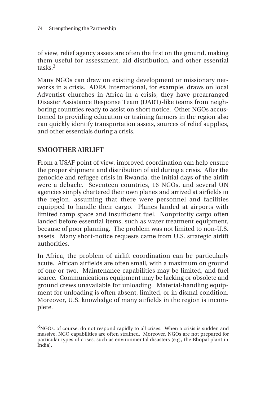of view, relief agency assets are often the first on the ground, making them useful for assessment, aid distribution, and other essential tasks.3

Many NGOs can draw on existing development or missionary networks in a crisis. ADRA International, for example, draws on local Adventist churches in Africa in a crisis; they have prearranged Disaster Assistance Response Team (DART)-like teams from neighboring countries ready to assist on short notice. Other NGOs accustomed to providing education or training farmers in the region also can quickly identify transportation assets, sources of relief supplies, and other essentials during a crisis.

### **SMOOTHER AIRLIFT**

\_\_\_\_\_\_\_\_\_\_\_\_\_\_

From a USAF point of view, improved coordination can help ensure the proper shipment and distribution of aid during a crisis. After the genocide and refugee crisis in Rwanda, the initial days of the airlift were a debacle. Seventeen countries, 16 NGOs, and several UN agencies simply chartered their own planes and arrived at airfields in the region, assuming that there were personnel and facilities equipped to handle their cargo. Planes landed at airports with limited ramp space and insufficient fuel. Nonpriority cargo often landed before essential items, such as water treatment equipment, because of poor planning. The problem was not limited to non-U.S. assets. Many short-notice requests came from U.S. strategic airlift authorities.

In Africa, the problem of airlift coordination can be particularly acute. African airfields are often small, with a maximum on ground of one or two. Maintenance capabilities may be limited, and fuel scarce. Communications equipment may be lacking or obsolete and ground crews unavailable for unloading. Material-handling equipment for unloading is often absent, limited, or in dismal condition. Moreover, U.S. knowledge of many airfields in the region is incomplete.

<sup>&</sup>lt;sup>3</sup>NGOs, of course, do not respond rapidly to all crises. When a crisis is sudden and massive, NGO capabilities are often strained. Moreover, NGOs are not prepared for particular types of crises, such as environmental disasters (e.g., the Bhopal plant in India).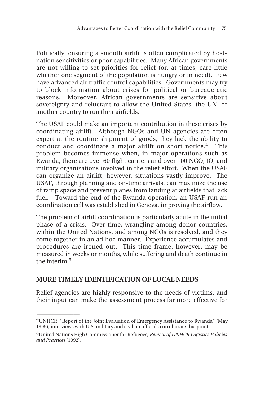Politically, ensuring a smooth airlift is often complicated by hostnation sensitivities or poor capabilities. Many African governments are not willing to set priorities for relief (or, at times, care little whether one segment of the population is hungry or in need). Few have advanced air traffic control capabilities. Governments may try to block information about crises for political or bureaucratic reasons. Moreover, African governments are sensitive about sovereignty and reluctant to allow the United States, the UN, or another country to run their airfields.

The USAF could make an important contribution in these crises by coordinating airlift. Although NGOs and UN agencies are often expert at the routine shipment of goods, they lack the ability to conduct and coordinate a major airlift on short notice. $4$  This problem becomes immense when, in major operations such as Rwanda, there are over 60 flight carriers and over 100 NGO, IO, and military organizations involved in the relief effort. When the USAF can organize an airlift, however, situations vastly improve. The USAF, through planning and on-time arrivals, can maximize the use of ramp space and prevent planes from landing at airfields that lack fuel. Toward the end of the Rwanda operation, an USAF-run air coordination cell was established in Geneva, improving the airflow.

The problem of airlift coordination is particularly acute in the initial phase of a crisis. Over time, wrangling among donor countries, within the United Nations, and among NGOs is resolved, and they come together in an ad hoc manner. Experience accumulates and procedures are ironed out. This time frame, however, may be measured in weeks or months, while suffering and death continue in the interim  $5$ 

#### **MORE TIMELY IDENTIFICATION OF LOCAL NEEDS**

 $\overline{\phantom{a}}$ 

Relief agencies are highly responsive to the needs of victims, and their input can make the assessment process far more effective for

 $^4$ UNHCR, "Report of the Joint Evaluation of Emergency Assistance to Rwanda" (May 1999); interviews with U.S. military and civilian officials corroborate this point.

<sup>5</sup>United Nations High Commissioner for Refugees*, Review of UNHCR Logistics Policies and Practices* (1992).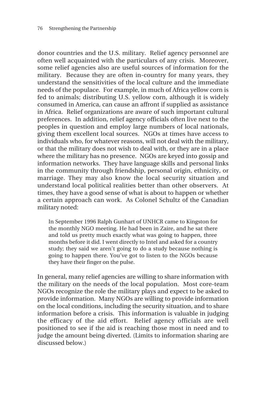donor countries and the U.S. military. Relief agency personnel are often well acquainted with the particulars of any crisis. Moreover, some relief agencies also are useful sources of information for the military. Because they are often in-country for many years, they understand the sensitivities of the local culture and the immediate needs of the populace. For example, in much of Africa yellow corn is fed to animals; distributing U.S. yellow corn, although it is widely consumed in America, can cause an affront if supplied as assistance in Africa. Relief organizations are aware of such important cultural preferences. In addition, relief agency officials often live next to the peoples in question and employ large numbers of local nationals, giving them excellent local sources. NGOs at times have access to individuals who, for whatever reasons, will not deal with the military, or that the military does not wish to deal with, or they are in a place where the military has no presence. NGOs are keyed into gossip and information networks. They have language skills and personal links in the community through friendship, personal origin, ethnicity, or marriage. They may also know the local security situation and understand local political realities better than other observers. At times, they have a good sense of what is about to happen or whether a certain approach can work. As Colonel Schultz of the Canadian military noted:

In September 1996 Ralph Gunhart of UNHCR came to Kingston for the monthly NGO meeting. He had been in Zaire, and he sat there and told us pretty much exactly what was going to happen, three months before it did. I went directly to Intel and asked for a country study; they said we aren't going to do a study because nothing is going to happen there. You've got to listen to the NGOs because they have their finger on the pulse.

In general, many relief agencies are willing to share information with the military on the needs of the local population. Most core-team NGOs recognize the role the military plays and expect to be asked to provide information. Many NGOs are willing to provide information on the local conditions, including the security situation, and to share information before a crisis. This information is valuable in judging the efficacy of the aid effort. Relief agency officials are well positioned to see if the aid is reaching those most in need and to judge the amount being diverted. (Limits to information sharing are discussed below.)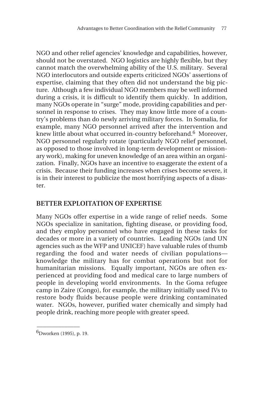NGO and other relief agencies' knowledge and capabilities, however, should not be overstated. NGO logistics are highly flexible, but they cannot match the overwhelming ability of the U.S. military. Several NGO interlocutors and outside experts criticized NGOs' assertions of expertise, claiming that they often did not understand the big picture. Although a few individual NGO members may be well informed during a crisis, it is difficult to identify them quickly. In addition, many NGOs operate in "surge" mode, providing capabilities and personnel in response to crises. They may know little more of a country's problems than do newly arriving military forces. In Somalia, for example, many NGO personnel arrived after the intervention and knew little about what occurred in-country beforehand.<sup>6</sup> Moreover, NGO personnel regularly rotate (particularly NGO relief personnel, as opposed to those involved in long-term development or missionary work), making for uneven knowledge of an area within an organization. Finally, NGOs have an incentive to exaggerate the extent of a crisis. Because their funding increases when crises become severe, it is in their interest to publicize the most horrifying aspects of a disaster.

#### **BETTER EXPLOITATION OF EXPERTISE**

Many NGOs offer expertise in a wide range of relief needs. Some NGOs specialize in sanitation, fighting disease, or providing food, and they employ personnel who have engaged in these tasks for decades or more in a variety of countries. Leading NGOs (and UN agencies such as the WFP and UNICEF) have valuable rules of thumb regarding the food and water needs of civilian populations knowledge the military has for combat operations but not for humanitarian missions. Equally important, NGOs are often experienced at providing food and medical care to large numbers of people in developing world environments. In the Goma refugee camp in Zaire (Congo), for example, the military initially used IVs to restore body fluids because people were drinking contaminated water. NGOs, however, purified water chemically and simply had people drink, reaching more people with greater speed.

 $\overline{\phantom{a}}$ 6Dworken (1995), p. 19.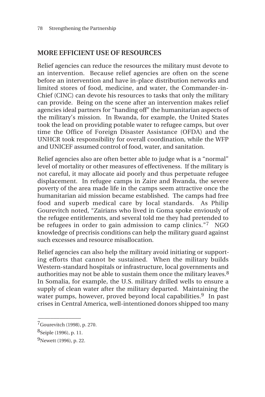# **MORE EFFICIENT USE OF RESOURCES**

Relief agencies can reduce the resources the military must devote to an intervention. Because relief agencies are often on the scene before an intervention and have in-place distribution networks and limited stores of food, medicine, and water, the Commander-in-Chief (CINC) can devote his resources to tasks that only the military can provide. Being on the scene after an intervention makes relief agencies ideal partners for "handing off" the humanitarian aspects of the military's mission. In Rwanda, for example, the United States took the lead on providing potable water to refugee camps, but over time the Office of Foreign Disaster Assistance (OFDA) and the UNHCR took responsibility for overall coordination, while the WFP and UNICEF assumed control of food, water, and sanitation.

Relief agencies also are often better able to judge what is a "normal" level of mortality or other measures of effectiveness. If the military is not careful, it may allocate aid poorly and thus perpetuate refugee displacement. In refugee camps in Zaire and Rwanda, the severe poverty of the area made life in the camps seem attractive once the humanitarian aid mission became established. The camps had free food and superb medical care by local standards. As Philip Gourevitch noted, "Zairians who lived in Goma spoke enviously of the refugee entitlements, and several told me they had pretended to be refugees in order to gain admission to camp clinics."<sup>7</sup> NGO knowledge of precrisis conditions can help the military guard against such excesses and resource misallocation.

Relief agencies can also help the military avoid initiating or supporting efforts that cannot be sustained. When the military builds Western-standard hospitals or infrastructure, local governments and authorities may not be able to sustain them once the military leaves.<sup>8</sup> In Somalia, for example, the U.S. military drilled wells to ensure a supply of clean water after the military departed. Maintaining the water pumps, however, proved beyond local capabilities.<sup>9</sup> In past crises in Central America, well-intentioned donors shipped too many

\_\_\_\_\_\_\_\_\_\_\_\_\_\_

<sup>7</sup>Gourevitch (1998), p. 270.

<sup>8</sup>Seiple (1996), p. 11.

<sup>9</sup>Newett (1996), p. 22.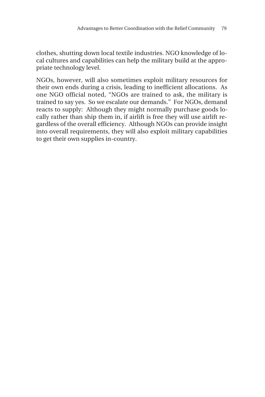clothes, shutting down local textile industries. NGO knowledge of local cultures and capabilities can help the military build at the appropriate technology level.

NGOs, however, will also sometimes exploit military resources for their own ends during a crisis, leading to inefficient allocations. As one NGO official noted, "NGOs are trained to ask, the military is trained to say yes. So we escalate our demands." For NGOs, demand reacts to supply: Although they might normally purchase goods locally rather than ship them in, if airlift is free they will use airlift regardless of the overall efficiency. Although NGOs can provide insight into overall requirements, they will also exploit military capabilities to get their own supplies in-country.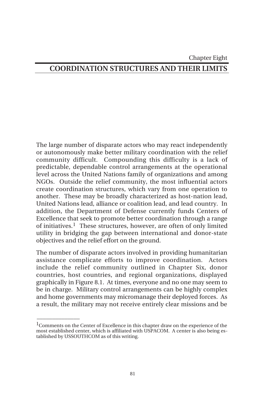#### Chapter Eight

# **COORDINATION STRUCTURES AND THEIR LIMITS**

The large number of disparate actors who may react independently or autonomously make better military coordination with the relief community difficult. Compounding this difficulty is a lack of predictable, dependable control arrangements at the operational level across the United Nations family of organizations and among NGOs. Outside the relief community, the most influential actors create coordination structures, which vary from one operation to another. These may be broadly characterized as host-nation lead, United Nations lead, alliance or coalition lead, and lead country. In addition, the Department of Defense currently funds Centers of Excellence that seek to promote better coordination through a range of initiatives.1 These structures, however, are often of only limited utility in bridging the gap between international and donor-state objectives and the relief effort on the ground.

The number of disparate actors involved in providing humanitarian assistance complicate efforts to improve coordination. Actors include the relief community outlined in Chapter Six, donor countries, host countries, and regional organizations, displayed graphically in Figure 8.1. At times, everyone and no one may seem to be in charge. Military control arrangements can be highly complex and home governments may micromanage their deployed forces. As a result, the military may not receive entirely clear missions and be

 $\overline{\phantom{a}}$ 

<sup>1</sup>Comments on the Center of Excellence in this chapter draw on the experience of the most established center, which is affiliated with USPACOM. A center is also being established by USSOUTHCOM as of this writing.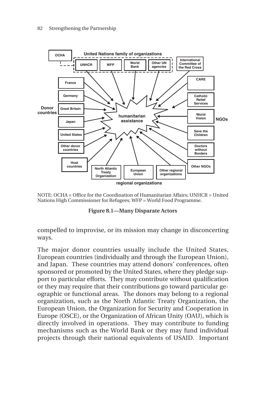

NOTE: OCHA = Office for the Coordination of Humanitarian Affairs; UNHCR = United Nations High Commissioner for Refugees; WFP = World Food Programme.

|  |  | Figure 8.1-Many Disparate Actors |
|--|--|----------------------------------|
|--|--|----------------------------------|

compelled to improvise, or its mission may change in disconcerting ways.

The major donor countries usually include the United States, European countries (individually and through the European Union), and Japan. These countries may attend donors' conferences, often sponsored or promoted by the United States, where they pledge support to particular efforts. They may contribute without qualification or they may require that their contributions go toward particular geographic or functional areas. The donors may belong to a regional organization, such as the North Atlantic Treaty Organization, the European Union, the Organization for Security and Cooperation in Europe (OSCE), or the Organization of African Unity (OAU), which is directly involved in operations. They may contribute to funding mechanisms such as the World Bank or they may fund individual projects through their national equivalents of USAID. Important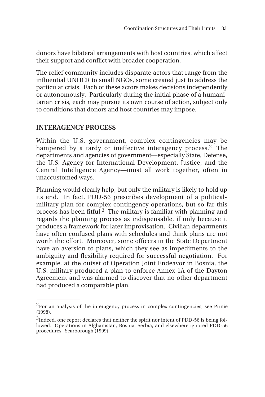donors have bilateral arrangements with host countries, which affect their support and conflict with broader cooperation.

The relief community includes disparate actors that range from the influential UNHCR to small NGOs, some created just to address the particular crisis. Each of these actors makes decisions independently or autonomously. Particularly during the initial phase of a humanitarian crisis, each may pursue its own course of action, subject only to conditions that donors and host countries may impose.

#### **INTERAGENCY PROCESS**

 $\overline{\phantom{a}}$ 

Within the U.S. government, complex contingencies may be hampered by a tardy or ineffective interagency process.2 The departments and agencies of government—especially State, Defense, the U.S. Agency for International Development, Justice, and the Central Intelligence Agency—must all work together, often in unaccustomed ways.

Planning would clearly help, but only the military is likely to hold up its end. In fact, PDD-56 prescribes development of a politicalmilitary plan for complex contingency operations, but so far this process has been fitful.3 The military is familiar with planning and regards the planning process as indispensable, if only because it produces a framework for later improvisation. Civilian departments have often confused plans with schedules and think plans are not worth the effort. Moreover, some officers in the State Department have an aversion to plans, which they see as impediments to the ambiguity and flexibility required for successful negotiation. For example, at the outset of Operation Joint Endeavor in Bosnia, the U.S. military produced a plan to enforce Annex 1A of the Dayton Agreement and was alarmed to discover that no other department had produced a comparable plan.

<sup>&</sup>lt;sup>2</sup>For an analysis of the interagency process in complex contingencies, see Pirnie (1998).

<sup>&</sup>lt;sup>3</sup>Indeed, one report declares that neither the spirit nor intent of PDD-56 is being followed. Operations in Afghanistan, Bosnia, Serbia, and elsewhere ignored PDD-56 procedures. Scarborough (1999).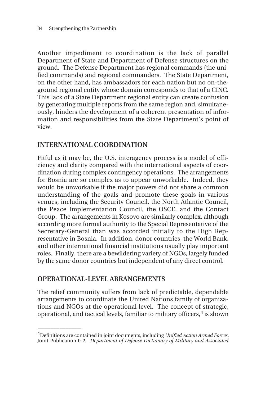Another impediment to coordination is the lack of parallel Department of State and Department of Defense structures on the ground. The Defense Department has regional commands (the unified commands) and regional commanders. The State Department, on the other hand, has ambassadors for each nation but no on-theground regional entity whose domain corresponds to that of a CINC. This lack of a State Department regional entity can create confusion by generating multiple reports from the same region and, simultaneously, hinders the development of a coherent presentation of information and responsibilities from the State Department's point of view.

#### **INTERNATIONAL COORDINATION**

Fitful as it may be, the U.S. interagency process is a model of efficiency and clarity compared with the international aspects of coordination during complex contingency operations. The arrangements for Bosnia are so complex as to appear unworkable. Indeed, they would be unworkable if the major powers did not share a common understanding of the goals and promote these goals in various venues, including the Security Council, the North Atlantic Council, the Peace Implementation Council, the OSCE, and the Contact Group. The arrangements in Kosovo are similarly complex, although according more formal authority to the Special Representative of the Secretary-General than was accorded initially to the High Representative in Bosnia. In addition, donor countries, the World Bank, and other international financial institutions usually play important roles. Finally, there are a bewildering variety of NGOs, largely funded by the same donor countries but independent of any direct control.

#### **OPERATIONAL-LEVEL ARRANGEMENTS**

\_\_\_\_\_\_\_\_\_\_\_\_\_\_

The relief community suffers from lack of predictable, dependable arrangements to coordinate the United Nations family of organizations and NGOs at the operational level. The concept of strategic, operational, and tactical levels, familiar to military officers, $4$  is shown

<sup>4</sup>Definitions are contained in joint documents, including *Unified Action Armed Forces*, Joint Publication 0-2; *Department of Defense Dictionary of Military and Associated*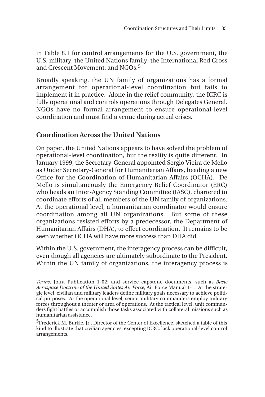in Table 8.1 for control arrangements for the U.S. government, the U.S. military, the United Nations family, the International Red Cross and Crescent Movement, and NGOs.<sup>5</sup>

Broadly speaking, the UN family of organizations has a formal arrangement for operational-level coordination but fails to implement it in practice. Alone in the relief community, the ICRC is fully operational and controls operations through Delegates General. NGOs have no formal arrangement to ensure operational-level coordination and must find a venue during actual crises.

# **Coordination Across the United Nations**

On paper, the United Nations appears to have solved the problem of operational-level coordination, but the reality is quite different. In January 1999, the Secretary-General appointed Sergio Vieira de Mello as Under Secretary-General for Humanitarian Affairs, heading a new Office for the Coordination of Humanitarian Affairs (OCHA). De Mello is simultaneously the Emergency Relief Coordinator (ERC) who heads an Inter-Agency Standing Committee (IASC), chartered to coordinate efforts of all members of the UN family of organizations. At the operational level, a humanitarian coordinator would ensure coordination among all UN organizations. But some of these organizations resisted efforts by a predecessor, the Department of Humanitarian Affairs (DHA), to effect coordination. It remains to be seen whether OCHA will have more success than DHA did.

Within the U.S. government, the interagency process can be difficult, even though all agencies are ultimately subordinate to the President. Within the UN family of organizations, the interagency process is

**\_\_\_\_\_\_\_\_\_\_\_\_\_\_\_\_\_\_\_\_\_\_\_\_\_\_\_\_\_\_\_\_\_\_\_\_\_\_\_\_\_\_\_\_\_\_\_\_\_\_\_\_\_\_\_\_\_\_\_\_\_\_** *Terms*, Joint Publication 1-02; and service capstone documents, such as *Basic Aerospace Doctrine of the United States Air Force*, Air Force Manual 1-1. At the strategic level, civilian and military leaders define military goals necessary to achieve political purposes. At the operational level, senior military commanders employ military forces throughout a theater or area of operations. At the tactical level, unit commanders fight battles or accomplish those tasks associated with collateral missions such as humanitarian assistance.

<sup>&</sup>lt;sup>5</sup>Frederick M. Burkle, Jr., Director of the Center of Excellence, sketched a table of this kind to illustrate that civilian agencies, excepting ICRC, lack operational-level control arrangements.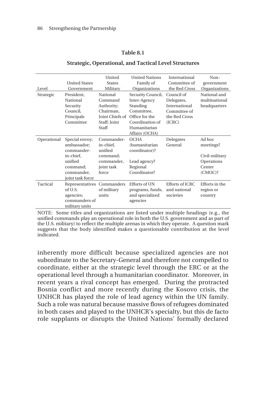#### **Table 8.1**

| Level       | <b>United States</b><br>Government | United<br><b>States</b><br>Military | <b>United Nations</b><br>Family of<br>Organizations | International<br>Committee of<br>the Red Cross | Non-<br>government<br>Organizations |
|-------------|------------------------------------|-------------------------------------|-----------------------------------------------------|------------------------------------------------|-------------------------------------|
|             |                                    |                                     |                                                     |                                                |                                     |
| Strategic   | President,                         | National                            | Security Council,                                   | Council of                                     | National and                        |
|             | National                           | Command                             | Inter-Agency                                        | Delegates,                                     | multinational                       |
|             | Security                           | Authority;                          | Standing                                            | International                                  | headquarters                        |
|             | Council.                           | Chairman.                           | Committee.                                          | Committee of                                   |                                     |
|             | Principals                         | <b>Joint Chiefs of</b>              | Office for the                                      | the Red Cross                                  |                                     |
|             | Committee                          | Staff; Joint                        | Coordination of                                     | (ICRC)                                         |                                     |
|             |                                    | Staff                               | Humanitarian                                        |                                                |                                     |
|             |                                    |                                     | Affairs (OCHA)                                      |                                                |                                     |
| Operational | Special envoy;                     | Commander-                          | <b>OCHA</b>                                         | Delegates                                      | Ad hoc                              |
|             | ambassador:                        | in-chief.                           | (humanitarian                                       | General                                        | meetings?                           |
|             | commander-                         | unified                             | coordinator)?                                       |                                                |                                     |
|             | in-chief,                          | command;                            |                                                     |                                                | Civil-military                      |
|             | unified                            | commander,                          | Lead agency?                                        |                                                | Operations                          |
|             | command;                           | joint task                          | Regional                                            |                                                | Center                              |
|             | commander,                         | force                               | Coordinator?                                        |                                                | (CMOC)?                             |
|             | joint task force                   |                                     |                                                     |                                                |                                     |
| Tactical    | Representatives Commanders         |                                     | <b>Efforts of UN</b>                                | <b>Efforts of ICRC</b>                         | Efforts in the                      |
|             | of U.S.                            | of military                         |                                                     | and national                                   |                                     |
|             |                                    |                                     | programs, funds,                                    |                                                | region or                           |
|             | agencies;                          | units                               | and specialized                                     | societies                                      | country                             |
|             | commanders of                      |                                     | agencies                                            |                                                |                                     |
|             | military units                     |                                     |                                                     |                                                |                                     |

#### **Strategic, Operational, and Tactical Level Structures**

NOTE: Some titles and organizations are listed under multiple headings (e.g., the unified commands play an operational role in both the U.S. government and as part of the U.S. military) to reflect the multiple arenas in which they operate. A question mark suggests that the body identified makes a questionable contribution at the level indicated.

inherently more difficult because specialized agencies are not subordinate to the Secretary-General and therefore not compelled to coordinate, either at the strategic level through the ERC or at the operational level through a humanitarian coordinator. Moreover, in recent years a rival concept has emerged. During the protracted Bosnia conflict and more recently during the Kosovo crisis, the UNHCR has played the role of lead agency within the UN family. Such a role was natural because massive flows of refugees dominated in both cases and played to the UNHCR's specialty, but this de facto role supplants or disrupts the United Nations' formally declared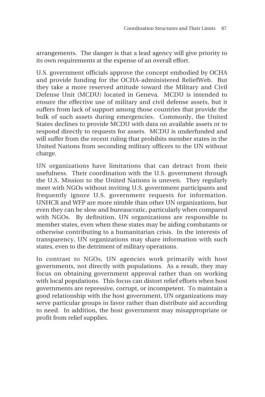arrangements. The danger is that a lead agency will give priority to its own requirements at the expense of an overall effort.

U.S. government officials approve the concept embodied by OCHA and provide funding for the OCHA-administered ReliefWeb. But they take a more reserved attitude toward the Military and Civil Defense Unit (MCDU) located in Geneva. MCDU is intended to ensure the effective use of military and civil defense assets, but it suffers from lack of support among those countries that provide the bulk of such assets during emergencies. Commonly, the United States declines to provide MCDU with data on available assets or to respond directly to requests for assets. MCDU is underfunded and will suffer from the recent ruling that prohibits member states in the United Nations from seconding military officers to the UN without charge.

UN organizations have limitations that can detract from their usefulness. Their coordination with the U.S. government through the U.S. Mission to the United Nations is uneven. They regularly meet with NGOs without inviting U.S. government participants and frequently ignore U.S. government requests for information. UNHCR and WFP are more nimble than other UN organizations, but even they can be slow and bureaucratic, particularly when compared with NGOs. By definition, UN organizations are responsible to member states, even when these states may be aiding combatants or otherwise contributing to a humanitarian crisis. In the interests of transparency, UN organizations may share information with such states, even to the detriment of military operations.

In contrast to NGOs, UN agencies work primarily with host governments, not directly with populations. As a result, they may focus on obtaining government approval rather than on working with local populations. This focus can distort relief efforts when host governments are repressive, corrupt, or incompetent. To maintain a good relationship with the host government, UN organizations may serve particular groups in favor rather than distribute aid according to need. In addition, the host government may misappropriate or profit from relief supplies.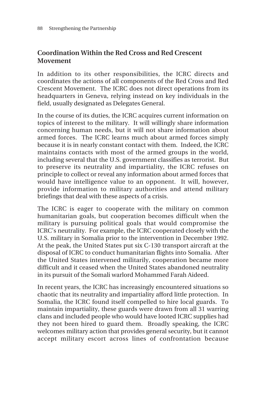# **Coordination Within the Red Cross and Red Crescent Movement**

In addition to its other responsibilities, the ICRC directs and coordinates the actions of all components of the Red Cross and Red Crescent Movement. The ICRC does not direct operations from its headquarters in Geneva, relying instead on key individuals in the field, usually designated as Delegates General.

In the course of its duties, the ICRC acquires current information on topics of interest to the military. It will willingly share information concerning human needs, but it will not share information about armed forces. The ICRC learns much about armed forces simply because it is in nearly constant contact with them. Indeed, the ICRC maintains contacts with most of the armed groups in the world, including several that the U.S. government classifies as terrorist. But to preserve its neutrality and impartiality, the ICRC refuses on principle to collect or reveal any information about armed forces that would have intelligence value to an opponent. It will, however, provide information to military authorities and attend military briefings that deal with these aspects of a crisis.

The ICRC is eager to cooperate with the military on common humanitarian goals, but cooperation becomes difficult when the military is pursuing political goals that would compromise the ICRC's neutrality. For example, the ICRC cooperated closely with the U.S. military in Somalia prior to the intervention in December 1992. At the peak, the United States put six C-130 transport aircraft at the disposal of ICRC to conduct humanitarian flights into Somalia. After the United States intervened militarily, cooperation became more difficult and it ceased when the United States abandoned neutrality in its pursuit of the Somali warlord Mohammed Farah Aideed.

In recent years, the ICRC has increasingly encountered situations so chaotic that its neutrality and impartiality afford little protection. In Somalia, the ICRC found itself compelled to hire local guards. To maintain impartiality, these guards were drawn from all 31 warring clans and included people who would have looted ICRC supplies had they not been hired to guard them. Broadly speaking, the ICRC welcomes military action that provides general security, but it cannot accept military escort across lines of confrontation because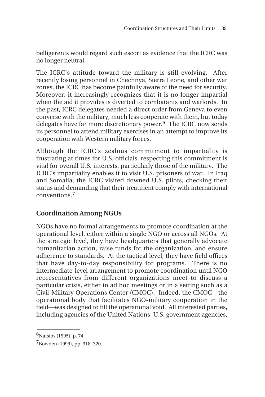belligerents would regard such escort as evidence that the ICRC was no longer neutral.

The ICRC's attitude toward the military is still evolving. After recently losing personnel in Chechnya, Sierra Leone, and other war zones, the ICRC has become painfully aware of the need for security. Moreover, it increasingly recognizes that it is no longer impartial when the aid it provides is diverted to combatants and warlords. In the past, ICRC delegates needed a direct order from Geneva to even converse with the military, much less cooperate with them, but today delegates have far more discretionary power.6 The ICRC now sends its personnel to attend military exercises in an attempt to improve its cooperation with Western military forces.

Although the ICRC's zealous commitment to impartiality is frustrating at times for U.S. officials, respecting this commitment is vital for overall U.S. interests, particularly those of the military. The ICRC's impartiality enables it to visit U.S. prisoners of war. In Iraq and Somalia, the ICRC visited downed U.S. pilots, checking their status and demanding that their treatment comply with international conventions.<sup>7</sup>

# **Coordination Among NGOs**

NGOs have no formal arrangements to promote coordination at the operational level, either within a single NGO or across all NGOs. At the strategic level, they have headquarters that generally advocate humanitarian action, raise funds for the organization, and ensure adherence to standards. At the tactical level, they have field offices that have day-to-day responsibility for programs. There is no intermediate-level arrangement to promote coordination until NGO representatives from different organizations meet to discuss a particular crisis, either in ad hoc meetings or in a setting such as a Civil-Military Operations Center (CMOC). Indeed, the CMOC—the operational body that facilitates NGO-military cooperation in the field—was designed to fill the operational void. All interested parties, including agencies of the United Nations, U.S. government agencies,

 $\overline{\phantom{a}}$  $6$ Natsios (1995), p. 74.

<sup>7</sup>Bowden (1999), pp. 318–320.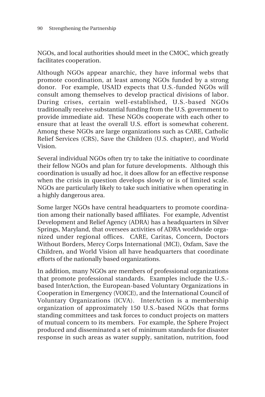NGOs, and local authorities should meet in the CMOC, which greatly facilitates cooperation.

Although NGOs appear anarchic, they have informal webs that promote coordination, at least among NGOs funded by a strong donor. For example, USAID expects that U.S.-funded NGOs will consult among themselves to develop practical divisions of labor. During crises, certain well-established, U.S.-based NGOs traditionally receive substantial funding from the U.S. government to provide immediate aid. These NGOs cooperate with each other to ensure that at least the overall U.S. effort is somewhat coherent. Among these NGOs are large organizations such as CARE, Catholic Relief Services (CRS), Save the Children (U.S. chapter), and World Vision.

Several individual NGOs often try to take the initiative to coordinate their fellow NGOs and plan for future developments. Although this coordination is usually ad hoc, it does allow for an effective response when the crisis in question develops slowly or is of limited scale. NGOs are particularly likely to take such initiative when operating in a highly dangerous area.

Some larger NGOs have central headquarters to promote coordination among their nationally based affiliates. For example, Adventist Development and Relief Agency (ADRA) has a headquarters in Silver Springs, Maryland, that oversees activities of ADRA worldwide organized under regional offices. CARE, Caritas, Concern, Doctors Without Borders, Mercy Corps International (MCI), Oxfam, Save the Children, and World Vision all have headquarters that coordinate efforts of the nationally based organizations.

In addition, many NGOs are members of professional organizations that promote professional standards. Examples include the U.S. based InterAction, the European-based Voluntary Organizations in Cooperation in Emergency (VOICE), and the International Council of Voluntary Organizations (ICVA). InterAction is a membership organization of approximately 150 U.S.-based NGOs that forms standing committees and task forces to conduct projects on matters of mutual concern to its members. For example, the Sphere Project produced and disseminated a set of minimum standards for disaster response in such areas as water supply, sanitation, nutrition, food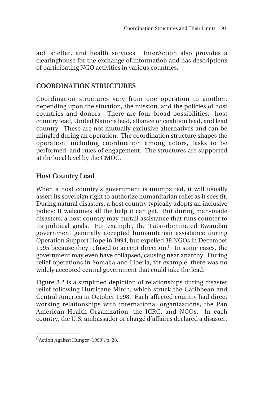aid, shelter, and health services. InterAction also provides a clearinghouse for the exchange of information and has descriptions of participating NGO activities in various countries.

#### **COORDINATION STRUCTURES**

Coordination structures vary from one operation to another, depending upon the situation, the mission, and the policies of host countries and donors. There are four broad possibilities: host country lead, United Nations lead, alliance or coalition lead, and lead country. These are not mutually exclusive alternatives and can be mingled during an operation. The coordination structure shapes the operation, including coordination among actors, tasks to be performed, and rules of engagement. The structures are supported at the local level by the CMOC.

# **Host Country Lead**

When a host country's government is unimpaired, it will usually assert its sovereign right to authorize humanitarian relief as it sees fit. During natural disasters, a host country typically adopts an inclusive policy: It welcomes all the help it can get. But during man-made disasters, a host country may curtail assistance that runs counter to its political goals. For example, the Tutsi-dominated Rwandan government generally accepted humanitarian assistance during Operation Support Hope in 1994, but expelled 38 NGOs in December 1995 because they refused to accept direction.8 In some cases, the government may even have collapsed, causing near anarchy. During relief operations in Somalia and Liberia, for example, there was no widely accepted central government that could take the lead.

Figure 8.2 is a simplified depiction of relationships during disaster relief following Hurricane Mitch, which struck the Caribbean and Central America in October 1998. Each affected country had direct working relationships with international organizations, the Pan American Health Organization, the ICRC, and NGOs. In each country, the U.S. ambassador or chargé d'affaires declared a disaster,

 $\overline{\phantom{a}}$ 

<sup>8</sup>Action Against Hunger (1999), p. 28.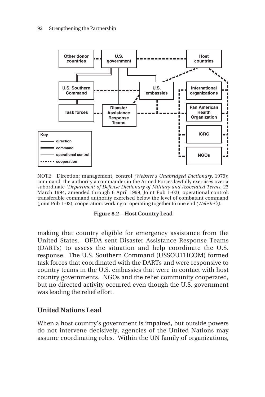

NOTE: Direction: management, control *(Webster's Unabridged Dictionary,* 1979); command: the authority a commander in the Armed Forces lawfully exercises over a subordinate *(Department of Defense Dictionary of Military and Associated Terms,* 23 March 1994, amended through 6 April 1999, Joint Pub 1-02); operational control: transferable command authority exercised below the level of combatant command (Joint Pub 1-02); cooperation: working or operating together to one end *(Webster's).*



making that country eligible for emergency assistance from the United States. OFDA sent Disaster Assistance Response Teams (DARTs) to assess the situation and help coordinate the U.S. response. The U.S. Southern Command (USSOUTHCOM) formed task forces that coordinated with the DARTs and were responsive to country teams in the U.S. embassies that were in contact with host country governments. NGOs and the relief community cooperated, but no directed activity occurred even though the U.S. government was leading the relief effort.

# **United Nations Lead**

When a host country's government is impaired, but outside powers do not intervene decisively, agencies of the United Nations may assume coordinating roles. Within the UN family of organizations,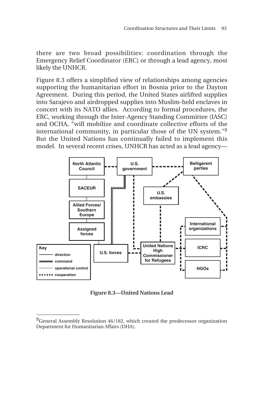there are two broad possibilities: coordination through the Emergency Relief Coordinator (ERC) or through a lead agency, most likely the UNHCR.

Figure 8.3 offers a simplified view of relationships among agencies supporting the humanitarian effort in Bosnia prior to the Dayton Agreement. During this period, the United States airlifted supplies into Sarajevo and airdropped supplies into Muslim-held enclaves in concert with its NATO allies. According to formal procedures, the ERC, working through the Inter-Agency Standing Committee (IASC) and OCHA, "will mobilize and coordinate collective efforts of the international community, in particular those of the UN system."<sup>9</sup> But the United Nations has continually failed to implement this model. In several recent crises, UNHCR has acted as a lead agency—



**Figure 8.3—United Nations Lead**

 $\overline{\phantom{a}}$ 

<sup>&</sup>lt;sup>9</sup>General Assembly Resolution 46/182, which created the predecessor organization Department for Humanitarian Affairs (DHA).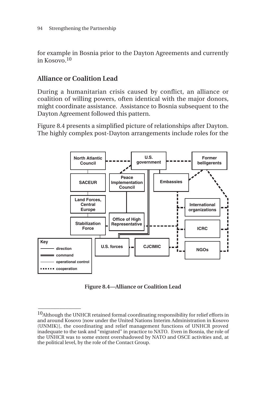for example in Bosnia prior to the Dayton Agreements and currently in Kosovo.10

#### **Alliance or Coalition Lead**

\_\_\_\_\_\_\_\_\_\_\_\_\_\_

During a humanitarian crisis caused by conflict, an alliance or coalition of willing powers, often identical with the major donors, might coordinate assistance. Assistance to Bosnia subsequent to the Dayton Agreement followed this pattern.

Figure 8.4 presents a simplified picture of relationships after Dayton. The highly complex post-Dayton arrangements include roles for the



**Figure 8.4—Alliance or Coalition Lead**

 $10$ Although the UNHCR retained formal coordinating responsibility for relief efforts in and around Kosovo [now under the United Nations Interim Administration in Kosovo (UNMIK)], the coordinating and relief management functions of UNHCR proved inadequate to the task and "migrated" in practice to NATO. Even in Bosnia, the role of the UNHCR was to some extent overshadowed by NATO and OSCE activities and, at the political level, by the role of the Contact Group.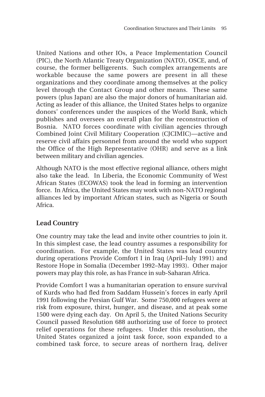United Nations and other IOs, a Peace Implementation Council (PIC), the North Atlantic Treaty Organization (NATO), OSCE, and, of course, the former belligerents. Such complex arrangements are workable because the same powers are present in all these organizations and they coordinate among themselves at the policy level through the Contact Group and other means. These same powers (plus Japan) are also the major donors of humanitarian aid. Acting as leader of this alliance, the United States helps to organize donors' conferences under the auspices of the World Bank, which publishes and oversees an overall plan for the reconstruction of Bosnia. NATO forces coordinate with civilian agencies through Combined Joint Civil Military Cooperation (CJCIMIC)—active and reserve civil affairs personnel from around the world who support the Office of the High Representative (OHR) and serve as a link between military and civilian agencies.

Although NATO is the most effective regional alliance, others might also take the lead. In Liberia, the Economic Community of West African States (ECOWAS) took the lead in forming an intervention force. In Africa, the United States may work with non-NATO regional alliances led by important African states, such as Nigeria or South Africa.

# **Lead Country**

One country may take the lead and invite other countries to join it. In this simplest case, the lead country assumes a responsibility for coordination. For example, the United States was lead country during operations Provide Comfort I in Iraq (April–July 1991) and Restore Hope in Somalia (December 1992–May 1993). Other major powers may play this role, as has France in sub-Saharan Africa.

Provide Comfort I was a humanitarian operation to ensure survival of Kurds who had fled from Saddam Hussein's forces in early April 1991 following the Persian Gulf War. Some 750,000 refugees were at risk from exposure, thirst, hunger, and disease, and at peak some 1500 were dying each day. On April 5, the United Nations Security Council passed Resolution 688 authorizing use of force to protect relief operations for these refugees. Under this resolution, the United States organized a joint task force, soon expanded to a combined task force, to secure areas of northern Iraq, deliver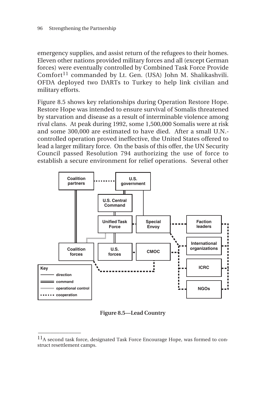emergency supplies, and assist return of the refugees to their homes. Eleven other nations provided military forces and all (except German forces) were eventually controlled by Combined Task Force Provide  $Comfort$ <sup>11</sup> commanded by Lt. Gen. (USA) John M. Shalikashvili. OFDA deployed two DARTs to Turkey to help link civilian and military efforts.

Figure 8.5 shows key relationships during Operation Restore Hope. Restore Hope was intended to ensure survival of Somalis threatened by starvation and disease as a result of interminable violence among rival clans. At peak during 1992, some 1,500,000 Somalis were at risk and some 300,000 are estimated to have died. After a small U.N. controlled operation proved ineffective, the United States offered to lead a larger military force. On the basis of this offer, the UN Security Council passed Resolution 794 authorizing the use of force to establish a secure environment for relief operations. Several other



**Figure 8.5—Lead Country**

\_\_\_\_\_\_\_\_\_\_\_\_\_\_

<sup>&</sup>lt;sup>11</sup>A second task force, designated Task Force Encourage Hope, was formed to construct resettlement camps.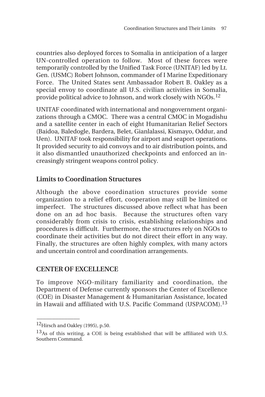countries also deployed forces to Somalia in anticipation of a larger UN-controlled operation to follow. Most of these forces were temporarily controlled by the Unified Task Force (UNITAF) led by Lt. Gen. (USMC) Robert Johnson, commander of I Marine Expeditionary Force. The United States sent Ambassador Robert B. Oakley as a special envoy to coordinate all U.S. civilian activities in Somalia, provide political advice to Johnson, and work closely with NGOs.<sup>12</sup>

UNITAF coordinated with international and nongovernment organizations through a CMOC. There was a central CMOC in Mogadishu and a satellite center in each of eight Humanitarian Relief Sectors (Baidoa, Baledogle, Bardera, Belet, Gianlalassi, Kismayo, Oddur, and Uen). UNITAF took responsibility for airport and seaport operations. It provided security to aid convoys and to air distribution points, and it also dismantled unauthorized checkpoints and enforced an increasingly stringent weapons control policy.

#### **Limits to Coordination Structures**

Although the above coordination structures provide some organization to a relief effort, cooperation may still be limited or imperfect. The structures discussed above reflect what has been done on an ad hoc basis. Because the structures often vary considerably from crisis to crisis, establishing relationships and procedures is difficult. Furthermore, the structures rely on NGOs to coordinate their activities but do not direct their effort in any way. Finally, the structures are often highly complex, with many actors and uncertain control and coordination arrangements.

#### **CENTER OF EXCELLENCE**

To improve NGO-military familiarity and coordination, the Department of Defense currently sponsors the Center of Excellence (COE) in Disaster Management & Humanitarian Assistance, located in Hawaii and affiliated with U.S. Pacific Command (USPACOM).<sup>13</sup>

 $\overline{\phantom{a}}$ 

<sup>12&</sup>lt;sub>Hirsch</sub> and Oakley (1995), p.50.

 $13$ As of this writing, a COE is being established that will be affiliated with U.S. Southern Command.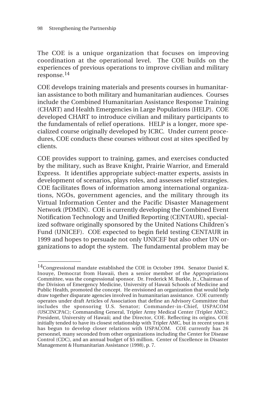\_\_\_\_\_\_\_\_\_\_\_\_\_\_

The COE is a unique organization that focuses on improving coordination at the operational level. The COE builds on the experiences of previous operations to improve civilian and military response.<sup>14</sup>

COE develops training materials and presents courses in humanitarian assistance to both military and humanitarian audiences. Courses include the Combined Humanitarian Assistance Response Training (CHART) and Health Emergencies in Large Populations (HELP). COE developed CHART to introduce civilian and military participants to the fundamentals of relief operations. HELP is a longer, more specialized course originally developed by ICRC. Under current procedures, COE conducts these courses without cost at sites specified by clients.

COE provides support to training, games, and exercises conducted by the military, such as Brave Knight, Prairie Warrior, and Emerald Express. It identifies appropriate subject-matter experts, assists in development of scenarios, plays roles, and assesses relief strategies. COE facilitates flows of information among international organizations, NGOs, government agencies, and the military through its Virtual Information Center and the Pacific Disaster Management Network (PDMIN). COE is currently developing the Combined Event Notification Technology and Unified Reporting (CENTAUR), specialized software originally sponsored by the United Nations Children's Fund (UNICEF). COE expected to begin field testing CENTAUR in 1999 and hopes to persuade not only UNICEF but also other UN organizations to adopt the system. The fundamental problem may be

 $14$ Congressional mandate established the COE in October 1994. Senator Daniel K. Inouye, Democrat from Hawaii, then a senior member of the Appropriations Committee, was the congressional sponsor. Dr. Frederick M. Burkle, Jr., Chairman of the Division of Emergency Medicine, University of Hawaii Schools of Medicine and Public Health, promoted the concept. He envisioned an organization that would help draw together disparate agencies involved in humanitarian assistance. COE currently operates under draft Articles of Association that define an Advisory Committee that includes the sponsoring U.S. Senator; Commander-in-Chief, USPACOM (USCINCPAC); Commanding General, Tripler Army Medical Center (Tripler AMC); President, University of Hawaii; and the Director, COE. Reflecting its origins, COE initially tended to have its closest relationship with Tripler AMC, but in recent years it has begun to develop closer relations with USPACOM. COE currently has 26 personnel, many seconded from other organizations including the Center for Disease Control (CDC), and an annual budget of \$5 million. Center of Excellence in Disaster Management & Humanitarian Assistance (1998), p. 7.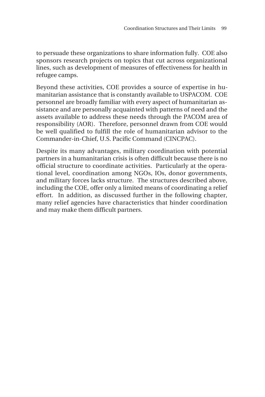to persuade these organizations to share information fully. COE also sponsors research projects on topics that cut across organizational lines, such as development of measures of effectiveness for health in refugee camps.

Beyond these activities, COE provides a source of expertise in humanitarian assistance that is constantly available to USPACOM. COE personnel are broadly familiar with every aspect of humanitarian assistance and are personally acquainted with patterns of need and the assets available to address these needs through the PACOM area of responsibility (AOR). Therefore, personnel drawn from COE would be well qualified to fulfill the role of humanitarian advisor to the Commander-in-Chief, U.S. Pacific Command (CINCPAC).

Despite its many advantages, military coordination with potential partners in a humanitarian crisis is often difficult because there is no official structure to coordinate activities. Particularly at the operational level, coordination among NGOs, IOs, donor governments, and military forces lacks structure. The structures described above, including the COE, offer only a limited means of coordinating a relief effort. In addition, as discussed further in the following chapter, many relief agencies have characteristics that hinder coordination and may make them difficult partners.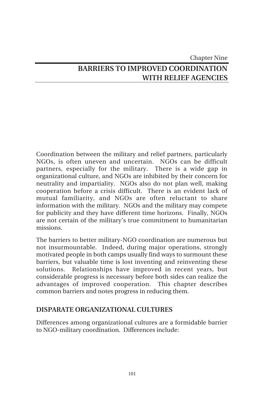# Chapter Nine **BARRIERS TO IMPROVED COORDINATION WITH RELIEF AGENCIES**

Coordination between the military and relief partners, particularly NGOs, is often uneven and uncertain. NGOs can be difficult partners, especially for the military. There is a wide gap in organizational culture, and NGOs are inhibited by their concern for neutrality and impartiality. NGOs also do not plan well, making cooperation before a crisis difficult. There is an evident lack of mutual familiarity, and NGOs are often reluctant to share information with the military. NGOs and the military may compete for publicity and they have different time horizons. Finally, NGOs are not certain of the military's true commitment to humanitarian missions.

The barriers to better military-NGO coordination are numerous but not insurmountable. Indeed, during major operations, strongly motivated people in both camps usually find ways to surmount these barriers, but valuable time is lost inventing and reinventing these solutions. Relationships have improved in recent years, but considerable progress is necessary before both sides can realize the advantages of improved cooperation. This chapter describes common barriers and notes progress in reducing them.

#### **DISPARATE ORGANIZATIONAL CULTURES**

Differences among organizational cultures are a formidable barrier to NGO-military coordination. Differences include: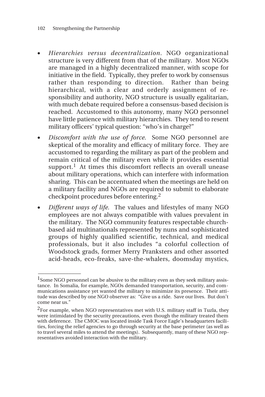\_\_\_\_\_\_\_\_\_\_\_\_\_\_

- *Hierarchies versus decentralization*. NGO organizational structure is very different from that of the military. Most NGOs are managed in a highly decentralized manner, with scope for initiative in the field. Typically, they prefer to work by consensus rather than responding to direction. Rather than being hierarchical, with a clear and orderly assignment of responsibility and authority, NGO structure is usually egalitarian, with much debate required before a consensus-based decision is reached. Accustomed to this autonomy, many NGO personnel have little patience with military hierarchies. They tend to resent military officers' typical question: "who's in charge?"
- *Discomfort with the use of force.* Some NGO personnel are skeptical of the morality and efficacy of military force. They are accustomed to regarding the military as part of the problem and remain critical of the military even while it provides essential support.<sup>1</sup> At times this discomfort reflects an overall unease about military operations, which can interfere with information sharing. This can be accentuated when the meetings are held on a military facility and NGOs are required to submit to elaborate checkpoint procedures before entering.<sup>2</sup>
- *Different ways of life.* The values and lifestyles of many NGO employees are not always compatible with values prevalent in the military. The NGO community features respectable churchbased aid multinationals represented by nuns and sophisticated groups of highly qualified scientific, technical, and medical professionals, but it also includes "a colorful collection of Woodstock grads, former Merry Pranksters and other assorted acid-heads, eco-freaks, save-the-whalers, doomsday mystics,

<sup>&</sup>lt;sup>1</sup> Some NGO personnel can be abusive to the military even as they seek military assistance. In Somalia, for example, NGOs demanded transportation, security, and communications assistance yet wanted the military to minimize its presence. Their attitude was described by one NGO observer as: "Give us a ride. Save our lives. But don't come near us."

<sup>&</sup>lt;sup>2</sup>For example, when NGO representatives met with U.S. military staff in Tuzla, they were intimidated by the security precautions, even though the military treated them with deference. The CMOC was located inside Task Force Eagle's headquarters facilities, forcing the relief agencies to go through security at the base perimeter (as well as to travel several miles to attend the meetings). Subsequently, many of these NGO representatives avoided interaction with the military.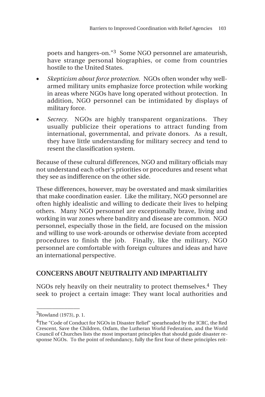poets and hangers-on."3 Some NGO personnel are amateurish, have strange personal biographies, or come from countries hostile to the United States.

- *Skepticism about force protection.* NGOs often wonder why wellarmed military units emphasize force protection while working in areas where NGOs have long operated without protection. In addition, NGO personnel can be intimidated by displays of military force.
- *Secrecy*. NGOs are highly transparent organizations. They usually publicize their operations to attract funding from international, governmental, and private donors. As a result, they have little understanding for military secrecy and tend to resent the classification system.

Because of these cultural differences, NGO and military officials may not understand each other's priorities or procedures and resent what they see as indifference on the other side.

These differences, however, may be overstated and mask similarities that make coordination easier. Like the military, NGO personnel are often highly idealistic and willing to dedicate their lives to helping others. Many NGO personnel are exceptionally brave, living and working in war zones where banditry and disease are common. NGO personnel, especially those in the field, are focused on the mission and willing to use work-arounds or otherwise deviate from accepted procedures to finish the job. Finally, like the military, NGO personnel are comfortable with foreign cultures and ideas and have an international perspective.

#### **CONCERNS ABOUT NEUTRALITY AND IMPARTIALITY**

NGOs rely heavily on their neutrality to protect themselves.4 They seek to project a certain image: They want local authorities and

\_\_\_\_\_\_\_\_\_\_\_\_\_\_ 3Rowland (1973), p. 1.

<sup>4</sup>The "Code of Conduct for NGOs in Disaster Relief" spearheaded by the ICRC, the Red Crescent, Save the Children, Oxfam, the Lutheran World Federation, and the World Council of Churches lists the most important principles that should guide disaster response NGOs. To the point of redundancy, fully the first four of these principles reit-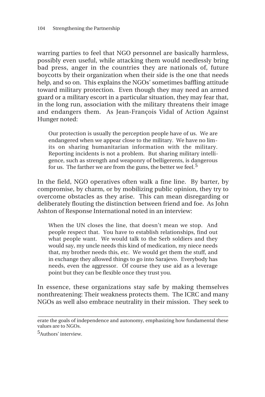warring parties to feel that NGO personnel are basically harmless, possibly even useful, while attacking them would needlessly bring bad press, anger in the countries they are nationals of, future boycotts by their organization when their side is the one that needs help, and so on. This explains the NGOs' sometimes baffling attitude toward military protection. Even though they may need an armed guard or a military escort in a particular situation, they may fear that, in the long run, association with the military threatens their image and endangers them. As Jean-François Vidal of Action Against Hunger noted:

Our protection is usually the perception people have of us. We are endangered when we appear close to the military. We have no limits on sharing humanitarian information with the military. Reporting incidents is not a problem. But sharing military intelligence, such as strength and weaponry of belligerents, is dangerous for us. The farther we are from the guns, the better we feel.<sup>5</sup>

In the field, NGO operatives often walk a fine line. By barter, by compromise, by charm, or by mobilizing public opinion, they try to overcome obstacles as they arise. This can mean disregarding or deliberately flouting the distinction between friend and foe. As John Ashton of Response International noted in an interview:

When the UN closes the line, that doesn't mean we stop. And people respect that. You have to establish relationships, find out what people want. We would talk to the Serb soldiers and they would say, my uncle needs this kind of medication, my niece needs that, my brother needs this, etc. We would get them the stuff, and in exchange they allowed things to go into Sarajevo. Everybody has needs, even the aggressor. Of course they use aid as a leverage point but they can be flexible once they trust you.

In essence, these organizations stay safe by making themselves nonthreatening: Their weakness protects them. The ICRC and many NGOs as well also embrace neutrality in their mission. They seek to

**\_\_\_\_\_\_\_\_\_\_\_\_\_\_\_\_\_\_\_\_\_\_\_\_\_\_\_\_\_\_\_\_\_\_\_\_\_\_\_\_\_\_\_\_\_\_\_\_\_\_\_\_\_\_\_\_\_\_\_\_\_\_** erate the goals of independence and autonomy, emphasizing how fundamental these values are to NGOs.

<sup>5</sup>Authors' interview.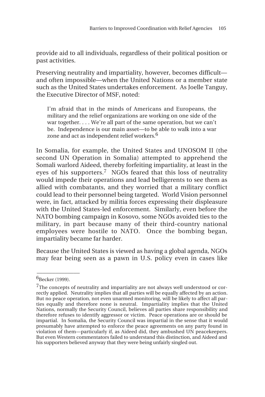provide aid to all individuals, regardless of their political position or past activities.

Preserving neutrality and impartiality, however, becomes difficult and often impossible—when the United Nations or a member state such as the United States undertakes enforcement. As Joelle Tanguy, the Executive Director of MSF, noted:

I'm afraid that in the minds of Americans and Europeans, the military and the relief organizations are working on one side of the war together. . . . We're all part of the same operation, but we can't be. Independence is our main asset—to be able to walk into a war zone and act as independent relief workers.6

In Somalia, for example, the United States and UNOSOM II (the second UN Operation in Somalia) attempted to apprehend the Somali warlord Aideed, thereby forfeiting impartiality, at least in the eyes of his supporters.7 NGOs feared that this loss of neutrality would impede their operations and lead belligerents to see them as allied with combatants, and they worried that a military conflict could lead to their personnel being targeted. World Vision personnel were, in fact, attacked by militia forces expressing their displeasure with the United States-led enforcement. Similarly, even before the NATO bombing campaign in Kosovo, some NGOs avoided ties to the military, in part because many of their third-country national employees were hostile to NATO. Once the bombing began, impartiality became far harder.

Because the United States is viewed as having a global agenda, NGOs may fear being seen as a pawn in U.S. policy even in cases like

 $\overline{\phantom{a}}$ 

<sup>6</sup>Becker (1999).

<sup>&</sup>lt;sup>7</sup>The concepts of neutrality and impartiality are not always well understood or correctly applied. Neutrality implies that all parties will be equally affected by an action. But no peace operation, not even unarmed monitoring, will be likely to affect all parties equally and therefore none is neutral. Impartiality implies that the United Nations, normally the Security Council, believes all parties share responsibility and therefore refuses to identify aggressor or victim. Peace operations are or should be impartial. In Somalia, the Security Council was impartial in the sense that it would presumably have attempted to enforce the peace agreements on any party found in violation of them—particularly if, as Aideed did, they ambushed UN peacekeepers. But even Western commentators failed to understand this distinction, and Aideed and his supporters believed anyway that they were being unfairly singled out.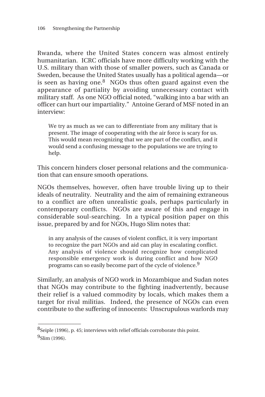Rwanda, where the United States concern was almost entirely humanitarian. ICRC officials have more difficulty working with the U.S. military than with those of smaller powers, such as Canada or Sweden, because the United States usually has a political agenda—or is seen as having one. $8\text{ NGOs}$  thus often guard against even the appearance of partiality by avoiding unnecessary contact with military staff. As one NGO official noted, "walking into a bar with an officer can hurt our impartiality." Antoine Gerard of MSF noted in an interview:

We try as much as we can to differentiate from any military that is present. The image of cooperating with the air force is scary for us. This would mean recognizing that we are part of the conflict, and it would send a confusing message to the populations we are trying to help.

This concern hinders closer personal relations and the communication that can ensure smooth operations.

NGOs themselves, however, often have trouble living up to their ideals of neutrality. Neutrality and the aim of remaining extraneous to a conflict are often unrealistic goals, perhaps particularly in contemporary conflicts. NGOs are aware of this and engage in considerable soul-searching. In a typical position paper on this issue, prepared by and for NGOs, Hugo Slim notes that:

in any analysis of the causes of violent conflict, it is very important to recognize the part NGOs and aid can play in escalating conflict. Any analysis of violence should recognize how complicated responsible emergency work is during conflict and how NGO programs can so easily become part of the cycle of violence.<sup>9</sup>

Similarly, an analysis of NGO work in Mozambique and Sudan notes that NGOs may contribute to the fighting inadvertently, because their relief is a valued commodity by locals, which makes them a target for rival militias. Indeed, the presence of NGOs can even contribute to the suffering of innocents: Unscrupulous warlords may

\_\_\_\_\_\_\_\_\_\_\_\_\_\_

<sup>&</sup>lt;sup>8</sup>Seiple (1996), p. 45; interviews with relief officials corroborate this point.  $9$ Slim (1996).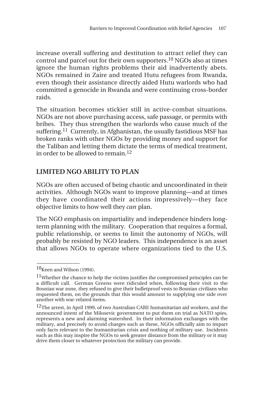increase overall suffering and destitution to attract relief they can control and parcel out for their own supporters.10 NGOs also at times ignore the human rights problems their aid inadvertently abets. NGOs remained in Zaire and treated Hutu refugees from Rwanda, even though their assistance directly aided Hutu warlords who had committed a genocide in Rwanda and were continuing cross-border raids.

The situation becomes stickier still in active-combat situations. NGOs are not above purchasing access, safe passage, or permits with bribes. They thus strengthen the warlords who cause much of the suffering.<sup>11</sup> Currently, in Afghanistan, the usually fastidious MSF has broken ranks with other NGOs by providing money and support for the Taliban and letting them dictate the terms of medical treatment, in order to be allowed to remain.<sup>12</sup>

#### **LIMITED NGO ABILITY TO PLAN**

NGOs are often accused of being chaotic and uncoordinated in their activities. Although NGOs want to improve planning—and at times they have coordinated their actions impressively—they face objective limits to how well they *can* plan.

The NGO emphasis on impartiality and independence hinders longterm planning with the military. Cooperation that requires a formal, public relationship, or seems to limit the autonomy of NGOs, will probably be resisted by NGO leaders. This independence is an asset that allows NGOs to operate where organizations tied to the U.S.

 $\overline{\phantom{a}}$ 

 $10$ Keen and Wilson (1994).

<sup>&</sup>lt;sup>11</sup>Whether the chance to help the victims justifies the compromised principles can be a difficult call. German Greens were ridiculed when, following their visit to the Bosnian war zone, they refused to give their bulletproof vests to Bosnian civilians who requested them, on the grounds that this would amount to supplying one side over another with war-related items.

<sup>&</sup>lt;sup>12</sup>The arrest, in April 1999, of two Australian CARE humanitarian aid workers, and the announced intent of the Milosevic government to put them on trial as NATO spies, represents a new and alarming watershed. In their information exchanges with the military, and precisely to avoid charges such as these, NGOs officially aim to impart only facts relevant to the humanitarian crisis and nothing of military use. Incidents such as this may inspire the NGOs to seek greater distance from the military or it may drive them closer to whatever protection the military can provide.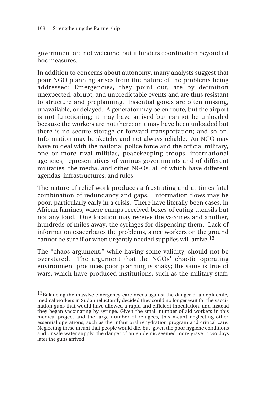\_\_\_\_\_\_\_\_\_\_\_\_\_\_

government are not welcome, but it hinders coordination beyond ad hoc measures.

In addition to concerns about autonomy, many analysts suggest that poor NGO planning arises from the nature of the problems being addressed: Emergencies, they point out, are by definition unexpected, abrupt, and unpredictable events and are thus resistant to structure and preplanning. Essential goods are often missing, unavailable, or delayed. A generator may be en route, but the airport is not functioning; it may have arrived but cannot be unloaded because the workers are not there; or it may have been unloaded but there is no secure storage or forward transportation; and so on. Information may be sketchy and not always reliable. An NGO may have to deal with the national police force and the official military, one or more rival militias, peacekeeping troops, international agencies, representatives of various governments and of different militaries, the media, and other NGOs, all of which have different agendas, infrastructures, and rules.

The nature of relief work produces a frustrating and at times fatal combination of redundancy and gaps. Information flows may be poor, particularly early in a crisis. There have literally been cases, in African famines, where camps received boxes of eating utensils but not any food. One location may receive the vaccines and another, hundreds of miles away, the syringes for dispensing them. Lack of information exacerbates the problems, since workers on the ground cannot be sure if or when urgently needed supplies will arrive.<sup>13</sup>

The "chaos argument," while having some validity, should not be overstated. The argument that the NGOs' chaotic operating environment produces poor planning is shaky; the same is true of wars, which have produced institutions, such as the military staff,

 $^{13}$ Balancing the massive emergency-care needs against the danger of an epidemic, medical workers in Sudan reluctantly decided they could no longer wait for the vaccination guns that would have allowed a rapid and efficient inoculation, and instead they began vaccinating by syringe. Given the small number of aid workers in this medical project and the large number of refugees, this meant neglecting other essential operations, such as the infant oral rehydration program and critical care. Neglecting these meant that people would die, but, given the poor hygiene conditions and unsafe water supply, the danger of an epidemic seemed more grave. Two days later the guns arrived.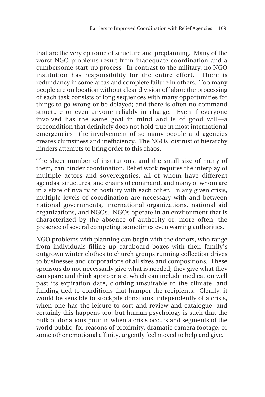that are the very epitome of structure and preplanning. Many of the worst NGO problems result from inadequate coordination and a cumbersome start-up process. In contrast to the military, no NGO institution has responsibility for the entire effort. There is redundancy in some areas and complete failure in others. Too many people are on location without clear division of labor; the processing of each task consists of long sequences with many opportunities for things to go wrong or be delayed; and there is often no command structure or even anyone reliably in charge. Even if everyone involved has the same goal in mind and is of good will—a precondition that definitely does not hold true in most international emergencies—the involvement of so many people and agencies creates clumsiness and inefficiency. The NGOs' distrust of hierarchy hinders attempts to bring order to this chaos.

The sheer number of institutions, and the small size of many of them, can hinder coordination. Relief work requires the interplay of multiple actors and sovereignties, all of whom have different agendas, structures, and chains of command, and many of whom are in a state of rivalry or hostility with each other. In any given crisis, multiple levels of coordination are necessary with and between national governments, international organizations, national aid organizations, and NGOs. NGOs operate in an environment that is characterized by the absence of authority or, more often, the presence of several competing, sometimes even warring authorities.

NGO problems with planning can begin with the donors, who range from individuals filling up cardboard boxes with their family's outgrown winter clothes to church groups running collection drives to businesses and corporations of all sizes and compositions. These sponsors do not necessarily give what is needed; they give what they can spare and think appropriate, which can include medication well past its expiration date, clothing unsuitable to the climate, and funding tied to conditions that hamper the recipients. Clearly, it would be sensible to stockpile donations independently of a crisis, when one has the leisure to sort and review and catalogue, and certainly this happens too, but human psychology is such that the bulk of donations pour in when a crisis occurs and segments of the world public, for reasons of proximity, dramatic camera footage, or some other emotional affinity, urgently feel moved to help and give.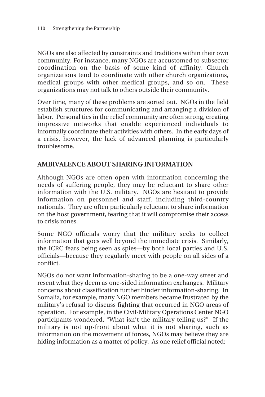NGOs are also affected by constraints and traditions within their own community. For instance, many NGOs are accustomed to subsector coordination on the basis of some kind of affinity. Church organizations tend to coordinate with other church organizations, medical groups with other medical groups, and so on. These organizations may not talk to others outside their community.

Over time, many of these problems are sorted out. NGOs in the field establish structures for communicating and arranging a division of labor. Personal ties in the relief community are often strong, creating impressive networks that enable experienced individuals to informally coordinate their activities with others. In the early days of a crisis, however, the lack of advanced planning is particularly troublesome.

#### **AMBIVALENCE ABOUT SHARING INFORMATION**

Although NGOs are often open with information concerning the needs of suffering people, they may be reluctant to share other information with the U.S. military. NGOs are hesitant to provide information on personnel and staff, including third-country nationals. They are often particularly reluctant to share information on the host government, fearing that it will compromise their access to crisis zones.

Some NGO officials worry that the military seeks to collect information that goes well beyond the immediate crisis. Similarly, the ICRC fears being seen as spies—by both local parties and U.S. officials—because they regularly meet with people on all sides of a conflict.

NGOs do not want information-sharing to be a one-way street and resent what they deem as one-sided information exchanges. Military concerns about classification further hinder information-sharing. In Somalia, for example, many NGO members became frustrated by the military's refusal to discuss fighting that occurred in NGO areas of operation. For example, in the Civil-Military Operations Center NGO participants wondered, "What isn't the military telling us?" If the military is not up-front about what it is not sharing, such as information on the movement of forces, NGOs may believe they are hiding information as a matter of policy. As one relief official noted: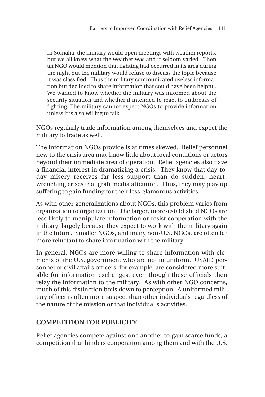In Somalia, the military would open meetings with weather reports, but we all knew what the weather was and it seldom varied. Then an NGO would mention that fighting had occurred in its area during the night but the military would refuse to discuss the topic because it was classified. Thus the military communicated useless information but declined to share information that could have been helpful. We wanted to know whether the military was informed about the security situation and whether it intended to react to outbreaks of fighting. The military cannot expect NGOs to provide information unless it is also willing to talk.

NGOs regularly trade information among themselves and expect the military to trade as well.

The information NGOs provide is at times skewed. Relief personnel new to the crisis area may know little about local conditions or actors beyond their immediate area of operation. Relief agencies also have a financial interest in dramatizing a crisis: They know that day-today misery receives far less support than do sudden, heartwrenching crises that grab media attention. Thus, they may play up suffering to gain funding for their less-glamorous activities.

As with other generalizations about NGOs, this problem varies from organization to organization. The larger, more-established NGOs are less likely to manipulate information or resist cooperation with the military, largely because they expect to work with the military again in the future. Smaller NGOs, and many non-U.S. NGOs, are often far more reluctant to share information with the military.

In general, NGOs are more willing to share information with elements of the U.S. government who are not in uniform. USAID personnel or civil affairs officers, for example, are considered more suitable for information exchanges, even though these officials then relay the information to the military. As with other NGO concerns, much of this distinction boils down to perception: A uniformed military officer is often more suspect than other individuals regardless of the nature of the mission or that individual's activities.

#### **COMPETITION FOR PUBLICITY**

Relief agencies compete against one another to gain scarce funds, a competition that hinders cooperation among them and with the U.S.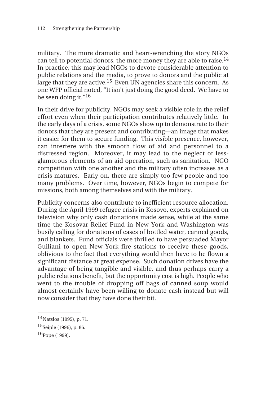military. The more dramatic and heart-wrenching the story NGOs can tell to potential donors, the more money they are able to raise.<sup>14</sup> In practice, this may lead NGOs to devote considerable attention to public relations and the media, to prove to donors and the public at large that they are active.15 Even UN agencies share this concern. As one WFP official noted, "It isn't just doing the good deed. We have to be seen doing it."16

In their drive for publicity, NGOs may seek a visible role in the relief effort even when their participation contributes relatively little. In the early days of a crisis, some NGOs show up to demonstrate to their donors that they are present and contributing—an image that makes it easier for them to secure funding. This visible presence, however, can interfere with the smooth flow of aid and personnel to a distressed region. Moreover, it may lead to the neglect of lessglamorous elements of an aid operation, such as sanitation. NGO competition with one another and the military often increases as a crisis matures. Early on, there are simply too few people and too many problems. Over time, however, NGOs begin to compete for missions, both among themselves and with the military.

Publicity concerns also contribute to inefficient resource allocation. During the April 1999 refugee crisis in Kosovo, experts explained on television why only cash donations made sense, while at the same time the Kosovar Relief Fund in New York and Washington was busily calling for donations of cases of bottled water, canned goods, and blankets. Fund officials were thrilled to have persuaded Mayor Guiliani to open New York fire stations to receive these goods, oblivious to the fact that everything would then have to be flown a significant distance at great expense. Such donation drives have the advantage of being tangible and visible, and thus perhaps carry a public relations benefit, but the opportunity cost is high. People who went to the trouble of dropping off bags of canned soup would almost certainly have been willing to donate cash instead but will now consider that they have done their bit.

\_\_\_\_\_\_\_\_\_\_\_\_\_\_ <sup>14</sup>Natsios (1995), p. 71.

<sup>15</sup>Seiple (1996), p. 86.

 $16$ Pope (1999).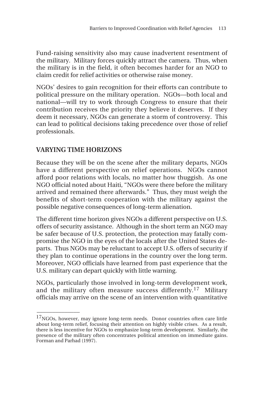Fund-raising sensitivity also may cause inadvertent resentment of the military. Military forces quickly attract the camera. Thus, when the military is in the field, it often becomes harder for an NGO to claim credit for relief activities or otherwise raise money.

NGOs' desires to gain recognition for their efforts can contribute to political pressure on the military operation. NGOs—both local and national—will try to work through Congress to ensure that their contribution receives the priority they believe it deserves. If they deem it necessary, NGOs can generate a storm of controversy. This can lead to political decisions taking precedence over those of relief professionals.

# **VARYING TIME HORIZONS**

\_\_\_\_\_\_\_\_\_\_\_\_\_\_

Because they will be on the scene after the military departs, NGOs have a different perspective on relief operations. NGOs cannot afford poor relations with locals, no matter how thuggish. As one NGO official noted about Haiti, "NGOs were there before the military arrived and remained there afterwards." Thus, they must weigh the benefits of short-term cooperation with the military against the possible negative consequences of long-term alienation.

The different time horizon gives NGOs a different perspective on U.S. offers of security assistance. Although in the short term an NGO may be safer because of U.S. protection, the protection may fatally compromise the NGO in the eyes of the locals after the United States departs. Thus NGOs may be reluctant to accept U.S. offers of security if they plan to continue operations in the country over the long term. Moreover, NGO officials have learned from past experience that the U.S. military can depart quickly with little warning.

NGOs, particularly those involved in long-term development work, and the military often measure success differently.<sup>17</sup> Military officials may arrive on the scene of an intervention with quantitative

<sup>&</sup>lt;sup>17</sup>NGOs, however, may ignore long-term needs. Donor countries often care little about long-term relief, focusing their attention on highly visible crises. As a result, there is less incentive for NGOs to emphasize long-term development. Similarly, the presence of the military often concentrates political attention on immediate gains. Forman and Parhad (1997).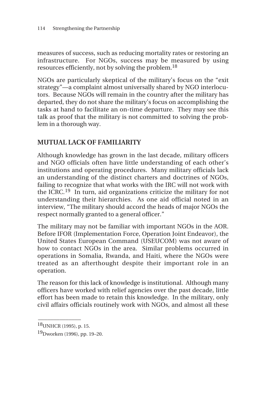measures of success, such as reducing mortality rates or restoring an infrastructure. For NGOs, success may be measured by using resources efficiently, not by solving the problem.18

NGOs are particularly skeptical of the military's focus on the "exit strategy"—a complaint almost universally shared by NGO interlocutors. Because NGOs will remain in the country after the military has departed, they do not share the military's focus on accomplishing the tasks at hand to facilitate an on-time departure. They may see this talk as proof that the military is not committed to solving the problem in a thorough way.

### **MUTUAL LACK OF FAMILIARITY**

Although knowledge has grown in the last decade, military officers and NGO officials often have little understanding of each other's institutions and operating procedures. Many military officials lack an understanding of the distinct charters and doctrines of NGOs, failing to recognize that what works with the IRC will not work with the ICRC.19 In turn, aid organizations criticize the military for not understanding their hierarchies. As one aid official noted in an interview, "The military should accord the heads of major NGOs the respect normally granted to a general officer."

The military may not be familiar with important NGOs in the AOR. Before IFOR (Implementation Force, Operation Joint Endeavor), the United States European Command (USEUCOM) was not aware of how to contact NGOs in the area. Similar problems occurred in operations in Somalia, Rwanda, and Haiti, where the NGOs were treated as an afterthought despite their important role in an operation.

The reason for this lack of knowledge is institutional. Although many officers have worked with relief agencies over the past decade, little effort has been made to retain this knowledge. In the military, only civil affairs officials routinely work with NGOs, and almost all these

\_\_\_\_\_\_\_\_\_\_\_\_\_\_ 18UNHCR (1995), p. 15.

<sup>19</sup>Dworken (1996), pp. 19–20.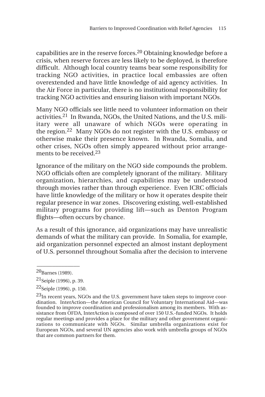capabilities are in the reserve forces.20 Obtaining knowledge before a crisis, when reserve forces are less likely to be deployed, is therefore difficult. Although local country teams bear some responsibility for tracking NGO activities, in practice local embassies are often overextended and have little knowledge of aid agency activities. In the Air Force in particular, there is no institutional responsibility for tracking NGO activities and ensuring liaison with important NGOs.

Many NGO officials see little need to volunteer information on their activities.21 In Rwanda, NGOs, the United Nations, and the U.S. miliitary were all unaware of which NGOs were operating in the region.22 Many NGOs do not register with the U.S. embassy or otherwise make their presence known. In Rwanda, Somalia, and other crises, NGOs often simply appeared without prior arrangements to be received.<sup>23</sup>

Ignorance of the military on the NGO side compounds the problem. NGO officials often are completely ignorant of the military. Military organization, hierarchies, and capabilities may be understood through movies rather than through experience. Even ICRC officials have little knowledge of the military or how it operates despite their regular presence in war zones. Discovering existing, well-established military programs for providing lift—such as Denton Program flights—often occurs by chance.

As a result of this ignorance, aid organizations may have unrealistic demands of what the military can provide. In Somalia, for example, aid organization personnel expected an almost instant deployment of U.S. personnel throughout Somalia after the decision to intervene

 $\overline{\phantom{a}}$ 20Barnes (1989).

 $21$ Seiple (1996), p. 39.

 $22$ Seiple (1996), p. 150.

 $^{23}$ In recent years, NGOs and the U.S. government have taken steps to improve coordination. InterAction—the American Council for Voluntary International Aid—was founded to improve coordination and professionalism among its members. With assistance from OFDA, InterAction is composed of over 150 U.S.-funded NGOs. It holds regular meetings and provides a place for the military and other government organizations to communicate with NGOs. Similar umbrella organizations exist for European NGOs, and several UN agencies also work with umbrella groups of NGOs that are common partners for them.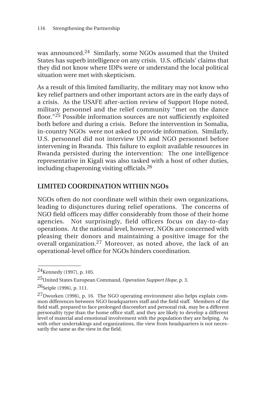was announced.24 Similarly, some NGOs assumed that the United States has superb intelligence on any crisis. U.S. officials' claims that they did not know where IDPs were or understand the local political situation were met with skepticism.

As a result of this limited familiarity, the military may not know who key relief partners and other important actors are in the early days of a crisis. As the USAFE after-action review of Support Hope noted, military personnel and the relief community "met on the dance floor."25 Possible information sources are not sufficiently exploited both before and during a crisis. Before the intervention in Somalia, in-country NGOs were not asked to provide information. Similarly, U.S. personnel did not interview UN and NGO personnel before intervening in Rwanda. This failure to exploit available resources in Rwanda persisted during the intervention: The one intelligence representative in Kigali was also tasked with a host of other duties, including chaperoning visiting officials.26

### **LIMITED COORDINATION WITHIN NGOs**

NGOs often do not coordinate well within their own organizations, leading to disjunctures during relief operations. The concerns of NGO field officers may differ considerably from those of their home agencies. Not surprisingly, field officers focus on day-to-day operations. At the national level, however, NGOs are concerned with pleasing their donors and maintaining a positive image for the overall organization.27 Moreover, as noted above, the lack of an operational-level office for NGOs hinders coordination.

\_\_\_\_\_\_\_\_\_\_\_\_\_\_

 $^{24}$ Kennedy (1997), p. 105.

<sup>25</sup>United States European Command, *Operation Support Hope,* p. 3.

 $^{26}$ Seiple (1996), p. 111.

 $^{27}$ Dworken (1996), p. 16. The NGO operating environment also helps explain common differences between NGO headquarters staff and the field staff. Members of the field staff, prepared to face prolonged discomfort and personal risk, may be a different personality type than the home office staff, and they are likely to develop a different level of material and emotional involvement with the population they are helping. As with other undertakings and organizations, the view from headquarters is not necessarily the same as the view in the field.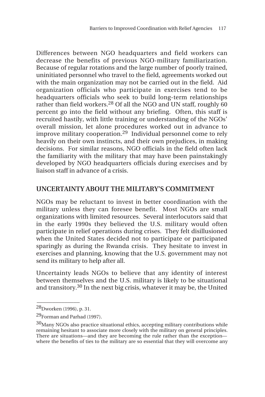Differences between NGO headquarters and field workers can decrease the benefits of previous NGO-military familiarization. Because of regular rotations and the large number of poorly trained, uninitiated personnel who travel to the field, agreements worked out with the main organization may not be carried out in the field. Aid organization officials who participate in exercises tend to be headquarters officials who seek to build long-term relationships rather than field workers.<sup>28</sup> Of all the NGO and UN staff, roughly 60 percent go into the field without any briefing. Often, this staff is recruited hastily, with little training or understanding of the NGOs' overall mission, let alone procedures worked out in advance to improve military cooperation.29 Individual personnel come to rely heavily on their own instincts, and their own prejudices, in making decisions. For similar reasons, NGO officials in the field often lack the familiarity with the military that may have been painstakingly developed by NGO headquarters officials during exercises and by liaison staff in advance of a crisis.

### **UNCERTAINTY ABOUT THE MILITARY'S COMMITMENT**

NGOs may be reluctant to invest in better coordination with the military unless they can foresee benefit. Most NGOs are small organizations with limited resources. Several interlocutors said that in the early 1990s they believed the U.S. military would often participate in relief operations during crises. They felt disillusioned when the United States decided not to participate or participated sparingly as during the Rwanda crisis. They hesitate to invest in exercises and planning, knowing that the U.S. government may not send its military to help after all.

Uncertainty leads NGOs to believe that any identity of interest between themselves and the U.S. military is likely to be situational and transitory.30 In the next big crisis, whatever it may be, the United

<sup>28</sup>Dworken (1996), p. 31.

<sup>29</sup>Forman and Parhad (1997).

<sup>&</sup>lt;sup>30</sup>Many NGOs also practice situational ethics, accepting military contributions while remaining hesitant to associate more closely with the military on general principles. There are situations—and they are becoming the rule rather than the exception where the benefits of ties to the military are so essential that they will overcome any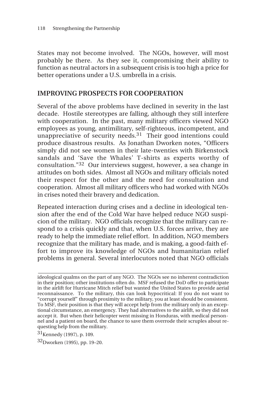States may not become involved. The NGOs, however, will most probably be there. As they see it, compromising their ability to function as neutral actors in a subsequent crisis is too high a price for better operations under a U.S. umbrella in a crisis.

#### **IMPROVING PROSPECTS FOR COOPERATION**

Several of the above problems have declined in severity in the last decade. Hostile stereotypes are falling, although they still interfere with cooperation. In the past, many military officers viewed NGO employees as young, antimilitary, self-righteous, incompetent, and unappreciative of security needs. $31$  Their good intentions could produce disastrous results. As Jonathan Dworken notes, "Officers simply did not see women in their late-twenties with Birkenstock sandals and 'Save the Whales' T-shirts as experts worthy of consultation."32 Our interviews suggest, however, a sea change in attitudes on both sides. Almost all NGOs and military officials noted their respect for the other and the need for consultation and cooperation. Almost all military officers who had worked with NGOs in crises noted their bravery and dedication.

Repeated interaction during crises and a decline in ideological tension after the end of the Cold War have helped reduce NGO suspicion of the military. NGO officials recognize that the military can respond to a crisis quickly and that, when U.S. forces arrive, they are ready to help the immediate relief effort. In addition, NGO members recognize that the military has made, and is making, a good-faith effort to improve its knowledge of NGOs and humanitarian relief problems in general. Several interlocutors noted that NGO officials

**\_\_\_\_\_\_\_\_\_\_\_\_\_\_\_\_\_\_\_\_\_\_\_\_\_\_\_\_\_\_\_\_\_\_\_\_\_\_\_\_\_\_\_\_\_\_\_\_\_\_\_\_\_\_\_\_\_\_\_\_\_\_**

ideological qualms on the part of any NGO. The NGOs see no inherent contradiction in their position; other institutions often do. MSF refused the DoD offer to participate in the airlift for Hurricane Mitch relief but wanted the United States to provide aerial reconnaissance. To the military, this can look hypocritical: If you do not want to "corrupt yourself" through proximity to the military, you at least should be consistent. To MSF, their position is that they will accept help from the military only in an exceptional circumstance, an emergency. They had alternatives to the airlift, so they did not accept it. But when their helicopter went missing in Honduras, with medical personnel and a patient on board, the chance to save them overrode their scruples about requesting help from the military.

<sup>31</sup>Kennedy (1997), p. 109.

<sup>32</sup>Dworken (1995), pp. 19–20.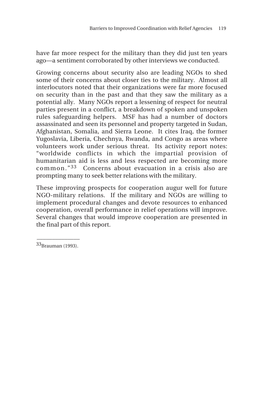have far more respect for the military than they did just ten years ago—a sentiment corroborated by other interviews we conducted.

Growing concerns about security also are leading NGOs to shed some of their concerns about closer ties to the military. Almost all interlocutors noted that their organizations were far more focused on security than in the past and that they saw the military as a potential ally. Many NGOs report a lessening of respect for neutral parties present in a conflict, a breakdown of spoken and unspoken rules safeguarding helpers. MSF has had a number of doctors assassinated and seen its personnel and property targeted in Sudan, Afghanistan, Somalia, and Sierra Leone. It cites Iraq, the former Yugoslavia, Liberia, Chechnya, Rwanda, and Congo as areas where volunteers work under serious threat. Its activity report notes: "worldwide conflicts in which the impartial provision of humanitarian aid is less and less respected are becoming more common."33 Concerns about evacuation in a crisis also are prompting many to seek better relations with the military.

These improving prospects for cooperation augur well for future NGO-military relations. If the military and NGOs are willing to implement procedural changes and devote resources to enhanced cooperation, overall performance in relief operations will improve. Several changes that would improve cooperation are presented in the final part of this report.

 $\overline{\phantom{a}}$ 33Brauman (1993).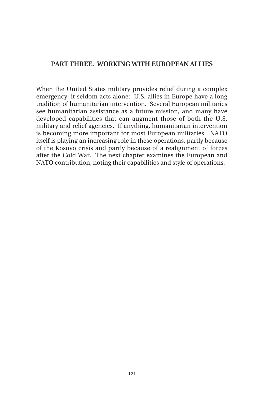#### **PART THREE. WORKING WITH EUROPEAN ALLIES**

When the United States military provides relief during a complex emergency, it seldom acts alone: U.S. allies in Europe have a long tradition of humanitarian intervention. Several European militaries see humanitarian assistance as a future mission, and many have developed capabilities that can augment those of both the U.S. military and relief agencies. If anything, humanitarian intervention is becoming more important for most European militaries. NATO itself is playing an increasing role in these operations, partly because of the Kosovo crisis and partly because of a realignment of forces after the Cold War. The next chapter examines the European and NATO contribution, noting their capabilities and style of operations.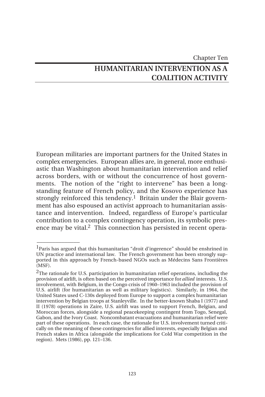# Chapter Ten **HUMANITARIAN INTERVENTION AS A COALITION ACTIVITY**

European militaries are important partners for the United States in complex emergencies. European allies are, in general, more enthusiastic than Washington about humanitarian intervention and relief across borders, with or without the concurrence of host governments. The notion of the "right to intervene" has been a longstanding feature of French policy, and the Kosovo experience has strongly reinforced this tendency.<sup>1</sup> Britain under the Blair government has also espoused an activist approach to humanitarian assistance and intervention. Indeed, regardless of Europe's particular contribution to a complex contingency operation, its symbolic presence may be vital.<sup>2</sup> This connection has persisted in recent opera-

<sup>1</sup>Paris has argued that this humanitarian "droit d'ingerence" should be enshrined in UN practice and international law. The French government has been strongly supported in this approach by French-based NGOs such as Médecins Sans Frontières (MSF).

<sup>&</sup>lt;sup>2</sup>The rationale for U.S. participation in humanitarian relief operations, including the provision of airlift, is often based on the perceived importance for *allied* interests. U.S. involvement, with Belgium, in the Congo crisis of 1960–1963 included the provision of U.S. airlift (for humanitarian as well as military logistics). Similarly, in 1964, the United States used C-130s deployed from Europe to support a complex humanitarian intervention by Belgian troops at Stanleyville. In the better-known Shaba I (1977) and II (1978) operations in Zaire, U.S. airlift was used to support French, Belgian, and Moroccan forces, alongside a regional peacekeeping contingent from Togo, Senegal, Gabon, and the Ivory Coast. Noncombatant evacuations and humanitarian relief were part of these operations. In each case, the rationale for U.S. involvement turned critically on the meaning of these contingencies for allied interests, especially Belgian and French stakes in Africa (alongside the implications for Cold War competition in the region). Mets (1986), pp. 121–136.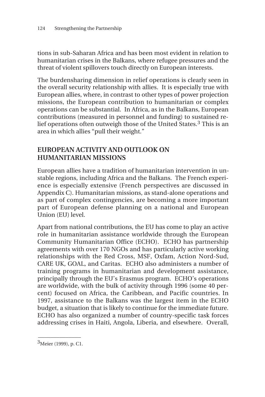tions in sub-Saharan Africa and has been most evident in relation to humanitarian crises in the Balkans, where refugee pressures and the threat of violent spillovers touch directly on European interests.

The burdensharing dimension in relief operations is clearly seen in the overall security relationship with allies. It is especially true with European allies, where, in contrast to other types of power projection missions, the European contribution to humanitarian or complex operations can be substantial. In Africa, as in the Balkans, European contributions (measured in personnel and funding) to sustained relief operations often outweigh those of the United States.3 This is an area in which allies "pull their weight."

## **EUROPEAN ACTIVITY AND OUTLOOK ON HUMANITARIAN MISSIONS**

European allies have a tradition of humanitarian intervention in unstable regions, including Africa and the Balkans. The French experience is especially extensive (French perspectives are discussed in Appendix C). Humanitarian missions, as stand-alone operations and as part of complex contingencies, are becoming a more important part of European defense planning on a national and European Union (EU) level.

Apart from national contributions, the EU has come to play an active role in humanitarian assistance worldwide through the European Community Humanitarian Office (ECHO). ECHO has partnership agreements with over 170 NGOs and has particularly active working relationships with the Red Cross, MSF, Oxfam, Action Nord-Sud, CARE UK, GOAL, and Caritas. ECHO also administers a number of training programs in humanitarian and development assistance, principally through the EU's Erasmus program. ECHO's operations are worldwide, with the bulk of activity through 1996 (some 40 percent) focused on Africa, the Caribbean, and Pacific countries. In 1997, assistance to the Balkans was the largest item in the ECHO budget, a situation that is likely to continue for the immediate future. ECHO has also organized a number of country-specific task forces addressing crises in Haiti, Angola, Liberia, and elsewhere. Overall,

\_\_\_\_\_\_\_\_\_\_\_\_\_\_ <sup>3</sup>Meier (1999), p. C1.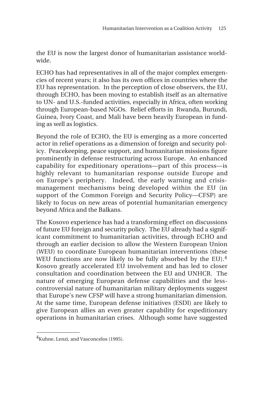the EU is now the largest donor of humanitarian assistance worldwide.

ECHO has had representatives in all of the major complex emergencies of recent years; it also has its own offices in countries where the EU has representation. In the perception of close observers, the EU, through ECHO, has been moving to establish itself as an alternative to UN- and U.S.-funded activities, especially in Africa, often working through European-based NGOs. Relief efforts in Rwanda, Burundi, Guinea, Ivory Coast, and Mali have been heavily European in funding as well as logistics.

Beyond the role of ECHO, the EU is emerging as a more concerted actor in relief operations as a dimension of foreign and security policy. Peacekeeping, peace support, and humanitarian missions figure prominently in defense restructuring across Europe. An enhanced capability for expeditionary operations—part of this process—is highly relevant to humanitarian response outside Europe and on Europe's periphery. Indeed, the early warning and crisismanagement mechanisms being developed within the EU (in support of the Common Foreign and Security Policy—CFSP) are likely to focus on new areas of potential humanitarian emergency beyond Africa and the Balkans.

The Kosovo experience has had a transforming effect on discussions of future EU foreign and security policy. The EU already had a significant commitment to humanitarian activities, through ECHO and through an earlier decision to allow the Western European Union (WEU) to coordinate European humanitarian interventions (these WEU functions are now likely to be fully absorbed by the EU).<sup>4</sup> Kosovo greatly accelerated EU involvement and has led to closer consultation and coordination between the EU and UNHCR. The nature of emerging European defense capabilities and the lesscontroversial nature of humanitarian military deployments suggest that Europe's new CFSP will have a strong humanitarian dimension. At the same time, European defense initiatives (ESDI) are likely to give European allies an even greater capability for expeditionary operations in humanitarian crises. Although some have suggested

<sup>4</sup>Kuhne, Lenzi, and Vasconcelos (1995).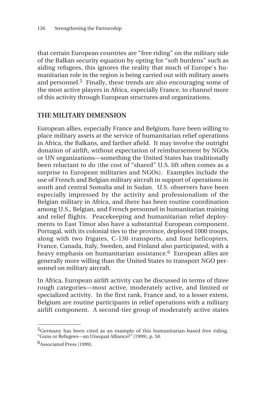that certain European countries are "free riding" on the military side of the Balkan security equation by opting for "soft burdens" such as aiding refugees, this ignores the reality that much of Europe's humanitarian role in the region is being carried out with military assets and personnel.5 Finally, these trends are also encouraging some of the most active players in Africa, especially France, to channel more of this activity through European structures and organizations.

### **THE MILITARY DIMENSION**

European allies, especially France and Belgium, have been willing to place military assets at the service of humanitarian relief operations in Africa, the Balkans, and farther afield. It may involve the outright donation of airlift, without expectation of reimbursement by NGOs or UN organizations—something the United States has traditionally been reluctant to do (the cost of "shared" U.S. lift often comes as a surprise to European militaries and NGOs). Examples include the use of French and Belgian military aircraft in support of operations in south and central Somalia and in Sudan. U.S. observers have been especially impressed by the activity and professionalism of the Belgian military in Africa, and there has been routine coordination among U.S., Belgian, and French personnel in humanitarian training and relief flights. Peacekeeping and humanitarian relief deployments to East Timor also have a substantial European component. Portugal, with its colonial ties to the province, deployed 1000 troops, along with two frigates, C-130 transports, and four helicopters. France, Canada, Italy, Sweden, and Finland also participated, with a heavy emphasis on humanitarian assistance.<sup>6</sup> European allies are generally more willing than the United States to transport NGO personnel on military aircraft.

In Africa, European airlift activity can be discussed in terms of three rough categories—most active, moderately active, and limited or specialized activity. In the first rank, France and, to a lesser extent, Belgium are routine participants in relief operations with a military airlift component. A second-tier group of moderately active states

<sup>&</sup>lt;sup>5</sup>Germany has been cited as an example of this humanitarian-based free riding. "Guns or Refugees—an Unequal Alliance?*"* (1999), p. 50.

<sup>6</sup>Associated Press (1999).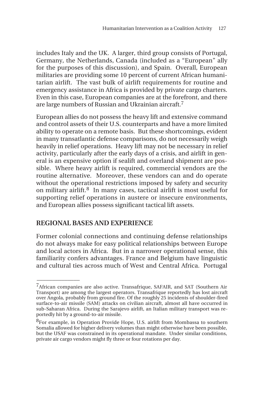includes Italy and the UK. A larger, third group consists of Portugal, Germany, the Netherlands, Canada (included as a "European" ally for the purposes of this discussion), and Spain. Overall, European militaries are providing some 10 percent of current African humanitarian airlift. The vast bulk of airlift requirements for routine and emergency assistance in Africa is provided by private cargo charters. Even in this case, European companies are at the forefront, and there are large numbers of Russian and Ukrainian aircraft.7

European allies do not possess the heavy lift and extensive command and control assets of their U.S. counterparts and have a more limited ability to operate on a remote basis. But these shortcomings, evident in many transatlantic defense comparisons, do not necessarily weigh heavily in relief operations. Heavy lift may not be necessary in relief activity, particularly after the early days of a crisis, and airlift in general is an expensive option if sealift and overland shipment are possible. Where heavy airlift is required, commercial vendors are the routine alternative. Moreover, these vendors can and do operate without the operational restrictions imposed by safety and security on military airlift.8 In many cases, tactical airlift is most useful for supporting relief operations in austere or insecure environments, and European allies possess significant tactical lift assets.

## **REGIONAL BASES AND EXPERIENCE**

 $\overline{\phantom{a}}$ 

Former colonial connections and continuing defense relationships do not always make for easy political relationships between Europe and local actors in Africa. But in a narrower operational sense, this familiarity confers advantages. France and Belgium have linguistic and cultural ties across much of West and Central Africa. Portugal

<sup>7</sup>African companies are also active. Transafrique, SAFAIR, and SAT (Southern Air Transport) are among the largest operators. Transafrique reportedly has lost aircraft over Angola, probably from ground fire. Of the roughly 25 incidents of shoulder-fired surface-to-air missile (SAM) attacks on civilian aircraft, almost all have occurred in sub-Saharan Africa. During the Sarajevo airlift, an Italian military transport was reportedly hit by a ground-to-air missile.

<sup>8</sup>For example, in Operation Provide Hope, U.S. airlift from Mombassa to southern Somalia allowed for higher delivery volumes than might otherwise have been possible, but the USAF was constrained in its operational mandate. Under similar conditions, private air cargo vendors might fly three or four rotations per day.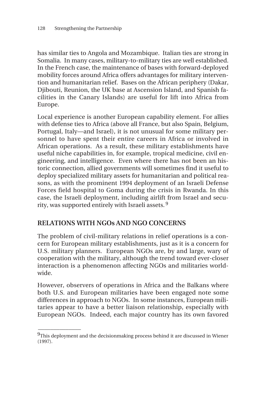has similar ties to Angola and Mozambique. Italian ties are strong in Somalia. In many cases, military-to-military ties are well established. In the French case, the maintenance of bases with forward-deployed mobility forces around Africa offers advantages for military intervention and humanitarian relief. Bases on the African periphery (Dakar, Djibouti, Reunion, the UK base at Ascension Island, and Spanish facilities in the Canary Islands) are useful for lift into Africa from Europe.

Local experience is another European capability element. For allies with defense ties to Africa (above all France, but also Spain, Belgium, Portugal, Italy—and Israel), it is not unusual for some military personnel to have spent their entire careers in Africa or involved in African operations. As a result, these military establishments have useful niche capabilities in, for example, tropical medicine, civil engineering, and intelligence. Even where there has not been an historic connection, allied governments will sometimes find it useful to deploy specialized military assets for humanitarian and political reasons, as with the prominent 1994 deployment of an Israeli Defense Forces field hospital to Goma during the crisis in Rwanda. In this case, the Israeli deployment, including airlift from Israel and security, was supported entirely with Israeli assets. 9

## **RELATIONS WITH NGOs AND NGO CONCERNS**

\_\_\_\_\_\_\_\_\_\_\_\_\_\_

The problem of civil-military relations in relief operations is a concern for European military establishments, just as it is a concern for U.S. military planners. European NGOs are, by and large, wary of cooperation with the military, although the trend toward ever-closer interaction is a phenomenon affecting NGOs and militaries worldwide.

However, observers of operations in Africa and the Balkans where both U.S. and European militaries have been engaged note some differences in approach to NGOs. In some instances, European militaries appear to have a better liaison relationship, especially with European NGOs. Indeed, each major country has its own favored

 $9$ This deployment and the decisionmaking process behind it are discussed in Wiener (1997).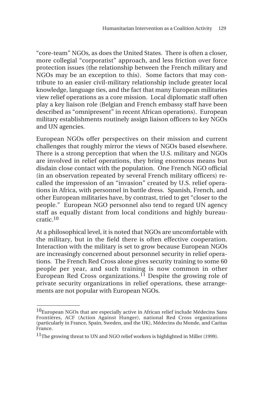"core-team" NGOs, as does the United States. There is often a closer, more collegial "corporatist" approach, and less friction over force protection issues (the relationship between the French military and NGOs may be an exception to this). Some factors that may contribute to an easier civil-military relationship include greater local knowledge, language ties, and the fact that many European militaries view relief operations as a core mission. Local diplomatic staff often play a key liaison role (Belgian and French embassy staff have been described as "omnipresent" in recent African operations). European military establishments routinely assign liaison officers to key NGOs and UN agencies.

European NGOs offer perspectives on their mission and current challenges that roughly mirror the views of NGOs based elsewhere. There is a strong perception that when the U.S. military and NGOs are involved in relief operations, they bring enormous means but disdain close contact with the population. One French NGO official (in an observation repeated by several French military officers) recalled the impression of an "invasion" created by U.S. relief operations in Africa, with personnel in battle dress. Spanish, French, and other European militaries have, by contrast, tried to get "closer to the people." European NGO personnel also tend to regard UN agency staff as equally distant from local conditions and highly bureaucratic.10

At a philosophical level, it is noted that NGOs are uncomfortable with the military, but in the field there is often effective cooperation. Interaction with the military is set to grow because European NGOs are increasingly concerned about personnel security in relief operations. The French Red Cross alone gives security training to some 60 people per year, and such training is now common in other European Red Cross organizations.<sup>11</sup> Despite the growing role of private security organizations in relief operations, these arrangements are not popular with European NGOs.

<sup>&</sup>lt;sup>10</sup>European NGOs that are especially active in African relief include Médecins Sans Frontières, ACF (Action Against Hunger), national Red Cross organizations (particularly in France, Spain, Sweden, and the UK), Médecins du Monde, and Caritas France.

<sup>&</sup>lt;sup>11</sup>The growing threat to UN and NGO relief workers is highlighted in Miller (1999).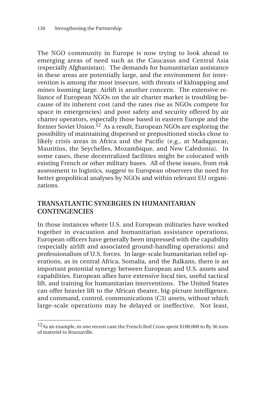The NGO community in Europe is now trying to look ahead to emerging areas of need such as the Caucasus and Central Asia (especially Afghanistan). The demands for humanitarian assistance in these areas are potentially large, and the environment for intervention is among the most insecure, with threats of kidnapping and mines looming large. Airlift is another concern. The extensive reliance of European NGOs on the air charter market is troubling because of its inherent cost (and the rates rise as NGOs compete for space in emergencies) and poor safety and security offered by air charter operators, especially those based in eastern Europe and the former Soviet Union.<sup>12</sup> As a result, European NGOs are exploring the possibility of maintaining dispersed or prepositioned stocks close to likely crisis areas in Africa and the Pacific (e.g., at Madagascar, Mauritius, the Seychelles, Mozambique, and New Caledonia). In some cases, these decentralized facilities might be colocated with existing French or other military bases. All of these issues, from risk assessment to logistics, suggest to European observers the need for better geopolitical analyses by NGOs and within relevant EU organizations.

## **TRANSATLANTIC SYNERGIES IN HUMANITARIAN CONTINGENCIES**

In those instances where U.S. and European militaries have worked together in evacuation and humanitarian assistance operations, European officers have generally been impressed with the capability (especially airlift and associated ground-handling operations) and professionalism of U.S. forces. In large-scale humanitarian relief operations, as in central Africa, Somalia, and the Balkans, there is an important potential synergy between European and U.S. assets and capabilities. European allies have extensive local ties, useful tactical lift, and training for humanitarian interventions. The United States can offer heavier lift to the African theater, big-picture intelligence, and command, control, communications (C3) assets, without which large-scale operations may be delayed or ineffective. Not least,

\_\_\_\_\_\_\_\_\_\_\_\_\_\_

<sup>&</sup>lt;sup>12</sup>As an example, in one recent case the French Red Cross spent \$100,000 to fly 36 tons of materiel to Brazzaville.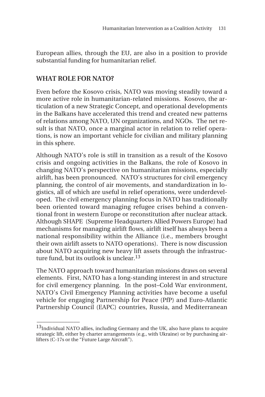European allies, through the EU, are also in a position to provide substantial funding for humanitarian relief.

## **WHAT ROLE FOR NATO?**

 $\overline{\phantom{a}}$ 

Even before the Kosovo crisis, NATO was moving steadily toward a more active role in humanitarian-related missions. Kosovo, the articulation of a new Strategic Concept, and operational developments in the Balkans have accelerated this trend and created new patterns of relations among NATO, UN organizations, and NGOs. The net result is that NATO, once a marginal actor in relation to relief operations, is now an important vehicle for civilian and military planning in this sphere.

Although NATO's role is still in transition as a result of the Kosovo crisis and ongoing activities in the Balkans, the role of Kosovo in changing NATO's perspective on humanitarian missions, especially airlift, has been pronounced. NATO's structures for civil emergency planning, the control of air movements, and standardization in logistics, all of which are useful in relief operations, were underdeveloped. The civil emergency planning focus in NATO has traditionally been oriented toward managing refugee crises behind a conventional front in western Europe or reconstitution after nuclear attack. Although SHAPE (Supreme Headquarters Allied Powers Europe) had mechanisms for managing airlift flows, airlift itself has always been a national responsibility within the Alliance (i.e., members brought their own airlift assets to NATO operations). There is now discussion about NATO acquiring new heavy lift assets through the infrastructure fund, but its outlook is unclear.<sup>13</sup>

The NATO approach toward humanitarian missions draws on several elements. First, NATO has a long-standing interest in and structure for civil emergency planning. In the post–Cold War environment, NATO's Civil Emergency Planning activities have become a useful vehicle for engaging Partnership for Peace (PfP) and Euro-Atlantic Partnership Council (EAPC) countries, Russia, and Mediterranean

<sup>&</sup>lt;sup>13</sup>Individual NATO allies, including Germany and the UK, also have plans to acquire strategic lift, either by charter arrangements (e.g., with Ukraine) or by purchasing airlifters (C-17s or the "Future Large Aircraft").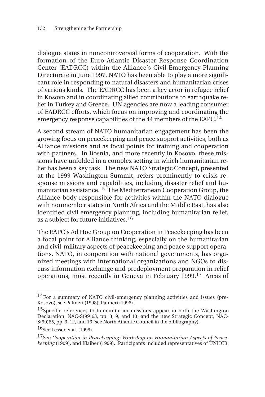dialogue states in noncontroversial forms of cooperation. With the formation of the Euro-Atlantic Disaster Response Coordination Center (EADRCC) within the Alliance's Civil Emergency Planning Directorate in June 1997, NATO has been able to play a more significant role in responding to natural disasters and humanitarian crises of various kinds. The EADRCC has been a key actor in refugee relief in Kosovo and in coordinating allied contributions to earthquake relief in Turkey and Greece. UN agencies are now a leading consumer of EADRCC efforts, which focus on improving and coordinating the emergency response capabilities of the 44 members of the EAPC.<sup>14</sup>

A second stream of NATO humanitarian engagement has been the growing focus on peacekeeping and peace support activities, both as Alliance missions and as focal points for training and cooperation with partners. In Bosnia, and more recently in Kosovo, these missions have unfolded in a complex setting in which humanitarian relief has been a key task. The new NATO Strategic Concept, presented at the 1999 Washington Summit, refers prominently to crisis response missions and capabilities, including disaster relief and humanitarian assistance.15 The Mediterranean Cooperation Group, the Alliance body responsible for activities within the NATO dialogue with nonmember states in North Africa and the Middle East, has also identified civil emergency planning, including humanitarian relief, as a subject for future initiatives.<sup>16</sup>

The EAPC's Ad Hoc Group on Cooperation in Peacekeeping has been a focal point for Alliance thinking, especially on the humanitarian and civil-military aspects of peacekeeping and peace support operations. NATO, in cooperation with national governments, has organized meetings with international organizations and NGOs to discuss information exchange and predeployment preparation in relief operations, most recently in Geneva in February 1999.17 Areas of

16See Lesser et al. (1999).

 $14$ For a summary of NATO civil-emergency planning activities and issues (pre-Kosovo), see Palmeri (1998); Palmeri (1996).

<sup>&</sup>lt;sup>15</sup>Specific references to humanitarian missions appear in both the Washington Declaration, NAC-S(99)63, pp. 3, 9, and 13; and the new Strategic Concept, NAC-S(99)65, pp. 3, 12, and 16 (see North Atlantic Council in the bibliography).

<sup>17</sup>See *Cooperation in Peacekeeping: Workshop on Humanitarian Aspects of Peacekeeping* (1999), and Klaiber (1999). Participants included representatives of UNHCR,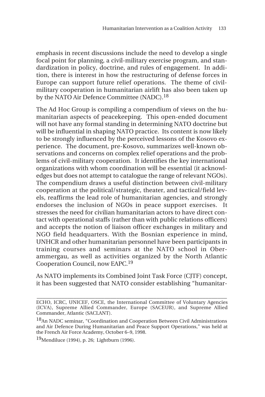emphasis in recent discussions include the need to develop a single focal point for planning, a civil-military exercise program, and standardization in policy, doctrine, and rules of engagement. In addition, there is interest in how the restructuring of defense forces in Europe can support future relief operations. The theme of civilmilitary cooperation in humanitarian airlift has also been taken up by the NATO Air Defence Committee (NADC).<sup>18</sup>

The Ad Hoc Group is compiling a compendium of views on the humanitarian aspects of peacekeeping. This open-ended document will not have any formal standing in determining NATO doctrine but will be influential in shaping NATO practice. Its content is now likely to be strongly influenced by the perceived lessons of the Kosovo experience. The document, pre-Kosovo, summarizes well-known observations and concerns on complex relief operations and the problems of civil-military cooperation. It identifies the key international organizations with whom coordination will be essential (it acknowledges but does not attempt to catalogue the range of relevant NGOs). The compendium draws a useful distinction between civil-military cooperation at the political/strategic, theater, and tactical/field levels, reaffirms the lead role of humanitarian agencies, and strongly endorses the inclusion of NGOs in peace support exercises. It stresses the need for civilian humanitarian actors to have direct contact with operational staffs (rather than with public relations officers) and accepts the notion of liaison officer exchanges in military and NGO field headquarters. With the Bosnian experience in mind, UNHCR and other humanitarian personnel have been participants in training courses and seminars at the NATO school in Oberammergau, as well as activities organized by the North Atlantic Cooperation Council, now EAPC.19

As NATO implements its Combined Joint Task Force (CJTF) concept, it has been suggested that NATO consider establishing "humanitar-

19Mendiluce (1994), p. 26; Lightburn (1996).

**\_\_\_\_\_\_\_\_\_\_\_\_\_\_\_\_\_\_\_\_\_\_\_\_\_\_\_\_\_\_\_\_\_\_\_\_\_\_\_\_\_\_\_\_\_\_\_\_\_\_\_\_\_\_\_\_\_\_\_\_\_\_** ECHO, ICRC, UNICEF, OSCE, the International Committee of Voluntary Agencies (ICVA), Supreme Allied Commander, Europe (SACEUR), and Supreme Allied Commander, Atlantic (SACLANT).

<sup>&</sup>lt;sup>18</sup>An NADC seminar, "Coordination and Cooperation Between Civil Administrations and Air Defence During Humanitarian and Peace Support Operations," was held at the French Air Force Academy, October 6–9, 1998.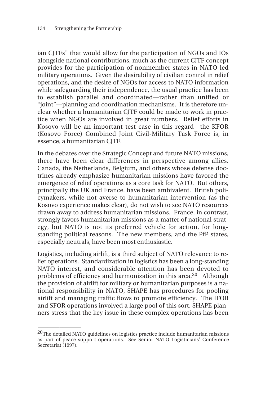ian CJTFs" that would allow for the participation of NGOs and IOs alongside national contributions, much as the current CJTF concept provides for the participation of nonmember states in NATO-led military operations. Given the desirability of civilian control in relief operations, and the desire of NGOs for access to NATO information while safeguarding their independence, the usual practice has been to establish parallel and coordinated—rather than unified or "joint"—planning and coordination mechanisms. It is therefore unclear whether a humanitarian CJTF could be made to work in practice when NGOs are involved in great numbers. Relief efforts in Kosovo will be an important test case in this regard—the KFOR (Kosovo Force) Combined Joint Civil-Military Task Force is, in essence, a humanitarian CJTF.

In the debates over the Strategic Concept and future NATO missions, there have been clear differences in perspective among allies. Canada, the Netherlands, Belgium, and others whose defense doctrines already emphasize humanitarian missions have favored the emergence of relief operations as a core task for NATO. But others, principally the UK and France, have been ambivalent. British policymakers, while not averse to humanitarian intervention (as the Kosovo experience makes clear), do not wish to see NATO resources drawn away to address humanitarian missions. France, in contrast, strongly favors humanitarian missions as a matter of national strategy, but NATO is not its preferred vehicle for action, for longstanding political reasons. The new members, and the PfP states, especially neutrals, have been most enthusiastic.

Logistics, including airlift, is a third subject of NATO relevance to relief operations. Standardization in logistics has been a long-standing NATO interest, and considerable attention has been devoted to problems of efficiency and harmonization in this area.20 Although the provision of airlift for military or humanitarian purposes is a national responsibility in NATO, SHAPE has procedures for pooling airlift and managing traffic flows to promote efficiency. The IFOR and SFOR operations involved a large pool of this sort. SHAPE planners stress that the key issue in these complex operations has been

\_\_\_\_\_\_\_\_\_\_\_\_\_\_

 $20$ The detailed NATO guidelines on logistics practice include humanitarian missions as part of peace support operations. See Senior NATO Logisticians' Conference Secretariat (1997).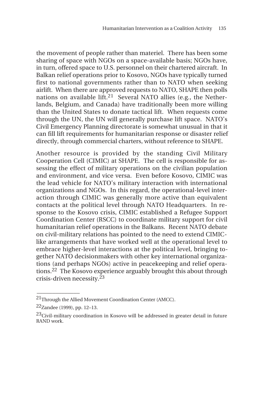the movement of people rather than materiel. There has been some sharing of space with NGOs on a space-available basis; NGOs have, in turn, offered space to U.S. personnel on their chartered aircraft. In Balkan relief operations prior to Kosovo, NGOs have typically turned first to national governments rather than to NATO when seeking airlift. When there are approved requests to NATO, SHAPE then polls nations on available lift.<sup>21</sup> Several NATO allies (e.g., the Netherlands, Belgium, and Canada) have traditionally been more willing than the United States to donate tactical lift. When requests come through the UN, the UN will generally purchase lift space. NATO's Civil Emergency Planning directorate is somewhat unusual in that it can fill lift requirements for humanitarian response or disaster relief directly, through commercial charters, without reference to SHAPE.

Another resource is provided by the standing Civil Military Cooperation Cell (CIMIC) at SHAPE. The cell is responsible for assessing the effect of military operations on the civilian population and environment, and vice versa. Even before Kosovo, CIMIC was the lead vehicle for NATO's military interaction with international organizations and NGOs. In this regard, the operational-level interaction through CIMIC was generally more active than equivalent contacts at the political level through NATO Headquarters. In response to the Kosovo crisis, CIMIC established a Refugee Support Coordination Center (RSCC) to coordinate military support for civil humanitarian relief operations in the Balkans. Recent NATO debate on civil-military relations has pointed to the need to extend CIMIClike arrangements that have worked well at the operational level to embrace higher-level interactions at the political level, bringing together NATO decisionmakers with other key international organizations (and perhaps NGOs) active in peacekeeping and relief operations.22 The Kosovo experience arguably brought this about through crisis-driven necessity.<sup>23</sup>

<sup>21</sup>Through the Allied Movement Coordination Center (AMCC).

<sup>22</sup>Zandee (1999), pp. 12–13.

<sup>&</sup>lt;sup>23</sup>Civil-military coordination in Kosovo will be addressed in greater detail in future RAND work.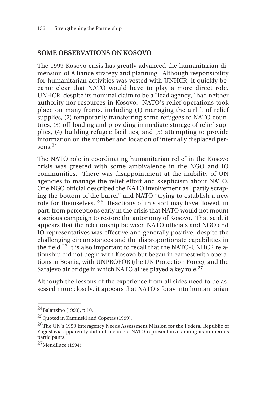# **SOME OBSERVATIONS ON KOSOVO**

The 1999 Kosovo crisis has greatly advanced the humanitarian dimension of Alliance strategy and planning. Although responsibility for humanitarian activities was vested with UNHCR, it quickly became clear that NATO would have to play a more direct role. UNHCR, despite its nominal claim to be a "lead agency," had neither authority nor resources in Kosovo. NATO's relief operations took place on many fronts, including (1) managing the airlift of relief supplies, (2) temporarily transferring some refugees to NATO countries, (3) off-loading and providing immediate storage of relief supplies, (4) building refugee facilities, and (5) attempting to provide information on the number and location of internally displaced persons. $24$ 

The NATO role in coordinating humanitarian relief in the Kosovo crisis was greeted with some ambivalence in the NGO and IO communities. There was disappointment at the inability of UN agencies to manage the relief effort and skepticism about NATO. One NGO official described the NATO involvement as "partly scraping the bottom of the barrel" and NATO "trying to establish a new role for themselves."25 Reactions of this sort may have flowed, in part, from perceptions early in the crisis that NATO would not mount a serious campaign to restore the autonomy of Kosovo. That said, it appears that the relationship between NATO officials and NGO and IO representatives was effective and generally positive, despite the challenging circumstances and the disproportionate capabilities in the field.26 It is also important to recall that the NATO-UNHCR relationship did not begin with Kosovo but began in earnest with operations in Bosnia, with UNPROFOR (the UN Protection Force), and the Sarajevo air bridge in which NATO allies played a key role.27

Although the lessons of the experience from all sides need to be assessed more closely, it appears that NATO's foray into humanitarian

\_\_\_\_\_\_\_\_\_\_\_\_\_\_

<sup>&</sup>lt;sup>24</sup>Balanzino (1999), p.10.

<sup>25</sup>Quoted in Kaminski and Copetas (1999).

<sup>&</sup>lt;sup>26</sup>The UN's 1999 Interagency Needs Assessment Mission for the Federal Republic of Yugoslavia apparently did not include a NATO representative among its numerous participants.

 $27$ Mendiluce (1994).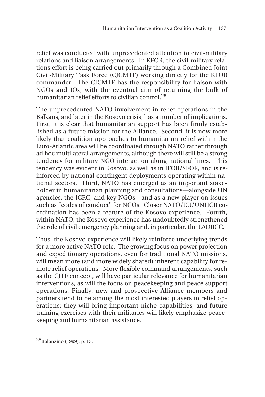relief was conducted with unprecedented attention to civil-military relations and liaison arrangements. In KFOR, the civil-military relations effort is being carried out primarily through a Combined Joint Civil-Military Task Force (CJCMTF) working directly for the KFOR commander. The CJCMTF has the responsibility for liaison with NGOs and IOs, with the eventual aim of returning the bulk of humanitarian relief efforts to civilian control.28

The unprecedented NATO involvement in relief operations in the Balkans, and later in the Kosovo crisis, has a number of implications. First, it is clear that humanitarian support has been firmly established as a future mission for the Alliance. Second, it is now more likely that coalition approaches to humanitarian relief within the Euro-Atlantic area will be coordinated through NATO rather through ad hoc multilateral arrangements, although there will still be a strong tendency for military-NGO interaction along national lines. This tendency was evident in Kosovo, as well as in IFOR/SFOR, and is reinforced by national contingent deployments operating within national sectors. Third, NATO has emerged as an important stakeholder in humanitarian planning and consultations—alongside UN agencies, the ICRC, and key NGOs—and as a new player on issues such as "codes of conduct" for NGOs. Closer NATO/EU/UNHCR coordination has been a feature of the Kosovo experience. Fourth, within NATO, the Kosovo experience has undoubtedly strengthened the role of civil emergency planning and, in particular, the EADRCC.

Thus, the Kosovo experience will likely reinforce underlying trends for a more active NATO role. The growing focus on power projection and expeditionary operations, even for traditional NATO missions, will mean more (and more widely shared) inherent capability for remote relief operations. More flexible command arrangements, such as the CJTF concept, will have particular relevance for humanitarian interventions, as will the focus on peacekeeping and peace support operations. Finally, new and prospective Alliance members and partners tend to be among the most interested players in relief operations; they will bring important niche capabilities, and future training exercises with their militaries will likely emphasize peacekeeping and humanitarian assistance.

<sup>28</sup>Balanzino (1999), p. 13.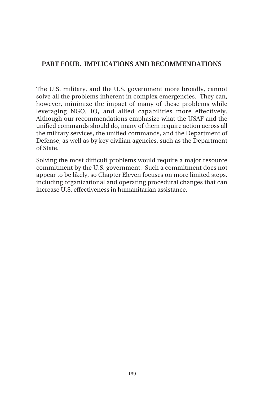# **PART FOUR. IMPLICATIONS AND RECOMMENDATIONS**

The U.S. military, and the U.S. government more broadly, cannot solve all the problems inherent in complex emergencies. They can, however, minimize the impact of many of these problems while leveraging NGO, IO, and allied capabilities more effectively. Although our recommendations emphasize what the USAF and the unified commands should do, many of them require action across all the military services, the unified commands, and the Department of Defense, as well as by key civilian agencies, such as the Department of State.

Solving the most difficult problems would require a major resource commitment by the U.S. government. Such a commitment does not appear to be likely, so Chapter Eleven focuses on more limited steps, including organizational and operating procedural changes that can increase U.S. effectiveness in humanitarian assistance.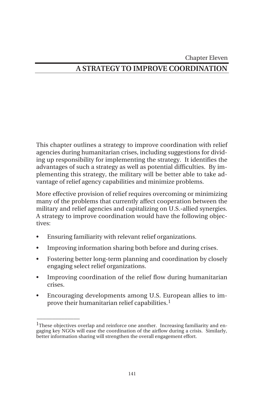#### Chapter Eleven

# **A STRATEGY TO IMPROVE COORDINATION**

This chapter outlines a strategy to improve coordination with relief agencies during humanitarian crises, including suggestions for dividing up responsibility for implementing the strategy. It identifies the advantages of such a strategy as well as potential difficulties. By implementing this strategy, the military will be better able to take advantage of relief agency capabilities and minimize problems.

More effective provision of relief requires overcoming or minimizing many of the problems that currently affect cooperation between the military and relief agencies and capitalizing on U.S.-allied synergies. A strategy to improve coordination would have the following objectives:

• Ensuring familiarity with relevant relief organizations.

- Improving information sharing both before and during crises.
- Fostering better long-term planning and coordination by closely engaging select relief organizations.
- Improving coordination of the relief flow during humanitarian crises.
- Encouraging developments among U.S. European allies to improve their humanitarian relief capabilities. $<sup>1</sup>$ </sup>

<sup>&</sup>lt;sup>1</sup>These objectives overlap and reinforce one another. Increasing familiarity and engaging key NGOs will ease the coordination of the airflow during a crisis. Similarly, better information sharing will strengthen the overall engagement effort.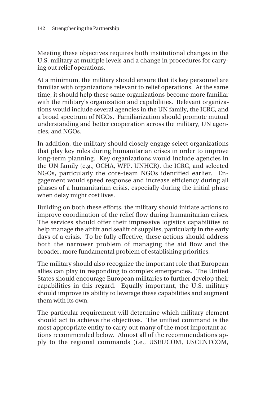Meeting these objectives requires both institutional changes in the U.S. military at multiple levels and a change in procedures for carrying out relief operations.

At a minimum, the military should ensure that its key personnel are familiar with organizations relevant to relief operations. At the same time, it should help these same organizations become more familiar with the military's organization and capabilities. Relevant organizations would include several agencies in the UN family, the ICRC, and a broad spectrum of NGOs. Familiarization should promote mutual understanding and better cooperation across the military, UN agencies, and NGOs.

In addition, the military should closely engage select organizations that play key roles during humanitarian crises in order to improve long-term planning. Key organizations would include agencies in the UN family (e.g., OCHA, WFP, UNHCR), the ICRC, and selected NGOs, particularly the core-team NGOs identified earlier. Engagement would speed response and increase efficiency during all phases of a humanitarian crisis, especially during the initial phase when delay might cost lives.

Building on both these efforts, the military should initiate actions to improve coordination of the relief flow during humanitarian crises. The services should offer their impressive logistics capabilities to help manage the airlift and sealift of supplies, particularly in the early days of a crisis. To be fully effective, these actions should address both the narrower problem of managing the aid flow and the broader, more fundamental problem of establishing priorities.

The military should also recognize the important role that European allies can play in responding to complex emergencies. The United States should encourage European militaries to further develop their capabilities in this regard. Equally important, the U.S. military should improve its ability to leverage these capabilities and augment them with its own.

The particular requirement will determine which military element should act to achieve the objectives. The unified command is the most appropriate entity to carry out many of the most important actions recommended below. Almost all of the recommendations apply to the regional commands (i.e., USEUCOM, USCENTCOM,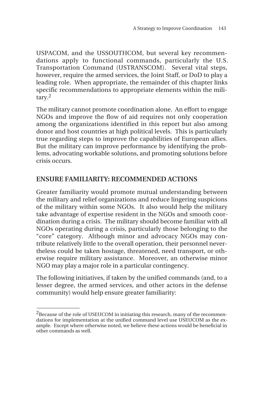USPACOM, and the USSOUTHCOM, but several key recommendations apply to functional commands, particularly the U.S. Transportation Command (USTRANSCOM). Several vital steps, however, require the armed services, the Joint Staff, or DoD to play a leading role. When appropriate, the remainder of this chapter links specific recommendations to appropriate elements within the military.2

The military cannot promote coordination alone. An effort to engage NGOs and improve the flow of aid requires not only cooperation among the organizations identified in this report but also among donor and host countries at high political levels. This is particularly true regarding steps to improve the capabilities of European allies. But the military can improve performance by identifying the problems, advocating workable solutions, and promoting solutions before crisis occurs.

## **ENSURE FAMILIARITY: RECOMMENDED ACTIONS**

Greater familiarity would promote mutual understanding between the military and relief organizations and reduce lingering suspicions of the military within some NGOs. It also would help the military take advantage of expertise resident in the NGOs and smooth coordination during a crisis. The military should become familiar with all NGOs operating during a crisis, particularly those belonging to the "core" category. Although minor and advocacy NGOs may contribute relatively little to the overall operation, their personnel nevertheless could be taken hostage, threatened, need transport, or otherwise require military assistance. Moreover, an otherwise minor NGO may play a major role in a particular contingency.

The following initiatives, if taken by the unified commands (and, to a lesser degree, the armed services, and other actors in the defense community) would help ensure greater familiarity:

<sup>&</sup>lt;sup>2</sup>Because of the role of USEUCOM in initiating this research, many of the recommendations for implementation at the unified command level use USEUCOM as the example. Except where otherwise noted, we believe these actions would be beneficial in other commands as well.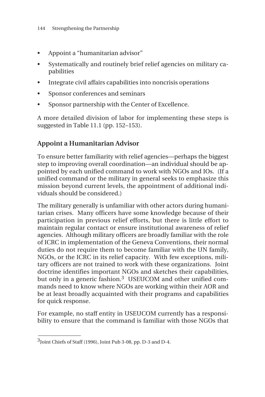- Appoint a "humanitarian advisor"
- Systematically and routinely brief relief agencies on military capabilities
- Integrate civil affairs capabilities into noncrisis operations
- Sponsor conferences and seminars
- Sponsor partnership with the Center of Excellence.

A more detailed division of labor for implementing these steps is suggested in Table 11.1 (pp. 152–153).

# **Appoint a Humanitarian Advisor**

To ensure better familiarity with relief agencies—perhaps the biggest step to improving overall coordination—an individual should be appointed by each unified command to work with NGOs and IOs. (If a unified command or the military in general seeks to emphasize this mission beyond current levels, the appointment of additional individuals should be considered.)

The military generally is unfamiliar with other actors during humanitarian crises. Many officers have some knowledge because of their participation in previous relief efforts, but there is little effort to maintain regular contact or ensure institutional awareness of relief agencies. Although military officers are broadly familiar with the role of ICRC in implementation of the Geneva Conventions, their normal duties do not require them to become familiar with the UN family, NGOs, or the ICRC in its relief capacity. With few exceptions, military officers are not trained to work with these organizations. Joint doctrine identifies important NGOs and sketches their capabilities, but only in a generic fashion.<sup>3</sup> USEUCOM and other unified commands need to know where NGOs are working within their AOR and be at least broadly acquainted with their programs and capabilities for quick response.

For example, no staff entity in USEUCOM currently has a responsibility to ensure that the command is familiar with those NGOs that

\_\_\_\_\_\_\_\_\_\_\_\_\_\_

<sup>3</sup>Joint Chiefs of Staff (1996), Joint Pub 3-08, pp. D-3 and D-4.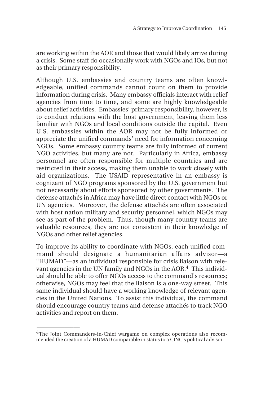are working within the AOR and those that would likely arrive during a crisis. Some staff do occasionally work with NGOs and IOs, but not as their primary responsibility.

Although U.S. embassies and country teams are often knowledgeable, unified commands cannot count on them to provide information during crisis. Many embassy officials interact with relief agencies from time to time, and some are highly knowledgeable about relief activities. Embassies' primary responsibility, however, is to conduct relations with the host government, leaving them less familiar with NGOs and local conditions outside the capital. Even U.S. embassies within the AOR may not be fully informed or appreciate the unified commands' need for information concerning NGOs. Some embassy country teams are fully informed of current NGO activities, but many are not. Particularly in Africa, embassy personnel are often responsible for multiple countries and are restricted in their access, making them unable to work closely with aid organizations. The USAID representative in an embassy is cognizant of NGO programs sponsored by the U.S. government but not necessarily about efforts sponsored by other governments. The defense attachés in Africa may have little direct contact with NGOs or UN agencies. Moreover, the defense attachés are often associated with host nation military and security personnel, which NGOs may see as part of the problem. Thus, though many country teams are valuable resources, they are not consistent in their knowledge of NGOs and other relief agencies.

To improve its ability to coordinate with NGOs, each unified command should designate a humanitarian affairs advisor—a "HUMAD"—as an individual responsible for crisis liaison with relevant agencies in the UN family and NGOs in the AOR.<sup>4</sup> This individual should be able to offer NGOs access to the command's resources; otherwise, NGOs may feel that the liaison is a one-way street. This same individual should have a working knowledge of relevant agencies in the United Nations. To assist this individual, the command should encourage country teams and defense attachés to track NGO activities and report on them.

<sup>&</sup>lt;sup>4</sup>The Joint Commanders-in-Chief wargame on complex operations also recommended the creation of a HUMAD comparable in status to a CINC's political advisor.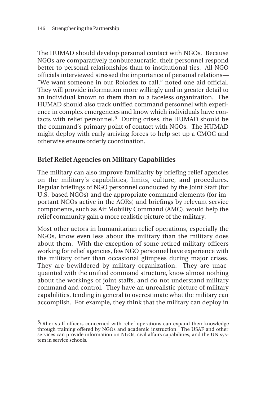\_\_\_\_\_\_\_\_\_\_\_\_\_\_

The HUMAD should develop personal contact with NGOs. Because NGOs are comparatively nonbureaucratic, their personnel respond better to personal relationships than to institutional ties. All NGO officials interviewed stressed the importance of personal relations— "We want someone in our Rolodex to call," noted one aid official. They will provide information more willingly and in greater detail to an individual known to them than to a faceless organization. The HUMAD should also track unified command personnel with experience in complex emergencies and know which individuals have contacts with relief personnel.5 During crises, the HUMAD should be the command's primary point of contact with NGOs. The HUMAD might deploy with early arriving forces to help set up a CMOC and otherwise ensure orderly coordination.

# **Brief Relief Agencies on Military Capabilities**

The military can also improve familiarity by briefing relief agencies on the military's capabilities, limits, culture, and procedures. Regular briefings of NGO personnel conducted by the Joint Staff (for U.S.-based NGOs) and the appropriate command elements (for important NGOs active in the AORs) and briefings by relevant service components, such as Air Mobility Command (AMC), would help the relief community gain a more realistic picture of the military.

Most other actors in humanitarian relief operations, especially the NGOs, know even less about the military than the military does about them. With the exception of some retired military officers working for relief agencies, few NGO personnel have experience with the military other than occasional glimpses during major crises. They are bewildered by military organization: They are unacquainted with the unified command structure, know almost nothing about the workings of joint staffs, and do not understand military command and control. They have an unrealistic picture of military capabilities, tending in general to overestimate what the military can accomplish. For example, they think that the military can deploy in

<sup>&</sup>lt;sup>5</sup>Other staff officers concerned with relief operations can expand their knowledge through training offered by NGOs and academic instruction. The USAF and other services can provide information on NGOs, civil affairs capabilities, and the UN system in service schools.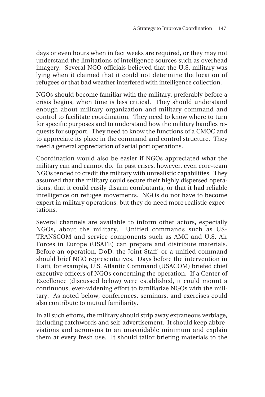days or even hours when in fact weeks are required, or they may not understand the limitations of intelligence sources such as overhead imagery. Several NGO officials believed that the U.S. military was lying when it claimed that it could not determine the location of refugees or that bad weather interfered with intelligence collection.

NGOs should become familiar with the military, preferably before a crisis begins, when time is less critical. They should understand enough about military organization and military command and control to facilitate coordination. They need to know where to turn for specific purposes and to understand how the military handles requests for support. They need to know the functions of a CMOC and to appreciate its place in the command and control structure. They need a general appreciation of aerial port operations.

Coordination would also be easier if NGOs appreciated what the military can and cannot do. In past crises, however, even core-team NGOs tended to credit the military with unrealistic capabilities. They assumed that the military could secure their highly dispersed operations, that it could easily disarm combatants, or that it had reliable intelligence on refugee movements. NGOs do not have to become expert in military operations, but they do need more realistic expectations.

Several channels are available to inform other actors, especially NGOs, about the military. Unified commands such as US-TRANSCOM and service components such as AMC and U.S. Air Forces in Europe (USAFE) can prepare and distribute materials. Before an operation, DoD, the Joint Staff, or a unified command should brief NGO representatives. Days before the intervention in Haiti, for example, U.S. Atlantic Command (USACOM) briefed chief executive officers of NGOs concerning the operation. If a Center of Excellence (discussed below) were established, it could mount a continuous, ever-widening effort to familiarize NGOs with the military. As noted below, conferences, seminars, and exercises could also contribute to mutual familiarity.

In all such efforts, the military should strip away extraneous verbiage, including catchwords and self-advertisement. It should keep abbreviations and acronyms to an unavoidable minimum and explain them at every fresh use. It should tailor briefing materials to the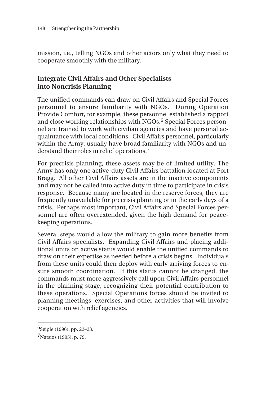mission, i.e., telling NGOs and other actors only what they need to cooperate smoothly with the military.

# **Integrate Civil Affairs and Other Specialists into Noncrisis Planning**

The unified commands can draw on Civil Affairs and Special Forces personnel to ensure familiarity with NGOs. During Operation Provide Comfort, for example, these personnel established a rapport and close working relationships with NGOs.<sup>6</sup> Special Forces personnel are trained to work with civilian agencies and have personal acquaintance with local conditions. Civil Affairs personnel, particularly within the Army, usually have broad familiarity with NGOs and understand their roles in relief operations.7

For precrisis planning, these assets may be of limited utility. The Army has only one active-duty Civil Affairs battalion located at Fort Bragg. All other Civil Affairs assets are in the inactive components and may not be called into active duty in time to participate in crisis response. Because many are located in the reserve forces, they are frequently unavailable for precrisis planning or in the early days of a crisis. Perhaps most important, Civil Affairs and Special Forces personnel are often overextended, given the high demand for peacekeeping operations.

Several steps would allow the military to gain more benefits from Civil Affairs specialists. Expanding Civil Affairs and placing additional units on active status would enable the unified commands to draw on their expertise as needed before a crisis begins. Individuals from these units could then deploy with early arriving forces to ensure smooth coordination. If this status cannot be changed, the commands must more aggressively call upon Civil Affairs personnel in the planning stage, recognizing their potential contribution to these operations. Special Operations forces should be invited to planning meetings, exercises, and other activities that will involve cooperation with relief agencies.

\_\_\_\_\_\_\_\_\_\_\_\_\_\_

 $6$ Seiple (1996), pp. 22–23.

<sup>7</sup>Natsios (1995), p. 79.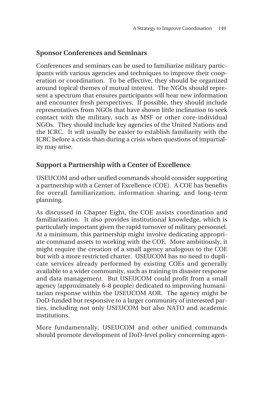# **Sponsor Conferences and Seminars**

Conferences and seminars can be used to familiarize military participants with various agencies and techniques to improve their cooperation or coordination. To be effective, they should be organized around topical themes of mutual interest. The NGOs should represent a spectrum that ensures participants will hear new information and encounter fresh perspectives. If possible, they should include representatives from NGOs that have shown little inclination to seek contact with the military, such as MSF or other core-individual NGOs. They should include key agencies of the United Nations and the ICRC. It will usually be easier to establish familiarity with the ICRC before a crisis than during a crisis when questions of impartiality may arise.

## **Support a Partnership with a Center of Excellence**

USEUCOM and other unified commands should consider supporting a partnership with a Center of Excellence (COE). A COE has benefits for overall familiarization, information sharing, and long-term planning.

As discussed in Chapter Eight, the COE assists coordination and familiarization. It also provides institutional knowledge, which is particularly important given the rapid turnover of military personnel. At a minimum, this partnership might involve dedicating appropriate command assets to working with the COE. More ambitiously, it might require the creation of a small agency analogous to the COE but with a more restricted charter. USEUCOM has no need to duplicate services already performed by existing COEs and generally available to a wider community, such as training in disaster response and data management. But USEUCOM could profit from a small agency (approximately 6–8 people) dedicated to improving humanitarian response within the USEUCOM AOR. The agency might be DoD-funded but responsive to a larger community of interested parties, including not only USEUCOM but also NATO and academic institutions.

More fundamentally, USEUCOM and other unified commands should promote development of DoD-level policy concerning agen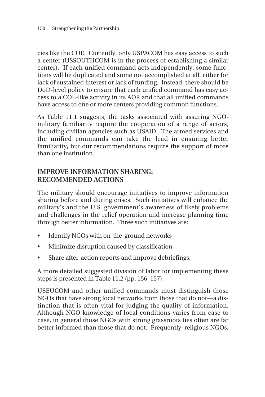cies like the COE. Currently, only USPACOM has easy access to such a center (USSOUTHCOM is in the process of establishing a similar center). If each unified command acts independently, some functions will be duplicated and some not accomplished at all, either for lack of sustained interest or lack of funding. Instead, there should be DoD-level policy to ensure that each unified command has easy access to a COE-like activity in its AOR and that all unified commands have access to one or more centers providing common functions.

As Table 11.1 suggests, the tasks associated with assuring NGOmilitary familiarity require the cooperation of a range of actors, including civilian agencies such as USAID. The armed services and the unified commands can take the lead in ensuring better familiarity, but our recommendations require the support of more than one institution.

## **IMPROVE INFORMATION SHARING: RECOMMENDED ACTIONS**

The military should encourage initiatives to improve information sharing before and during crises. Such initiatives will enhance the military's and the U.S. government's awareness of likely problems and challenges in the relief operation and increase planning time through better information. Three such initiatives are:

- Identify NGOs with on-the-ground networks
- Minimize disruption caused by classification
- Share after-action reports and improve debriefings.

A more detailed suggested division of labor for implementing these steps is presented in Table 11.2 (pp. 156–157).

USEUCOM and other unified commands must distinguish those NGOs that have strong local networks from those that do not—a distinction that is often vital for judging the quality of information. Although NGO knowledge of local conditions varies from case to case, in general those NGOs with strong grassroots ties often are far better informed than those that do not. Frequently, religious NGOs,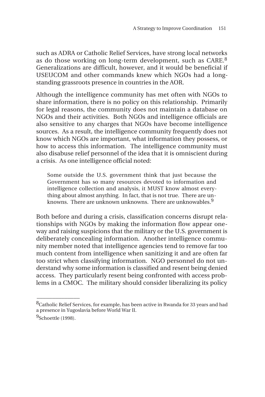such as ADRA or Catholic Relief Services, have strong local networks as do those working on long-term development, such as CARE.<sup>8</sup> Generalizations are difficult, however, and it would be beneficial if USEUCOM and other commands knew which NGOs had a longstanding grassroots presence in countries in the AOR.

Although the intelligence community has met often with NGOs to share information, there is no policy on this relationship. Primarily for legal reasons, the community does not maintain a database on NGOs and their activities. Both NGOs and intelligence officials are also sensitive to any charges that NGOs have become intelligence sources. As a result, the intelligence community frequently does not know which NGOs are important, what information they possess, or how to access this information. The intelligence community must also disabuse relief personnel of the idea that it is omniscient during a crisis. As one intelligence official noted:

Some outside the U.S. government think that just because the Government has so many resources devoted to information and intelligence collection and analysis, it MUST know almost everything about almost anything. In fact, that is not true. There are unknowns. There are unknown unknowns. There are unknowables.<sup>9</sup>

Both before and during a crisis, classification concerns disrupt relationships with NGOs by making the information flow appear oneway and raising suspicions that the military or the U.S. government is deliberately concealing information. Another intelligence community member noted that intelligence agencies tend to remove far too much content from intelligence when sanitizing it and are often far too strict when classifying information. NGO personnel do not understand why some information is classified and resent being denied access. They particularly resent being confronted with access problems in a CMOC. The military should consider liberalizing its policy

 $\overline{\phantom{a}}$ 

<sup>&</sup>lt;sup>8</sup>Catholic Relief Services, for example, has been active in Rwanda for 33 years and had a presence in Yugoslavia before World War II.

<sup>9</sup>Schoettle (1998).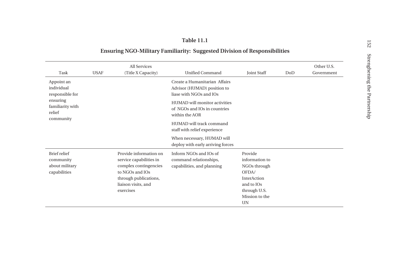#### **Table 11.1**

## **Ensuring NGO-Military Familiarity: Suggested Division of Responsibilities**

| Task                                                                                               | <b>USAF</b> | <b>All Services</b><br>(Title X Capacity)                                                                                                                  | <b>Unified Command</b>                                                                  | <b>Joint Staff</b>                                                                                                      | DoD | Other U.S.<br>Government |
|----------------------------------------------------------------------------------------------------|-------------|------------------------------------------------------------------------------------------------------------------------------------------------------------|-----------------------------------------------------------------------------------------|-------------------------------------------------------------------------------------------------------------------------|-----|--------------------------|
| Appoint an<br>individual<br>responsible for<br>ensuring<br>familiarity with<br>relief<br>community |             |                                                                                                                                                            | Create a Humanitarian Affairs<br>Advisor (HUMAD) position to<br>liase with NGOs and IOs |                                                                                                                         |     |                          |
|                                                                                                    |             |                                                                                                                                                            | HUMAD will monitor activities<br>of NGOs and IOs in countries<br>within the AOR         |                                                                                                                         |     |                          |
|                                                                                                    |             |                                                                                                                                                            | HUMAD will track command<br>staff with relief experience                                |                                                                                                                         |     |                          |
|                                                                                                    |             |                                                                                                                                                            | When necessary, HUMAD will<br>deploy with early arriving forces                         |                                                                                                                         |     |                          |
| Brief relief<br>community<br>about military<br>capabilities                                        |             | Provide information on<br>service capabilities in<br>complex contingencies<br>to NGOs and IOs<br>through publications,<br>liaison visits, and<br>exercises | Inform NGOs and IOs of<br>command relationships,<br>capabilities, and planning          | Provide<br>information to<br>NGOs through<br>OFDA/<br>InterAction<br>and to IOs<br>through U.S.<br>Mission to the<br>UN |     |                          |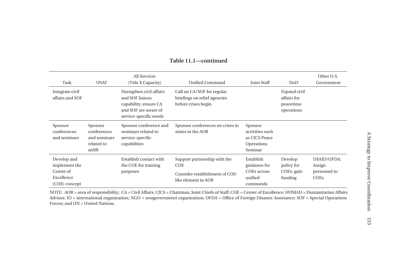| Task                                                                     | <b>USAF</b>                                                     | All Services<br>(Title X Capacity)                                                                                     | Unified Command                                                                              | <b>Joint Staff</b>                                                   | DoD                                                    | Other U.S.<br>Government                      |
|--------------------------------------------------------------------------|-----------------------------------------------------------------|------------------------------------------------------------------------------------------------------------------------|----------------------------------------------------------------------------------------------|----------------------------------------------------------------------|--------------------------------------------------------|-----------------------------------------------|
| Integrate civil<br>affairs and SOF                                       |                                                                 | Strengthen civil affairs<br>and SOF liaison<br>capability; ensure CA<br>and SOF are aware of<br>service-specific needs | Call on CA/SOF for regular<br>briefings on relief agencies<br>before crises begin            |                                                                      | Expand civil<br>affairs for<br>peacetime<br>operations |                                               |
| Sponsor<br>conferences<br>and seminars                                   | Sponsor<br>conferences<br>and seminars<br>related to<br>airlift | Sponsor conference and<br>seminars related to<br>service-specific<br>capabilities                                      | Sponsor conferences on crises in<br>states in the AOR                                        | Sponsor<br>activities such<br>as CJCS Peace<br>Operations<br>Seminar |                                                        |                                               |
| Develop and<br>implement the<br>Center of<br>Excellence<br>(COE) concept |                                                                 | Establish contact with<br>the COE for training<br>purposes                                                             | Support partnership with the<br>COE<br>Consider establishment of COE-<br>like element in AOR | Establish<br>guidance for<br>COEs across<br>unified<br>commands      | Develop<br>policy for<br>COEs; gain<br>funding         | USAID/OFDA:<br>Assign<br>personnel to<br>COEs |

#### **Table 11.1—continued**

NOTE: AOR = area of responsibility; CA = Civil Affairs; CJCS = Chairman, Joint Chiefs of Staff; COE = Center of Excellence; HUMAD = Humanitarian Affairs Advisor; IO = international organization; NGO = nongovernment organization; OFDA = Office of Foreign Disaster Assistance; SOF = Special Operations Forces; and UN = United Nations.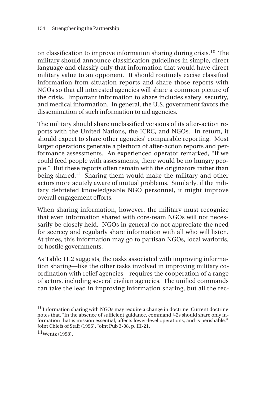on classification to improve information sharing during crisis.10 The military should announce classification guidelines in simple, direct language and classify only that information that would have direct military value to an opponent. It should routinely excise classified information from situation reports and share those reports with NGOs so that all interested agencies will share a common picture of the crisis. Important information to share includes safety, security, and medical information. In general, the U.S. government favors the dissemination of such information to aid agencies.

The military should share unclassified versions of its after-action reports with the United Nations, the ICRC, and NGOs. In return, it should expect to share other agencies' comparable reporting. Most larger operations generate a plethora of after-action reports and performance assessments. An experienced operator remarked, "If we could feed people with assessments, there would be no hungry people." But these reports often remain with the originators rather than being shared.<sup>11</sup> Sharing them would make the military and other actors more acutely aware of mutual problems. Similarly, if the military debriefed knowledgeable NGO personnel, it might improve overall engagement efforts.

When sharing information, however, the military must recognize that even information shared with core-team NGOs will not necessarily be closely held. NGOs in general do not appreciate the need for secrecy and regularly share information with all who will listen. At times, this information may go to partisan NGOs, local warlords, or hostile governments.

As Table 11.2 suggests, the tasks associated with improving information sharing—like the other tasks involved in improving military coordination with relief agencies—requires the cooperation of a range of actors, including several civilian agencies. The unified commands can take the lead in improving information sharing, but all the rec-

\_\_\_\_\_\_\_\_\_\_\_\_\_\_

 $10$ Information sharing with NGOs may require a change in doctrine. Current doctrine notes that, "In the absence of sufficient guidance, command J-2s should share only information that is mission essential, affects lower-level operations, and is perishable." Joint Chiefs of Staff (1996), Joint Pub 3-08, p. III-21.

 $11$ Wentz (1998).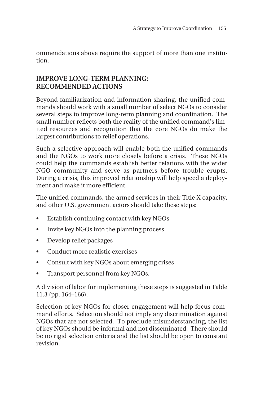ommendations above require the support of more than one institution.

## **IMPROVE LONG-TERM PLANNING: RECOMMENDED ACTIONS**

Beyond familiarization and information sharing, the unified commands should work with a small number of select NGOs to consider several steps to improve long-term planning and coordination. The small number reflects both the reality of the unified command's limited resources and recognition that the core NGOs do make the largest contributions to relief operations.

Such a selective approach will enable both the unified commands and the NGOs to work more closely before a crisis. These NGOs could help the commands establish better relations with the wider NGO community and serve as partners before trouble erupts. During a crisis, this improved relationship will help speed a deployment and make it more efficient.

The unified commands, the armed services in their Title X capacity, and other U.S. government actors should take these steps:

- Establish continuing contact with key NGOs
- Invite key NGOs into the planning process
- Develop relief packages
- Conduct more realistic exercises
- Consult with key NGOs about emerging crises
- Transport personnel from key NGOs.

A division of labor for implementing these steps is suggested in Table 11.3 (pp. 164–166).

Selection of key NGOs for closer engagement will help focus command efforts. Selection should not imply any discrimination against NGOs that are not selected. To preclude misunderstanding, the list of key NGOs should be informal and not disseminated. There should be no rigid selection criteria and the list should be open to constant revision.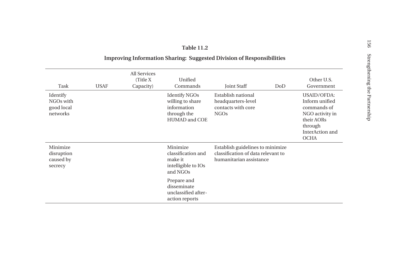#### **Table 11.2**

#### **Improving Information Sharing: Suggested Division of Responsibilities**

| Task                                            | <b>USAF</b> | All Services<br>(Title X)<br>Capacity) | Unified<br>Commands                                                                     | Joint Staff                                                                                       | DoD | Other U.S.<br>Government                                                                                                          |
|-------------------------------------------------|-------------|----------------------------------------|-----------------------------------------------------------------------------------------|---------------------------------------------------------------------------------------------------|-----|-----------------------------------------------------------------------------------------------------------------------------------|
| Identify<br>NGOs with<br>good local<br>networks |             |                                        | <b>Identify NGOs</b><br>willing to share<br>information<br>through the<br>HUMAD and COE | Establish national<br>headquarters-level<br>contacts with core<br><b>NGOs</b>                     |     | <b>USAID/OFDA:</b><br>Inform unified<br>commands of<br>NGO activity in<br>their AORs<br>through<br>InterAction and<br><b>OCHA</b> |
| Minimize<br>disruption<br>caused by<br>secrecy  |             |                                        | Minimize<br>classification and<br>make it<br>intelligible to IOs<br>and NGOs            | Establish guidelines to minimize<br>classification of data relevant to<br>humanitarian assistance |     |                                                                                                                                   |
|                                                 |             |                                        | Prepare and<br>disseminate<br>unclassified after-<br>action reports                     |                                                                                                   |     |                                                                                                                                   |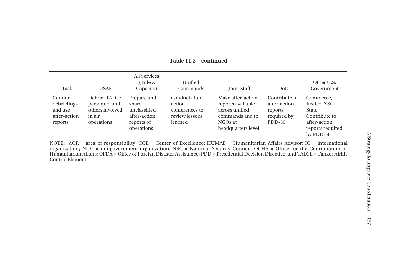| Task                                                         | <b>USAF</b>                                                               | All Services<br>(Title X)<br>Capacity)                                           | Unified<br>Commands                                                     | <b>Joint Staff</b>                                                                                           | DoD                                                               | Other U.S.<br>Government                                                                               |
|--------------------------------------------------------------|---------------------------------------------------------------------------|----------------------------------------------------------------------------------|-------------------------------------------------------------------------|--------------------------------------------------------------------------------------------------------------|-------------------------------------------------------------------|--------------------------------------------------------------------------------------------------------|
| Conduct<br>debriefings<br>and use<br>after-action<br>reports | Debrief TALCE<br>personnel and<br>others involved<br>in air<br>operations | Prepare and<br>share<br>unclassified<br>after-action<br>reports of<br>operations | Conduct after-<br>action<br>conferences to<br>review lessons<br>learned | Make after-action<br>reports available<br>across unified<br>commands and to<br>NGOs at<br>headquarters level | Contribute to<br>after-action<br>reports<br>required by<br>PDD-56 | Commerce,<br>Justice, NSC,<br>State:<br>Contribute to<br>after-action<br>reports required<br>by PDD-56 |

**Table 11.2—continued**

NOTE: AOR = area of responsibility; COE = Center of Excellence; HUMAD = Humanitarian Affairs Advisor; IO = international organization; NGO = nongovernment organization; NSC = National Security Council; OCHA = Office for the Coordination of Humanitarian Affairs; OFDA = Office of Foreign Disaster Assistance; PDD = Presidential Decision Directive; and TALCE = Tanker Airlift Control Element.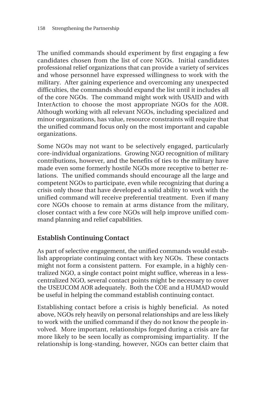The unified commands should experiment by first engaging a few candidates chosen from the list of core NGOs. Initial candidates professional relief organizations that can provide a variety of services and whose personnel have expressed willingness to work with the military. After gaining experience and overcoming any unexpected difficulties, the commands should expand the list until it includes all of the core NGOs. The command might work with USAID and with InterAction to choose the most appropriate NGOs for the AOR. Although working with all relevant NGOs, including specialized and minor organizations, has value, resource constraints will require that the unified command focus only on the most important and capable organizations.

Some NGOs may not want to be selectively engaged, particularly core-individual organizations. Growing NGO recognition of military contributions, however, and the benefits of ties to the military have made even some formerly hostile NGOs more receptive to better relations. The unified commands should encourage all the large and competent NGOs to participate, even while recognizing that during a crisis only those that have developed a solid ability to work with the unified command will receive preferential treatment. Even if many core NGOs choose to remain at arms distance from the military, closer contact with a few core NGOs will help improve unified command planning and relief capabilities.

## **Establish Continuing Contact**

As part of selective engagement, the unified commands would establish appropriate continuing contact with key NGOs. These contacts might not form a consistent pattern. For example, in a highly centralized NGO, a single contact point might suffice, whereas in a lesscentralized NGO, several contact points might be necessary to cover the USEUCOM AOR adequately. Both the COE and a HUMAD would be useful in helping the command establish continuing contact.

Establishing contact before a crisis is highly beneficial. As noted above, NGOs rely heavily on personal relationships and are less likely to work with the unified command if they do not know the people involved. More important, relationships forged during a crisis are far more likely to be seen locally as compromising impartiality. If the relationship is long-standing, however, NGOs can better claim that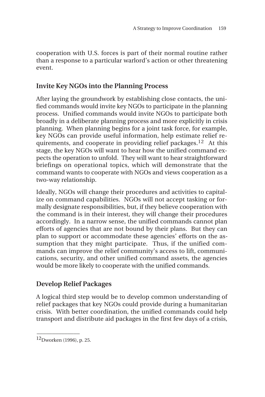cooperation with U.S. forces is part of their normal routine rather than a response to a particular warlord's action or other threatening event.

## **Invite Key NGOs into the Planning Process**

After laying the groundwork by establishing close contacts, the unified commands would invite key NGOs to participate in the planning process. Unified commands would invite NGOs to participate both broadly in a deliberate planning process and more explicitly in crisis planning. When planning begins for a joint task force, for example, key NGOs can provide useful information, help estimate relief requirements, and cooperate in providing relief packages.12 At this stage, the key NGOs will want to hear how the unified command expects the operation to unfold. They will want to hear straightforward briefings on operational topics, which will demonstrate that the command wants to cooperate with NGOs and views cooperation as a two-way relationship.

Ideally, NGOs will change their procedures and activities to capitalize on command capabilities. NGOs will not accept tasking or formally designate responsibilities, but, if they believe cooperation with the command is in their interest, they will change their procedures accordingly. In a narrow sense, the unified commands cannot plan efforts of agencies that are not bound by their plans. But they can plan to support or accommodate these agencies' efforts on the assumption that they might participate. Thus, if the unified commands can improve the relief community's access to lift, communications, security, and other unified command assets, the agencies would be more likely to cooperate with the unified commands.

# **Develop Relief Packages**

A logical third step would be to develop common understanding of relief packages that key NGOs could provide during a humanitarian crisis. With better coordination, the unified commands could help transport and distribute aid packages in the first few days of a crisis,

 $\overline{\phantom{a}}$ 

<sup>12</sup>Dworken (1996), p. 25.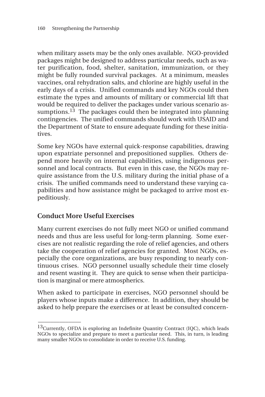when military assets may be the only ones available. NGO-provided packages might be designed to address particular needs, such as water purification, food, shelter, sanitation, immunization, or they might be fully rounded survival packages. At a minimum, measles vaccines, oral rehydration salts, and chlorine are highly useful in the early days of a crisis. Unified commands and key NGOs could then estimate the types and amounts of military or commercial lift that would be required to deliver the packages under various scenario assumptions. $13$  The packages could then be integrated into planning contingencies. The unified commands should work with USAID and the Department of State to ensure adequate funding for these initiatives.

Some key NGOs have external quick-response capabilities, drawing upon expatriate personnel and prepositioned supplies. Others depend more heavily on internal capabilities, using indigenous personnel and local contracts. But even in this case, the NGOs may require assistance from the U.S. military during the initial phase of a crisis. The unified commands need to understand these varying capabilities and how assistance might be packaged to arrive most expeditiously.

## **Conduct More Useful Exercises**

\_\_\_\_\_\_\_\_\_\_\_\_\_\_

Many current exercises do not fully meet NGO or unified command needs and thus are less useful for long-term planning. Some exercises are not realistic regarding the role of relief agencies, and others take the cooperation of relief agencies for granted. Most NGOs, especially the core organizations, are busy responding to nearly continuous crises. NGO personnel usually schedule their time closely and resent wasting it. They are quick to sense when their participation is marginal or mere atmospherics.

When asked to participate in exercises, NGO personnel should be players whose inputs make a difference. In addition, they should be asked to help prepare the exercises or at least be consulted concern-

<sup>&</sup>lt;sup>13</sup>Currently, OFDA is exploring an Indefinite Quantity Contract (IQC), which leads NGOs to specialize and prepare to meet a particular need. This, in turn, is leading many smaller NGOs to consolidate in order to receive U.S. funding.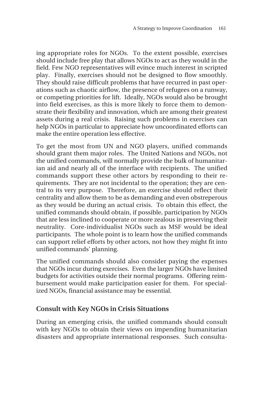ing appropriate roles for NGOs. To the extent possible, exercises should include free play that allows NGOs to act as they would in the field. Few NGO representatives will evince much interest in scripted play. Finally, exercises should not be designed to flow smoothly. They should raise difficult problems that have recurred in past operations such as chaotic airflow, the presence of refugees on a runway, or competing priorities for lift. Ideally, NGOs would also be brought into field exercises, as this is more likely to force them to demonstrate their flexibility and innovation, which are among their greatest assets during a real crisis. Raising such problems in exercises can help NGOs in particular to appreciate how uncoordinated efforts can make the entire operation less effective.

To get the most from UN and NGO players, unified commands should grant them major roles. The United Nations and NGOs, not the unified commands, will normally provide the bulk of humanitarian aid and nearly all of the interface with recipients. The unified commands support these other actors by responding to their requirements. They are not incidental to the operation; they are central to its very purpose. Therefore, an exercise should reflect their centrality and allow them to be as demanding and even obstreperous as they would be during an actual crisis. To obtain this effect, the unified commands should obtain, if possible, participation by NGOs that are less inclined to cooperate or more zealous in preserving their neutrality. Core-individualist NGOs such as MSF would be ideal participants. The whole point is to learn how the unified commands can support relief efforts by other actors, not how they might fit into unified commands' planning.

The unified commands should also consider paying the expenses that NGOs incur during exercises. Even the larger NGOs have limited budgets for activities outside their normal programs. Offering reimbursement would make participation easier for them. For specialized NGOs, financial assistance may be essential.

## **Consult with Key NGOs in Crisis Situations**

During an emerging crisis, the unified commands should consult with key NGOs to obtain their views on impending humanitarian disasters and appropriate international responses. Such consulta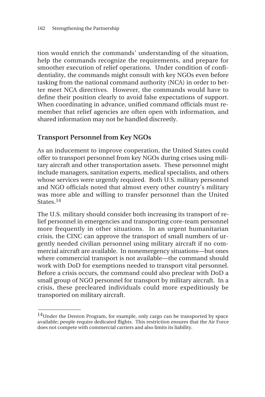tion would enrich the commands' understanding of the situation, help the commands recognize the requirements, and prepare for smoother execution of relief operations. Under condition of confidentiality, the commands might consult with key NGOs even before tasking from the national command authority (NCA) in order to better meet NCA directives. However, the commands would have to define their position clearly to avoid false expectations of support. When coordinating in advance, unified command officials must remember that relief agencies are often open with information, and shared information may not be handled discreetly.

## **Transport Personnel from Key NGOs**

\_\_\_\_\_\_\_\_\_\_\_\_\_\_

As an inducement to improve cooperation, the United States could offer to transport personnel from key NGOs during crises using military aircraft and other transportation assets. These personnel might include managers, sanitation experts, medical specialists, and others whose services were urgently required. Both U.S. military personnel and NGO officials noted that almost every other country's military was more able and willing to transfer personnel than the United States.<sup>14</sup>

The U.S. military should consider both increasing its transport of relief personnel in emergencies and transporting core-team personnel more frequently in other situations. In an urgent humanitarian crisis, the CINC can approve the transport of small numbers of urgently needed civilian personnel using military aircraft if no commercial aircraft are available. In nonemergency situations—but ones where commercial transport is not available—the command should work with DoD for exemptions needed to transport vital personnel. Before a crisis occurs, the command could also preclear with DoD a small group of NGO personnel for transport by military aircraft. In a crisis, these precleared individuals could more expeditiously be transported on military aircraft.

 $14$ Under the Denton Program, for example, only cargo can be transported by space available; people require dedicated flights. This restriction ensures that the Air Force does not compete with commercial carriers and also limits its liability.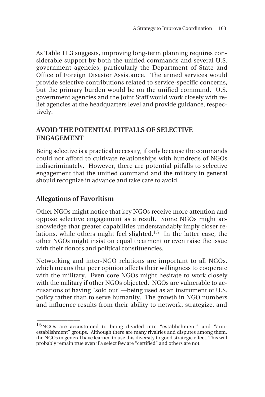As Table 11.3 suggests, improving long-term planning requires considerable support by both the unified commands and several U.S. government agencies, particularly the Department of State and Office of Foreign Disaster Assistance. The armed services would provide selective contributions related to service-specific concerns, but the primary burden would be on the unified command. U.S. government agencies and the Joint Staff would work closely with relief agencies at the headquarters level and provide guidance, respectively.

## **AVOID THE POTENTIAL PITFALLS OF SELECTIVE ENGAGEMENT**

Being selective is a practical necessity, if only because the commands could not afford to cultivate relationships with hundreds of NGOs indiscriminately. However, there are potential pitfalls to selective engagement that the unified command and the military in general should recognize in advance and take care to avoid.

## **Allegations of Favoritism**

 $\overline{\phantom{a}}$ 

Other NGOs might notice that key NGOs receive more attention and oppose selective engagement as a result. Some NGOs might acknowledge that greater capabilities understandably imply closer relations, while others might feel slighted.<sup>15</sup> In the latter case, the other NGOs might insist on equal treatment or even raise the issue with their donors and political constituencies.

Networking and inter-NGO relations are important to all NGOs, which means that peer opinion affects their willingness to cooperate with the military. Even core NGOs might hesitate to work closely with the military if other NGOs objected. NGOs are vulnerable to accusations of having "sold out"—being used as an instrument of U.S. policy rather than to serve humanity. The growth in NGO numbers and influence results from their ability to network, strategize, and

<sup>15</sup>NGOs are accustomed to being divided into "establishment" and "antiestablishment" groups. Although there are many rivalries and disputes among them, the NGOs in general have learned to use this diversity to good strategic effect. This will probably remain true even if a select few are "certified" and others are not.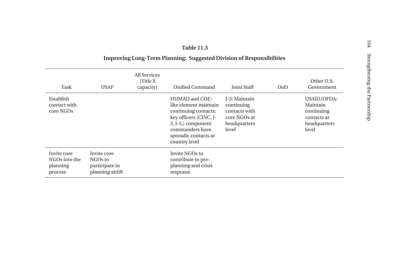#### **Table 11.3**

#### **Improving Long-Term Planning: Suggested Division of Responsibilities**

|                                                     |                                                              | All Services           |                                                                                                                                                                             |                                                                                       |     |                                                                                      |
|-----------------------------------------------------|--------------------------------------------------------------|------------------------|-----------------------------------------------------------------------------------------------------------------------------------------------------------------------------|---------------------------------------------------------------------------------------|-----|--------------------------------------------------------------------------------------|
| Task                                                | <b>USAF</b>                                                  | (Title X)<br>capacity) | Unified Command                                                                                                                                                             | <b>Joint Staff</b>                                                                    | DoD | Other U.S.<br>Government                                                             |
| Establish<br>contact with<br>core NGOs              |                                                              |                        | HUMAD and COE-<br>like element maintain<br>continuing contacts;<br>key officers (CINC, J-<br>3, J-5,) component<br>commanders have<br>sporadic contacts at<br>country level | I-5: Maintain<br>continuing<br>contacts with<br>core NGOs at<br>headquarters<br>level |     | <b>USAID/OFDA:</b><br>Maintain<br>continuing<br>contacts at<br>headquarters<br>level |
| Invite core<br>NGOs into the<br>planning<br>process | Invite core<br>NGOs to<br>participate in<br>planning airlift |                        | Invite NGOs to<br>contribute to pre-<br>planning and crisis<br>response                                                                                                     |                                                                                       |     |                                                                                      |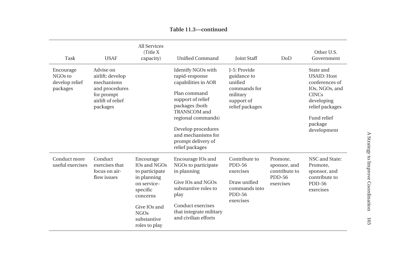| Task                                               | <b>USAF</b>                                                                                                  | <b>All Services</b><br>(Title X)<br>capacity)                                                                                                                    | <b>Unified Command</b>                                                                                                                                                                                                                        | <b>Joint Staff</b>                                                                                  | DoD                                                                     | Other U.S.<br>Government                                                                                                                                      |
|----------------------------------------------------|--------------------------------------------------------------------------------------------------------------|------------------------------------------------------------------------------------------------------------------------------------------------------------------|-----------------------------------------------------------------------------------------------------------------------------------------------------------------------------------------------------------------------------------------------|-----------------------------------------------------------------------------------------------------|-------------------------------------------------------------------------|---------------------------------------------------------------------------------------------------------------------------------------------------------------|
| Encourage<br>NGOs to<br>develop relief<br>packages | Advise on<br>airlift; develop<br>mechanisms<br>and procedures<br>for prompt<br>airlift of relief<br>packages |                                                                                                                                                                  | Identify NGOs with<br>rapid-response<br>capabilities in AOR<br>Plan command<br>support of relief<br>packages (both<br>TRANSCOM and<br>regional commands)<br>Develop procedures<br>and mechanisms for<br>prompt delivery of<br>relief packages | J-5: Provide<br>guidance to<br>unified<br>commands for<br>military<br>support of<br>relief packages |                                                                         | State and<br><b>USAID: Host</b><br>conferences of<br>IOs, NGOs, and<br><b>CINCs</b><br>developing<br>relief packages<br>Fund relief<br>package<br>development |
| Conduct more<br>useful exercises                   | Conduct<br>exercises that<br>focus on air-<br>flow issues                                                    | Encourage<br>IOs and NGOs<br>to participate<br>in planning<br>on service-<br>specific<br>concerns<br>Give IOs and<br><b>NGOs</b><br>substantive<br>roles to play | Encourage IOs and<br>NGOs to participate<br>in planning<br>Give IOs and NGOs<br>substantive roles to<br>play<br>Conduct exercises<br>that integrate military<br>and civilian efforts                                                          | Contribute to<br><b>PDD-56</b><br>exercises<br>Draw unified<br>commands into<br>PDD-56<br>exercises | Promote,<br>sponsor, and<br>contribute to<br><b>PDD-56</b><br>exercises | NSC and State:<br>Promote,<br>sponsor, and<br>contribute to<br>PDD-56<br>exercises                                                                            |

**Table 11.3—continued**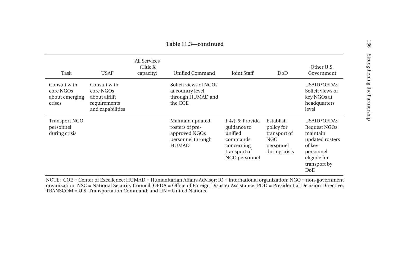| Task                                                  | <b>USAF</b>                                                                    | All Services<br>(Title X)<br>capacity) | Unified Command                                                                           | <b>Joint Staff</b>                                                                                    | DoD                                                                          | Other U.S.<br>Government                                                                                                        |
|-------------------------------------------------------|--------------------------------------------------------------------------------|----------------------------------------|-------------------------------------------------------------------------------------------|-------------------------------------------------------------------------------------------------------|------------------------------------------------------------------------------|---------------------------------------------------------------------------------------------------------------------------------|
| Consult with<br>core NGOs<br>about emerging<br>crises | Consult with<br>core NGOs<br>about airlift<br>requirements<br>and capabilities |                                        | Solicit views of NGOs<br>at country level<br>through HUMAD and<br>the COE                 |                                                                                                       |                                                                              | USAID/OFDA:<br>Solicit views of<br>key NGOs at<br>headquarters<br>level                                                         |
| <b>Transport NGO</b><br>personnel<br>during crisis    |                                                                                |                                        | Maintain updated<br>rosters of pre-<br>approved NGOs<br>personnel through<br><b>HUMAD</b> | J-4/J-5: Provide<br>guidance to<br>unified<br>commands<br>concerning<br>transport of<br>NGO personnel | Establish<br>policy for<br>transport of<br>NGO<br>personnel<br>during crisis | <b>USAID/OFDA:</b><br>Request NGOs<br>maintain<br>updated rosters<br>of key<br>personnel<br>eligible for<br>transport by<br>DoD |

NOTE: COE = Center of Excellence; HUMAD = Humanitarian Affairs Advisor; IO = international organization; NGO = non-government organization; NSC = National Security Council; OFDA = Office of Foreign Disaster Assistance; PDD = Presidential Decision Directive; TRANSCOM = U.S. Transportation Command; and UN = United Nations.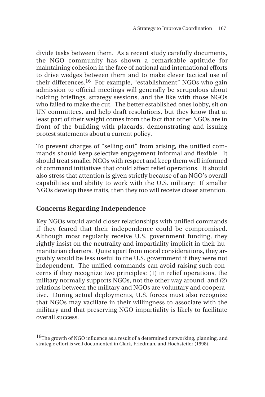divide tasks between them. As a recent study carefully documents, the NGO community has shown a remarkable aptitude for maintaining cohesion in the face of national and international efforts to drive wedges between them and to make clever tactical use of their differences.16 For example, "establishment" NGOs who gain admission to official meetings will generally be scrupulous about holding briefings, strategy sessions, and the like with those NGOs who failed to make the cut. The better established ones lobby, sit on UN committees, and help draft resolutions, but they know that at least part of their weight comes from the fact that other NGOs are in front of the building with placards, demonstrating and issuing protest statements about a current policy.

To prevent charges of "selling out" from arising, the unified commands should keep selective engagement informal and flexible. It should treat smaller NGOs with respect and keep them well informed of command initiatives that could affect relief operations. It should also stress that attention is given strictly because of an NGO's overall capabilities and ability to work with the U.S. military: If smaller NGOs develop these traits, then they too will receive closer attention.

## **Concerns Regarding Independence**

 $\overline{\phantom{a}}$ 

Key NGOs would avoid closer relationships with unified commands if they feared that their independence could be compromised. Although most regularly receive U.S. government funding, they rightly insist on the neutrality and impartiality implicit in their humanitarian charters. Quite apart from moral considerations, they arguably would be less useful to the U.S. government if they were not independent. The unified commands can avoid raising such concerns if they recognize two principles: (1) in relief operations, the military normally supports NGOs, not the other way around, and (2) relations between the military and NGOs are voluntary and cooperative. During actual deployments, U.S. forces must also recognize that NGOs may vacillate in their willingness to associate with the military and that preserving NGO impartiality is likely to facilitate overall success.

 $16$ The growth of NGO influence as a result of a determined networking, planning, and strategic effort is well documented in Clark, Friedman, and Hochstetler (1998).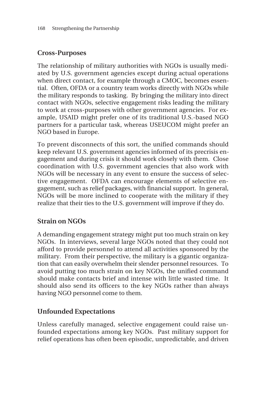## **Cross-Purposes**

The relationship of military authorities with NGOs is usually mediated by U.S. government agencies except during actual operations when direct contact, for example through a CMOC, becomes essential. Often, OFDA or a country team works directly with NGOs while the military responds to tasking. By bringing the military into direct contact with NGOs, selective engagement risks leading the military to work at cross-purposes with other government agencies. For example, USAID might prefer one of its traditional U.S.-based NGO partners for a particular task, whereas USEUCOM might prefer an NGO based in Europe.

To prevent disconnects of this sort, the unified commands should keep relevant U.S. government agencies informed of its precrisis engagement and during crisis it should work closely with them. Close coordination with U.S. government agencies that also work with NGOs will be necessary in any event to ensure the success of selective engagement. OFDA can encourage elements of selective engagement, such as relief packages, with financial support. In general, NGOs will be more inclined to cooperate with the military if they realize that their ties to the U.S. government will improve if they do.

# **Strain on NGOs**

A demanding engagement strategy might put too much strain on key NGOs. In interviews, several large NGOs noted that they could not afford to provide personnel to attend all activities sponsored by the military. From their perspective, the military is a gigantic organization that can easily overwhelm their slender personnel resources. To avoid putting too much strain on key NGOs, the unified command should make contacts brief and intense with little wasted time. It should also send its officers to the key NGOs rather than always having NGO personnel come to them.

# **Unfounded Expectations**

Unless carefully managed, selective engagement could raise unfounded expectations among key NGOs. Past military support for relief operations has often been episodic, unpredictable, and driven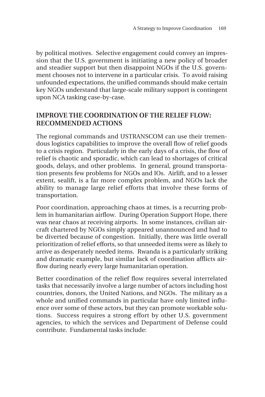by political motives. Selective engagement could convey an impression that the U.S. government is initiating a new policy of broader and steadier support but then disappoint NGOs if the U.S. government chooses not to intervene in a particular crisis. To avoid raising unfounded expectations, the unified commands should make certain key NGOs understand that large-scale military support is contingent upon NCA tasking case-by-case.

## **IMPROVE THE COORDINATION OF THE RELIEF FLOW: RECOMMENDED ACTIONS**

The regional commands and USTRANSCOM can use their tremendous logistics capabilities to improve the overall flow of relief goods to a crisis region. Particularly in the early days of a crisis, the flow of relief is chaotic and sporadic, which can lead to shortages of critical goods, delays, and other problems. In general, ground transportation presents few problems for NGOs and IOs. Airlift, and to a lesser extent, sealift, is a far more complex problem, and NGOs lack the ability to manage large relief efforts that involve these forms of transportation.

Poor coordination, approaching chaos at times, is a recurring problem in humanitarian airflow. During Operation Support Hope, there was near chaos at receiving airports. In some instances, civilian aircraft chartered by NGOs simply appeared unannounced and had to be diverted because of congestion. Initially, there was little overall prioritization of relief efforts, so that unneeded items were as likely to arrive as desperately needed items. Rwanda is a particularly striking and dramatic example, but similar lack of coordination afflicts airflow during nearly every large humanitarian operation.

Better coordination of the relief flow requires several interrelated tasks that necessarily involve a large number of actors including host countries, donors, the United Nations, and NGOs. The military as a whole and unified commands in particular have only limited influence over some of these actors, but they can promote workable solutions. Success requires a strong effort by other U.S. government agencies, to which the services and Department of Defense could contribute. Fundamental tasks include: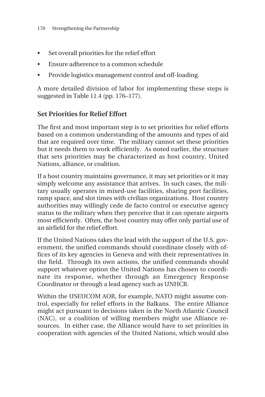- Set overall priorities for the relief effort
- Ensure adherence to a common schedule
- Provide logistics management control and off-loading.

A more detailed division of labor for implementing these steps is suggested in Table 11.4 (pp. 176–177).

# **Set Priorities for Relief Effort**

The first and most important step is to set priorities for relief efforts based on a common understanding of the amounts and types of aid that are required over time. The military cannot set these priorities but it needs them to work efficiently. As noted earlier, the structure that sets priorities may be characterized as host country, United Nations, alliance, or coalition.

If a host country maintains governance, it may set priorities or it may simply welcome any assistance that arrives. In such cases, the military usually operates in mixed-use facilities, sharing port facilities, ramp space, and slot times with civilian organizations. Host country authorities may willingly cede de facto control or executive agency status to the military when they perceive that it can operate airports most efficiently. Often, the host country may offer only partial use of an airfield for the relief effort.

If the United Nations takes the lead with the support of the U.S. government, the unified commands should coordinate closely with offices of its key agencies in Geneva and with their representatives in the field. Through its own actions, the unified commands should support whatever option the United Nations has chosen to coordinate its response, whether through an Emergency Response Coordinator or through a lead agency such as UNHCR.

Within the USEUCOM AOR, for example, NATO might assume control, especially for relief efforts in the Balkans. The entire Alliance might act pursuant to decisions taken in the North Atlantic Council (NAC), or a coalition of willing members might use Alliance resources. In either case, the Alliance would have to set priorities in cooperation with agencies of the United Nations, which would also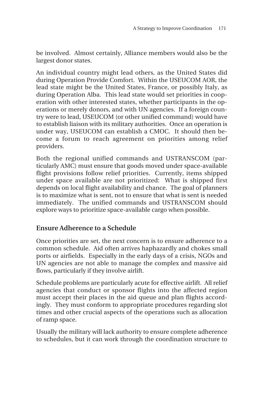be involved. Almost certainly, Alliance members would also be the largest donor states.

An individual country might lead others, as the United States did during Operation Provide Comfort. Within the USEUCOM AOR, the lead state might be the United States, France, or possibly Italy, as during Operation Alba. This lead state would set priorities in cooperation with other interested states, whether participants in the operations or merely donors, and with UN agencies. If a foreign country were to lead, USEUCOM (or other unified command) would have to establish liaison with its military authorities. Once an operation is under way, USEUCOM can establish a CMOC. It should then become a forum to reach agreement on priorities among relief providers.

Both the regional unified commands and USTRANSCOM (particularly AMC) must ensure that goods moved under space-available flight provisions follow relief priorities. Currently, items shipped under space available are not prioritized: What is shipped first depends on local flight availability and chance. The goal of planners is to maximize what is sent, not to ensure that what is sent is needed immediately. The unified commands and USTRANSCOM should explore ways to prioritize space-available cargo when possible.

## **Ensure Adherence to a Schedule**

Once priorities are set, the next concern is to ensure adherence to a common schedule. Aid often arrives haphazardly and chokes small ports or airfields. Especially in the early days of a crisis, NGOs and UN agencies are not able to manage the complex and massive aid flows, particularly if they involve airlift.

Schedule problems are particularly acute for effective airlift. All relief agencies that conduct or sponsor flights into the affected region must accept their places in the aid queue and plan flights accordingly. They must conform to appropriate procedures regarding slot times and other crucial aspects of the operations such as allocation of ramp space.

Usually the military will lack authority to ensure complete adherence to schedules, but it can work through the coordination structure to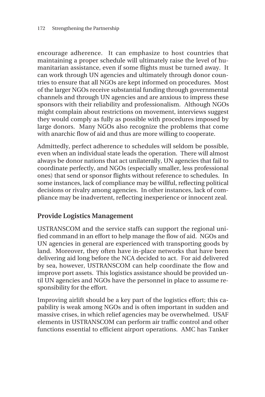encourage adherence. It can emphasize to host countries that maintaining a proper schedule will ultimately raise the level of humanitarian assistance, even if some flights must be turned away. It can work through UN agencies and ultimately through donor countries to ensure that all NGOs are kept informed on procedures. Most of the larger NGOs receive substantial funding through governmental channels and through UN agencies and are anxious to impress these sponsors with their reliability and professionalism. Although NGOs might complain about restrictions on movement, interviews suggest they would comply as fully as possible with procedures imposed by large donors. Many NGOs also recognize the problems that come with anarchic flow of aid and thus are more willing to cooperate.

Admittedly, perfect adherence to schedules will seldom be possible, even when an individual state leads the operation. There will almost always be donor nations that act unilaterally, UN agencies that fail to coordinate perfectly, and NGOs (especially smaller, less professional ones) that send or sponsor flights without reference to schedules. In some instances, lack of compliance may be willful, reflecting political decisions or rivalry among agencies. In other instances, lack of compliance may be inadvertent, reflecting inexperience or innocent zeal.

# **Provide Logistics Management**

USTRANSCOM and the service staffs can support the regional unified command in an effort to help manage the flow of aid. NGOs and UN agencies in general are experienced with transporting goods by land. Moreover, they often have in-place networks that have been delivering aid long before the NCA decided to act. For aid delivered by sea, however, USTRANSCOM can help coordinate the flow and improve port assets. This logistics assistance should be provided until UN agencies and NGOs have the personnel in place to assume responsibility for the effort.

Improving airlift should be a key part of the logistics effort; this capability is weak among NGOs and is often important in sudden and massive crises, in which relief agencies may be overwhelmed. USAF elements in USTRANSCOM can perform air traffic control and other functions essential to efficient airport operations. AMC has Tanker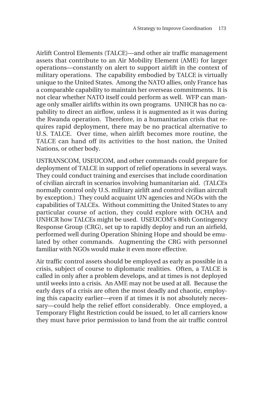Airlift Control Elements (TALCE)—and other air traffic management assets that contribute to an Air Mobility Element (AME) for larger operations—constantly on alert to support airlift in the context of military operations. The capability embodied by TALCE is virtually unique to the United States. Among the NATO allies, only France has a comparable capability to maintain her overseas commitments. It is not clear whether NATO itself could perform as well. WFP can manage only smaller airlifts within its own programs. UNHCR has no capability to direct an airflow, unless it is augmented as it was during the Rwanda operation. Therefore, in a humanitarian crisis that requires rapid deployment, there may be no practical alternative to U.S. TALCE. Over time, when airlift becomes more routine, the TALCE can hand off its activities to the host nation, the United Nations, or other body.

USTRANSCOM, USEUCOM, and other commands could prepare for deployment of TALCE in support of relief operations in several ways. They could conduct training and exercises that include coordination of civilian aircraft in scenarios involving humanitarian aid. (TALCEs normally control only U.S. military airlift and control civilian aircraft by exception.) They could acquaint UN agencies and NGOs with the capabilities of TALCEs. Without committing the United States to any particular course of action, they could explore with OCHA and UNHCR how TALCEs might be used. USEUCOM's 86th Contingency Response Group (CRG), set up to rapidly deploy and run an airfield, performed well during Operation Shining Hope and should be emulated by other commands. Augmenting the CRG with personnel familiar with NGOs would make it even more effective.

Air traffic control assets should be employed as early as possible in a crisis, subject of course to diplomatic realities. Often, a TALCE is called in only after a problem develops, and at times is not deployed until weeks into a crisis. An AME may not be used at all. Because the early days of a crisis are often the most deadly and chaotic, employing this capacity earlier—even if at times it is not absolutely necessary—could help the relief effort considerably. Once employed, a Temporary Flight Restriction could be issued, to let all carriers know they must have prior permission to land from the air traffic control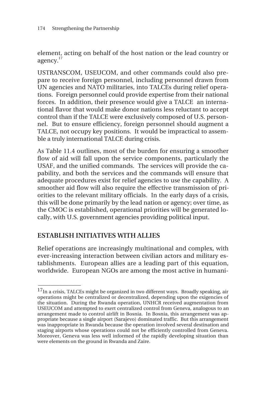element, acting on behalf of the host nation or the lead country or agency.<sup>17</sup>

USTRANSCOM, USEUCOM, and other commands could also prepare to receive foreign personnel, including personnel drawn from UN agencies and NATO militaries, into TALCEs during relief operations. Foreign personnel could provide expertise from their national forces. In addition, their presence would give a TALCE an international flavor that would make donor nations less reluctant to accept control than if the TALCE were exclusively composed of U.S. personnel. But to ensure efficiency, foreign personnel should augment a TALCE, not occupy key positions. It would be impractical to assemble a truly international TALCE during crisis.

As Table 11.4 outlines, most of the burden for ensuring a smoother flow of aid will fall upon the service components, particularly the USAF, and the unified commands. The services will provide the capability, and both the services and the commands will ensure that adequate procedures exist for relief agencies to use the capability. A smoother aid flow will also require the effective transmission of priorities to the relevant military officials. In the early days of a crisis, this will be done primarily by the lead nation or agency; over time, as the CMOC is established, operational priorities will be generated locally, with U.S. government agencies providing political input.

## **ESTABLISH INITIATIVES WITH ALLIES**

\_\_\_\_\_\_\_\_\_\_\_\_\_\_

Relief operations are increasingly multinational and complex, with ever-increasing interaction between civilian actors and military establishments. European allies are a leading part of this equation, worldwide. European NGOs are among the most active in humani-

 $^{17}$ In a crisis, TALCEs might be organized in two different ways. Broadly speaking, air operations might be centralized or decentralized, depending upon the exigencies of the situation. During the Rwanda operation, UNHCR received augmentation from USEUCOM and attempted to exert centralized control from Geneva, analogous to an arrangement made to control airlift in Bosnia. In Bosnia, this arrangement was appropriate because a single airport (Sarajevo) dominated traffic. But this arrangement was inappropriate in Rwanda because the operation involved several destination and staging airports whose operations could not be efficiently controlled from Geneva. Moreover, Geneva was less well informed of the rapidly developing situation than were elements on the ground in Rwanda and Zaire.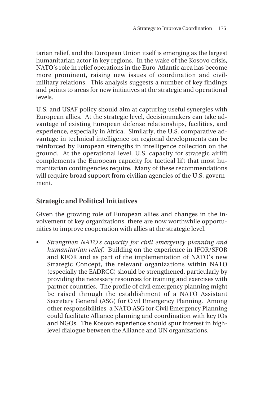tarian relief, and the European Union itself is emerging as the largest humanitarian actor in key regions. In the wake of the Kosovo crisis, NATO's role in relief operations in the Euro-Atlantic area has become more prominent, raising new issues of coordination and civilmilitary relations. This analysis suggests a number of key findings and points to areas for new initiatives at the strategic and operational levels.

U.S. and USAF policy should aim at capturing useful synergies with European allies. At the strategic level, decisionmakers can take advantage of existing European defense relationships, facilities, and experience, especially in Africa. Similarly, the U.S. comparative advantage in technical intelligence on regional developments can be reinforced by European strengths in intelligence collection on the ground. At the operational level, U.S. capacity for strategic airlift complements the European capacity for tactical lift that most humanitarian contingencies require. Many of these recommendations will require broad support from civilian agencies of the U.S. government.

## **Strategic and Political Initiatives**

Given the growing role of European allies and changes in the involvement of key organizations, there are now worthwhile opportunities to improve cooperation with allies at the strategic level.

• *Strengthen NATO's capacity for civil emergency planning and humanitarian relief.* Building on the experience in IFOR/SFOR and KFOR and as part of the implementation of NATO's new Strategic Concept, the relevant organizations within NATO (especially the EADRCC) should be strengthened, particularly by providing the necessary resources for training and exercises with partner countries. The profile of civil emergency planning might be raised through the establishment of a NATO Assistant Secretary General (ASG) for Civil Emergency Planning. Among other responsibilities, a NATO ASG for Civil Emergency Planning could facilitate Alliance planning and coordination with key IOs and NGOs. The Kosovo experience should spur interest in highlevel dialogue between the Alliance and UN organizations.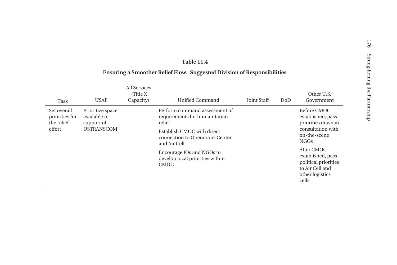#### **Table 11.4**

#### **Ensuring a Smoother Relief Flow: Suggested Division of Responsibilities**

| Task                                                  | <b>USAF</b>                                    | All Services<br>(Title X)<br>Capacity) | Unified Command                                                               | <b>Joint Staff</b>                               | DoD | Other U.S.<br>Government                                                                               |
|-------------------------------------------------------|------------------------------------------------|----------------------------------------|-------------------------------------------------------------------------------|--------------------------------------------------|-----|--------------------------------------------------------------------------------------------------------|
| Set overall<br>priorities for<br>the relief<br>effort | Prioritize space<br>available in<br>support of |                                        | Perform command assessment of<br>requirements for humanitarian<br>relief      |                                                  |     | Before CMOC<br>established, pass<br>priorities down in                                                 |
|                                                       | <b>USTRANSCOM</b>                              |                                        | Establish CMOC with direct<br>connection to Operations Center<br>and Air Cell | consultation with<br>on-the-scene<br><b>NGOs</b> |     |                                                                                                        |
|                                                       |                                                |                                        | Encourage IOs and NGOs to<br>develop local priorities within<br><b>CMOC</b>   |                                                  |     | After CMOC<br>established, pass<br>political priorities<br>to Air Cell and<br>other logistics<br>cells |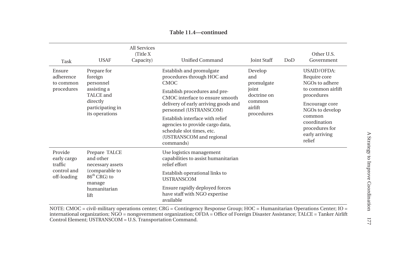| Task                                                            | <b>USAF</b>                                                                                                       | All Services<br>(Title X)<br>Capacity) | <b>Unified Command</b>                                                                                                                   | <b>Joint Staff</b>                                                               | DoD | Other U.S.<br>Government                                           |  |
|-----------------------------------------------------------------|-------------------------------------------------------------------------------------------------------------------|----------------------------------------|------------------------------------------------------------------------------------------------------------------------------------------|----------------------------------------------------------------------------------|-----|--------------------------------------------------------------------|--|
| Ensure<br>adherence<br>to common<br>procedures                  | Prepare for<br>foreign<br>personnel<br>assisting a<br>TALCE and<br>directly<br>participating in<br>its operations |                                        | Establish and promulgate<br>procedures through HOC and<br><b>CMOC</b>                                                                    | Develop<br>and<br>promulgate<br>joint                                            |     | USAID/OFDA:<br>Require core<br>NGOs to adhere<br>to common airlift |  |
|                                                                 |                                                                                                                   |                                        | Establish procedures and pre-<br>CMOC interface to ensure smooth<br>delivery of early arriving goods and<br>personnel (USTRANSCOM)       | doctrine on<br>common<br>airlift<br>procedures                                   |     | procedures<br>Encourage core<br>NGOs to develop<br>common          |  |
|                                                                 |                                                                                                                   |                                        | Establish interface with relief<br>agencies to provide cargo data,<br>schedule slot times, etc.<br>(USTRANSCOM and regional<br>commands) |                                                                                  |     | coordination<br>procedures for<br>early arriving<br>relief         |  |
| Provide<br>early cargo<br>traffic<br>control and<br>off-loading | Prepare TALCE<br>and other<br>necessary assets                                                                    |                                        |                                                                                                                                          | Use logistics management<br>capabilities to assist humanitarian<br>relief effort |     |                                                                    |  |
|                                                                 | $86^{\text{th}}$ CRG) to<br>manage                                                                                | (comparable to                         | Establish operational links to<br><b>USTRANSCOM</b>                                                                                      |                                                                                  |     |                                                                    |  |
|                                                                 | humanitarian<br>lift                                                                                              |                                        | Ensure rapidly deployed forces<br>have staff with NGO expertise<br>available                                                             |                                                                                  |     |                                                                    |  |

**Table 11.4—continued**

NOTE: CMOC = civil-military operations center; CRG = Contingency Response Group; HOC = Humanitarian Operations Center; IO = international organization; NGO = nongovernment organization; OFDA = Office of Foreign Disaster Assistance; TALCE = Tanker Airlift Control Element; USTRANSCOM = U.S. Transportation Command.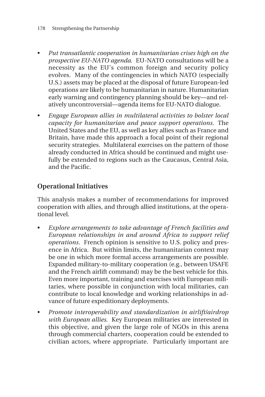- *Put transatlantic cooperation in humanitarian crises high on the prospective EU-NATO agenda.* EU-NATO consultations will be a necessity as the EU's common foreign and security policy evolves. Many of the contingencies in which NATO (especially U.S.) assets may be placed at the disposal of future European-led operations are likely to be humanitarian in nature. Humanitarian early warning and contingency planning should be key—and relatively uncontroversial—agenda items for EU-NATO dialogue.
- *Engage European allies in multilateral activities to bolster local capacity for humanitarian and peace support operations.* The United States and the EU, as well as key allies such as France and Britain, have made this approach a focal point of their regional security strategies. Multilateral exercises on the pattern of those already conducted in Africa should be continued and might usefully be extended to regions such as the Caucasus, Central Asia, and the Pacific.

# **Operational Initiatives**

This analysis makes a number of recommendations for improved cooperation with allies, and through allied institutions, at the operational level.

- *Explore arrangements to take advantage of French facilities and European relationships in and around Africa to support relief operations.* French opinion is sensitive to U.S. policy and presence in Africa. But within limits, the humanitarian context may be one in which more formal access arrangements are possible. Expanded military-to-military cooperation (e.g., between USAFE and the French airlift command) may be the best vehicle for this. Even more important, training and exercises with European militaries, where possible in conjunction with local militaries, can contribute to local knowledge and working relationships in advance of future expeditionary deployments.
- *Promote interoperability and standardization in airlift/airdrop with European allies.* Key European militaries are interested in this objective, and given the large role of NGOs in this arena through commercial charters, cooperation could be extended to civilian actors, where appropriate. Particularly important are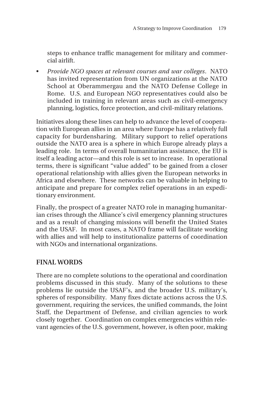steps to enhance traffic management for military and commercial airlift.

• *Provide NGO spaces at relevant courses and war colleges*. NATO has invited representation from UN organizations at the NATO School at Oberammergau and the NATO Defense College in Rome. U.S. and European NGO representatives could also be included in training in relevant areas such as civil-emergency planning, logistics, force protection, and civil-military relations.

Initiatives along these lines can help to advance the level of cooperation with European allies in an area where Europe has a relatively full capacity for burdensharing. Military support to relief operations outside the NATO area is a sphere in which Europe already plays a leading role. In terms of overall humanitarian assistance, the EU is itself a leading actor—and this role is set to increase. In operational terms, there is significant "value added" to be gained from a closer operational relationship with allies given the European networks in Africa and elsewhere. These networks can be valuable in helping to anticipate and prepare for complex relief operations in an expeditionary environment.

Finally, the prospect of a greater NATO role in managing humanitarian crises through the Alliance's civil emergency planning structures and as a result of changing missions will benefit the United States and the USAF. In most cases, a NATO frame will facilitate working with allies and will help to institutionalize patterns of coordination with NGOs and international organizations.

## **FINAL WORDS**

There are no complete solutions to the operational and coordination problems discussed in this study. Many of the solutions to these problems lie outside the USAF's, and the broader U.S. military's, spheres of responsibility. Many fixes dictate actions across the U.S. government, requiring the services, the unified commands, the Joint Staff, the Department of Defense, and civilian agencies to work closely together. Coordination on complex emergencies within relevant agencies of the U.S. government, however, is often poor, making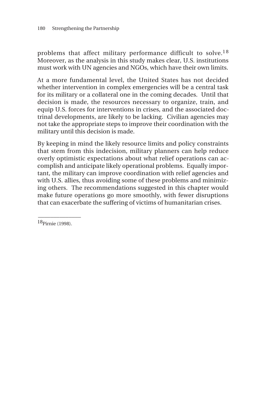problems that affect military performance difficult to solve.<sup>18</sup> Moreover, as the analysis in this study makes clear, U.S. institutions must work with UN agencies and NGOs, which have their own limits.

At a more fundamental level, the United States has not decided whether intervention in complex emergencies will be a central task for its military or a collateral one in the coming decades. Until that decision is made, the resources necessary to organize, train, and equip U.S. forces for interventions in crises, and the associated doctrinal developments, are likely to be lacking. Civilian agencies may not take the appropriate steps to improve their coordination with the military until this decision is made.

By keeping in mind the likely resource limits and policy constraints that stem from this indecision, military planners can help reduce overly optimistic expectations about what relief operations can accomplish and anticipate likely operational problems. Equally important, the military can improve coordination with relief agencies and with U.S. allies, thus avoiding some of these problems and minimizing others. The recommendations suggested in this chapter would make future operations go more smoothly, with fewer disruptions that can exacerbate the suffering of victims of humanitarian crises.

18Pirnie (1998).

\_\_\_\_\_\_\_\_\_\_\_\_\_\_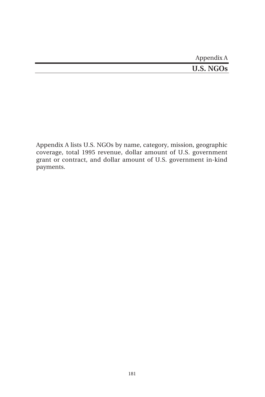| Appendix A       |
|------------------|
| <b>U.S. NGOs</b> |

Appendix A lists U.S. NGOs by name, category, mission, geographic coverage, total 1995 revenue, dollar amount of U.S. government grant or contract, and dollar amount of U.S. government in-kind payments.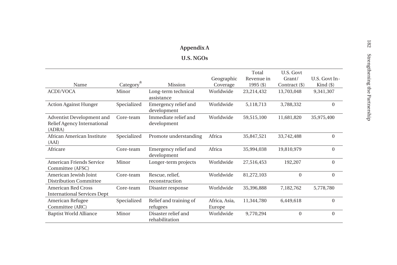# **Appendix A**

#### **U.S. NGOs**

|                                                                    |                       |                                       |                         | Total       | U.S. Govt     |               |
|--------------------------------------------------------------------|-----------------------|---------------------------------------|-------------------------|-------------|---------------|---------------|
|                                                                    |                       |                                       | Geographic              | Revenue in  | Grant/        | U.S. Govt In- |
| Name                                                               | Category <sup>a</sup> | Mission                               | Coverage                | $1995($ \$) | Contract (\$) | Kind (\$)     |
| <b>ACDI/VOCA</b>                                                   | Minor                 | Long-term technical<br>assistance     | Worldwide               | 23,214,432  | 13,703,048    | 9,341,307     |
| <b>Action Against Hunger</b>                                       | Specialized           | Emergency relief and<br>development   | Worldwide               | 5,118,713   | 3,788,332     | $\Omega$      |
| Adventist Development and<br>Relief Agency International<br>(ADRA) | Core-team             | Immediate relief and<br>development   | Worldwide               | 59,515,100  | 11,681,820    | 35,975,400    |
| African American Institute<br>(AAI)                                | Specialized           | Promote understanding                 | Africa                  | 35,847,521  | 33,742,488    | $\Omega$      |
| Africare                                                           | Core-team             | Emergency relief and<br>development   | Africa                  | 35,994,038  | 19,810,979    | $\Omega$      |
| American Friends Service<br>Committee (AFSC)                       | Minor                 | Longer-term projects                  | Worldwide               | 27,516,453  | 192,207       | $\Omega$      |
| American Jewish Joint<br><b>Distribution Committee</b>             | Core-team             | Rescue, relief,<br>reconstruction     | Worldwide               | 81,272,103  | $\mathbf{0}$  | $\Omega$      |
| American Red Cross<br><b>International Services Dept</b>           | Core-team             | Disaster response                     | Worldwide               | 35,396,888  | 7,182,762     | 5,778,780     |
| American Refugee<br>Committee (ARC)                                | Specialized           | Relief and training of<br>refugees    | Africa, Asia,<br>Europe | 11,344,780  | 6,449,618     | $\mathbf{0}$  |
| <b>Baptist World Alliance</b>                                      | Minor                 | Disaster relief and<br>rehabilitation | Worldwide               | 9,770,294   | $\mathbf{0}$  | $\Omega$      |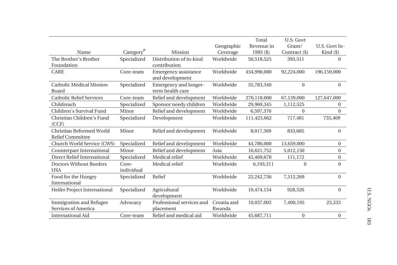|                                                     |                       |                                           |                       | Total       | U.S. Govt     |                |
|-----------------------------------------------------|-----------------------|-------------------------------------------|-----------------------|-------------|---------------|----------------|
|                                                     |                       |                                           | Geographic            | Revenue in  | Grant/        | U.S. Govt In-  |
| Name                                                | Category <sup>a</sup> | <b>Mission</b>                            | Coverage              | $1995($ \$) | Contract (\$) | Kind (\$)      |
| The Brother's Brother                               | Specialized           | Distribution of in-kind                   | Worldwide             | 50,518,525  | 393,511       | $\Omega$       |
| Foundation                                          |                       | contribution                              |                       |             |               |                |
| <b>CARE</b>                                         | Core-team             | Emergency assistance<br>and development   | Worldwide             | 454,990,000 | 92,224,000    | 196,159,000    |
| <b>Catholic Medical Mission</b><br>Board            | Specialized           | Emergency and longer-<br>term health care | Worldwide             | 35,783,340  | $\Omega$      | $\Omega$       |
| <b>Catholic Relief Services</b>                     | Core-team             | Relief and development                    | Worldwide             | 270,118,000 | 67,139,000    | 127,647,000    |
| Childreach                                          | Specialized           | Sponsor needy children                    | Worldwide             | 29,969,345  | 1,112,525     | 0              |
| Children's Survival Fund                            | Minor                 | Relief and development                    | Worldwide             | 6,597,370   | $\Omega$      | $\mathbf{0}$   |
| Christian Children's Fund<br>(CCF)                  | Specialized           | Development                               | Worldwide             | 111,423,662 | 717,481       | 735,409        |
| Christian Reformed World<br><b>Relief Committee</b> | Minor                 | Relief and development                    | Worldwide             | 8,017,369   | 833,685       | $\Omega$       |
| Church World Service (CWS)                          | Specialized           | Relief and development                    | Worldwide             | 44,786,000  | 13,659,000    | $\overline{0}$ |
| Counterpart International                           | Minor                 | Relief and development                    | Asia                  | 16,621,752  | 5,012,150     | $\Omega$       |
| Direct Relief International                         | Specialized           | Medical relief                            | Worldwide             | 45,469,678  | 111,172       | 0              |
| Doctors Without Borders<br><b>USA</b>               | Core-<br>individual   | Medical relief                            | Worldwide             | 6,193,311   | $\Omega$      | $\Omega$       |
| Food for the Hungry<br>International                | Specialized           | Relief                                    | Worldwide             | 22,242,736  | 7,312,269     | $\Omega$       |
| Heifer Project International                        | Specialized           | Agricultural<br>development               | Worldwide             | 10,474,154  | 928,526       | $\Omega$       |
| Immigration and Refugee<br>Services of America      | Advocacy              | Professional services and<br>placement    | Croatia and<br>Rwanda | 10.037.002  | 7.400.195     | 23.333         |
| <b>International Aid</b>                            | Core-team             | Relief and medical aid                    | Worldwide             | 45,687,711  | $\Omega$      | $\overline{0}$ |
|                                                     |                       |                                           |                       |             |               |                |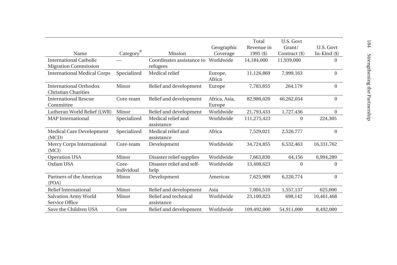|                                    |                       |                           |               | Total       | U.S. Govt     |                |
|------------------------------------|-----------------------|---------------------------|---------------|-------------|---------------|----------------|
|                                    |                       |                           | Geographic    | Revenue in  | Grant/        | U.S. Govt      |
| Name                               | Category <sup>a</sup> | Mission                   | Coverage      | $1995($ \$) | Contract (\$) | In-Kind $(\$)$ |
| International Catholic             |                       | Coordinates assistance to | Worldwide     | 14,184,000  | 11,939,000    | $\Omega$       |
| <b>Migration Commission</b>        |                       | refugees                  |               |             |               |                |
| <b>International Medical Corps</b> | Specialized           | Medical relief            | Europe,       | 11,126,869  | 7,999,163     | $\Omega$       |
|                                    |                       |                           | Africa        |             |               |                |
| International Orthodox             | Minor                 | Relief and development    | Europe        | 7,783,855   | 264,179       | $\Omega$       |
| <b>Christian Charities</b>         |                       |                           |               |             |               |                |
| <b>International Rescue</b>        | Core-team             | Relief and development    | Africa, Asia, | 82,980,020  | 46,262,054    | $\Omega$       |
| Committee                          |                       |                           | Europe        |             |               |                |
| Lutheran World Relief (LWR)        | Minor                 | Relief and development    | Worldwide     | 21,793,433  | 1,727,436     | $\mathbf{0}$   |
| <b>MAP</b> International           | Specialized           | Medical relief and        | Worldwide     | 111,275,423 | $\mathbf{0}$  | 224,305        |
|                                    |                       | assistance                |               |             |               |                |
| Medical Care Development           | Specialized           | Medical relief and        | Africa        | 7,529,021   | 2,526,777     | $\Omega$       |
| (MCD)                              |                       | assistance                |               |             |               |                |
| Mercy Corps International          | Core-team             | Development               | Worldwide     | 34,724,855  | 6,532,463     | 16,331,762     |
| (MCI)                              |                       |                           |               |             |               |                |
| <b>Operation USA</b>               | Minor                 | Disaster relief supplies  | Worldwide     | 7,663,830   | 64,156        | 6,994,289      |
| Oxfam USA                          | Core-                 | Disaster relief and self- | Worldwide     | 13,408,623  | $\mathbf{0}$  | $\Omega$       |
|                                    | individual            | help                      |               |             |               |                |
| Partners of the Americas           | Minor                 | Development               | Americas      | 7,625,909   | 6,220,774     | $\overline{0}$ |
| (POA)                              |                       |                           |               |             |               |                |
| Relief International               | Minor                 | Relief and development    | Asia          | 7,004,510   | 1,557,137     | 625,000        |
| Salvation Army World               | Minor                 | Relief and technical      | Worldwide     | 23,100,823  | 698,142       | 10,461,468     |
| Service Office                     |                       | assistance                |               |             |               |                |
| Save the Children USA              | Core                  | Relief and development    | Worldwide     | 109,492,000 | 54,911,000    | 8,492,000      |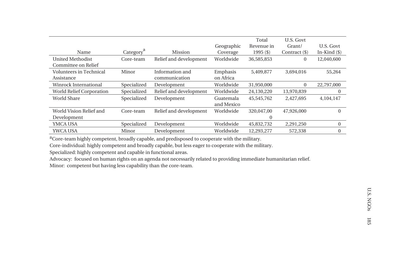|                                 |             |                        |            | Total       | U.S. Govt     |                |
|---------------------------------|-------------|------------------------|------------|-------------|---------------|----------------|
|                                 |             |                        | Geographic | Revenue in  | Grant/        | U.S. Govt      |
| Name                            | Category    | <b>Mission</b>         | Coverage   | $1995($ \$) | Contract (\$) | In-Kind $(\$)$ |
| <b>United Methodist</b>         | Core-team   | Relief and development | Worldwide  | 36,585,853  | $\mathbf{0}$  | 12,040,600     |
| Committee on Relief             |             |                        |            |             |               |                |
| Volunteers in Technical         | Minor       | Information and        | Emphasis   | 5,409,877   | 3,694,016     | 55,264         |
| Assistance                      |             | communication          | on Africa  |             |               |                |
| Winrock International           | Specialized | Development            | Worldwide  | 31,950,000  | $\mathbf{0}$  | 22,797,000     |
| <b>World Relief Corporation</b> | Specialized | Relief and development | Worldwide  | 24,130,220  | 13,970,839    | $\Omega$       |
| <b>World Share</b>              | Specialized | Development            | Guatemala  | 45,545,762  | 2,427,695     | 4,104,147      |
|                                 |             |                        | and Mexico |             |               |                |
| World Vision Relief and         | Core-team   | Relief and development | Worldwide  | 320,047,00  | 47,926,000    | $\Omega$       |
| Development                     |             |                        |            | $\Omega$    |               |                |
| <b>YMCA USA</b>                 | Specialized | Development            | Worldwide  | 45,832,732  | 2,291,250     | $\Omega$       |
| <b>YWCA USA</b>                 | Minor       | Development            | Worldwide  | 12.293.277  | 572,338       |                |

aCore-team highly competent, broadly capable, and predisposed to cooperate with the military.

Core-individual: highly competent and broadly capable, but less eager to cooperate with the military.

Specialized: highly competent and capable in functional areas.

Advocacy: focused on human rights on an agenda not necessarily related to providing immediate humanitarian relief.

Minor: competent but having less capability than the core-team.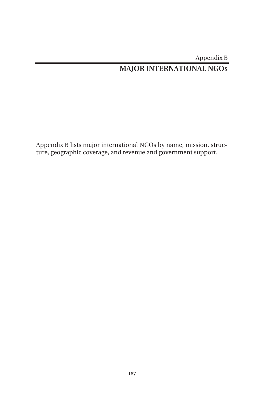# Appendix B **MAJOR INTERNATIONAL NGOs**

Appendix B lists major international NGOs by name, mission, structure, geographic coverage, and revenue and government support.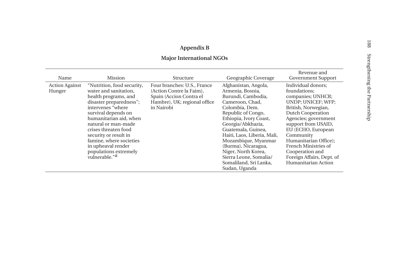## **Appendix B**

## **Major International NGOs**

| Name                            | <b>Mission</b>                                                                                                                                                                                                                                                                                                                                              | Structure                                                                                                                        | Geographic Coverage                                                                                                                                                                                                                                                                                                                                                     | Revenue and<br><b>Government Support</b>                                                                                                                                                                                                                                                                                            |
|---------------------------------|-------------------------------------------------------------------------------------------------------------------------------------------------------------------------------------------------------------------------------------------------------------------------------------------------------------------------------------------------------------|----------------------------------------------------------------------------------------------------------------------------------|-------------------------------------------------------------------------------------------------------------------------------------------------------------------------------------------------------------------------------------------------------------------------------------------------------------------------------------------------------------------------|-------------------------------------------------------------------------------------------------------------------------------------------------------------------------------------------------------------------------------------------------------------------------------------------------------------------------------------|
| <b>Action Against</b><br>Hunger | "Nutrition, food security,<br>water and sanitation.<br>health programs, and<br>disaster preparedness";<br>intervenes "where<br>survival depends on<br>humanitarian aid, when<br>natural or man-made<br>crises threaten food<br>security or result in<br>famine, where societies<br>in upheaval render<br>populations extremely<br>vulnerable." <sup>a</sup> | Four branches: U.S., France<br>(Action Contre la Faim).<br>Spain (Accion Contra el<br>Hambre), UK; regional office<br>in Nairobi | Afghanistan, Angola,<br>Armenia, Bosnia,<br>Burundi, Cambodia,<br>Cameroon, Chad.<br>Colombia, Dem.<br>Republic of Congo,<br>Ethiopia, Ivory Coast,<br>Georgia/Abkhazia,<br>Guatemala, Guinea.<br>Haiti, Laos, Liberia, Mali,<br>Mozambique, Myanmar<br>(Burma), Nicaragua,<br>Niger, North Korea,<br>Sierra Leone, Somalia/<br>Somaliland, Sri Lanka,<br>Sudan, Uganda | Individual donors;<br>foundations:<br>companies; UNHCR;<br>UNDP; UNICEF; WFP;<br>British, Norwegian,<br>Dutch Cooperation<br>Agencies; government<br>support from USAID,<br>EU (ECHO, European<br>Community<br>Humanitarian Office);<br>French Ministries of<br>Cooperation and<br>Foreign Affairs, Dept. of<br>Humanitarian Action |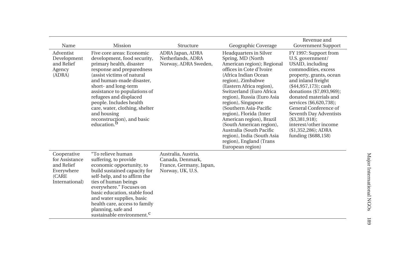| Name                                                                                 | Mission                                                                                                                                                                                                                                                                                                                                                                                            | Structure                                                                              | Geographic Coverage                                                                                                                                                                                                                                                                                                                                                                                                                                                                  | Revenue and<br><b>Government Support</b>                                                                                                                                                                                                                                                                                                                                                      |
|--------------------------------------------------------------------------------------|----------------------------------------------------------------------------------------------------------------------------------------------------------------------------------------------------------------------------------------------------------------------------------------------------------------------------------------------------------------------------------------------------|----------------------------------------------------------------------------------------|--------------------------------------------------------------------------------------------------------------------------------------------------------------------------------------------------------------------------------------------------------------------------------------------------------------------------------------------------------------------------------------------------------------------------------------------------------------------------------------|-----------------------------------------------------------------------------------------------------------------------------------------------------------------------------------------------------------------------------------------------------------------------------------------------------------------------------------------------------------------------------------------------|
| Adventist<br>Development<br>and Relief<br>Agency<br>(ADRA)                           | Five core areas: Economic<br>development, food security,<br>primary health, disaster<br>response and preparedness<br>(assist victims of natural<br>and human-made disaster.<br>short- and long-term<br>assistance to populations of<br>refugees and displaced<br>people. Includes health<br>care, water, clothing, shelter<br>and housing<br>reconstruction), and basic<br>education. <sup>b</sup> | ADRA Japan, ADRA<br>Netherlands, ADRA<br>Norway, ADRA Sweden,                          | Headquarters in Silver<br>Spring, MD (North<br>American region); Regional<br>offices in Cote d'Ivoire<br>(Africa Indian Ocean<br>region), Zimbabwe<br>(Eastern Africa region),<br>Switzerland (Euro Africa<br>region), Russia (Euro Asia<br>region), Singapore<br>(Southern Asia-Pacific<br>region), Florida (Inter<br>American region), Brazil<br>(South American region),<br>Australia (South Pacific<br>region), India (South Asia<br>region), England (Trans<br>European region) | FY 1997: Support from<br>U.S. government/<br>USAID, including<br>commodities, excess<br>property, grants, ocean<br>and inland freight<br>$($44,957,173)$ ; cash<br>donations (\$7,093,969);<br>donated materials and<br>services (\$6,620,738);<br>General Conference of<br>Seventh Day Adventists<br>(\$3,381,918);<br>interest/other income<br>$($1,352,286)$ ; ADRA<br>funding (\$688,158) |
| Cooperative<br>for Assistance<br>and Relief<br>Everywhere<br>(CARE<br>International) | "To relieve human<br>suffering, to provide<br>economic opportunity, to<br>build sustained capacity for<br>self-help, and to affirm the<br>ties of human beings<br>everywhere." Focuses on<br>basic education, stable food<br>and water supplies, basic<br>health care, access to family<br>planning, safe and<br>sustainable environment. <sup>C</sup>                                             | Australia, Austria,<br>Canada, Denmark,<br>France, Germany, Japan,<br>Norway, UK, U.S. |                                                                                                                                                                                                                                                                                                                                                                                                                                                                                      |                                                                                                                                                                                                                                                                                                                                                                                               |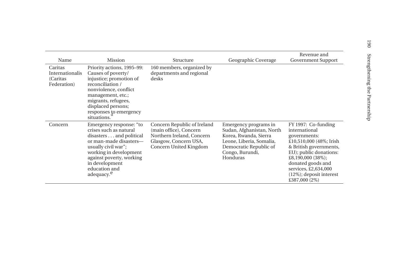|                                                        |                                                                                                                                                                                                                                                  |                                                                                                                                       |                                                                                                                                                                  | Revenue and                                                                                                                                                                                                                                               |
|--------------------------------------------------------|--------------------------------------------------------------------------------------------------------------------------------------------------------------------------------------------------------------------------------------------------|---------------------------------------------------------------------------------------------------------------------------------------|------------------------------------------------------------------------------------------------------------------------------------------------------------------|-----------------------------------------------------------------------------------------------------------------------------------------------------------------------------------------------------------------------------------------------------------|
| Name                                                   | Mission                                                                                                                                                                                                                                          | Structure                                                                                                                             | Geographic Coverage                                                                                                                                              | <b>Government Support</b>                                                                                                                                                                                                                                 |
| Caritas<br>Internationalis<br>(Caritas)<br>Federation) | Priority actions, 1995–99:<br>Causes of poverty/<br>injustice; promotion of<br>reconciliation /<br>nonviolence, conflict<br>management, etc.;<br>migrants, refugees,<br>displaced persons;<br>responses to emergency<br>situations.              | 160 members, organized by<br>departments and regional<br>desks                                                                        |                                                                                                                                                                  |                                                                                                                                                                                                                                                           |
| Concern                                                | Emergency response: "to<br>crises such as natural<br>disasters and political<br>or man-made disasters-<br>usually civil war";<br>working in development<br>against poverty, working<br>in development<br>education and<br>adequacy. <sup>e</sup> | Concern Republic of Ireland<br>(main office), Concern<br>Northern Ireland, Concern<br>Glasgow, Concern USA,<br>Concern United Kingdom | Emergency programs in<br>Sudan, Afghanistan, North<br>Korea, Rwanda, Sierra<br>Leone, Liberia, Somalia,<br>Democratic Republic of<br>Congo, Burundi,<br>Honduras | FY 1997: Co-funding<br>international<br>governments:<br>£10,510,000 (48%; Irish<br>& British governments,<br>EU); public donations:<br>£8,190,000 $(38\%)$ ;<br>donated goods and<br>services, £2,634,000<br>$(12\%)$ ; deposit interest<br>£387,000 (2%) |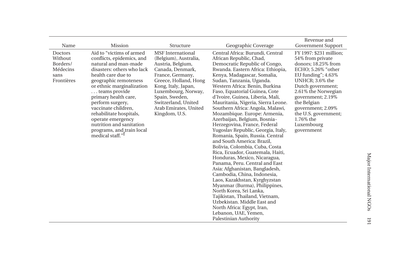|                                                                  |                                                                                                                                                                                                                                                                                                                                                                                                          |                                                                                                                                                                                                                                                                          |                                                                                                                                                                                                                                                                                                                                                                                                                                                                                                                                                                                                                                                                                                                                                                                                                                                                                                                                                                                                                                            | Revenue and                                                                                                                                                                                                                                                                                                |
|------------------------------------------------------------------|----------------------------------------------------------------------------------------------------------------------------------------------------------------------------------------------------------------------------------------------------------------------------------------------------------------------------------------------------------------------------------------------------------|--------------------------------------------------------------------------------------------------------------------------------------------------------------------------------------------------------------------------------------------------------------------------|--------------------------------------------------------------------------------------------------------------------------------------------------------------------------------------------------------------------------------------------------------------------------------------------------------------------------------------------------------------------------------------------------------------------------------------------------------------------------------------------------------------------------------------------------------------------------------------------------------------------------------------------------------------------------------------------------------------------------------------------------------------------------------------------------------------------------------------------------------------------------------------------------------------------------------------------------------------------------------------------------------------------------------------------|------------------------------------------------------------------------------------------------------------------------------------------------------------------------------------------------------------------------------------------------------------------------------------------------------------|
| Name                                                             | Mission                                                                                                                                                                                                                                                                                                                                                                                                  | Structure                                                                                                                                                                                                                                                                | Geographic Coverage                                                                                                                                                                                                                                                                                                                                                                                                                                                                                                                                                                                                                                                                                                                                                                                                                                                                                                                                                                                                                        | <b>Government Support</b>                                                                                                                                                                                                                                                                                  |
| Doctors<br>Without<br>Borders/<br>Médecins<br>sans<br>Frontières | Aid to "victims of armed<br>conflicts, epidemics, and<br>natural and man-made<br>disasters: others who lack<br>health care due to<br>geographic remoteness<br>or ethnic marginalization<br>teams provide<br>primary health care,<br>perform surgery,<br>vaccinate children,<br>rehabilitate hospitals,<br>operate emergency<br>nutrition and sanitation<br>programs, and train local<br>medical staff."I | <b>MSF</b> International<br>(Belgium), Australia,<br>Austria, Belgium,<br>Canada, Denmark,<br>France, Germany,<br>Greece, Holland, Hong<br>Kong, Italy, Japan,<br>Luxembourg, Norway,<br>Spain, Sweden,<br>Switzerland, United<br>Arab Emirates, United<br>Kingdom, U.S. | Central Africa: Burundi, Central<br>African Republic, Chad,<br>Democratic Republic of Congo,<br>Rwanda. Eastern Africa: Ethiopia,<br>Kenya, Madagascar, Somalia,<br>Sudan, Tanzania, Uganda.<br>Western Africa: Benin, Burkina<br>Faso, Equatorial Guinea, Cote<br>d'Ivoire, Guinea, Liberia, Mali,<br>Mauritania, Nigeria, Sierra Leone.<br>Southern Africa: Angola, Malawi,<br>Mozambique. Europe: Armenia,<br>Azerbaijan, Belgium, Bosnia-<br>Herzegovina, France, Federal<br>Yugoslav Republic, Georgia, Italy,<br>Romania, Spain, Russia. Central<br>and South America: Brazil,<br>Bolivia, Colombia, Cuba, Costa<br>Rica, Ecuador, Guatemala, Haiti,<br>Honduras, Mexico, Nicaragua,<br>Panama, Peru. Central and East<br>Asia: Afghanistan, Bangladesh,<br>Cambodia, China, Indonesia,<br>Laos, Kazakhstan, Kyrghyzstan<br>Myanmar (Burma), Philippines,<br>North Korea, Sri Lanka,<br>Tajikistan, Thailand, Vietnam,<br>Uzbekistan. Middle East and<br>North Africa: Egypt, Iran,<br>Lebanon, UAE, Yemen,<br>Palestinian Authority | FY 1997: \$231 million;<br>54% from private<br>donors; 18.25% from<br>ECHO; 5.26% "other<br>EU funding"; $4.63\%$<br>UNHCR; 3.6% the<br>Dutch government;<br>2.61% the Norwegian<br>government; 2.19%<br>the Belgian<br>government; 2.09%<br>the U.S. government;<br>1.76% the<br>Luxembourg<br>government |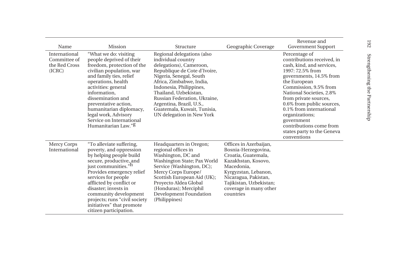| Name                                                     | Mission                                                                                                                                                                                                                                                                                                                                                               | Structure                                                                                                                                                                                                                                                                                                                                      | Geographic Coverage                                                                                                                                                                                                         | Revenue and<br><b>Government Support</b>                                                                                                                                                                                                                                                                                                                                              |
|----------------------------------------------------------|-----------------------------------------------------------------------------------------------------------------------------------------------------------------------------------------------------------------------------------------------------------------------------------------------------------------------------------------------------------------------|------------------------------------------------------------------------------------------------------------------------------------------------------------------------------------------------------------------------------------------------------------------------------------------------------------------------------------------------|-----------------------------------------------------------------------------------------------------------------------------------------------------------------------------------------------------------------------------|---------------------------------------------------------------------------------------------------------------------------------------------------------------------------------------------------------------------------------------------------------------------------------------------------------------------------------------------------------------------------------------|
| International<br>Committee of<br>the Red Cross<br>(ICRC) | "What we do: visiting<br>people deprived of their<br>freedom, protection of the<br>civilian population, war<br>and family ties, relief<br>operations, health<br>activities: general<br>information.<br>dissemination and<br>preventative action,<br>humanitarian diplomacy,<br>legal work, Advisory<br>Service on International<br>Humanitarian Law." <sup>g</sup>    | Regional delegations (also<br>individual country<br>delegations), Cameroon,<br>Republique de Cote d'Ivoire,<br>Nigeria, Senegal, South<br>Africa, Zimbabwe, India,<br>Indonesia, Philippines,<br>Thailand, Uzbekistan,<br>Russian Federation, Ukraine,<br>Argentina, Brazil, U.S.,<br>Guatemala, Kuwait, Tunisia,<br>UN delegation in New York |                                                                                                                                                                                                                             | Percentage of<br>contributions received, in<br>cash, kind, and services,<br>1997: 72.5% from<br>governments, 14.5% from<br>the European<br>Commission, 9.5% from<br>National Societies, 2.8%<br>from private sources,<br>0.6% from public sources,<br>0.1% from international<br>organizations;<br>government<br>contributions come from<br>states party to the Geneva<br>conventions |
| Mercy Corps<br>International                             | "To alleviate suffering,<br>poverty, and oppression<br>by helping people build<br>secure, productive, and<br>just communities." <sup>n</sup><br>Provides emergency relief<br>services for people<br>afflicted by conflict or<br>disaster; invests in<br>community development<br>projects; runs "civil society<br>initiatives" that promote<br>citizen participation. | Headquarters in Oregon;<br>regional offices in<br>Washington, DC and<br>Washington State; Pax World<br>Service (Washington, DC);<br>Mercy Corps Europe/<br>Scottish European Aid (UK);<br>Proyecto Aldea Global<br>(Honduras); Merciphil<br>Development Foundation<br>(Philippines)                                                            | Offices in Azerbaijan,<br>Bosnia-Herzegovina,<br>Croatia, Guatemala,<br>Kazakhstan, Kosovo,<br>Macedonia.<br>Kyrgyzstan, Lebanon,<br>Nicaragua, Pakistan,<br>Tajikistan, Uzbekistan;<br>coverage in many other<br>countries |                                                                                                                                                                                                                                                                                                                                                                                       |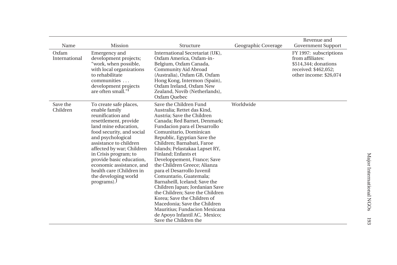| Name                   | Mission                                                                                                                                                                                                                                                                                                                                                                   | Structure                                                                                                                                                                                                                                                                                                                                                                                                                                                                                                                                                                                                                                                                                  | Geographic Coverage | Revenue and<br><b>Government Support</b>                                                                             |
|------------------------|---------------------------------------------------------------------------------------------------------------------------------------------------------------------------------------------------------------------------------------------------------------------------------------------------------------------------------------------------------------------------|--------------------------------------------------------------------------------------------------------------------------------------------------------------------------------------------------------------------------------------------------------------------------------------------------------------------------------------------------------------------------------------------------------------------------------------------------------------------------------------------------------------------------------------------------------------------------------------------------------------------------------------------------------------------------------------------|---------------------|----------------------------------------------------------------------------------------------------------------------|
| Oxfam<br>International | Emergency and<br>development projects;<br>"work, when possible,<br>with local organizations<br>to rehabilitate<br>communities<br>development projects<br>are often small." <sup>1</sup>                                                                                                                                                                                   | International Secretariat (UK),<br>Oxfam America, Oxfam-in-<br>Belgium, Oxfam Canada,<br>Community Aid Abroad<br>(Australia), Oxfam GB, Oxfam<br>Hong Kong, Intermon (Spain),<br>Oxfam Ireland, Oxfam New<br>Zealand, Novib (Netherlands),<br>Oxfam Quebec                                                                                                                                                                                                                                                                                                                                                                                                                                 |                     | FY 1997: subscriptions<br>from affiliates:<br>\$514,344; donations<br>received: \$462,052;<br>other income: \$26,074 |
| Save the<br>Children   | To create safe places,<br>enable family<br>reunification and<br>resettlement, provide<br>land mine education.<br>food security, and social<br>and psychological<br>assistance to children<br>affected by war; Children<br>in Crisis program; to<br>provide basic education,<br>economic assistance, and<br>health care (Children in<br>the developing world<br>programs). | Save the Children Fund<br>Australia; Rettet das Kind,<br>Austria; Save the Children<br>Canada; Red Barnet, Denmark;<br>Fundacion para el Desarrollo<br>Comunitario, Dominican<br>Republic, Egyptian Save the<br>Children; Barnabati, Faroe<br>Islands; Pelastakaa Lapset RY,<br>Finland; Enfants et<br>Developpement, France; Save<br>the Children Greece: Alianza<br>para el Desarrollo Juvenil<br>Comuntario, Guatemala;<br>Barnaheill, Iceland; Save the<br>Children Japan; Jordanian Save<br>the Children: Save the Children<br>Korea; Save the Children of<br>Macedonia; Save the Children<br>Mauritius; Fundacion Mexicana<br>de Apoyo Infantil AC, Mexico;<br>Save the Children the | Worldwide           |                                                                                                                      |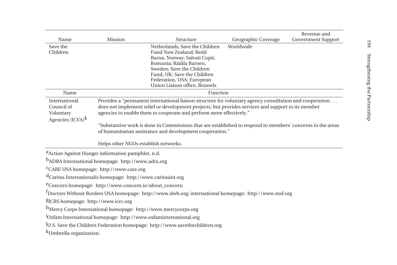|                                                 |                                                                          |                                                                                                                                                                           |                     | Revenue and               |
|-------------------------------------------------|--------------------------------------------------------------------------|---------------------------------------------------------------------------------------------------------------------------------------------------------------------------|---------------------|---------------------------|
| Name                                            | Mission                                                                  | Structure                                                                                                                                                                 | Geographic Coverage | <b>Government Support</b> |
| Save the                                        |                                                                          | Netherlands; Save the Children                                                                                                                                            | Worldwide           |                           |
| Children                                        |                                                                          | Fund New Zealand; Redd<br>Barna, Norway; Salvati Copii,                                                                                                                   |                     |                           |
|                                                 |                                                                          | Romania; Rädda Barnen,                                                                                                                                                    |                     |                           |
|                                                 |                                                                          | Sweden; Save the Children                                                                                                                                                 |                     |                           |
|                                                 |                                                                          | Fund, UK; Save the Children                                                                                                                                               |                     |                           |
|                                                 |                                                                          | Federation, USA; European<br>Union Liaison office, Brussels                                                                                                               |                     |                           |
| Name                                            |                                                                          | Function                                                                                                                                                                  |                     |                           |
|                                                 |                                                                          |                                                                                                                                                                           |                     |                           |
| International<br>Council of                     |                                                                          | Provides a "permanent international liaison structure for voluntary agency consultation and cooperation                                                                   |                     |                           |
| Voluntary                                       |                                                                          | does not implement relief or development projects, but provides services and support to its member<br>agencies to enable them to cooperate and perform more effectively." |                     |                           |
| Agencies $(ICVA)^k$                             |                                                                          |                                                                                                                                                                           |                     |                           |
|                                                 |                                                                          | "Substantive work is done in Commissions that are established to respond to members' concerns in the areas                                                                |                     |                           |
|                                                 |                                                                          | of humanitarian assistance and development cooperation."                                                                                                                  |                     |                           |
|                                                 |                                                                          |                                                                                                                                                                           |                     |                           |
|                                                 | Helps other NGOs establish networks.                                     |                                                                                                                                                                           |                     |                           |
|                                                 | <sup>a</sup> Action Against Hunger information pamphlet, n.d.            |                                                                                                                                                                           |                     |                           |
|                                                 | b <sub>ADRA</sub> International homepage: http://www.adra.org            |                                                                                                                                                                           |                     |                           |
|                                                 | <sup>C</sup> CARE USA homepage: http://www.care.org                      |                                                                                                                                                                           |                     |                           |
|                                                 | d <sub>Caritas</sub> Internationalis homepage: http://www.caritasint.org |                                                                                                                                                                           |                     |                           |
|                                                 | <sup>e</sup> Concern homepage: http://www.concern.ie/about_concern       |                                                                                                                                                                           |                     |                           |
|                                                 |                                                                          | <sup>f</sup> Doctors Without Borders USA homepage: http://www.dwb.org; international homepage: http://www.msf.org                                                         |                     |                           |
| <sup>g</sup> ICRS homepage: http://www.icrc.org |                                                                          |                                                                                                                                                                           |                     |                           |
|                                                 |                                                                          | h <sub>Mercy</sub> Corps International homepage: http://www.mercycorps.org                                                                                                |                     |                           |
|                                                 |                                                                          | <sup>1</sup> Oxfam International homepage: http://www.oxfaminternational.org                                                                                              |                     |                           |
|                                                 |                                                                          | JU.S. Save the Children Federation homepage: http://www.savethechildren.org                                                                                               |                     |                           |
| <sup>k</sup> Umbrella organization.             |                                                                          |                                                                                                                                                                           |                     |                           |
|                                                 |                                                                          |                                                                                                                                                                           |                     |                           |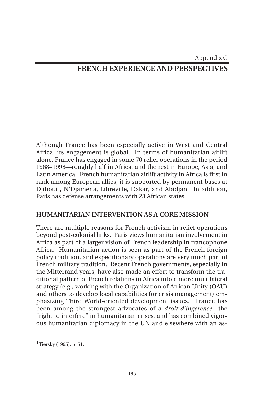## Appendix C **FRENCH EXPERIENCE AND PERSPECTIVES**

Although France has been especially active in West and Central Africa, its engagement is global. In terms of humanitarian airlift alone, France has engaged in some 70 relief operations in the period 1968–1998—roughly half in Africa, and the rest in Europe, Asia, and Latin America. French humanitarian airlift activity in Africa is first in rank among European allies; it is supported by permanent bases at Djibouti, N'Djamena, Libreville, Dakar, and Abidjan. In addition, Paris has defense arrangements with 23 African states.

#### **HUMANITARIAN INTERVENTION AS A CORE MISSION**

There are multiple reasons for French activism in relief operations beyond post-colonial links. Paris views humanitarian involvement in Africa as part of a larger vision of French leadership in francophone Africa. Humanitarian action is seen as part of the French foreign policy tradition, and expeditionary operations are very much part of French military tradition. Recent French governments, especially in the Mitterrand years, have also made an effort to transform the traditional pattern of French relations in Africa into a more multilateral strategy (e.g., working with the Organization of African Unity (OAU) and others to develop local capabilities for crisis management) emphasizing Third World-oriented development issues.<sup>1</sup> France has been among the strongest advocates of a *droit d'ingerence*—the "right to interfere" in humanitarian crises, and has combined vigorous humanitarian diplomacy in the UN and elsewhere with an as-

\_\_\_\_\_\_\_\_\_\_\_\_\_\_  $1$ Tiersky (1995), p. 51.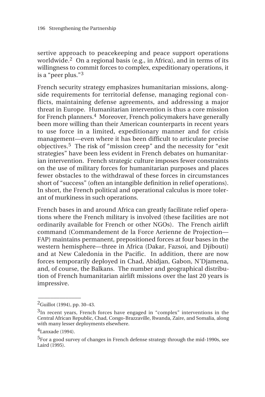sertive approach to peacekeeping and peace support operations worldwide.<sup>2</sup> On a regional basis (e.g., in Africa), and in terms of its willingness to commit forces to complex, expeditionary operations, it is a "peer plus."<sup>3</sup>

French security strategy emphasizes humanitarian missions, alongside requirements for territorial defense, managing regional conflicts, maintaining defense agreements, and addressing a major threat in Europe. Humanitarian intervention is thus a core mission for French planners.4 Moreover, French policymakers have generally been more willing than their American counterparts in recent years to use force in a limited, expeditionary manner and for crisis management—even where it has been difficult to articulate precise objectives.5 The risk of "mission creep" and the necessity for "exit strategies" have been less evident in French debates on humanitarian intervention. French strategic culture imposes fewer constraints on the use of military forces for humanitarian purposes and places fewer obstacles to the withdrawal of these forces in circumstances short of "success" (often an intangible definition in relief operations). In short, the French political and operational calculus is more tolerant of murkiness in such operations.

French bases in and around Africa can greatly facilitate relief operations where the French military is involved (these facilities are not ordinarily available for French or other NGOs). The French airlift command (Commandement de la Force Aerienne de Projection— FAP) maintains permanent, prepositioned forces at four bases in the western hemisphere—three in Africa (Dakar, Fazsoi, and Djibouti) and at New Caledonia in the Pacific. In addition, there are now forces temporarily deployed in Chad, Abidjan, Gabon, N'Djamena, and, of course, the Balkans. The number and geographical distribution of French humanitarian airlift missions over the last 20 years is impressive.

 $\overline{\phantom{a}}$ 

 $^{2}$ Guillot (1994), pp. 30–43.

<sup>3</sup>In recent years, French forces have engaged in "complex" interventions in the Central African Republic, Chad, Congo-Brazzaville, Rwanda, Zaire, and Somalia, along with many lesser deployments elsewhere.

<sup>4</sup>Lanxade (1994).

<sup>&</sup>lt;sup>5</sup>For a good survey of changes in French defense strategy through the mid-1990s, see Laird (1995).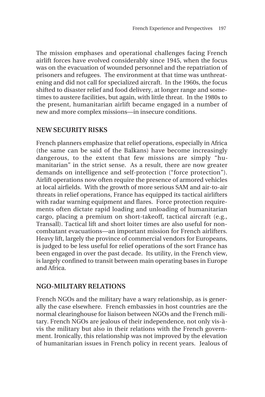The mission emphases and operational challenges facing French airlift forces have evolved considerably since 1945, when the focus was on the evacuation of wounded personnel and the repatriation of prisoners and refugees. The environment at that time was unthreatening and did not call for specialized aircraft. In the 1960s, the focus shifted to disaster relief and food delivery, at longer range and sometimes to austere facilities, but again, with little threat. In the 1980s to the present, humanitarian airlift became engaged in a number of new and more complex missions—in insecure conditions.

## **NEW SECURITY RISKS**

French planners emphasize that relief operations, especially in Africa (the same can be said of the Balkans) have become increasingly dangerous, to the extent that few missions are simply "humanitarian" in the strict sense. As a result, there are now greater demands on intelligence and self-protection ("force protection"). Airlift operations now often require the presence of armored vehicles at local airfields. With the growth of more serious SAM and air-to-air threats in relief operations, France has equipped its tactical airlifters with radar warning equipment and flares. Force protection requirements often dictate rapid loading and unloading of humanitarian cargo, placing a premium on short-takeoff, tactical aircraft (e.g., Transall). Tactical lift and short loiter times are also useful for noncombatant evacuations—an important mission for French airlifters. Heavy lift, largely the province of commercial vendors for Europeans, is judged to be less useful for relief operations of the sort France has been engaged in over the past decade. Its utility, in the French view, is largely confined to transit between main operating bases in Europe and Africa.

## **NGO-MILITARY RELATIONS**

French NGOs and the military have a wary relationship, as is generally the case elsewhere. French embassies in host countries are the normal clearinghouse for liaison between NGOs and the French military. French NGOs are jealous of their independence, not only vis-àvis the military but also in their relations with the French government. Ironically, this relationship was not improved by the elevation of humanitarian issues in French policy in recent years. Jealous of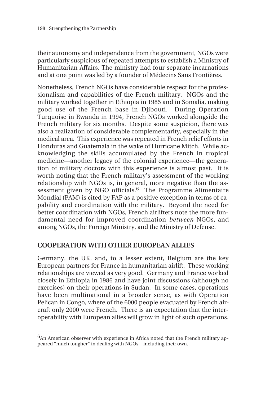their autonomy and independence from the government, NGOs were particularly suspicious of repeated attempts to establish a Ministry of Humanitarian Affairs. The ministry had four separate incarnations and at one point was led by a founder of Médecins Sans Frontières.

Nonetheless, French NGOs have considerable respect for the professionalism and capabilities of the French military. NGOs and the military worked together in Ethiopia in 1985 and in Somalia, making good use of the French base in Djibouti. During Operation Turquoise in Rwanda in 1994, French NGOs worked alongside the French military for six months. Despite some suspicion, there was also a realization of considerable complementarity, especially in the medical area. This experience was repeated in French relief efforts in Honduras and Guatemala in the wake of Hurricane Mitch. While acknowledging the skills accumulated by the French in tropical medicine—another legacy of the colonial experience—the generation of military doctors with this experience is almost past. It is worth noting that the French military's assessment of the working relationship with NGOs is, in general, more negative than the assessment given by NGO officials.<sup>6</sup> The Programme Alimentaire Mondial (PAM) is cited by FAP as a positive exception in terms of capability and coordination with the military. Beyond the need for better coordination with NGOs, French airlifters note the more fundamental need for improved coordination *between* NGOs, and among NGOs, the Foreign Ministry, and the Ministry of Defense.

#### **COOPERATION WITH OTHER EUROPEAN ALLIES**

\_\_\_\_\_\_\_\_\_\_\_\_\_\_

Germany, the UK, and, to a lesser extent, Belgium are the key European partners for France in humanitarian airlift. These working relationships are viewed as very good. Germany and France worked closely in Ethiopia in 1986 and have joint discussions (although no exercises) on their operations in Sudan. In some cases, operations have been multinational in a broader sense, as with Operation Pelican in Congo, where of the 6000 people evacuated by French aircraft only 2000 were French. There is an expectation that the interoperability with European allies will grow in light of such operations.

<sup>&</sup>lt;sup>6</sup>An American observer with experience in Africa noted that the French military appeared "much tougher" in dealing with NGOs—including their own.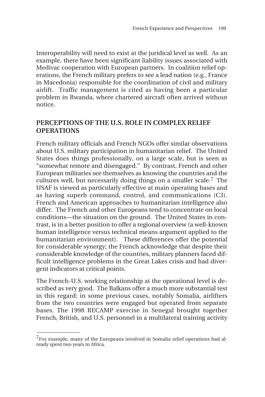Interoperability will need to exist at the juridical level as well. As an example, there have been significant liability issues associated with Medivac cooperation with European partners. In coalition relief operations, the French military prefers to see a lead nation (e.g., France in Macedonia) responsible for the coordination of civil and military airlift. Traffic management is cited as having been a particular problem in Rwanda, where chartered aircraft often arrived without notice.

#### **PERCEPTIONS OF THE U.S. ROLE IN COMPLEX RELIEF OPERATIONS**

French military officials and French NGOs offer similar observations about U.S. military participation in humanitarian relief. The United States does things professionally, on a large scale, but is seen as "somewhat remote and disengaged." By contrast, French and other European militaries see themselves as knowing the countries and the cultures well, but necessarily doing things on a smaller scale.7 The USAF is viewed as particularly effective at main operating bases and as having superb command, control, and communications (C3). French and American approaches to humanitarian intelligence also differ. The French and other Europeans tend to concentrate on local conditions—the situation on the ground. The United States in contrast, is in a better position to offer a regional overview (a well-known human intelligence versus technical means argument applied to the humanitarian environment). These differences offer the potential for considerable synergy; the French acknowledge that despite their considerable knowledge of the countries, military planners faced difficult intelligence problems in the Great Lakes crisis and had divergent indicators at critical points.

The French-U.S. working relationship at the operational level is described as very good. The Balkans offer a much more substantial test in this regard; in some previous cases, notably Somalia, airlifters from the two countries were engaged but operated from separate bases. The 1998 RECAMP exercise in Senegal brought together French, British, and U.S. personnel in a multilateral training activity

\_\_\_\_\_\_\_\_\_\_\_\_\_\_

 $7$ For example, many of the Europeans involved in Somalia relief operations had already spent two years in Africa.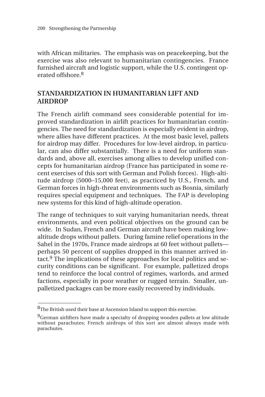with African militaries. The emphasis was on peacekeeping, but the exercise was also relevant to humanitarian contingencies. France furnished aircraft and logistic support, while the U.S. contingent operated offshore.8

## **STANDARDIZATION IN HUMANITARIAN LIFT AND AIRDROP**

The French airlift command sees considerable potential for improved standardization in airlift practices for humanitarian contingencies. The need for standardization is especially evident in airdrop, where allies have different practices. At the most basic level, pallets for airdrop may differ. Procedures for low-level airdrop, in particular, can also differ substantially. There is a need for uniform standards and, above all, exercises among allies to develop unified concepts for humanitarian airdrop (France has participated in some recent exercises of this sort with German and Polish forces). High-altitude airdrop (5000–15,000 feet), as practiced by U.S., French, and German forces in high-threat environments such as Bosnia, similarly requires special equipment and techniques. The FAP is developing new systems for this kind of high-altitude operation.

The range of techniques to suit varying humanitarian needs, threat environments, and even political objectives on the ground can be wide. In Sudan, French and German aircraft have been making lowaltitude drops without pallets. During famine relief operations in the Sahel in the 1970s, France made airdrops at 60 feet without pallets perhaps 50 percent of supplies dropped in this manner arrived intact.9 The implications of these approaches for local politics and security conditions can be significant. For example, palletized drops tend to reinforce the local control of regimes, warlords, and armed factions, especially in poor weather or rugged terrain. Smaller, unpalletized packages can be more easily recovered by individuals.

\_\_\_\_\_\_\_\_\_\_\_\_\_\_

<sup>&</sup>lt;sup>8</sup>The British used their base at Ascension Island to support this exercise.

<sup>&</sup>lt;sup>9</sup>German airlifters have made a specialty of dropping wooden pallets at low altitude without parachutes; French airdrops of this sort are almost always made with parachutes.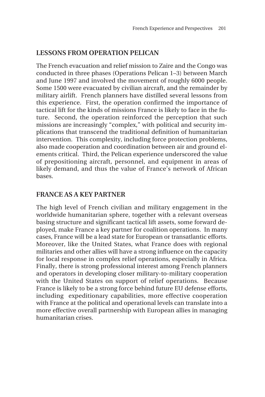## **LESSONS FROM OPERATION PELICAN**

The French evacuation and relief mission to Zaire and the Congo was conducted in three phases (Operations Pelican 1–3) between March and June 1997 and involved the movement of roughly 6000 people. Some 1500 were evacuated by civilian aircraft, and the remainder by military airlift. French planners have distilled several lessons from this experience. First, the operation confirmed the importance of tactical lift for the kinds of missions France is likely to face in the future. Second, the operation reinforced the perception that such missions are increasingly "complex," with political and security implications that transcend the traditional definition of humanitarian intervention. This complexity, including force protection problems, also made cooperation and coordination between air and ground elements critical. Third, the Pelican experience underscored the value of prepositioning aircraft, personnel, and equipment in areas of likely demand, and thus the value of France's network of African bases.

## **FRANCE AS A KEY PARTNER**

The high level of French civilian and military engagement in the worldwide humanitarian sphere, together with a relevant overseas basing structure and significant tactical lift assets, some forward deployed, make France a key partner for coalition operations. In many cases, France will be a lead state for European or transatlantic efforts. Moreover, like the United States, what France does with regional militaries and other allies will have a strong influence on the capacity for local response in complex relief operations, especially in Africa. Finally, there is strong professional interest among French planners and operators in developing closer military-to-military cooperation with the United States on support of relief operations. Because France is likely to be a strong force behind future EU defense efforts, including expeditionary capabilities, more effective cooperation with France at the political and operational levels can translate into a more effective overall partnership with European allies in managing humanitarian crises.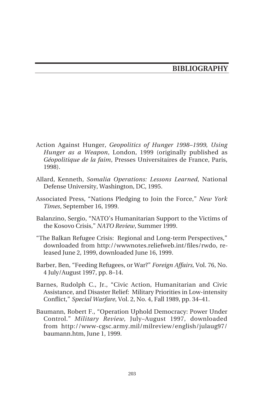## **BIBLIOGRAPHY**

- Action Against Hunger, *Geopolitics of Hunger 1998–1999, Using Hunger as a Weapon*, London, 1999 (originally published as *Géopolitique de la faim*, Presses Universitaires de France, Paris, 1998).
- Allard, Kenneth, *Somalia Operations: Lessons Learned*, National Defense University, Washington, DC, 1995.
- Associated Press, "Nations Pledging to Join the Force," *New York Times*, September 16, 1999.
- Balanzino, Sergio, "NATO's Humanitarian Support to the Victims of the Kosovo Crisis," *NATO Review*, Summer 1999.
- "The Balkan Refugee Crisis: Regional and Long-term Perspectives," downloaded from http://wwwnotes.reliefweb.int/files/rwdo, released June 2, 1999, downloaded June 16, 1999.
- Barber, Ben, "Feeding Refugees, or War?" *Foreign Affairs,* Vol. 76, No. 4 July/August 1997, pp. 8–14.
- Barnes, Rudolph C., Jr., "Civic Action, Humanitarian and Civic Assistance, and Disaster Relief: Military Priorities in Low-intensity Conflict," *Special Warfare*, Vol. 2, No. 4, Fall 1989, pp. 34–41.
- Baumann, Robert F., "Operation Uphold Democracy: Power Under Control." *Military Review*, July–August 1997, downloaded from http://www-cgsc.army.mil/milreview/english/julaug97/ baumann.htm, June 1, 1999.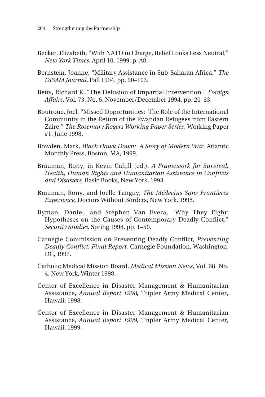- Becker, Elizabeth, "With NATO in Charge, Relief Looks Less Neutral," *New York Times*, April 10, 1999, p. A8.
- Bernstein, Joanne, "Military Assistance in Sub-Saharan Africa," *The DISAM Journal*, Fall 1994, pp. 90–103.
- Betts, Richard K, "The Delusion of Impartial Intervention," *Foreign Affairs*, Vol. 73, No. 6, November/December 1994, pp. 20–33.
- Boutroue, Joel, "Missed Opportunities: The Role of the International Community in the Return of the Rwandan Refugees from Eastern Zaire," *The Rosemary Rogers Working Paper Series*, Working Paper #1, June 1998.
- Bowden, Mark, *Black Hawk Down: A Story of Modern War*, Atlantic Monthly Press, Boston, MA, 1999.
- Brauman, Rony, in Kevin Cahill (ed.), *A Framework for Survival, Health, Human Rights and Humanitarian Assistance in Conflicts and Disasters,* Basic Books, New York, 1993.
- Brauman, Rony, and Joelle Tanguy, *The Médecins Sans Frontières Experience,* Doctors Without Borders, New York, 1998.
- Byman, Daniel, and Stephen Van Evera, "Why They Fight: Hypotheses on the Causes of Contemporary Deadly Conflict," *Security Studies,* Spring 1998, pp. 1–50.
- Carnegie Commission on Preventing Deadly Conflict, *Preventing Deadly Conflict: Final Report,* Carnegie Foundation, Washington, DC, 1997.
- Catholic Medical Mission Board, *Medical Mission News*, Vol. 68, No. 4, New York, Winter 1998.
- Center of Excellence in Disaster Management & Humanitarian Assistance, *Annual Report 1998*, Tripler Army Medical Center, Hawaii, 1998.
- Center of Excellence in Disaster Management & Humanitarian Assistance, *Annual Report 1999,* Tripler Army Medical Center, Hawaii, 1999.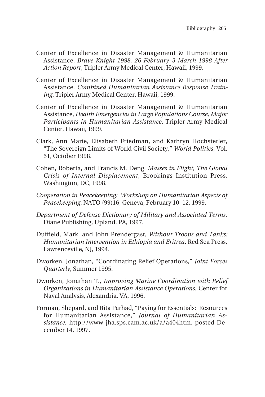- Center of Excellence in Disaster Management & Humanitarian Assistance, *Brave Knight 1998, 26 February–3 March 1998 After Action Report*, Tripler Army Medical Center, Hawaii, 1999.
- Center of Excellence in Disaster Management & Humanitarian Assistance, *Combined Humanitarian Assistance Response Training*, Tripler Army Medical Center, Hawaii, 1999.
- Center of Excellence in Disaster Management & Humanitarian Assistance, *Health Emergencies in Large Populations Course, Major Participants in Humanitarian Assistance*, Tripler Army Medical Center, Hawaii, 1999.
- Clark, Ann Marie, Elisabeth Friedman, and Kathryn Hochstetler, "The Sovereign Limits of World Civil Society," *World Politics*, Vol. 51, October 1998.
- Cohen, Roberta, and Francis M. Deng, *Masses in Flight, The Global Crisis of Internal Displacement*, Brookings Institution Press, Washington, DC, 1998.
- *Cooperation in Peacekeeping: Workshop on Humanitarian Aspects of Peacekeeping*, NATO (99)16, Geneva, February 10–12, 1999.
- *Department of Defense Dictionary of Military and Associated Terms,* Diane Publishing, Upland, PA, 1997.
- Duffield, Mark, and John Prendergast, *Without Troops and Tanks: Humanitarian Intervention in Ethiopia and Eritrea*, Red Sea Press, Lawrenceville, NJ, 1994.
- Dworken, Jonathan, "Coordinating Relief Operations," *Joint Forces Quarterly*, Summer 1995.
- Dworken, Jonathan T., *Improving Marine Coordination with Relief Organizations in Humanitarian Assistance Operations*, Center for Naval Analysis, Alexandria, VA, 1996.
- Forman, Shepard, and Rita Parhad, "Paying for Essentials: Resources for Humanitarian Assistance," *Journal of Humanitarian Assistance,* http://www-jha.sps.cam.ac.uk/a/a404htm, posted December 14, 1997.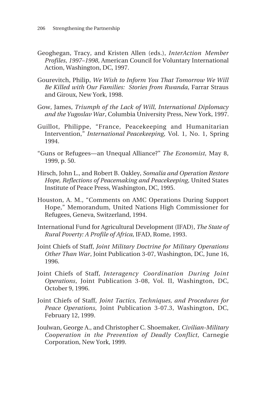- Geoghegan, Tracy, and Kristen Allen (eds.), *InterAction Member Profiles*, *1997–1998*, American Council for Voluntary International Action, Washington, DC, 1997.
- Gourevitch, Philip, *We Wish to Inform You That Tomorrow We Will Be Killed with Our Families: Stories from Rwanda*, Farrar Straus and Giroux, New York, 1998.
- Gow, James, *Triumph of the Lack of Will, International Diplomacy and the Yugoslav War*, Columbia University Press, New York, 1997.
- Guillot, Philippe, "France, Peacekeeping and Humanitarian Intervention," *International Peacekeeping*, Vol. 1, No. 1, Spring 1994.
- "Guns or Refugees—an Unequal Alliance?" *The Economist*, May 8, 1999, p. 50.
- Hirsch, John L., and Robert B. Oakley, *Somalia and Operation Restore Hope, Reflections of Peacemaking and Peacekeeping*, United States Institute of Peace Press, Washington, DC, 1995.
- Houston, A. M., "Comments on AMC Operations During Support Hope," Memorandum, United Nations High Commissioner for Refugees, Geneva, Switzerland, 1994.
- International Fund for Agricultural Development (IFAD), *The State of Rural Poverty: A Profile of Africa*, IFAD, Rome, 1993.
- Joint Chiefs of Staff, *Joint Military Doctrine for Military Operations Other Than War*, Joint Publication 3-07, Washington, DC, June 16, 1996.
- Joint Chiefs of Staff, *Interagency Coordination During Joint Operations*, Joint Publication 3-08, Vol. II, Washington, DC, October 9, 1996.
- Joint Chiefs of Staff, *Joint Tactics, Techniques, and Procedures for Peace Operations*, Joint Publication 3-07.3, Washington, DC, February 12, 1999.
- Joulwan, George A., and Christopher C. Shoemaker*, Civilian-Military Cooperation in the Prevention of Deadly Conflict*, Carnegie Corporation, New York, 1999.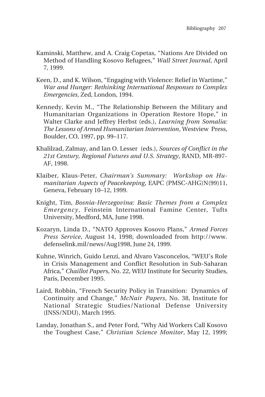- Kaminski, Matthew, and A. Craig Copetas, "Nations Are Divided on Method of Handling Kosovo Refugees," *Wall Street Journal*, April 7, 1999.
- Keen, D., and K. Wilson, "Engaging with Violence: Relief in Wartime," *War and Hunger: Rethinking International Responses to Complex Emergencies*, Zed, London, 1994.
- Kennedy, Kevin M., "The Relationship Between the Military and Humanitarian Organizations in Operation Restore Hope," in Walter Clarke and Jeffrey Herbst (eds.), *Learning from Somalia: The Lessons of Armed Humanitarian Intervention*, Westview Press, Boulder, CO, 1997, pp. 99–117.
- Khalilzad, Zalmay, and Ian O. Lesser (eds.), *Sources of Conflict in the 21st Century, Regional Futures and U.S. Strategy*, RAND, MR-897- AF, 1998.
- Klaiber, Klaus-Peter, *Chairman's Summary: Workshop on Humanitarian Aspects of Peacekeeping*, EAPC (PMSC-AHG)N(99)11, Geneva, February 10–12, 1999.
- Knight, Tim, *Bosnia-Herzegovina: Basic Themes from a Complex Emergency*, Feinstein International Famine Center, Tufts University, Medford, MA, June 1998.
- Kozaryn, Linda D., "NATO Approves Kosovo Plans," *Armed Forces Press Service*, August 14, 1998; downloaded from http://www. defenselink.mil/news/Aug1998, June 24, 1999.
- Kuhne, Winrich, Guido Lenzi, and Alvaro Vasconcelos, "WEU's Role in Crisis Management and Conflict Resolution in Sub-Saharan Africa," *Chaillot Paper*s, No. 22, WEU Institute for Security Studies, Paris, December 1995.
- Laird, Robbin, "French Security Policy in Transition: Dynamics of Continuity and Change," *McNair Papers*, No. 38, Institute for National Strategic Studies/National Defense University (INSS/NDU), March 1995.
- Landay, Jonathan S., and Peter Ford, "Why Aid Workers Call Kosovo the Toughest Case," *Christian Science Monitor*, May 12, 1999;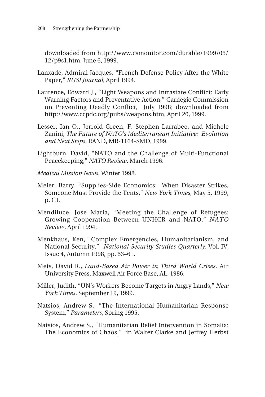downloaded from http://www.csmonitor.com/durable/1999/05/ 12/p9s1.htm, June 6, 1999.

- Lanxade, Admiral Jacques, "French Defense Policy After the White Paper," *RUSI Journal*, April 1994.
- Laurence, Edward J., "Light Weapons and Intrastate Conflict: Early Warning Factors and Preventative Action," Carnegie Commission on Preventing Deadly Conflict, July 1998; downloaded from http://www.ccpdc.org/pubs/weapons.htm, April 20, 1999.
- Lesser, Ian O., Jerrold Green, F. Stephen Larrabee, and Michele Zanini, *The Future of NATO's Mediterranean Initiative: Evolution and Next Steps*, RAND, MR-1164-SMD, 1999.
- Lightburn, David, "NATO and the Challenge of Multi-Functional Peacekeeping," *NATO Review*, March 1996.
- *Medical Mission News*, Winter 1998.
- Meier, Barry, "Supplies-Side Economics: When Disaster Strikes, Someone Must Provide the Tents," *New York Times*, May 5, 1999, p. C1.
- Mendiluce, Jose Maria, "Meeting the Challenge of Refugees: Growing Cooperation Between UNHCR and NATO," *NATO Review*, April 1994.
- Menkhaus, Ken, "Complex Emergencies, Humanitarianism, and National Security." *National Security Studies Quarterly*, Vol. IV, Issue 4, Autumn 1998, pp. 53–61.
- Mets, David R., *Land-Based Air Power in Third World Crises,* Air University Press, Maxwell Air Force Base, AL, 1986.
- Miller, Judith, "UN's Workers Become Targets in Angry Lands," *New York Times*, September 19, 1999.
- Natsios, Andrew S., "The International Humanitarian Response System," *Parameters*, Spring 1995.
- Natsios, Andrew S., "Humanitarian Relief Intervention in Somalia: The Economics of Chaos," in Walter Clarke and Jeffrey Herbst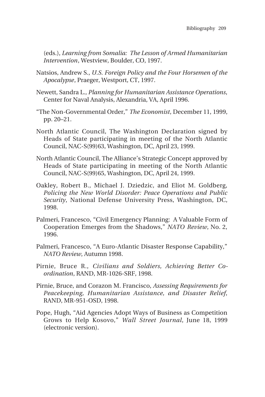(eds.), *Learning from Somalia: The Lesson of Armed Humanitarian Intervention*, Westview, Boulder, CO, 1997.

- Natsios, Andrew S., *U.S. Foreign Policy and the Four Horsemen of the Apocalypse*, Praeger, Westport, CT, 1997.
- Newett, Sandra L., *Planning for Humanitarian Assistance Operations*, Center for Naval Analysis, Alexandria, VA, April 1996.
- "The Non-Governmental Order," *The Economist*, December 11, 1999, pp. 20–21.
- North Atlantic Council, The Washington Declaration signed by Heads of State participating in meeting of the North Atlantic Council, NAC-S(99)63, Washington, DC, April 23, 1999.
- North Atlantic Council, The Alliance's Strategic Concept approved by Heads of State participating in meeting of the North Atlantic Council, NAC-S(99)65, Washington, DC, April 24, 1999.
- Oakley, Robert B., Michael J. Dziedzic, and Eliot M. Goldberg, *Policing the New World Disorder: Peace Operations and Public Security*, National Defense University Press, Washington, DC, 1998.
- Palmeri, Francesco, "Civil Emergency Planning: A Valuable Form of Cooperation Emerges from the Shadows," *NATO Review*, No. 2, 1996.
- Palmeri, Francesco, "A Euro-Atlantic Disaster Response Capability," *NATO Review*, Autumn 1998.
- Pirnie, Bruce R., *Civilians and Soldiers, Achieving Better Coordination*, RAND, MR-1026-SRF, 1998.
- Pirnie, Bruce, and Corazon M. Francisco, *Assessing Requirements for Peacekeeping, Humanitarian Assistance, and Disaster Relief*, RAND, MR-951-OSD, 1998.
- Pope, Hugh, "Aid Agencies Adopt Ways of Business as Competition Grows to Help Kosovo," *Wall Street Journal*, June 18, 1999 (electronic version).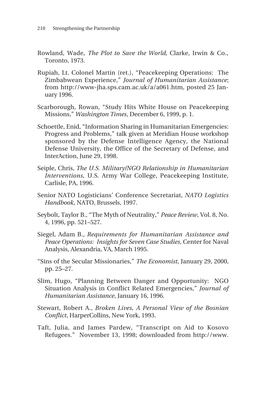- Rowland, Wade, *The Plot to Save the World*, Clarke, Irwin & Co., Toronto, 1973.
- Rupiah, Lt. Colonel Martin (ret.), "Peacekeeping Operations: The Zimbabwean Experience," *Journal of Humanitarian Assistance*; from http://www-jha.sps.cam.ac.uk/a/a061.htm, posted 25 January 1996.
- Scarborough, Rowan, "Study Hits White House on Peacekeeping Missions," *Washington Times*, December 6, 1999, p. 1.
- Schoettle, Enid, "Information Sharing in Humanitarian Emergencies: Progress and Problems," talk given at Meridian House workshop sponsored by the Defense Intelligence Agency, the National Defense University, the Office of the Secretary of Defense, and InterAction, June 29, 1998.
- Seiple, Chris, *The U.S. Military/NGO Relationship in Humanitarian Interventions,* U.S. Army War College, Peacekeeping Institute, Carlisle, PA, 1996.
- Senior NATO Logisticians' Conference Secretariat, *NATO Logistics Handbook*, NATO, Brussels, 1997.
- Seybolt, Taylor B., "The Myth of Neutrality," *Peace Review*, Vol. 8, No. 4, 1996, pp. 521–527.
- Siegel, Adam B., *Requirements for Humanitarian Assistance and Peace Operations: Insights for Seven Case Studies*, Center for Naval Analysis, Alexandria, VA, March 1995.
- "Sins of the Secular Missionaries," *The Economist*, January 29, 2000, pp. 25–27.
- Slim, Hugo, "Planning Between Danger and Opportunity: NGO Situation Analysis in Conflict Related Emergencies," *Journal of Humanitarian Assistance*, January 16, 1996.
- Stewart, Robert A., *Broken Lives, A Personal View of the Bosnian Conflict*, HarperCollins, New York, 1993.
- Taft, Julia, and James Pardew, "Transcript on Aid to Kosovo Refugees." November 13, 1998; downloaded from http://www.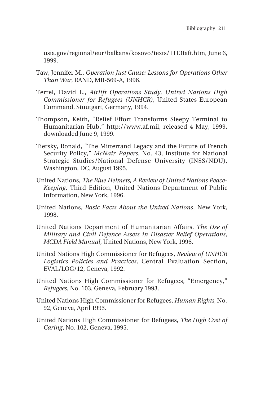usia.gov/regional/eur/balkans/kosovo/texts/1113taft.htm, June 6, 1999.

- Taw, Jennifer M., *Operation Just Cause: Lessons for Operations Other Than War*, RAND, MR-569-A, 1996.
- Terrel, David L., *Airlift Operations Study, United Nations High Commissioner for Refugees (UNHCR)*, United States European Command, Stuutgart, Germany, 1994.
- Thompson, Keith, "Relief Effort Transforms Sleepy Terminal to Humanitarian Hub," http://www.af.mil, released 4 May, 1999, downloaded June 9, 1999.
- Tiersky, Ronald, "The Mitterrand Legacy and the Future of French Security Policy," *McNair Papers*, No. 43, Institute for National Strategic Studies/National Defense University (INSS/NDU), Washington, DC, August 1995.
- United Nations, *The Blue Helmets, A Review of United Nations Peace-Keeping*, Third Edition, United Nations Department of Public Information, New York, 1996.
- United Nations, *Basic Facts About the United Nations*, New York, 1998.
- United Nations Department of Humanitarian Affairs, *The Use of Military and Civil Defence Assets in Disaster Relief Operations, MCDA Field Manual*, United Nations, New York, 1996.
- United Nations High Commissioner for Refugees, *Review of UNHCR Logistics Policies and Practices,* Central Evaluation Section, EVAL/LOG/12, Geneva, 1992.
- United Nations High Commissioner for Refugees, "Emergency," *Refugees*, No. 103, Geneva, February 1993.
- United Nations High Commissioner for Refugees, *Human Rights*, No. 92, Geneva, April 1993.
- United Nations High Commissioner for Refugees, *The High Cost of Caring*, No. 102, Geneva, 1995.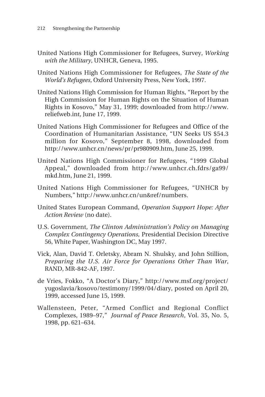- United Nations High Commissioner for Refugees, Survey, *Working with the Military*, UNHCR, Geneva, 1995.
- United Nations High Commissioner for Refugees, *The State of the World's Refugees*, Oxford University Press, New York, 1997.
- United Nations High Commission for Human Rights, "Report by the High Commission for Human Rights on the Situation of Human Rights in Kosovo," May 31, 1999; downloaded from http://www. reliefweb.int, June 17, 1999.
- United Nations High Commissioner for Refugees and Office of the Coordination of Humanitarian Assistance, "UN Seeks US \$54.3 million for Kosovo," September 8, 1998, downloaded from http://www.unhcr.cn/news/pr/pr980909.htm, June 25, 1999.
- United Nations High Commissioner for Refugees, "1999 Global Appeal," downloaded from http://www.unhcr.ch.fdrs/ga99/ mkd.htm, June 21, 1999.
- United Nations High Commissioner for Refugees, "UNHCR by Numbers," http://www.unhcr.cn/un&ref/numbers.
- United States European Command, *Operation Support Hope: After Action Review* (no date).
- U.S. Government, *The Clinton Administration's Policy on Managing Complex Contingency Operations,* Presidential Decision Directive 56, White Paper, Washington DC, May 1997.
- Vick, Alan, David T. Orletsky, Abram N. Shulsky, and John Stillion, *Preparing the U.S. Air Force for Operations Other Than War*, RAND, MR-842-AF, 1997.
- de Vries, Fokko, "A Doctor's Diary," http://www.msf.org/project/ yugoslavia/kosovo/testimony/1999/04/diary, posted on April 20, 1999, accessed June 15, 1999.
- Wallensteen, Peter, "Armed Conflict and Regional Conflict Complexes, 1989–97," *Journal of Peace Research*, Vol. 35, No. 5, 1998, pp. 621–634.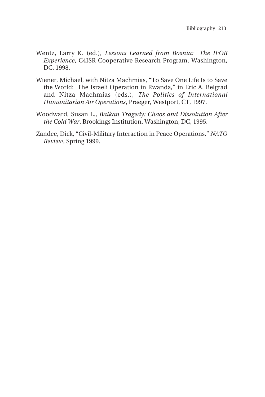- Wentz, Larry K. (ed.), *Lessons Learned from Bosnia: The IFOR Experience*, C4ISR Cooperative Research Program, Washington, DC, 1998.
- Wiener, Michael, with Nitza Machmias, "To Save One Life Is to Save the World: The Israeli Operation in Rwanda," in Eric A. Belgrad and Nitza Machmias (eds.), *The Politics of International Humanitarian Air Operations*, Praeger, Westport, CT, 1997.
- Woodward, Susan L., *Balkan Tragedy: Chaos and Dissolution After the Cold War*, Brookings Institution, Washington, DC, 1995.
- Zandee, Dick, "Civil-Military Interaction in Peace Operations," *NATO Review*, Spring 1999.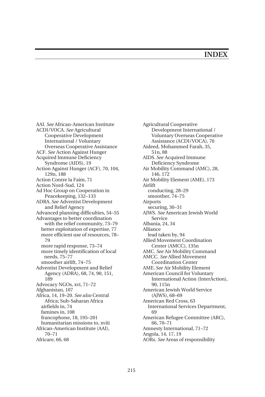## **INDEX**

AAI. *See* African-American Institute ACDI/VOCA. *See* Agricultural Cooperative Development International / Voluntary Overseas Cooperative Assistance ACF. *See* Action Against Hunger Acquired Immune Deficiency Syndrome (AIDS), 19 Action Against Hunger (ACF), 70, 104, 129n, 188 Action Contre la Faim, 71 Action Nord-Sud, 124 Ad Hoc Group on Cooperation in Peacekeeping, 132–133 ADRA. *See* Adventist Development and Relief Agency Advanced planning difficulties, 54–55 Advantages to better coordination with the relief community, 73–79 better exploitation of expertise, 77 more efficient use of resources, 78– 79 more rapid response, 73–74 more timely identification of local needs, 75–77 smoother airlift, 74–75 Adventist Development and Relief Agency (ADRA), 68, 74, 90, 151, 189 Advocacy NGOs, xvi, 71–72 Afghanistan, 107 Africa, 14, 19–20. *See also* Central Africa; Sub-Saharan Africa airfields in, 74 famines in, 108 francophone, 18, 195–201 humanitarian missions to, xviii African-American Institute (AAI), 70–71 Africare, 66, 68

Agricultural Cooperative Development International / Voluntary Overseas Cooperative Assistance (ACDI/VOCA), 70 Aideed, Mohammed Farah, 35, 51n, 88 AIDS. *See* Acquired Immune Deficiency Syndrome Air Mobility Command (AMC), 28, 146, 172 Air Mobility Element (AME), 173 Airlift conducting, 28–29 smoother, 74–75 Airports securing, 30–31 AJWS. *See* American Jewish World Service Albania, 24, 34 Alliance lead taken by, 94 Allied Movement Coordination Center (AMCC), 135n AMC. *See* Air Mobility Command AMCC. *See* Allied Movement Coordination Center AME. *See* Air Mobility Element American Council for Voluntary International Action (InterAction), 90, 115n American Jewish World Service (AJWS), 68–69 American Red Cross, 63 International Services Department, 69 American Refugee Committee (ARC), 66, 70–71 Amnesty International, 71–72 Angola, 14, 17, 19 AORs. *See* Areas of responsibility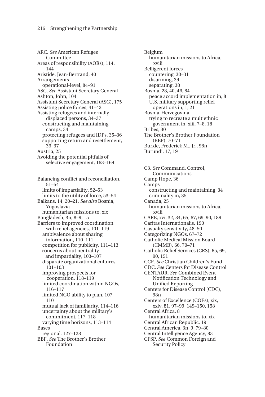ARC. *See* American Refugee Committee Areas of responsibility (AORs), 114, 144 Aristide, Jean-Bertrand, 40 Arrangements operational-level, 84–91 ASG. *See* Assistant Secretary General Ashton, John, 104 Assistant Secretary General (ASG), 175 Assisting police forces, 41–42 Assisting refugees and internally displaced persons, 34–37 constructing and maintaining camps, 34 protecting refugees and IDPs, 35–36 supporting return and resettlement, 36–37 Austria, 25 Avoiding the potential pitfalls of selective engagement, 163–169 Balancing conflict and reconciliation, 51–54 limits of impartiality, 52–53 limits to the utility of force, 53–54 Balkans, 14, 20–21. *See also* Bosnia, Yugoslavia humanitarian missions to, xix Bangladesh, 3n, 8–9, 15 Barriers to improved coordination with relief agencies, 101–119 ambivalence about sharing information, 110–111 competition for publicity, 111–113 concerns about neutrality and impartiality, 103–107 disparate organizational cultures, 101–103 improving prospects for cooperation, 118–119 limited coordination within NGOs, 116–117 limited NGO ability to plan, 107– 110 mutual lack of familiarity, 114–116 uncertainty about the military's commitment, 117–118 varying time horizons, 113–114 Bases regional, 127–128 BBF. *See* The Brother's Brother

Foundation

Belgium humanitarian missions to Africa, xviii Belligerent forces countering, 30–31 disarming, 39 separating, 38 Bosnia, 28, 40, 46, 84 peace accord implementation in, 8 U.S. military supporting relief operations in, 1, 21 Bosnia-Herzegovina trying to recreate a multiethnic government in, xiii, 7–8, 18 Bribes, 30 The Brother's Brother Foundation (BBF), 70–71 Burkle, Frederick M., Jr., 98n Burundi, 17, 19

C3. *See* Command, Control, Communications Camp Hope, 36 Camps constructing and maintaining, 34 criminality in, 35 Canada, 25 humanitarian missions to Africa, xviii CARE, xvi, 32, 34, 65, 67, 69, 90, 189 Caritas Internationalis, 190 Casualty sensitivity, 48–50 Categorizing NGOs, 67–72 Catholic Medical Mission Board (CMMB), 66, 70–71 Catholic Relief Services (CRS), 65, 69, 90, 151 CCF. *See* Christian Children's Fund CDC. *See* Centers for Disease Control CENTAUR. *See* Combined Event Notification Technology and Unified Reporting Centers for Disease Control (CDC), 98n Centers of Excellence (COEs), xix, xxiv, 81, 97–99, 149–150, 158 Central Africa, 8 humanitarian missions to, xix Central African Republic, 19 Central America, 3n, 9, 79–80 Central Intelligence Agency, 83 CFSP. *See* Common Foreign and Security Policy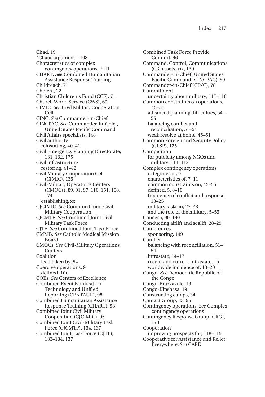Chad, 19 "Chaos argument," 108 Characteristics of complex contingency operations, 7–11 CHART. *See* Combined Humanitarian Assistance Response Training Childreach, 71 Cholera, 22 Christian Children's Fund (CCF), 71 Church World Service (CWS), 69 CIMIC. *See* Civil Military Cooperation Cell CINC. *See* Commander-in-Chief CINCPAC. *See* Commander-in-Chief, United States Pacific Command Civil Affairs specialists, 148 Civil authority reinstating, 40–41 Civil Emergency Planning Directorate, 131–132, 175 Civil infrastructure restoring, 41–42 Civil Military Cooperation Cell (CIMIC), 135 Civil-Military Operations Centers (CMOCs), 89, 91, 97, 110, 151, 168, 174 establishing, xx CJCIMIC. *See* Combined Joint Civil Military Cooperation CJCMTF. *See* Combined Joint Civil-Military Task Force CJTF. *See* Combined Joint Task Force CMMB. *See* Catholic Medical Mission Board CMOCs. *See* Civil-Military Operations Centers Coalition lead taken by, 94 Coercive operations, 9 defined, 10n COEs. *See* Centers of Excellence Combined Event Notification Technology and Unified Reporting (CENTAUR), 98 Combined Humanitarian Assistance Response Training (CHART), 98 Combined Joint Civil Military Cooperation (CJCIMIC), 95 Combined Joint Civil-Military Task Force (CJCMTF), 134, 137 Combined Joint Task Force (CJTF), 133–134, 137

Combined Task Force Provide Comfort, 96 Command, Control, Communications (C3) assets, xix, 130 Commander-in-Chief, United States Pacific Command (CINCPAC), 99 Commander-in-Chief (CINC), 78 Commitment uncertainty about military, 117–118 Common constraints on operations, 45–55 advanced planning difficulties, 54– 55 balancing conflict and reconciliation, 51–54 weak resolve at home, 45–51 Common Foreign and Security Policy (CFSP), 125 Competition for publicity among NGOs and military, 111–113 Complex contingency operations categories of, 9 characteristics of, 7–11 common constraints on, 45–55 defined, 5, 8–10 frequency of conflict and response, 13–25 military tasks in, 27–43 and the role of the military, 5–55 Concern, 90, 190 Conducting airlift and sealift, 28–29 Conferences sponsoring, 149 Conflict balancing with reconciliation, 51– 54 intrastate, 14–17 recent and current intrastate, 15 worldwide incidence of, 13–20 Congo. *See* Democratic Republic of the Congo Congo-Brazzaville, 19 Congo-Kinshasa, 19 Constructing camps, 34 Contact Group, 83, 95 Contingency operations. *See* Complex contingency operations Contingency Response Group (CRG), 173 Cooperation improving prospects for, 118–119 Cooperative for Assistance and Relief Everywhere. *See* CARE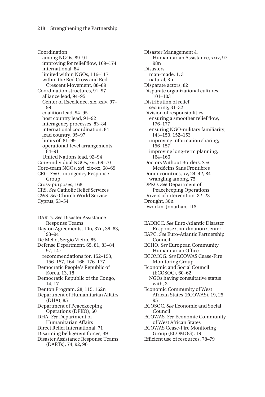Coordination among NGOs, 89–91 improving for relief flow, 169–174 international, 84 limited within NGOs, 116–117 within the Red Cross and Red Crescent Movement, 88–89 Coordination structures, 91–97 alliance lead, 94–95 Center of Excellence, xix, xxiv, 97– 99 coalition lead, 94–95 host country lead, 91–92 interagency processes, 83–84 international coordination, 84 lead country, 95–97 limits of, 81-99 operational-level arrangements, 84–91 United Nations lead, 92–94 Core-individual NGOs, xvi, 69–70 Core-team NGOs, xvi, xix–xx, 68–69 CRG. *See* Contingency Response Group Cross-purposes, 168 CRS. *See* Catholic Relief Services CWS. *See* Church World Service Cyprus, 53–54

DARTs. *See* Disaster Assistance Response Teams Dayton Agreements, 10n, 37n, 39, 83, 93–94 De Mello, Sergio Vieiro, 85 Defense Department, 65, 81, 83–84, 97, 147 recommendations for, 152–153, 156–157, 164–166, 176–177 Democratic People's Republic of Korea, 13, 18 Democratic Republic of the Congo, 14, 17 Denton Program, 28, 115, 162n Department of Humanitarian Affairs (DHA), 85 Department of Peacekeeping Operations (DPKO), 60 DHA. *See* Department of Humanitarian Affairs Direct Relief International, 71 Disarming belligerent forces, 39 Disaster Assistance Response Teams (DARTs), 74, 92, 96

Disaster Management & Humanitarian Assistance, xxiv, 97, 98n Disasters man-made, 1, 3 natural, 3n Disparate actors, 82 Disparate organizational cultures, 101–103 Distribution of relief securing, 31–32 Division of responsibilities ensuring a smoother relief flow, 176–177 ensuring NGO-military familiarity, 143–150, 152–153 improving information sharing, 156–157 improving long-term planning, 164–166 Doctors Without Borders. *See* Medécins Sans Frontières Donor countries, xv, 24, 42, 84 wrangling among, 75 DPKO. *See* Department of Peacekeeping Operations Drivers of intervention, 22–23 Drought, 30n Dworkin, Jonathan, 113

EADRCC. *See* Euro-Atlantic Disaster Response Coordination Center EAPC. *See* Euro-Atlantic Partnership Council ECHO. *See* European Community Humanitarian Office ECOMOG. *See* ECOWAS Cease-Fire Monitoring Group Economic and Social Council (ECOSOC), 60–62 NGOs having consultative status with, 2 Economic Community of West African States (ECOWAS), 19, 25,  $95$ ECOSOC. *See* Economic and Social Council ECOWAS. *See* Economic Community of West African States ECOWAS Cease-Fire Monitoring Group (ECOMOG), 19 Efficient use of resources, 78–79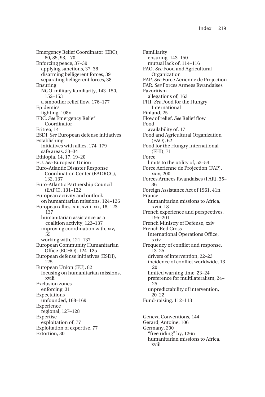Emergency Relief Coordinator (ERC), 60, 85, 93, 170 Enforcing peace, 37–39 applying sanctions, 37–38 disarming belligerent forces, 39 separating belligerent forces, 38 Ensuring NGO-military familiarity, 143–150, 152–153 a smoother relief flow, 176–177 Epidemics fighting, 108n ERC. *See* Emergency Relief Coordinator Eritrea, 14 ESDI. *See* European defense initiatives Establishing initiatives with allies, 174–179 safe areas, 33–34 Ethiopia, 14, 17, 19–20 EU. *See* European Union Euro-Atlantic Disaster Response Coordination Center (EADRCC), 132, 137 Euro-Atlantic Partnership Council (EAPC), 131–132 European activity and outlook on humanitarian missions, 124–126 European allies, xiii, xviii–xix, 18, 123– 137 humanitarian assistance as a coalition activity, 123–137 improving coordination with, xiv, 55 working with, 121–137 European Community Humanitarian Office (ECHO), 124–125 European defense initiatives (ESDI), 125 European Union (EU), 82 focusing on humanitarian missions, xviii Exclusion zones enforcing, 31 **Expectations** unfounded, 168–169 Experience regional, 127–128 Expertise exploitation of, 77 Exploitation of expertise, 77 Extortion, 30

Familiarity ensuring, 143–150 mutual lack of, 114–116 FAO. *See* Food and Agricultural Organization FAP. *See* Force Aerienne de Projection FAR. *See* Forces Armees Rwandaises Favoritism allegations of, 163 FHI. *See* Food for the Hungry International Finland, 25 Flow of relief. *See* Relief flow Food availability of, 17 Food and Agricultural Organization (FAO), 62 Food for the Hungry International (FHI), 71 Force limits to the utility of, 53–54 Force Aerienne de Projection (FAP), xxiv, 200 Forces Armees Rwandaises (FAR), 35– 36 Foreign Assistance Act of 1961, 41n France humanitarian missions to Africa, xviii, 18 French experience and perspectives, 195–201 French Ministry of Defense, xxiv French Red Cross International Operations Office, xxiv Frequency of conflict and response,  $13 - 25$ drivers of intervention, 22–23 incidence of conflict worldwide, 13– 20 limited warning time, 23–24 preference for multilateralism, 24– 25 unpredictability of intervention, 20–22 Fund-raising, 112–113 Geneva Conventions, 144 Gerard, Antoine, 106 Germany, 200 "free riding" by, 126n humanitarian missions to Africa, xviii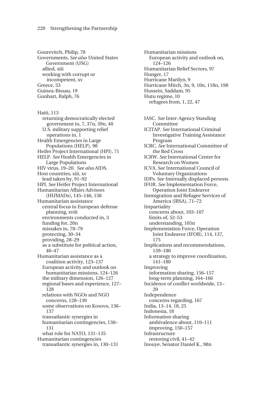Gourevitch, Philip, 78 Governments. *See also* United States Government (USG) allied, xiii working with corrupt or incompetent, xv Greece, 53 Guinea-Bissau, 19 Gunhart, Ralph, 76

Haiti, 113 returning democratically elected government to, 7, 37n, 39n, 40 U.S. military supporting relief operations in, 1 Health Emergencies in Large Populations (HELP), 98 Heifer Project International (HPI), 71 HELP. *See* Health Emergencies in Large Populations HIV virus, 19–20. *See also* AIDS. Host countries, xiii, xv lead taken by, 91–92 HPI. *See* Heifer Project International Humanitarian Affairs Advisors (HUMADs), 145–146, 158 Humanitarian assistance central focus in European defense planning, xviii environments conducted in, 3 funding for, 20n mistakes in, 78–79 protecting, 30–34 providing, 28–29 as a substitute for political action, 46–47 Humanitarian assistance as a coalition activity, 123–137 European activity and outlook on humanitarian missions, 124–126 the military dimension, 126–127 regional bases and experience, 127– 128 relations with NGOs and NGO concerns, 128–130 some observations on Kosovo, 136– 137 transatlantic synergies in humanitarian contingencies, 130– 131 what role for NATO, 131–135 Humanitarian contingencies transatlantic synergies in, 130–131

Humanitarian missions European activity and outlook on, 124–126 Humanitarian Relief Sectors, 97 Hunger, 17 Hurricane Marilyn, 9 Hurricane Mitch, 3n, 9, 10n, 118n, 198 Hussein, Saddam, 95 Hutu regime, 10 refugees from, 1, 22, 47

IASC. *See* Inter-Agency Standing Committee ICITAP. *See* International Criminal Investigative Training Assistance Program ICRC. *See* International Committee of the Red Cross ICRW. *See* International Center for Research on Women ICVA. *See* International Council of Voluntary Organizations IDPs. *See* Internally displaced persons IFOR. *See* Implementation Force, Operation Joint Endeavor Immigration and Refugee Services of America (IRSA), 71–72 Impartiality concerns about, 103–107 limits of, 52–53 understanding, 105n Implementation Force, Operation Joint Endeavor (IFOR), 114, 137, 175 Implications and recommendations, 139–180 a strategy to improve coordination, 141–180 Improving information sharing, 156–157 long-term planning, 164–166 Incidence of conflict worldwide, 13– 20 Independence concerns regarding, 167 India, 13–14, 18, 25 Indonesia, 18 Information sharing ambivalence about, 110–111 improving, 150–157 Infrastructure restoring civil, 41–42 Inouye, Senator Daniel K., 98n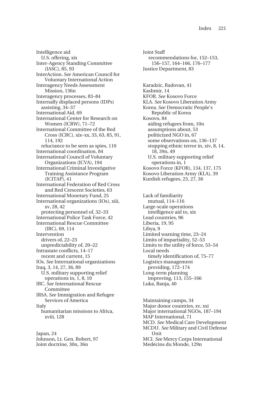Intelligence aid U.S. offering, xix Inter-Agency Standing Committee (IASC), 85, 93 InterAction. *See* American Council for Voluntary International Action Interagency Needs Assessment Mission, 136n Interagency processes, 83–84 Internally displaced persons (IDPs) assisting, 34–37 International Aid, 69 International Center for Research on Women (ICRW), 71–72 International Committee of the Red Cross (ICRC), xix–xx, 33, 63, 85, 91, 114, 192 reluctance to be seen as spies, 110 International coordination, 84 International Council of Voluntary Organizations (ICVA), 194 International Criminal Investigative Training Assistance Program (ICITAP), 41 International Federation of Red Cross and Red Crescent Societies, 63 International Monetary Fund, 25 International organizations (IOs), xiii, xv, 28, 42 protecting personnel of, 32–33 International Police Task Force, 42 International Rescue Committee (IRC), 69, 114 Intervention drivers of, 22–23 unpredictability of, 20–22 Intrastate conflicts, 14–17 recent and current, 15 IOs. *See* International organizations Iraq, 3, 14, 27, 36, 89 U.S. military supporting relief operations in, 1, 8, 10 IRC. *See* International Rescue Committee IRSA. *See* Immigration and Refugee Services of America Italy humanitarian missions to Africa, xviii, 128

Japan, 24 Johnson, Lt. Gen. Robert, 97 Joint doctrine, 30n, 36n

Joint Staff recommendations for, 152–153, 156–157, 164–166, 176–177 Justice Department, 83 Karadzic, Radovan, 41

Kashmir, 14

KFOR. *See* Kosovo Force KLA. *See* Kosovo Liberation Army Korea. *See* Democratic People's Republic of Korea Kosovo, 84 aiding refugees from, 10n assumptions about, 53 politicized NGO in, 67 some observations on, 136–137 stopping ethnic terror in, xiv, 8, 14, 18, 39n, 49 U.S. military supporting relief operations in, 1 Kosovo Force (KFOR), 134, 137, 175 Kosovo Liberation Army (KLA), 39 Kurdish refugees, 23, 27, 36

Lack of familiarity mutual, 114–116 Large-scale operations intelligence aid to, xix Lead countries, 96 Liberia, 19, 95 Libya, 9 Limited warning time, 23–24 Limits of impartiality, 52–53 Limits to the utility of force, 53–54 Local needs timely identification of, 75–77 Logistics management providing, 172–174 Long-term planning improving, 113, 155–166 Luka, Banja, 40

Maintaining camps, 34 Major donor countries, xv, xxi Major international NGOs, 187–194 MAP International, 71 MCD. *See* Medical Care Development MCDU. *See* Military and Civil Defense Unit MCI. *See* Mercy Corps International Medécins du Monde, 129n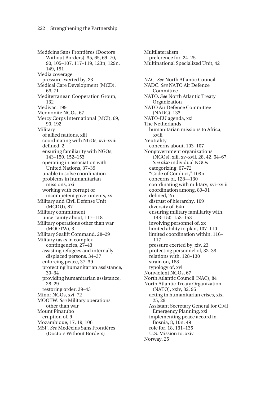Medécins Sans Frontières (Doctors Without Borders), 35, 65, 69–70, 90, 105–107, 117–119, 123n, 129n, 149, 191 Media coverage pressure exerted by, 23 Medical Care Development (MCD), 66, 71 Mediterranean Cooperation Group, 132 Medivac, 199 Mennonite NGOs, 67 Mercy Corps International (MCI), 69, 90, 192 Military of allied nations, xiii coordinating with NGOs, xvi–xviii defined, 2 ensuring familiarity with NGOs, 143–150, 152–153 operating in association with United Nations, 37–39 unable to solve coordination problems in humanitarian missions, xxi working with corrupt or incompetent governments, xv Military and Civil Defense Unit (MCDU), 87 Military commitment uncertainty about, 117–118 Military operations other than war (MOOTW), 3 Military Sealift Command, 28–29 Military tasks in complex contingencies, 27–43 assisting refugees and internally displaced persons, 34–37 enforcing peace, 37–39 protecting humanitarian assistance, 30–34 providing humanitarian assistance, 28–29 restoring order, 39–43 Minor NGOs, xvi, 72 MOOTW. *See* Military operations other than war Mount Pinatubo eruption of, 9 Mozambique, 17, 19, 106 MSF. *See* Medécins Sans Frontières (Doctors Without Borders)

Multilateralism preference for, 24–25 Multinational Specialized Unit, 42 NAC. *See* North Atlantic Council NADC. *See* NATO Air Defence Committee NATO. *See* North Atlantic Treaty **Organization** NATO Air Defence Committee (NADC), 133 NATO-EU agenda, xxi The Netherlands humanitarian missions to Africa, xviii **Neutrality** concerns about, 103–107 Nongovernment organizations (NGOs), xiii, xv–xvii, 28, 42, 64–67. *See also* individual NGOs categorizing, 67–72 "Code of Conduct," 103n concerns of, 128—130 coordinating with military, xvi–xviii coordination among, 89–91 defined, 2n distrust of hierarchy, 109 diversity of, 64n ensuring military familiarity with, 143–150, 152–153 involving personnel of, xx limited ability to plan, 107–110 limited coordination within, 116– 117 pressure exerted by, xiv, 23 protecting personnel of, 32–33 relations with, 128–130 strain on, 168 typology of, xvi Nonviolent NGOs, 67 North Atlantic Council (NAC), 84 North Atlantic Treaty Organization (NATO), xxiv, 82, 95 acting in humanitarian crises, xix, 25, 29 Assistant Secretary General for Civil Emergency Planning, xxi implementing peace accord in Bosnia, 8, 10n, 49 role for, 18, 131–135 U.S. Mission to, xxiv Norway, 25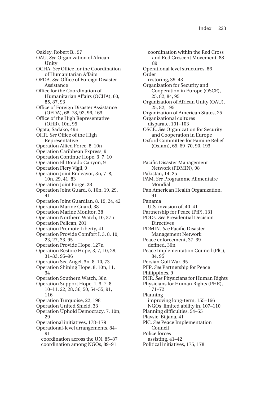Oakley, Robert B., 97 OAU. *See* Organization of African **Unity** OCHA. *See* Office for the Coordination of Humanitarian Affairs OFDA. *See* Office of Foreign Disaster Assistance Office for the Coordination of Humanitarian Affairs (OCHA), 60, 85, 87, 93 Office of Foreign Disaster Assistance (OFDA), 68, 78, 92, 96, 163 Office of the High Representative (OHR), 10n, 95 Ogata, Sadako, 49n OHR. *See* Office of the High Representative Operation Allied Force, 8, 10n Operation Caribbean Express, 9 Operation Continue Hope, 3, 7, 10 Operation El Dorado Canyon, 9 Operation Fiery Vigil, 9 Operation Joint Endeavor, 3n, 7–8, 10n, 29, 41, 83 Operation Joint Forge, 28 Operation Joint Guard, 8, 10n, 19, 29, 41 Operation Joint Guardian, 8, 19, 24, 42 Operation Marine Guard, 38 Operation Marine Monitor, 38 Operation Northern Watch, 10, 37n Operation Pelican, 201 Operation Promote Liberty, 41 Operation Provide Comfort I, 3, 8, 10, 23, 27, 33, 95 Operation Provide Hope, 127n Operation Restore Hope, 3, 7, 10, 29, 31–33, 95–96 Operation Sea Angel, 3n, 8–10, 73 Operation Shining Hope, 8, 10n, 11, 34 Operation Southern Watch, 38n Operation Support Hope, 1, 3, 7–8, 10–11, 22, 28, 36, 50, 54–55, 91, 116 Operation Turquoise, 22, 198 Operation United Shield, 33 Operation Uphold Democracy, 7, 10n,  $29$ Operational initiatives, 178–179 Operational-level arrangements, 84– **Q1** coordination across the UN, 85–87 coordination among NGOs, 89–91

coordination within the Red Cross and Red Crescent Movement, 88–  $90$ Operational level structures, 86 Order restoring, 39–43 Organization for Security and Cooperation in Europe (OSCE), 25, 82, 84, 95 Organization of African Unity (OAU), 25, 82, 195 Organization of American States, 25 Organizational cultures disparate, 101–103 OSCE. *See* Organization for Security and Cooperation in Europe Oxford Committee for Famine Relief (Oxfam), 65, 69–70, 90, 193 Pacific Disaster Management Network (PDMIN), 98 Pakistan, 14, 25 PAM. *See* Programme Alimentaire Mondial Pan American Health Organization, 91 Panama U.S. invasion of, 40–41 Partnership for Peace (PfP), 131 PDDs. *See* Presidential Decision **Directives** PDMIN. *See* Pacific Disaster Management Network Peace enforcement, 37–39 defined, 30n Peace Implementation Council (PlC), 84, 95 Persian Gulf War, 95 PFP. *See* Partnership for Peace Philippines, 9 PHR. *See* Physicians for Human Rights Physicians for Human Rights (PHR), 71–72 Planning improving long-term, 155–166 NGOs' limited ability in, 107–110 Planning difficulties, 54–55 Plavsic, Biljana, 41 PlC. *See* Peace Implementation Council Police forces assisting, 41–42 Political initiatives, 175, 178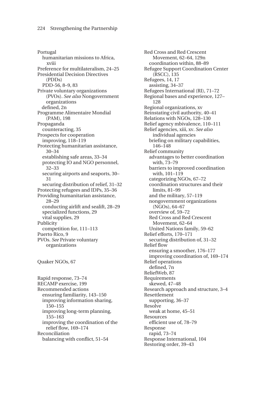Portugal humanitarian missions to Africa, xviii Preference for multilateralism, 24–25 Presidential Decision Directives (PDDs) PDD-56, 8–9, 83 Private voluntary organizations (PVOs). *See also* Nongovernment organizations defined, 2n Programme Alimentaire Mondial (PAM), 198 Propaganda counteracting, 35 Prospects for cooperation improving, 118–119 Protecting humanitarian assistance, 30–34 establishing safe areas, 33–34 protecting IO and NGO personnel, 32–33 securing airports and seaports, 30– 31 securing distribution of relief, 31–32 Protecting refugees and IDPs, 35–36 Providing humanitarian assistance, 28–29 conducting airlift and sealift, 28–29 specialized functions, 29 vital supplies, 29 Publicity competition for, 111–113 Puerto Rico, 9 PVOs. *See* Private voluntary organizations

Quaker NGOs, 67

Rapid response, 73–74 RECAMP exercise, 199 Recommended actions ensuring familiarity, 143–150 improving information sharing, 150–155 improving long-term planning, 155–163 improving the coordination of the relief flow, 169–174 Reconciliation balancing with conflict, 51–54

Red Cross and Red Crescent Movement, 62–64, 129n coordination within, 88–89 Refugee Support Coordination Center (RSCC), 135 Refugees, 14, 17 assisting, 34–37 Refugees International (RI), 71–72 Regional bases and experience, 127– 128 Regional organizations, xv Reinstating civil authority, 40–41 Relations with NGOs, 128–130 Relief agency mbivalence, 110–111 Relief agencies, xiii, xv. *See also* individual agencies briefing on military capabilities, 146–148 Relief community advantages to better coordination with, 73–79 barriers to improved coordination with,  $101 - 119$ categorizing NGOs, 67–72 coordination structures and their limits, 81–99 and the military, 57–119 nongovernment organizations (NGOs), 64–67 overview of, 59–72 Red Cross and Red Crescent Movement, 62–64 United Nations family, 59–62 Relief efforts, 170–171 securing distribution of, 31–32 Relief flow ensuring a smoother, 176–177 improving coordination of, 169–174 Relief operations defined, 7n ReliefWeb, 87 Requirements skewed, 47–48 Research approach and structure, 3–4 Resettlement supporting, 36–37 Resolve weak at home, 45–51 Resources efficient use of, 78–79 Response rapid, 73–74 Response International, 104 Restoring order, 39–43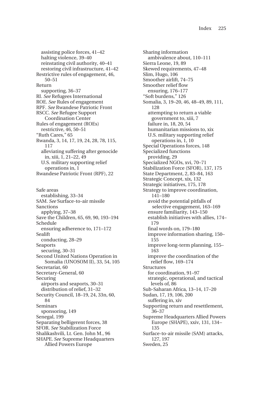assisting police forces, 41–42 halting violence, 39–40 reinstating civil authority, 40–41 restoring civil infrastructure, 41–42 Restrictive rules of engagement, 46, 50–51 Return supporting, 36–37 RI. *See* Refugees International ROE. *See* Rules of engagement RPF. *See* Rwandese Patriotic Front RSCC. *See* Refugee Support Coordination Center Rules of engagement (ROEs) restrictive, 46, 50–51 "Ruth Cares," 65 Rwanda, 3, 14, 17, 19, 24, 28, 78, 115, 117 alleviating suffering after genocide in, xiii, 1, 21–22, 49 U.S. military supporting relief operations in, 1 Rwandese Patriotic Front (RPF), 22

Safe areas establishing, 33–34 SAM. *See* Surface-to-air missile Sanctions applying, 37–38 Save the Children, 65, 69, 90, 193–194 Schedule ensuring adherence to, 171–172 Sealift conducting, 28–29 Seaports securing, 30–31 Second United Nations Operation in Somalia (UNOSOM II), 33, 54, 105 Secretariat, 60 Secretary-General, 60 Securing airports and seaports, 30–31 distribution of relief, 31–32 Security Council, 18–19, 24, 33n, 60, 84 Seminars sponsoring, 149 Senegal, 199 Separating belligerent forces, 38 SFOR. *See* Stabilization Force Shalikashvili, Lt. Gen. John M., 96 SHAPE. *See* Supreme Headquarters Allied Powers Europe

Sharing information ambivalence about, 110–111 Sierra Leone, 19, 89 Skewed requirements, 47–48 Slim, Hugo, 106 Smoother airlift, 74–75 Smoother relief flow ensuring, 176–177 "Soft burdens," 126 Somalia, 3, 19–20, 46, 48–49, 89, 111, 128 attempting to return a viable government to, xiii, 7 failure in, 18, 20, 54 humanitarian missions to, xix U.S. military supporting relief operations in, 1, 10 Special Operations forces, 148 Specialized functions providing, 29 Specialized NGOs, xvi, 70–71 Stabilization Force (SFOR), 137, 175 State Department, 2, 83–84, 163 Strategic Concept, xix, 132 Strategic initiatives, 175, 178 Strategy to improve coordination, 141–180 avoid the potential pitfalls of selective engagement, 163–169 ensure familiarity, 143–150 establish initiatives with allies, 174– 179 final words on, 179–180 improve information sharing, 150– 155 improve long-term planning, 155– 163 improve the coordination of the relief flow, 169–174 Structures for coordination, 91–97 strategic, operational, and tactical levels of, 86 Sub-Saharan Africa, 13–14, 17–20 Sudan, 17, 19, 106, 200 suffering in, xiv Supporting return and resettlement, 36–37 Supreme Headquarters Allied Powers Europe (SHAPE), xxiv, 131, 134– 135 Surface-to-air missile (SAM) attacks, 127, 197 Sweden, 25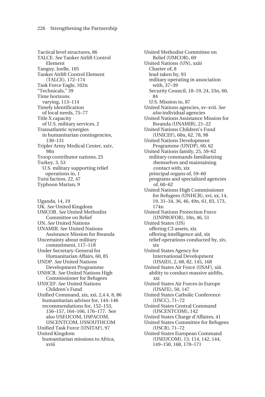Tactical level structures, 86 TALCE. *See* Tanker Airlift Control Element Tanguy, Joelle, 105 Tanker Airlift Control Element (TALCE), 172–174 Task Force Eagle, 102n "Technicals," 39 Time horizons varying, 113–114 Timely identification of local needs, 75–77 Title X capacity of U.S. military services, 2 Transatlantic synergies in humanitarian contingencies, 130–131 Tripler Army Medical Center, xxiv, 98n Troop contributor nations, 25 Turkey, 3, 53 U.S. military supporting relief operations in, 1 Tutsi faction, 22, 47 Typhoon Marian, 9

Uganda, 14, 19 UK. *See* United Kingdom UMCOR. *See* United Methodist Committee on Relief UN. *See* United Nations UNAMIR. *See* United Nations Assistance Mission for Rwanda Uncertainty about military commitment, 117–118 Under Secretary-General for Humanitarian Affairs, 60, 85 UNDP. *See* United Nations Development Programme UNHCR. *See* United Nations High Commissioner for Refugees UNICEF. *See* United Nations Children's Fund Unified Command, xix, xxi, 2,4 4, 8, 86 humanitarian advisor for, 144–146 recommendations for, 152–153, 156–157, 164–166, 176–177. See also USEUCOM, USPACOM, USCENTCOM, USSOUTHCOM Unified Task Force (UNITAF), 97 United Kingdom humanitarian missions to Africa, xviii

United Methodist Committee on Relief (UMCOR), 69 United Nations (UN), xxiii Charter of, 8 lead taken by, 93 military operating in association with, 37–39 Security Council, 18–19, 24, 33n, 60, 84 U.S. Mission to, 87 United Nations agencies, xv–xvii. *See also* individual agencies United Nations Assistance Mission for Rwanda (UNAMIR), 21–22 United Nations Children's Fund (UNICEF), 60n, 62, 78, 98 United Nations Development Programme (UNDP), 60, 62 United Nations family, 25, 59–62 military commands familiarizing themselves and maintaining contact with, xix principal organs of, 59–60 programs and specialized agencies of, 60–62 United Nations High Commissioner for Refugees (UNHCR), xvi, xx, 14, 19, 31–34, 36, 46, 49n, 61, 83, 173, 174n United Nations Protection Force (UNPROFOR), 10n, 46, 51 United States (US) offering C3 assets, xix offering intelligence aid, xix relief operations conducted by, xiv, xix United States Agency for International Development (USAID), 2, 68, 82, 145, 168 United States Air Force (USAF), xiii ability to conduct massive airlifts, xxi United States Air Forces in Europe (USAFE), 50, 147 United States Catholic Conference (USCC), 71–72 United States Central Command (USCENTCOM), 142 United States Charge d'Affaires, 41 United States Committee for Refugees (USCR), 71–72 United States European Command (USEUCOM), 13, 114, 142, 144, 149–150, 168, 170–171